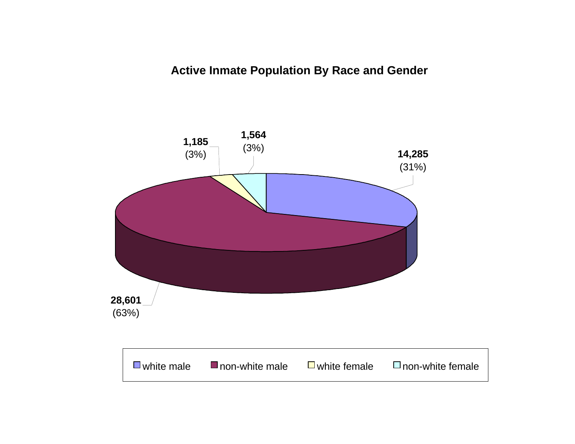## **Active Inmate Population By Race and Gender**

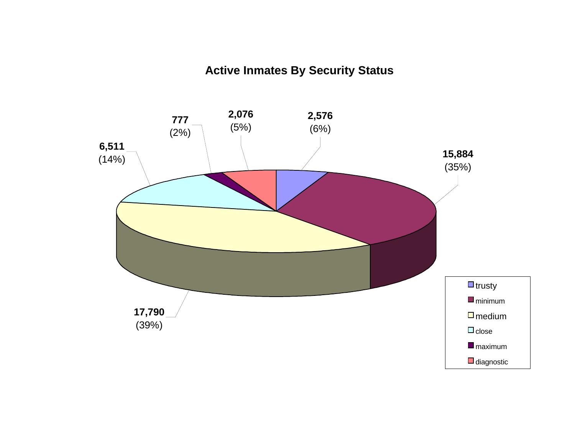# **Active Inmates By Security Status**

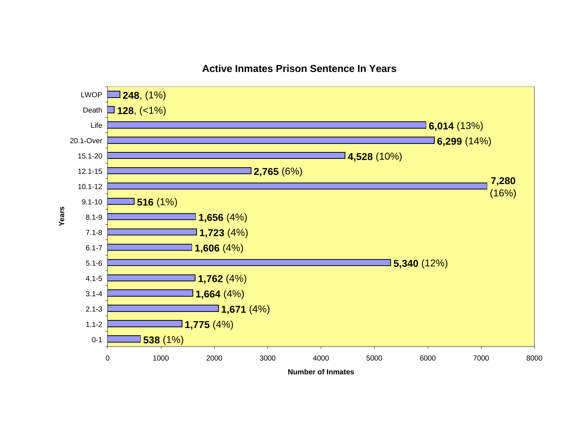

### **Active Inmates Prison Sentence In Years**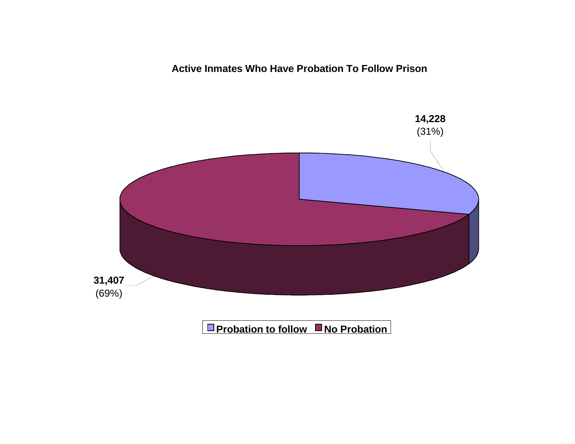**Active Inmates Who Have Probation To Follow Prison**

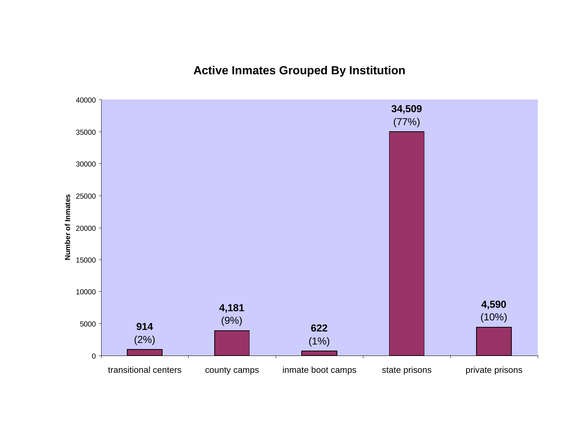**Active Inmates Grouped By Institution**

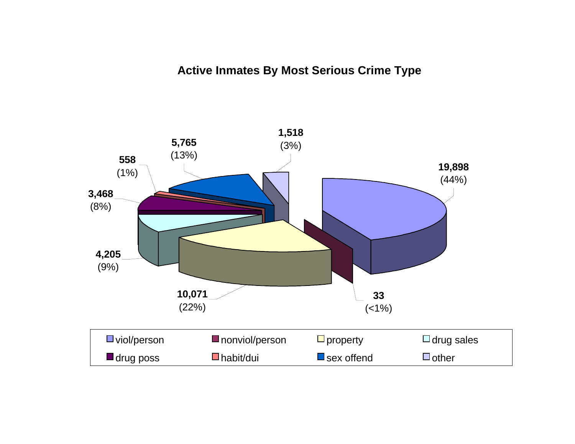# **Active Inmates By Most Serious Crime Type**

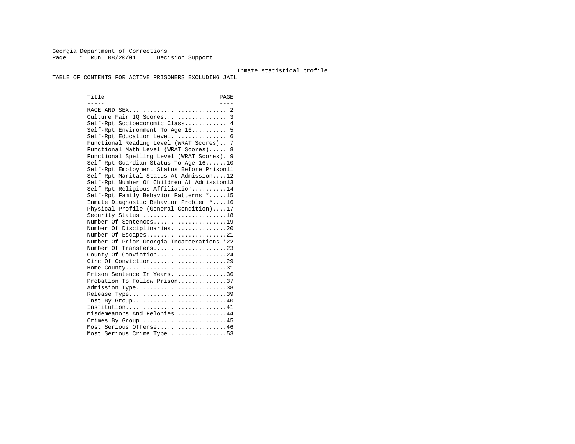Georgia Department of Corrections Page 1 Run  $08/20/01$  Decision Support

#### Inmate statistical profile

TABLE OF CONTENTS FOR ACTIVE PRISONERS EXCLUDING JAIL

Title PAGE ----- ---- RACE AND SEX............................ 2 Culture Fair IQ Scores.................. 3 Self-Rpt Socioeconomic Class............ 4 Self-Rpt Environment To Age 16.......... 5 Self-Rpt Education Level................ 6 Functional Reading Level (WRAT Scores).. 7 Functional Math Level (WRAT Scores)..... 8 Functional Spelling Level (WRAT Scores). 9 Self-Rpt Guardian Status To Age 16......10 Self-Rpt Employment Status Before Prison11 Self-Rpt Marital Status At Admission....12 Self-Rpt Number Of Children At Admission13 Self-Rpt Religious Affiliation..........14 Self-Rpt Family Behavior Patterns \*.....15 Inmate Diagnostic Behavior Problem \*....16 Physical Profile (General Condition)....17 Security Status...........................18 Number Of Sentences.....................19 Number Of Disciplinaries................20 Number Of Escapes........................21 Number Of Prior Georgia Incarcerations \*22 Number Of Transfers.....................23 County Of Conviction....................24 Circ Of Conviction......................29 Home County.............................31 Prison Sentence In Years................36 Probation To Follow Prison..............37Admission Type.............................38 Release Type...............................39 Inst By Group.............................40 Institution................................41 Misdemeanors And Felonies...............44 Crimes By Group...........................45 Most Serious Offense....................46 Most Serious Crime Type.................53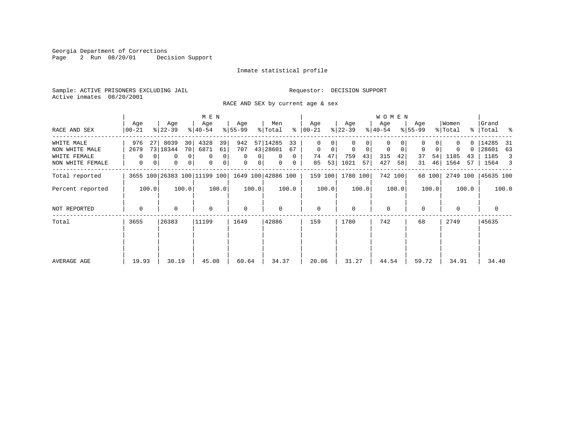Georgia Department of Corrections Page 2 Run 08/20/01 Decision Support

#### Inmate statistical profile

Sample: ACTIVE PRISONERS EXCLUDING JAIL **Requestor: DECISION SUPPORT** Active inmates 08/20/2001

RACE AND SEX by current age & sex

|                                                                  |                             |                                                | M E N                                                                            |                                                        |                                                                 |                                               |                                                       | <b>WOMEN</b>                                    |                                                 |                                                 |                                                     |
|------------------------------------------------------------------|-----------------------------|------------------------------------------------|----------------------------------------------------------------------------------|--------------------------------------------------------|-----------------------------------------------------------------|-----------------------------------------------|-------------------------------------------------------|-------------------------------------------------|-------------------------------------------------|-------------------------------------------------|-----------------------------------------------------|
| RACE AND SEX                                                     | Age<br>$00 - 21$            | Age<br>$ 22-39 $                               | Age<br>$ 40-54 $                                                                 | Age<br>$ 55-99 $                                       | Men<br>% Total                                                  | Age<br>$8   00 - 21$                          | Age<br>$ 22-39 $                                      | Age<br>$ 40-54 $                                | Age<br>$8155 - 99$                              | Women<br>% Total                                | Grand<br>% Total %                                  |
| WHITE MALE<br>NON WHITE MALE<br>WHITE FEMALE<br>NON WHITE FEMALE | 976<br>27<br>2679<br>0<br>0 | 8039<br>30<br>73   18344<br>70 <br>0<br>0<br>0 | 4328<br>39<br>6871<br>61<br>0 <sup>1</sup><br>0<br>0<br>0 <sup>1</sup><br>0<br>0 | 942<br>707<br>0<br>0<br>$\mathbf{0}$<br>0 <sup>1</sup> | 57 14285<br>33<br>43 28601<br>67<br>0<br>$\mathbf{0}$<br>0<br>0 | 0<br>$\mathbf 0$<br>0<br>47<br>74<br>53<br>85 | $\mathbf 0$<br>$\mathbf 0$<br>759<br>43<br>1021<br>57 | 0<br>0<br>$\mathbf 0$<br>315<br>42<br>427<br>58 | $\Omega$<br>$\mathbf 0$<br>37<br>54<br>46<br>31 | O.<br>$\Omega$<br>0<br>1185<br>43<br>1564<br>57 | 14285<br>- 31<br>28601<br>63<br>1185<br>3<br>1564 3 |
| Total reported                                                   |                             |                                                | 3655 100 26383 100 11199 100                                                     |                                                        | 1649 100 42886 100                                              | 159 100                                       | 1780 100                                              | 742 100                                         | 68 100                                          | 2749 100                                        | 45635 100                                           |
| Percent reported                                                 | 100.0                       | 100.0                                          | 100.0                                                                            | 100.0                                                  | 100.0                                                           | 100.0                                         | 100.0                                                 | 100.0                                           | 100.0                                           | 100.0                                           | 100.0                                               |
| NOT REPORTED                                                     | $\mathbf 0$                 | 0                                              | $\mathbf 0$                                                                      | 0                                                      | $\Omega$                                                        | $\mathbf 0$                                   | $\Omega$                                              | $\mathbf 0$                                     | $\Omega$                                        | $\Omega$                                        | 0                                                   |
| Total                                                            | 3655                        | 26383                                          | 11199                                                                            | 1649                                                   | 42886                                                           | 159                                           | 1780                                                  | 742                                             | 68                                              | 2749                                            | 45635                                               |
| AVERAGE AGE                                                      | 19.93                       | 30.19                                          | 45.08                                                                            | 60.64                                                  | 34.37                                                           | 20.06                                         | 31.27                                                 | 44.54                                           | 59.72                                           | 34.91                                           | 34.40                                               |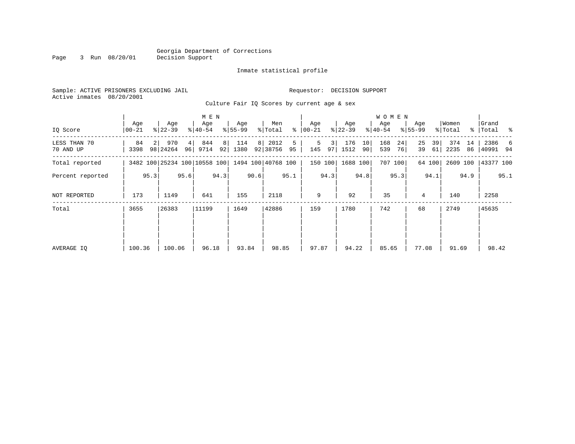#### Georgia Department of Corrections<br>Decision Support Page 3 Run 08/20/01

### Inmate statistical profile

| Sample: ACTIVE PRISONERS EXCLUDING JAIL |                                                                                                | Requestor: DECISION SUPPORT |
|-----------------------------------------|------------------------------------------------------------------------------------------------|-----------------------------|
| Active inmates 08/20/2001               |                                                                                                |                             |
|                                         | $\alpha$ . It is not in $\alpha$ and $\alpha$ is the second of $\alpha$ is the set of $\alpha$ |                             |

Culture Fair IQ Scores by current age & sex

|                           |                  |      |                              |          | M E N            |         |                  |      |                    |         |                  |           |                  |          | W O M E N        |          |                    |          |                  |          |                      |      |
|---------------------------|------------------|------|------------------------------|----------|------------------|---------|------------------|------|--------------------|---------|------------------|-----------|------------------|----------|------------------|----------|--------------------|----------|------------------|----------|----------------------|------|
| IQ Score                  | Age<br>$00 - 21$ |      | Age<br>$ 22-39 $             |          | Age<br>$ 40-54 $ |         | Age<br>$8 55-99$ |      | Men<br>% Total     | ⊱       | Age<br>$ 00-21 $ |           | Age<br>$ 22-39 $ |          | Age<br>$ 40-54 $ |          | Age<br>$8155 - 99$ |          | Women<br>% Total |          | Grand<br>%   Total % |      |
| LESS THAN 70<br>70 AND UP | 84<br>3398       |      | 970<br>98 24264              | 4 <br>96 | 844<br>9714      | 8<br>92 | 114<br>1380      | 8    | 2012<br>92 38756   | 5<br>95 | 5<br>145         | 3  <br>97 | 176<br>1512      | 10<br>90 | 168<br>539       | 24<br>76 | 25<br>39           | 39<br>61 | 374<br>2235      | 14<br>86 | 2386<br> 40991 94    | -6   |
| Total reported            |                  |      | 3482 100 25234 100 10558 100 |          |                  |         |                  |      | 1494 100 40768 100 |         |                  | 150 100   | 1688 100         |          |                  | 707 100  |                    | 64 100   | 2609 100         |          | 43377 100            |      |
| Percent reported          |                  | 95.3 |                              | 95.6     |                  | 94.3    |                  | 90.6 |                    | 95.1    |                  | 94.3      |                  | 94.8     |                  | 95.3     |                    | 94.1     |                  | 94.9     |                      | 95.1 |
| NOT REPORTED              | 173              |      | 1149                         |          | 641              |         | 155              |      | 2118               |         | 9                |           | 92               |          | 35               |          | 4                  |          | 140              |          | 2258                 |      |
| Total                     | 3655             |      | 26383                        |          | 11199            |         | 1649             |      | 42886              |         | 159              |           | 1780             |          | 742              |          | 68                 |          | 2749             |          | 45635                |      |
|                           |                  |      |                              |          |                  |         |                  |      |                    |         |                  |           |                  |          |                  |          |                    |          |                  |          |                      |      |
|                           |                  |      |                              |          |                  |         |                  |      |                    |         |                  |           |                  |          |                  |          |                    |          |                  |          |                      |      |
| AVERAGE IQ                | 100.36           |      | 100.06                       |          | 96.18            |         | 93.84            |      | 98.85              |         | 97.87            |           | 94.22            |          | 85.65            |          | 77.08              |          | 91.69            |          | 98.42                |      |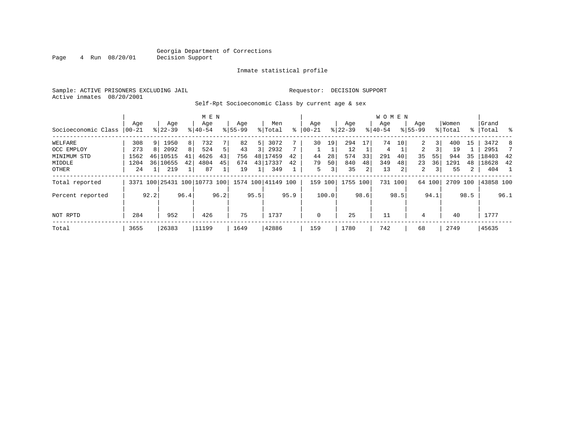#### Georgia Department of Corrections<br>4 Run 08/20/01 Decision Support Page 4 Run 08/20/01 Decision Support

#### Inmate statistical profile

Sample: ACTIVE PRISONERS EXCLUDING JAIL Requestor: DECISION SUPPORT Active inmates 08/20/2001

Self-Rpt Socioeconomic Class by current age & sex

|                     |          | M E N |           |      |                              |                |             |      |                    |      |            |                |           |      | <b>WOMEN</b> |      |                |                         |          |             |           |      |
|---------------------|----------|-------|-----------|------|------------------------------|----------------|-------------|------|--------------------|------|------------|----------------|-----------|------|--------------|------|----------------|-------------------------|----------|-------------|-----------|------|
|                     | Age      |       | Age       |      | Age                          |                | Age         |      | Men                |      | Age        |                | Age       |      | Age          |      | Age            |                         | Women    |             | Grand     |      |
| Socioeconomic Class | $ 00-21$ |       | $8 22-39$ |      | $8 40-54$                    |                | $8155 - 99$ |      | % Total            | ៖    | $ 00 - 21$ | $\frac{1}{6}$  | $22 - 39$ |      | $8 40-54$    |      | $8155 - 99$    |                         | % Total  | $\approx$ 1 | Total     | ႜ    |
| WELFARE             | 308      | 9     | 1950      | 8    | 732                          |                | 82          | 5    | 3072               |      | 30         | 19             | 294       | 17   | 74           | 10   | 2              | 3 <sup>1</sup>          | 400      | 15          | 3472      | 8    |
| OCC EMPLOY          | 273      | 8     | 2092      | 8    | 524                          | 5 <sup>1</sup> | 43          |      | 2932               |      |            |                | 12        |      | 4            |      | $\overline{a}$ |                         | 19       |             | 2951      |      |
| MINIMUM STD         | 1562     | 46    | 10515     | 41   | 4626                         | 43             | 756         | 48   | 17459              | 42   | 44         | 28             | 574       | 33   | 291          | 40   | 35             | 55                      | 944      | 35          | 18403     | 42   |
| MIDDLE              | 1204     | 36    | 10655     | 42   | 4804                         | 45             | 674         | 43   | 17337              | 42   | 79         | 50             | 840       | 48   | 349          | 48   | 23             | 36                      | 1291     | 48          | 18628     | 42   |
| OTHER               | 24       |       | 219       |      | 87                           |                | 19          |      | 349                |      | 5          | 3 <sub>1</sub> | 35        | 2    | 13           | 2    | 2              | $\overline{\mathsf{3}}$ | 55       | 2           | 404       |      |
| Total reported      |          |       |           |      | 3371 100 25431 100 10773 100 |                |             |      | 1574 100 41149 100 |      | 159 100    |                | 1755 100  |      | 731 100      |      |                | 64 100                  | 2709 100 |             | 43858 100 |      |
| Percent reported    |          | 92.2  |           | 96.4 |                              | 96.2           |             | 95.5 |                    | 95.9 |            | 100.0          |           | 98.6 |              | 98.5 |                | 94.1                    |          | 98.5        |           | 96.1 |
| NOT RPTD            | 284      |       | 952       |      | 426                          |                | 75          |      | 1737               |      | 0          |                | 25        |      | 11           |      | 4              |                         | 40       |             | 1777      |      |
| Total               | 3655     |       | 26383     |      | 11199                        |                | 1649        |      | 42886              |      | 159        |                | 1780      |      | 742          |      | 68             |                         | 2749     |             | 45635     |      |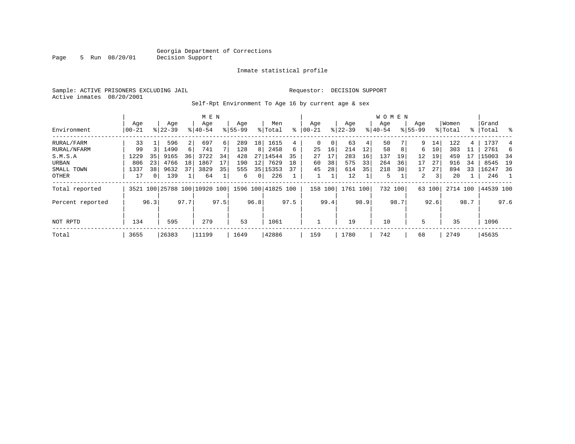Page 5 Run 08/20/01

#### Inmate statistical profile

Sample: ACTIVE PRISONERS EXCLUDING JAIL **Requestor: DECISION SUPPORT** Active inmates 08/20/2001

Self-Rpt Environment To Age 16 by current age & sex

|                  |                   |      |                  |          | M E N                        |      |                    |                 |                    |      |                   |      |                 |      | W O M E N          |      |                    |        |                  |      |                 |      |
|------------------|-------------------|------|------------------|----------|------------------------------|------|--------------------|-----------------|--------------------|------|-------------------|------|-----------------|------|--------------------|------|--------------------|--------|------------------|------|-----------------|------|
| Environment      | Age<br>$ 00 - 21$ |      | Age<br>$8 22-39$ |          | Age<br>$ 40-54 $             |      | Age<br>$8155 - 99$ |                 | Men<br>% Total     | ి    | Age<br>$ 00 - 21$ |      | Age<br>$ 22-39$ |      | Age<br>$8140 - 54$ |      | Age<br>$8155 - 99$ |        | Women<br>% Total | ႜ    | Grand<br> Total | ွေ   |
| RURAL/FARM       | 33                |      | 596              |          | 697                          | 6    | 289                | 18 <sup>1</sup> | 1615               | 4    | 0                 | 0    | 63              | 4    | 50                 |      | 9                  | 14     | 122              | 4    | 1737            |      |
| RURAL/NFARM      | 99                |      | 1490             | $6 \mid$ | 741                          |      | 128                | 8               | 2458               | 6    | 25                | 16   | 214             | 12   | 58                 |      | 6                  | 10     | 303              | 11   | 2761            |      |
| S.M.S.A          | 1229              | 35   | 9165             | 36       | 3722                         | 34   | 428                | 27              | 14544              | 35   | 27                | 17   | 283             | 16   | 137                | 19   | 12                 | 19     | 459              |      | 15003           | - 34 |
| URBAN            | 806               | 23   | 4766             | 18       | 1867                         | 17   | 190                | 12              | 7629               | 18   | 60                | 38   | 575             | 33   | 264                | 36   | 17                 | 27     | 916              | 34   | 8545            | 19   |
| SMALL TOWN       | 1337              | 38   | 9632             | 37       | 3829                         | 35   | 555                |                 | 35 15353           | 37   | 45                | 28   | 614             | 35   | 218                | 30   | 17                 | 27     | 894              | 33   | 16247           | 36   |
| OTHER            | 17                | 0    | 139              |          | 64                           |      | 6                  | 0 <sup>1</sup>  | 226                |      |                   |      | 12              |      | 5                  |      | 2                  | 3      | 20               |      | 246             |      |
| Total reported   |                   |      |                  |          | 3521 100 25788 100 10920 100 |      |                    |                 | 1596 100 41825 100 |      | 158 100           |      | 1761 100        |      | 732 100            |      |                    | 63 100 | 2714 100         |      | 44539 100       |      |
| Percent reported |                   | 96.3 |                  | 97.7     |                              | 97.5 |                    | 96.8            |                    | 97.5 |                   | 99.4 |                 | 98.9 |                    | 98.7 |                    | 92.6   |                  | 98.7 |                 | 97.6 |
| NOT RPTD         | 134               |      | 595              |          | 279                          |      | 53                 |                 | 1061               |      |                   |      | 19              |      | 10                 |      | 5                  |        | 35               |      | 1096            |      |
| Total            | 3655              |      | 26383            |          | 11199                        |      | 1649               |                 | 42886              |      | 159               |      | 1780            |      | 742                |      | 68                 |        | 2749             |      | 45635           |      |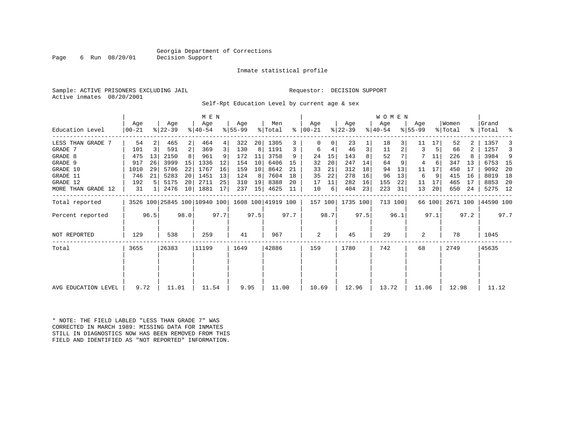### Georgia Department of Corrections<br>Decision Support

Page 6 Run  $08/20/01$ 

#### Inmate statistical profile

Sample: ACTIVE PRISONERS EXCLUDING JAIL Requestor: DECISION SUPPORT Active inmates 08/20/2001

Self-Rpt Education Level by current age & sex

|                     |                 | M E N          |                              |      |                    |      |                 |      |                    |      |                    |      |                  |      | <b>WOMEN</b>     |         |                  |        |                  |      |                   |      |
|---------------------|-----------------|----------------|------------------------------|------|--------------------|------|-----------------|------|--------------------|------|--------------------|------|------------------|------|------------------|---------|------------------|--------|------------------|------|-------------------|------|
| Education Level     | Age<br>$ 00-21$ |                | Age<br>$ 22-39 $             |      | Age<br>$8140 - 54$ |      | Aqe<br>$ 55-99$ |      | Men<br>% Total     | ⊱    | Aqe<br>$ 00 - 21 $ |      | Age<br>$ 22-39 $ |      | Age<br>$ 40-54 $ |         | Aqe<br>$8 55-99$ |        | Women<br>% Total |      | Grand<br>%  Total | ႜ    |
| LESS THAN GRADE 7   | 54              |                | 465                          | 2    | 464                | 4    | 322             | 20   | 1305               | 3    | $\Omega$           |      | 23               |      | 18               |         | 11               | 17     | 52               |      | 1357              |      |
| GRADE 7             | 101             | $\overline{3}$ | 591                          | 2    | 369                | 3    | 130             | 8    | 1191               | 3    | 6                  | 4    | 46               | 3    | 11               |         | 3                | 5      | 66               |      | 1257              | 3    |
| GRADE 8             | 475             | 13             | 2150                         |      | 961                |      | 172             | 11   | 3758               | 9    | 24                 | 15   | 143              |      | 52               |         |                  | 11     | 226              |      | 3984              | 9    |
| GRADE 9             | 917             | 26             | 3999                         | 15   | 1336               | 12   | 154             | 10   | 6406               | 15   | 32                 | 20   | 247              | 14   | 64               |         | 4                | 6      | 347              | 13   | 6753              | - 15 |
| GRADE 10            | 1010            | 29             | 5706                         | 22   | 1767               | 16   | 159             | 10   | 8642               | 21   | 33                 | 21   | 312              | 18   | 94               | 13      | 11               | 17     | 450              | 17   | 9092              | 20   |
| GRADE 11            | 746             | 21             | 5283                         | 20   | 1451               | 13   | 124             | 8    | 7604               | 18   | 35                 | 22   | 278              | 16   | 96               | 13      | 6                | 9      | 415              | 16   | 8019              | 18   |
| GRADE 12            | 192             |                | 5175                         | 20   | 2711               | 25   | 310             | 19   | 8388               | 20   | 17                 | 11   | 282              | 16   | 155              | 22      | 11               | 17     | 465              | 17   | 8853              | -20  |
| MORE THAN GRADE 12  | 31              |                | 2476                         | 10   | 1881               | 17   | 237             | 15   | 4625               | 11   | 10                 | 6    | 404              | 23   | 223              | 31      | 13               | 20     | 650              | 24   | 5275 12           |      |
| Total reported      |                 |                | 3526 100 25845 100 10940 100 |      |                    |      |                 |      | 1608 100 41919 100 |      | 157 100            |      | 1735 100         |      |                  | 713 100 |                  | 66 100 | 2671 100         |      | 44590 100         |      |
| Percent reported    |                 | 96.5           |                              | 98.0 |                    | 97.7 |                 | 97.5 |                    | 97.7 |                    | 98.7 |                  | 97.5 |                  | 96.1    |                  | 97.1   |                  | 97.2 |                   | 97.7 |
| <b>NOT REPORTED</b> | 129             |                | 538                          |      | 259                |      | 41              |      | 967                |      | 2                  |      | 45               |      | 29               |         | 2                |        | 78               |      | 1045              |      |
| Total               | 3655            |                | 26383                        |      | 11199              |      | 1649            |      | 42886              |      | 159                |      | 1780             |      | 742              |         | 68               |        | 2749             |      | 45635             |      |
|                     |                 |                |                              |      |                    |      |                 |      |                    |      |                    |      |                  |      |                  |         |                  |        |                  |      |                   |      |
| AVG EDUCATION LEVEL | 9.72            |                | 11.01                        |      | 11.54              |      | 9.95            |      | 11.00              |      | 10.69              |      | 12.96            |      | 13.72            |         | 11.06            |        | 12.98            |      | 11.12             |      |

\* NOTE: THE FIELD LABLED "LESS THAN GRADE 7" WAS CORRECTED IN MARCH 1989: MISSING DATA FOR INMATES STILL IN DIAGNOSTICS NOW HAS BEEN REMOVED FROM THIS FIELD AND IDENTIFIED AS "NOT REPORTED" INFORMATION.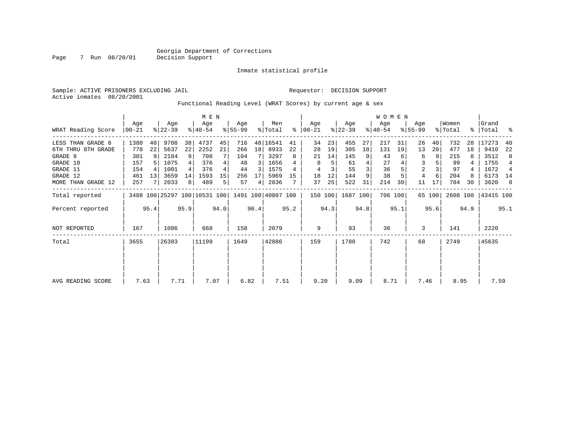#### Inmate statistical profile

Sample: ACTIVE PRISONERS EXCLUDING JAIL Requestor: DECISION SUPPORT Active inmates 08/20/2001

Page 7 Run 08/20/01

Functional Reading Level (WRAT Scores) by current age & sex

|                    |                | M E N |                  |      |                                                 |      |                  |      |                |      |                      |      |                  |      | <b>WOMEN</b>     |         |                    |        |                  |      |                 |      |
|--------------------|----------------|-------|------------------|------|-------------------------------------------------|------|------------------|------|----------------|------|----------------------|------|------------------|------|------------------|---------|--------------------|--------|------------------|------|-----------------|------|
| WRAT Reading Score | Age<br>  00-21 |       | Age<br>$ 22-39 $ |      | Age<br>$8140 - 54$                              |      | Aqe<br>$8 55-99$ |      | Men<br>% Total |      | Age<br>$8   00 - 21$ |      | Age<br>$ 22-39 $ |      | Aqe<br>$8 40-54$ |         | Age<br>$ 55 - 99 $ |        | Women<br>% Total | ∻    | Grand<br> Total | ႜ    |
| LESS THAN GRADE 6  | 1380           | 40    | 9708             | 38   | 4737                                            | 45   | 716              |      | 48 16541       | 41   | 34                   | 23   | 455              | 27   | 217              | 31      | 26                 | 40     | 732              | 28   | 17273           | 40   |
| 6TH THRU 8TH GRADE | 778            | 22    | 5637             | 22   | 2252                                            | 21   | 266              | 18   | 8933           | 22   | 28                   | 19   | 305              | 18   | 131              | 19      | 13                 | 20     | 477              | 18   | 9410            | 22   |
| GRADE 9            | 301            |       | 2184             | 9    | 708                                             |      | 104              |      | 3297           | 8    | 21                   | 14   | 145              |      | 43               |         | 6                  | 9      | 215              |      | 3512            | 8    |
| GRADE 10           | 157            |       | 1075             |      | 376                                             |      | 48               | 3    | 1656           |      | 8                    | 5    | 61               |      | 27               |         | 3                  |        | 99               |      | 1755            |      |
| GRADE 11           | 154            |       | 1001             |      | 376                                             |      | 44               | 3    | 1575           | 4    | 4                    |      | 55               |      | 36               |         | $\overline{a}$     |        | 97               | 4    | 1672            | 4    |
| GRADE 12           | 461            | 13    | 3659             | 14   | 1593                                            | 15   | 256              | 17   | 5969           | 15   | 18                   | 12   | 144              |      | 38               |         | 4                  | 6      | 204              |      | 6173 14         |      |
| MORE THAN GRADE 12 | 257            |       | 2033             | 8    | 489                                             | 5    | 57               | 4    | 2836           |      | 37                   | 25   | 522              | 31   | 214              | 30      | 11                 | 17     | 784              | 30   | 3620            | -8   |
| Total reported     |                |       |                  |      | 3488 100 25297 100 10531 100 1491 100 40807 100 |      |                  |      |                |      | 150 100              |      | 1687 100         |      |                  | 706 100 |                    | 65 100 | 2608 100         |      | 43415 100       |      |
| Percent reported   |                | 95.4  |                  | 95.9 |                                                 | 94.0 |                  | 90.4 |                | 95.2 |                      | 94.3 |                  | 94.8 |                  | 95.1    |                    | 95.6   |                  | 94.9 |                 | 95.1 |
| NOT REPORTED       | 167            |       | 1086             |      | 668                                             |      | 158              |      | 2079           |      | 9                    |      | 93               |      | 36               |         | 3                  |        | 141              |      | 2220            |      |
| Total              | 3655           |       | 26383            |      | 11199                                           |      | 1649             |      | 42886          |      | 159                  |      | 1780             |      | 742              |         | 68                 |        | 2749             |      | 45635           |      |
|                    |                |       |                  |      |                                                 |      |                  |      |                |      |                      |      |                  |      |                  |         |                    |        |                  |      |                 |      |
| AVG READING SCORE  | 7.63           |       | 7.71             |      | 7.07                                            |      | 6.82             |      | 7.51           |      | 9.20                 |      | 9.09             |      | 8.71             |         | 7.46               |        | 8.95             |      | 7.59            |      |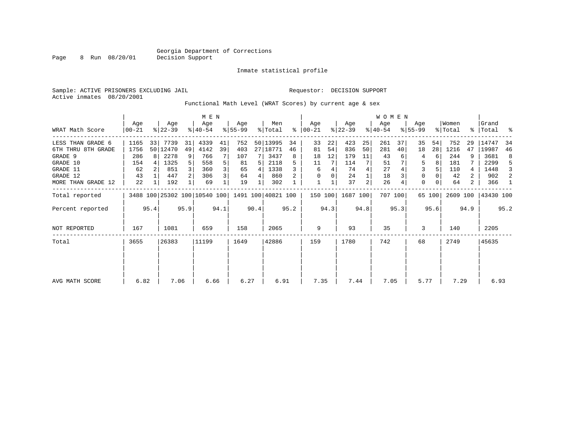Page 8 Run 08/20/01

#### Inmate statistical profile

Sample: ACTIVE PRISONERS EXCLUDING JAIL Requestor: DECISION SUPPORT Active inmates 08/20/2001

Functional Math Level (WRAT Scores) by current age & sex

|                 | M E N |       |                                       |              |           |              |          |              |                                |                                                                             |    |                         |           | W O M E N    |                       |                         |           |                        |                  |                          |                     |
|-----------------|-------|-------|---------------------------------------|--------------|-----------|--------------|----------|--------------|--------------------------------|-----------------------------------------------------------------------------|----|-------------------------|-----------|--------------|-----------------------|-------------------------|-----------|------------------------|------------------|--------------------------|---------------------|
| Age<br>$ 00-21$ |       | Age   |                                       | Age          |           | Age          |          | Men          | ွေ                             | Aqe<br>$ 00 - 21 $                                                          |    | Age                     |           | Age          |                       | Age                     |           |                        |                  | Grand                    |                     |
| 1165            |       | 7739  | 31                                    | 4339         | 41        | 752          |          |              | 34                             | 33                                                                          | 22 | 423                     | 25        | 261          | 37                    | 35                      | 54        | 752                    | 29               | 14747                    | 34                  |
| 1756            |       |       | 49                                    | 4142         | 39        | 403          |          |              | 46                             | 81                                                                          | 54 | 836                     | 50        | 281          | 40                    | 18                      | 28        | 1216                   | 47               | 19987                    | 46                  |
| 286             |       | 2278  | 9                                     | 766          |           | 107          |          | 3437         | 8                              | 18                                                                          | 12 | 179                     | 11        | 43           |                       | 4                       | 6         | 244                    | 9                | 3681                     | 8                   |
| 154             |       | 1325  |                                       | 558          |           | 81           | 5        | 2118         |                                | 11                                                                          |    | 114                     |           | 51           |                       | 5                       |           | 181                    |                  | 2299                     | 5                   |
| 62              |       | 851   |                                       | 360          |           | 65           | 4        | 1338         |                                | 6                                                                           |    | 74                      |           | 27           |                       | 3                       |           | 110                    |                  | 1448                     | 3                   |
| 43              |       | 447   |                                       | 306          |           | 64           | 4        | 860          |                                | 0                                                                           |    | 24                      |           | 18           |                       | 0                       |           | 42                     | 2                | 902                      | 2                   |
| 22              |       | 192   |                                       | 69           |           | 19           |          | 302          |                                |                                                                             |    | 37                      | 2         | 26           |                       | $\mathbf 0$             |           | 64                     | 2                | 366                      | 1                   |
|                 |       |       |                                       |              |           |              |          |              |                                |                                                                             |    |                         |           |              |                       |                         |           |                        |                  | 43430 100                |                     |
|                 |       |       |                                       |              |           |              |          |              |                                |                                                                             |    |                         |           |              |                       |                         |           |                        |                  |                          | 95.2                |
| 167             |       | 1081  |                                       | 659          |           | 158          |          | 2065         |                                | 9                                                                           |    | 93                      |           | 35           |                       | 3                       |           | 140                    |                  | 2205                     |                     |
| 3655            |       | 26383 |                                       | 11199        |           | 1649         |          |              |                                | 159                                                                         |    | 1780                    |           | 742          |                       | 68                      |           | 2749                   |                  | 45635                    |                     |
|                 |       |       |                                       |              |           |              |          |              |                                |                                                                             |    |                         |           |              |                       |                         |           |                        |                  |                          |                     |
|                 |       |       |                                       |              |           |              |          |              |                                |                                                                             |    |                         |           |              |                       |                         |           |                        |                  |                          |                     |
|                 |       | 6.82  | $ 22-39 $<br>33<br>50   12470<br>95.4 | 95.9<br>7.06 | $ 40-54 $ | 94.1<br>6.66 | $ 55-99$ | 90.4<br>6.27 | % Total<br>27   18771<br>42886 | 50 13995<br>3488 100 25302 100 10540 100 1491 100 40821 100<br>95.2<br>6.91 |    | 150 100<br>94.3<br>7.35 | $ 22-39 $ | 94.8<br>7.44 | $ 40-54 $<br>1687 100 | 707 100<br>95.3<br>7.05 | $8 55-99$ | 65 100<br>95.6<br>5.77 | Women<br>% Total | 2609 100<br>94.9<br>7.29 | %   Total %<br>6.93 |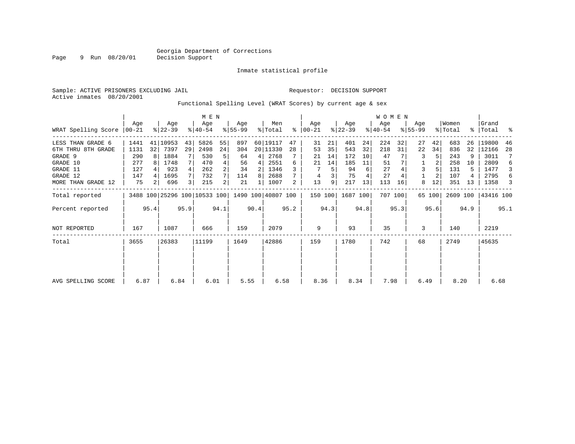#### Inmate statistical profile

Active inmates 08/20/2001

Page 9 Run 08/20/01

#### Sample: ACTIVE PRISONERS EXCLUDING JAIL **Requestor: DECISION SUPPORT**

Functional Spelling Level (WRAT Scores) by current age & sex

|                     |                  | M E N |                  |      |                                                 |      |                 |      |                |      |                    |      |                  |      | WOMEN            |         |                  |        |                  |      |                      |      |
|---------------------|------------------|-------|------------------|------|-------------------------------------------------|------|-----------------|------|----------------|------|--------------------|------|------------------|------|------------------|---------|------------------|--------|------------------|------|----------------------|------|
| WRAT Spelling Score | Aqe<br>$ 00-21 $ |       | Age<br>$ 22-39 $ |      | Age<br>$ 40-54 $                                |      | Aqe<br>$ 55-99$ |      | Men<br>% Total | ⊱    | Aqe<br>$ 00 - 21 $ |      | Age<br>$ 22-39 $ |      | Age<br>$ 40-54 $ |         | Age<br>$8 55-99$ |        | Women<br>% Total |      | Grand<br>%   Total % |      |
| LESS THAN GRADE 6   | 1441             |       | 41 10953         | 43   | 5826                                            | 55   | 897             |      | 60 19117       | 47   | 31                 | 21   | 401              | 24   | 224              | 32      | 27               | 42     | 683              | 26   | 19800                | 46   |
| 6TH THRU 8TH GRADE  | 1131             | 32    | 7397             | 29   | 2498                                            | 24   | 304             |      | 20 11330       | 28   | 53                 | 35   | 543              | 32   | 218              | 31      | 22               | 34     | 836              | 32   | 12166                | 28   |
| GRADE 9             | 290              |       | 1884             |      | 530                                             | 5    | 64              | 4    | 2768           |      | 21                 | 14   | 172              | 10   | 47               |         | 3                |        | 243              | 9    | 3011                 | 7    |
| GRADE 10            | 277              |       | 1748             |      | 470                                             |      | 56              | 4    | 2551           | 6    | 21                 | 14   | 185              | 11   | 51               |         |                  |        | 258              | 10   | 2809                 | 6    |
| GRADE 11            | 127              |       | 923              |      | 262                                             |      | 34              |      | 1346           |      |                    |      | 94               | 6    | 27               |         | 3                |        | 131              | 5    | 1477                 | 3    |
| GRADE 12            | 147              |       | 1695             |      | 732                                             |      | 114             | 8    | 2688           |      | 4                  |      | 75               |      | 27               |         |                  |        | 107              |      | 2795                 | 6    |
| MORE THAN GRADE 12  | 75               | 2     | 696              |      | 215                                             | 2    | 21              |      | 1007           | 2    | 13                 | 9    | 217              | 13   | 113              | 16      | 8                | 12     | 351              | 13   | 1358                 | 3    |
| Total reported      |                  |       |                  |      | 3488 100 25296 100 10533 100 1490 100 40807 100 |      |                 |      |                |      | 150 100            |      | 1687 100         |      |                  | 707 100 |                  | 65 100 | 2609 100         |      | 43416 100            |      |
| Percent reported    |                  | 95.4  |                  | 95.9 |                                                 | 94.1 |                 | 90.4 |                | 95.2 |                    | 94.3 |                  | 94.8 |                  | 95.3    |                  | 95.6   |                  | 94.9 |                      | 95.1 |
| NOT REPORTED        | 167              |       | 1087             |      | 666                                             |      | 159             |      | 2079           |      | 9                  |      | 93               |      | 35               |         | 3                |        | 140              |      | 2219                 |      |
| Total               | 3655             |       | 26383            |      | 11199                                           |      | 1649            |      | 42886          |      | 159                |      | 1780             |      | 742              |         | 68               |        | 2749             |      | 45635                |      |
|                     |                  |       |                  |      |                                                 |      |                 |      |                |      |                    |      |                  |      |                  |         |                  |        |                  |      |                      |      |
|                     |                  |       |                  |      |                                                 |      |                 |      |                |      |                    |      |                  |      |                  |         |                  |        |                  |      |                      |      |
| AVG SPELLING SCORE  | 6.87             |       | 6.84             |      | 6.01                                            |      | 5.55            |      | 6.58           |      | 8.36               |      | 8.34             |      | 7.98             |         | 6.49             |        | 8.20             |      | 6.68                 |      |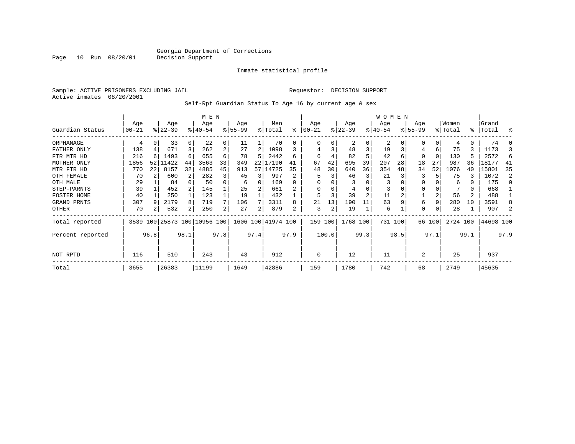Inmate statistical profile

Sample: ACTIVE PRISONERS EXCLUDING JAIL Requestor: DECISION SUPPORT Active inmates 08/20/2001

Self-Rpt Guardian Status To Age 16 by current age & sex

|                  |                   |      |                  |      |                              |      | W O M E N       |      |                    |      |                 |       |                  |                |                 |         |                    |        |                  |                |                |      |
|------------------|-------------------|------|------------------|------|------------------------------|------|-----------------|------|--------------------|------|-----------------|-------|------------------|----------------|-----------------|---------|--------------------|--------|------------------|----------------|----------------|------|
| Guardian Status  | Age<br>$ 00 - 21$ |      | Age<br>$ 22-39 $ |      | Age<br>$8140 - 54$           |      | Age<br>$ 55-99$ |      | Men<br>% Total     | ႜ    | Age<br>$ 00-21$ |       | Age<br>$ 22-39 $ |                | Age<br>$ 40-54$ |         | Age<br>$8155 - 99$ |        | Women<br>% Total | ွေ             | Grand<br>Total | ႜ    |
| ORPHANAGE        | 4                 |      | 33               | 0    | 22                           | 0    | 11              |      | 70                 | 0    | 0               | 0     | 2                | $\Omega$       | 2               |         |                    | 0      | 4                | 0              | 74             |      |
| FATHER ONLY      | 138               |      | 671              | 3    | 262                          | 2    | 27              | 2    | 1098               |      | 4               | 3     | 48               |                | 19              |         | 4                  | б.     | 75               | 3              | 1173           |      |
| FTR MTR HD       | 216               |      | 1493             | 6    | 655                          | 6    | 78              | 5    | 2442               | б    | 6               |       | 82               |                | 42              | 6       | 0                  | 0      | 130              |                | 2572           | 6    |
| MOTHER ONLY      | 1856              |      | 52 11422         | 44   | 3563                         | 33   | 349             | 22   | 17190              | 41   | 67              | 42    | 695              | 39             | 207             | 28      | 18                 | 27     | 987              | 36             | 18177          | 41   |
| MTR FTR HD       | 770               | 22   | 8157             | 32   | 4885                         | 45   | 913             |      | 57 14725           | 35   | 48              | 30    | 640              | 36             | 354             | 48      | 34                 | 52     | 1076             | 40             | 15801          | 35   |
| OTH FEMALE       | 70                |      | 600              | 2    | 282                          | 3    | 45              | 3    | 997                |      | 5               | 3     | 46               | 3              | 21              |         | 3                  |        | 75               | 3              | 1072           |      |
| OTH MALE         | 29                |      | 84               |      | 50                           | 0    | 6               | 0    | 169                |      | $\Omega$        |       |                  |                | 3               |         | $\Omega$           |        | 6                | $\Omega$       | 175            |      |
| STEP-PARNTS      | 39                |      | 452              |      | 145                          |      | 25              |      | 661                |      | $\Omega$        | 0     | 4                | O              | 3               |         | $\Omega$           |        |                  | 0              | 668            |      |
| FOSTER HOME      | 40                |      | 250              |      | 123                          |      | 19              |      | 432                |      | 5               | 3     | 39               | $\overline{a}$ | 11              |         |                    | 2      | 56               | $\overline{a}$ | 488            |      |
| GRAND PRNTS      | 307               | -9   | 2179             | 8    | 719                          | 7    | 106             |      | 3311               | 8    | 21              | 13    | 190              | 11             | 63              |         | 6                  | 9      | 280              | 10             | 3591           |      |
| OTHER            | 70                |      | 532              | 2    | 250                          | 2    | 27              | 2    | 879                | 2    | 3               | 2     | 19               |                | 6               |         | 0                  | 0      | 28               |                | 907            |      |
| Total reported   |                   |      |                  |      | 3539 100 25873 100 10956 100 |      |                 |      | 1606 100 41974 100 |      | 159             | 100   | 1768 100         |                |                 | 731 100 |                    | 66 100 | 2724 100         |                | 44698 100      |      |
| Percent reported |                   | 96.8 |                  | 98.1 |                              | 97.8 |                 | 97.4 |                    | 97.9 |                 | 100.0 |                  | 99.3           |                 | 98.5    |                    | 97.1   |                  | 99.1           |                | 97.9 |
| NOT RPTD         | 116               |      | 510              |      | 243                          |      | 43              |      | 912                |      | $\mathbf 0$     |       | 12               |                | 11              |         | $\overline{2}$     |        | 25               |                | 937            |      |
| Total            | 3655              |      | 26383            |      | 11199                        |      | 1649            |      | 42886              |      | 159             |       | 1780             |                | 742             |         | 68                 |        | 2749             |                | 45635          |      |

Page 10 Run 08/20/01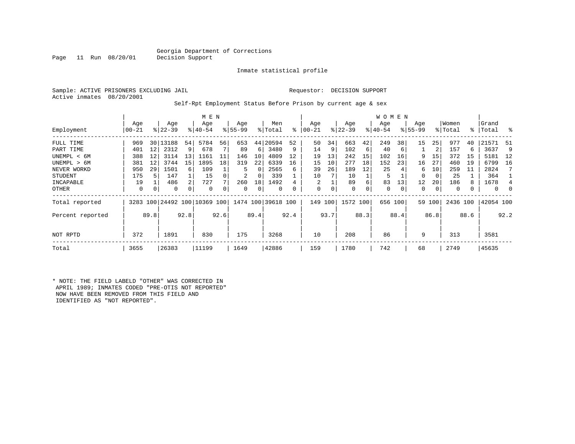### Georgia Department of Corrections<br>Decision Support

Inmate statistical profile

Active inmates 08/20/2001

Page 11 Run 08/20/01

#### Sample: ACTIVE PRISONERS EXCLUDING JAIL Requestor: DECISION SUPPORT

Self-Rpt Employment Status Before Prison by current age & sex

|                  |              |      |                  |      | M E N                   |      |                    |      | Men                |           |                |      |                  |      | W O M E N        |         |                    |      | Women    |      | Grand     |      |
|------------------|--------------|------|------------------|------|-------------------------|------|--------------------|------|--------------------|-----------|----------------|------|------------------|------|------------------|---------|--------------------|------|----------|------|-----------|------|
| Employment       | Age<br>00-21 |      | Age<br>$ 22-39 $ |      | Age<br>$8 40-54$        |      | Age<br>$8155 - 99$ |      | % Total            | $\approx$ | Age<br>  00-21 |      | Age<br>$ 22-39 $ |      | Age<br>$ 40-54 $ |         | Age<br>$8155 - 99$ |      | % Total  |      | %   Total | ႜ    |
| FULL TIME        | 969          | 30   | 13188            | 54   | 5784                    | 56   | 653                | 44   | 20594              | 52        | 50             | 34   | 663              | 42   | 249              | 38      | 15                 | 25   | 977      | 40   | 21571     | -51  |
| PART TIME        | 401          | 12   | 2312             | 9    | 678                     |      | 89                 | 6    | 3480               | 9         | 14             | 9    | 102              | 6    | 40               | -6      |                    | 2    | 157      | 6    | 3637      | 9    |
| UNEMPL < 6M      | 388          | 12   | 3114             | 13   | 1161                    | 11   | 146                | 10   | 4809               | 12        | 19             | 13   | 242              | 15   | 102              | 16      | 9                  | 15   | 372      | 15   | 5181      | - 12 |
| UNEMPL > 6M      | 381          | 12   | 3744             | 15   | 1895                    | 18   | 319                | 22   | 6339               | 16        | 15             | 10   | 277              | 18   | 152              | 23      | 16                 | 27   | 460      | 19   | 6799      | 16   |
| NEVER WORKD      | 950          | 29   | 1501             | 6    | 109                     |      | 5                  | 0    | 2565               | 6         | 39             | 26   | 189              | 12   | 25               |         | 6                  | 10   | 259      | 11   | 2824      |      |
| <b>STUDENT</b>   | 175          |      | 147              |      | 15                      |      | 2                  | 0    | 339                |           | 10             |      | 10               |      | 5                |         | $\Omega$           | 0    | 25       |      | 364       |      |
| INCAPABLE        | 19           |      | 486              | 2    | 727                     |      | 260                | 18   | 1492               |           | 2              |      | 89               | 6    | 83               | 13      | 12                 | 20   | 186      | 8    | 1678      |      |
| OTHER            | 0            | 0    | 0                | 0    | $\Omega$                |      | 0                  | 0    | 0                  |           | 0              | 0    | 0                | 0    | 0                | 0       | 0                  | 0    | 0        | 0    | 0         | 0    |
| Total reported   | 3283         |      |                  |      | 100 24492 100 10369 100 |      |                    |      | 1474 100 39618 100 |           | 149            | 100  | 1572 100         |      |                  | 656 100 | 59                 | 100  | 2436 100 |      | 42054 100 |      |
| Percent reported |              | 89.8 |                  | 92.8 |                         | 92.6 |                    | 89.4 |                    | 92.4      |                | 93.7 |                  | 88.3 |                  | 88.4    |                    | 86.8 |          | 88.6 |           | 92.2 |
| NOT RPTD         | 372          |      | 1891             |      | 830                     |      | 175                |      | 3268               |           | 10             |      | 208              |      | 86               |         | 9                  |      | 313      |      | 3581      |      |
| Total            | 3655         |      | 26383            |      | 11199                   |      | 1649               |      | 42886              |           | 159            |      | 1780             |      | 742              |         | 68                 |      | 2749     |      | 45635     |      |

\* NOTE: THE FIELD LABELD "OTHER" WAS CORRECTED IN APRIL 1989; INMATES CODED "PRE-OTIS NOT REPORTED" NOW HAVE BEEN REMOVED FROM THIS FIELD AND IDENTIFIED AS "NOT REPORTED".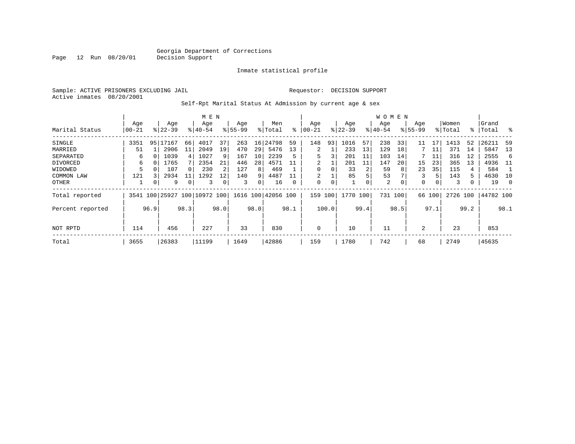#### Inmate statistical profile

Sample: ACTIVE PRISONERS EXCLUDING JAIL Requestor: DECISION SUPPORT Active inmates 08/20/2001

Page 12 Run 08/20/01

Self-Rpt Marital Status At Admission by current age & sex

|                  |           | M E N |           |                |                         |      |          |      |                    |      |           |       |          |      | <b>WOMEN</b> |      |             |        |          |             |           |          |
|------------------|-----------|-------|-----------|----------------|-------------------------|------|----------|------|--------------------|------|-----------|-------|----------|------|--------------|------|-------------|--------|----------|-------------|-----------|----------|
|                  | Age       |       | Age       |                | Age                     |      | Age      |      | Men                |      | Age       |       | Age      |      | Age          |      | Age         |        | Women    |             | Grand     |          |
| Marital Status   | $00 - 21$ |       | $ 22-39 $ |                | $8140 - 54$             |      | $ 55-99$ |      | % Total            | ႜ    | $00 - 21$ |       | $ 22-39$ |      | $ 40-54 $    |      | $8155 - 99$ |        | % Total  | $\approx$ 1 | Total     | ႜ        |
| SINGLE           | 3351      |       | 95 17167  | 66             | 4017                    | 37   | 263      |      | 16 24798           | 59   | 148       | 93    | 1016     | 57   | 238          | 33   | 11          | 17     | 1413     | 52          | 26211     | 59       |
| MARRIED          | 51        |       | 2906      | 11             | 2049                    | 19   | 470      | 29   | 5476               | 13   | 2         |       | 233      | 13   | 129          | 18   |             | 11     | 371      | 14          | 5847      | 13       |
| SEPARATED        | 6         |       | 1039      | $\overline{4}$ | 1027                    | 9    | 167      | 10   | 2239               |      | 5         | 3     | 201      | 11   | 103          | 14   |             | 11     | 316      | 12          | 2555      | -6       |
| DIVORCED         | 6         |       | 1765      |                | 2354                    | 21   | 446      | 28   | 4571               |      | 2         |       | 201      | 11   | 147          | 20   | 15          | 23     | 365      | 13          | 4936      | - 11     |
| WIDOWED          | 5         |       | 107       |                | 230                     | 2    | 127      | 8    | 469                |      | 0         |       | 33       | 2    | 59           | 8    | 23          | 35     | 115      | 4           | 584       |          |
| COMMON LAW       | 121       |       | 2934      | 11             | 1292                    | 12   | 140      | 9    | 4487               |      | 2         |       | 85       | 5    | 53           |      | 3           | 5      | 143      | 5           | 4630      | 10       |
| OTHER            |           | 0     | 9         |                | 3                       | 0    | 3        | 0    | 16                 | 0    | 0         | 0     |          | 0    | 2            |      | 0           | 0      | 3        | 0           | 19        | $\Omega$ |
| Total reported   | 3541      |       |           |                | 100 25927 100 10972 100 |      |          |      | 1616 100 42056 100 |      | 159       | 100   | 1770     | 100  | 731          | 100  |             | 66 100 | 2726 100 |             | 44782 100 |          |
| Percent reported |           | 96.9  |           | 98.3           |                         | 98.0 |          | 98.0 |                    | 98.1 |           | 100.0 |          | 99.4 |              | 98.5 |             | 97.1   |          | 99.2        |           | 98.1     |
|                  |           |       |           |                |                         |      |          |      |                    |      |           |       |          |      |              |      |             |        |          |             |           |          |
| NOT RPTD         | 114       |       | 456       |                | 227                     |      | 33       |      | 830                |      | 0         |       | 10       |      | 11           |      | 2           |        | 23       |             | 853       |          |
| Total            | 3655      |       | 26383     |                | 11199                   |      | 1649     |      | 42886              |      | 159       |       | 1780     |      | 742          |      | 68          |        | 2749     |             | 45635     |          |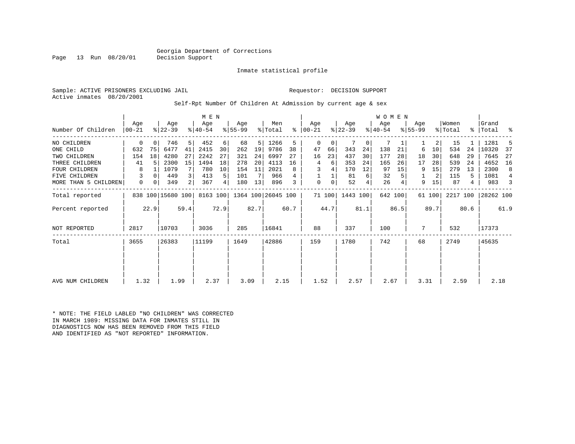### Georgia Department of Corrections<br>Decision Support

Inmate statistical profile

Sample: ACTIVE PRISONERS EXCLUDING JAIL Requestor: DECISION SUPPORT Active inmates 08/20/2001

Self-Rpt Number Of Children At Admission by current age & sex

| Number Of Children   | Age<br>$ 00-21$ |      | Age<br>$ 22-39 $  |      | M E N<br>Age<br>$ 40-54 $ |      | Age<br>$8 55-99$ |                | Men<br>% Total     |      | Age<br>$8   00 - 21$ |        | Age<br>$ 22-39 $ |      | WOMEN<br>Age<br>$ 40-54$ |         | Age<br>$ 55-99 $ |        | Women<br>% Total | ႜ    | Grand<br>Total | ႜ    |
|----------------------|-----------------|------|-------------------|------|---------------------------|------|------------------|----------------|--------------------|------|----------------------|--------|------------------|------|--------------------------|---------|------------------|--------|------------------|------|----------------|------|
|                      |                 |      |                   |      |                           |      |                  |                |                    |      |                      |        |                  |      |                          |         |                  |        |                  |      |                |      |
| NO CHILDREN          | 0               | 0    | 746               | 5    | 452                       | 6    | 68               | 5 <sup>1</sup> | 1266               | 5    | 0                    | 0      |                  | 0    | 7                        |         |                  | 2      | 15               |      | 1281           |      |
| ONE CHILD            | 632             | 75   | 6477              | 41   | 2415                      | 30   | 262              | 19             | 9786               | 38   | 47                   | 66     | 343              | 24   | 138                      | 21      | 6                | 10     | 534              | 24   | 10320          | 37   |
| TWO CHILDREN         | 154             | 18   | 4280              | 27   | 2242                      | 27   | 321              | 24             | 6997               | 27   | 16                   | 23     | 437              | 30   | 177                      | 28      | 18               | 30     | 648              | 29   | 7645           | 27   |
| THREE CHILDREN       | 41              | 5.   | 2300              | 15   | 1494                      | 18   | 278              | 20             | 4113               | 16   | 4                    | 6      | 353              | 24   | 165                      | 26      | 17               | 28     | 539              | 24   | 4652           | 16   |
| <b>FOUR CHILDREN</b> | 8               |      | 1079              |      | 780                       | 10   | 154              | 11             | 2021               | 8    | 3                    | 4      | 170              | 12   | 97                       | 15      | 9                | 15     | 279              | 13   | 2300           | 8    |
| FIVE CHILDREN        | 3               |      | 449               | 3    | 413                       | 5    | 101              |                | 966                | 4    |                      |        | 81               | 6    | 32                       |         |                  | 2      | 115              | 5    | 1081           | 4    |
| MORE THAN 5 CHILDREN | 0               |      | 349               | 2    | 367                       | 4    | 180              | 13             | 896                | 3    | 0                    | 0      | 52               | 4    | 26                       |         | 9                | 15     | 87               | 4    | 983            |      |
| Total reported       |                 |      | 838 100 15680 100 |      | 8163 100                  |      |                  |                | 1364 100 26045 100 |      |                      | 71 100 | 1443 100         |      |                          | 642 100 |                  | 61 100 | 2217 100         |      | 28262 100      |      |
| Percent reported     |                 | 22.9 |                   | 59.4 |                           | 72.9 |                  | 82.7           |                    | 60.7 |                      | 44.7   |                  | 81.1 |                          | 86.5    |                  | 89.7   |                  | 80.6 |                | 61.9 |
| NOT REPORTED         | 2817            |      | 10703             |      | 3036                      |      | 285              |                | 16841              |      | 88                   |        | 337              |      | 100                      |         | 7                |        | 532              |      | 17373          |      |
| Total                | 3655            |      | 26383             |      | 11199                     |      | 1649             |                | 42886              |      | 159                  |        | 1780             |      | 742                      |         | 68               |        | 2749             |      | 45635          |      |
|                      |                 |      |                   |      |                           |      |                  |                |                    |      |                      |        |                  |      |                          |         |                  |        |                  |      |                |      |
|                      |                 |      |                   |      |                           |      |                  |                |                    |      |                      |        |                  |      |                          |         |                  |        |                  |      |                |      |
| AVG NUM CHILDREN     | 1.32            |      | 1.99              |      | 2.37                      |      | 3.09             |                | 2.15               |      | 1.52                 |        | 2.57             |      | 2.67                     |         | 3.31             |        | 2.59             |      | 2.18           |      |

\* NOTE: THE FIELD LABLED "NO CHILDREN" WAS CORRECTED IN MARCH 1989: MISSING DATA FOR INMATES STILL IN DIAGNOSTICS NOW HAS BEEN REMOVED FROM THIS FIELD AND IDENTIFIED AS "NOT REPORTED" INFORMATION.

Page 13 Run 08/20/01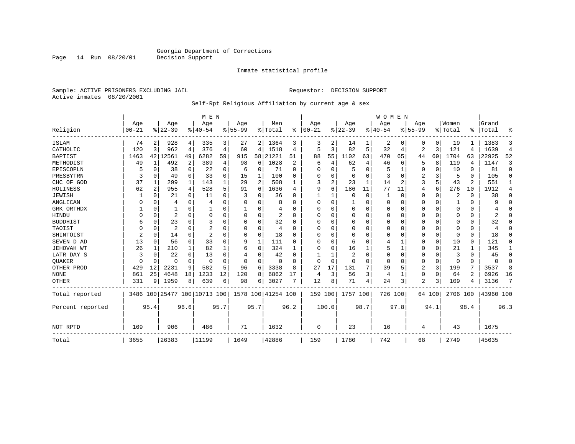Inmate statistical profile

Sample: ACTIVE PRISONERS EXCLUDING JAIL **Requestor: DECISION SUPPORT** Active inmates 08/20/2001

#### Self-Rpt Religious Affiliation by current age & sex

|                  |           |          |                |                | M E N                        |                |             |                |                    |                |          |                |           |              | <b>WOMEN</b> |          |                |             |          |          |           |                |
|------------------|-----------|----------|----------------|----------------|------------------------------|----------------|-------------|----------------|--------------------|----------------|----------|----------------|-----------|--------------|--------------|----------|----------------|-------------|----------|----------|-----------|----------------|
|                  | Age       |          | Age            |                | Age                          |                | Age         |                | Men                |                | Age      |                | Age       |              | Age          |          | Age            |             | Women    |          | Grand     |                |
| Religion         | $00 - 21$ |          | $8 22-39$      |                | $8 40-54$                    |                | $8155 - 99$ |                | % Total            | ∻              | $ 00-21$ |                | $8 22-39$ |              | $8 40-54$    |          | $8155 - 99$    |             | % Total  | ႜ        | Total     | ႜ              |
| ISLAM            | 74        | 2        | 928            | 4              | 335                          | 3              | 27          | $\overline{2}$ | 1364               | 3              | 3        | 2              | 14        |              | 2            | 0        | 0              | 0           | 19       |          | 1383      | 3              |
| CATHOLIC         | 120       | 3        | 962            | 4              | 376                          | $\overline{4}$ | 60          | 4              | 1518               | 4              | 5        | 3              | 82        | 5            | 32           | 4        | $\overline{2}$ | 3           | 121      | 4        | 1639      | $\overline{4}$ |
| <b>BAPTIST</b>   | 1463      |          | 42 12561       | 49             | 6282                         | 59             | 915         | 58             | 21221              | 51             | 88       | 55             | 1102      | 63           | 470          | 65       | 44             | 69          | 1704     | 63       | 22925     | 52             |
| METHODIST        | 49        | 1        | 492            | $\overline{a}$ | 389                          | $\overline{4}$ | 98          | 6              | 1028               | $\overline{2}$ | 6        | 4              | 62        | 4            | 46           | 6        | 5              | 8           | 119      | 4        | 1147      | 3              |
| EPISCOPLN        | h         | $\Omega$ | 38             | $\Omega$       | 22                           | 0              | 6           | 0              | 71                 | $\Omega$       | O        | $\Omega$       | 5         | O            | 5            |          | 0              | $\Omega$    | 10       | $\Omega$ | 81        | $\Omega$       |
| PRESBYTRN        | 3         | $\Omega$ | 49             | $\Omega$       | 33                           | 0              | 15          | 1              | 100                | O              | $\Omega$ | $\Omega$       | $\Omega$  | O            | 3            | $\Omega$ | $\overline{2}$ | ζ           | 5        | $\Omega$ | 105       | $\Omega$       |
| CHC OF GOD       | 37        | 1        | 299            | 1              | 143                          | 1              | 29          | 2              | 508                |                | 3        | $\overline{2}$ | 23        | $\mathbf{1}$ | 14           | 2        | 3              | 5           | 43       | 2        | 551       | 1              |
| HOLINESS         | 62        | 2        | 955            | 4              | 528                          | 5              | 91          | 6              | 1636               | 4              | 9        | 6              | 186       | 11           | 77           | 11       | 4              | 6           | 276      | 10       | 1912      | 4              |
| <b>JEWISH</b>    |           | $\Omega$ | 21             | 0              | 11                           | 0              | 3           | 0              | 36                 | O              |          |                | $\Omega$  | $\Omega$     |              | $\Omega$ | 0              | $\Omega$    | 2        | $\Omega$ | 38        | $\Omega$       |
| ANGLICAN         | 0         | $\Omega$ | 4              | 0              | 4                            | 0              | U           | U              | 8                  | U              | ∩        | $\Omega$       | 1         | 0            | O            | $\Omega$ | 0              | $\Omega$    |          | $\Omega$ | 9         | $\Omega$       |
| GRK ORTHDX       |           | O        |                | 0              |                              | 0              | 1           | O              | 4                  | O              | $\Omega$ | $\Omega$       | $\Omega$  | O            | $\Omega$     | $\Omega$ | 0              | $\Omega$    | $\Omega$ | $\Omega$ |           | $\Omega$       |
| HINDU            |           | $\Omega$ | 2              | $\Omega$       | $\Omega$                     | 0              | 0           | 0              | 2                  | $\Omega$       | $\Omega$ | $\Omega$       | $\Omega$  | 0            | $\Omega$     | $\Omega$ | $\Omega$       | $\Omega$    | $\Omega$ | $\Omega$ | 2         | $\Omega$       |
| <b>BUDDHIST</b>  | 6         | O        | 23             | U              | 3                            | O              |             | 0              | 32                 | O              |          |                | $\Omega$  | 0            | $\Omega$     | $\Omega$ | Ω              | $\Omega$    | $\Omega$ | $\Omega$ | 32        | O              |
| TAOIST           |           | U        | $\overline{2}$ | U              | $\overline{2}$               | O              | U           | O              | 4                  | U              | $\Omega$ | $\Omega$       | $\Omega$  | U            | $\Omega$     | $\Omega$ | 0              | $\Omega$    | $\Omega$ | $\Omega$ | 4         | U              |
| SHINTOIST        | 2         | $\Omega$ | 14             | $\Omega$       | $\overline{a}$               | $\Omega$       | $\Omega$    | $\Omega$       | 18                 | U              | ∩        | $\Omega$       | $\Omega$  | U            | O            | $\Omega$ | 0              | $\Omega$    | $\Omega$ | $\Omega$ | 18        | U              |
| SEVEN D AD       | 13        | $\Omega$ | 56             | 0              | 33                           | $\Omega$       | 9           | 1              | 111                | U              | ∩        | $\Omega$       | 6         | U            | 4            |          | 0              | $\mathbf 0$ | 10       | $\Omega$ | 121       | $\Omega$       |
| JEHOVAH WT       | 26        |          | 210            | 1              | 82                           |                | 6           | 0              | 324                |                | $\Omega$ |                | 16        |              | 5            |          | 0              | 0           | 21       |          | 345       | 1              |
| LATR DAY S       | 3         | $\Omega$ | 22             | $\Omega$       | 13                           | 0              | 4           | 0              | 42                 | $\Omega$       |          |                | 2         | 0            | $\Omega$     | $\Omega$ | 0              | $\Omega$    | 3        | $\Omega$ | 45        | 0              |
| QUAKER           | 0         | $\Omega$ | O              | $\Omega$       | $\Omega$                     | $\Omega$       | $\Omega$    | $\Omega$       | $\Omega$           | $\Omega$       | $\Omega$ | $\Omega$       | $\Omega$  | 0            | $\Omega$     | $\Omega$ | 0              | 0           | $\Omega$ | $\Omega$ | $\Omega$  | $\Omega$       |
| OTHER PROD       | 429       | 12       | 2231           | 9              | 582                          | 5              | 96          | 6              | 3338               | 8              | 27       | 17             | 131       |              | 39           | 5        | 2              | 3           | 199      |          | 3537      | 8              |
| <b>NONE</b>      | 861       | 25       | 4648           | 18             | 1233                         | 12             | 120         | 8              | 6862               | 17             | 4        | 3              | 56        | 3            | 4            | 1        | 0              | 0           | 64       | 2        | 6926      | 16             |
| OTHER            | 331       | 9        | 1959           | 8              | 639                          | 6              | 98          | б.             | 3027               | 7              | 12       | 8              | 71        | 4            | 24           | 3        | $\overline{2}$ | 3           | 109      | 4        | 3136      | 7              |
| Total reported   |           |          |                |                | 3486 100 25477 100 10713 100 |                |             |                | 1578 100 41254 100 |                | 159 100  |                | 1757 100  |              | 726 100      |          |                | 64 100      | 2706 100 |          | 43960 100 |                |
| Percent reported |           | 95.4     |                | 96.6           |                              | 95.7           |             | 95.7           |                    | 96.2           |          | 100.0          |           | 98.7         |              | 97.8     |                | 94.1        |          | 98.4     |           | 96.3           |
| NOT RPTD         | 169       |          | 906            |                | 486                          |                | 71          |                | 1632               |                | 0        |                | 23        |              | 16           |          | 4              |             | 43       |          | 1675      |                |
| Total            | 3655      |          | 26383          |                | 11199                        |                | 1649        |                | 42886              |                | 159      |                | 1780      |              | 742          |          | 68             |             | 2749     |          | 45635     |                |

Page 14 Run 08/20/01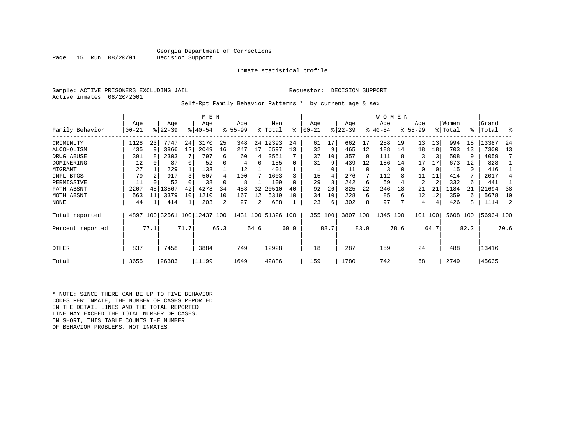### Georgia Department of Corrections<br>Decision Support

Inmate statistical profile

Sample: ACTIVE PRISONERS EXCLUDING JAIL Requestor: DECISION SUPPORT Active inmates 08/20/2001

Page 15 Run 08/20/01

Self-Rpt Family Behavior Patterns \* by current age & sex

|                  |           |      |                         |      | M E N       |                |             |      |                    |              |           |               |           |      | <b>WOMEN</b> |      |             |      |          |      |           |      |
|------------------|-----------|------|-------------------------|------|-------------|----------------|-------------|------|--------------------|--------------|-----------|---------------|-----------|------|--------------|------|-------------|------|----------|------|-----------|------|
|                  | Age       |      | Age                     |      | Age         |                | Age         |      | Men                |              | Age       |               | Age       |      | Age          |      | Age         |      | Women    |      | Grand     |      |
| Family Behavior  | $00 - 21$ |      | $ 22-39 $               |      | $8140 - 54$ |                | $8155 - 99$ |      | % Total            | ి            | $00 - 21$ | $\frac{8}{6}$ | $22 - 39$ |      | $ 40-54$     |      | $8155 - 99$ |      | % Total  |      | %   Total | ႜ    |
| CRIMINLTY        | 1128      | 23   | 7747                    | 24   | 3170        | 25             | 348         | 24   | 12393              | 24           | 61        | 17            | 662       | 17   | 258          | 19   | 13          | 13   | 994      | 18   | 13387     | 24   |
| ALCOHOLISM       | 435       | 9    | 3866                    | 12   | 2049        | 16             | 247         | 17   | 6597               | 13           | 32        | 9             | 465       | 12   | 188          | 14   | 18          | 18   | 703      | 13   | 7300      | 13   |
| DRUG ABUSE       | 391       |      | 2303                    |      | 797         | б.             | 60          | 4    | 3551               |              | 37        | 10            | 357       | 9    | 111          |      | 3           | 3    | 508      | 9    | 4059      |      |
| DOMINERING       | 12        |      | 87                      | 0    | 52          |                | 4           | 0    | 155                | $\Omega$     | 31        | 9             | 439       | 12   | 186          | 14   | 17          | 17   | 673      | 12   | 828       |      |
| MIGRANT          | 27        |      | 229                     |      | 133         |                | 12          |      | 401                |              |           | 0             | 11        | 0    | 3            | 0    | 0           |      | 15       | 0    | 416       |      |
| INFL BTGS        | 79        |      | 917                     | 3    | 507         | 4              | 100         |      | 1603               |              | 15        | 4             | 276       |      | 112          |      | 11          | 11   | 414      |      | 2017      |      |
| PERMISSIVE       | 11        |      | 52                      |      | 38          |                | 8           |      | 109                | <sup>0</sup> | 29        | 8             | 242       | 6    | 59           |      | 2           | 2    | 332      | 6    | 441       |      |
| FATH ABSNT       | 2207      | 45   | 13567                   | 42   | 4278        | 34             | 458         | 32   | 20510              | 40           | 92        | 26            | 825       | 22   | 246          | 18   | 21          | 21   | 1184     | 21   | 21694     | 38   |
| MOTH ABSNT       | 563       | 11   | 3379                    | 10   | 1210        | 10             | 167         | 12   | 5319               | 10           | 34        | 10            | 228       | 6    | 85           | 6    | 12          | 12   | 359      | 6    | 5678      | 10   |
| <b>NONE</b>      | 44        |      | 414                     |      | 203         | 2 <sub>1</sub> | 27          | 2    | 688                |              | 23        | 6             | 302       | 8    | 97           |      | 4           | 4    | 426      | 8    | 1114      | -2   |
| Total reported   | 4897      |      | 100 32561 100 12437 100 |      |             |                |             |      | 1431 100 51326 100 |              | 355       | 100           | 3807 100  |      | 1345 100     |      | 101         | 100  | 5608 100 |      | 56934 100 |      |
| Percent reported |           | 77.1 |                         | 71.7 |             | 65.3           |             | 54.6 |                    | 69.9         |           | 88.7          |           | 83.9 |              | 78.6 |             | 64.7 |          | 82.2 |           | 70.6 |
| OTHER            | 837       |      | 7458                    |      | 3884        |                | 749         |      | 12928              |              | 18        |               | 287       |      | 159          |      | 24          |      | 488      |      | 13416     |      |
| Total            | 3655      |      | 26383                   |      | 11199       |                | 1649        |      | 42886              |              | 159       |               | 1780      |      | 742          |      | 68          |      | 2749     |      | 45635     |      |

\* NOTE: SINCE THERE CAN BE UP TO FIVE BEHAVIOR CODES PER INMATE, THE NUMBER OF CASES REPORTED IN THE DETAIL LINES AND THE TOTAL REPORTED LINE MAY EXCEED THE TOTAL NUMBER OF CASES. IN SHORT, THIS TABLE COUNTS THE NUMBER OF BEHAVIOR PROBLEMS, NOT INMATES.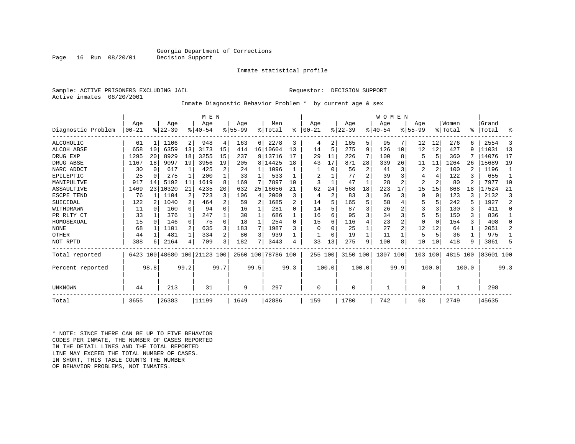### Georgia Department of Corrections<br>Decision Support

Inmate statistical profile

Sample: ACTIVE PRISONERS EXCLUDING JAIL Requestor: DECISION SUPPORT Active inmates 08/20/2001

Page 16 Run 08/20/01

Inmate Diagnostic Behavior Problem \* by current age & sex

|                    |       |          |          |              | M E N                        |              |             |      |                    |      |           |               |           |                | WOMEN       |      |                |          |          |       |           |        |
|--------------------|-------|----------|----------|--------------|------------------------------|--------------|-------------|------|--------------------|------|-----------|---------------|-----------|----------------|-------------|------|----------------|----------|----------|-------|-----------|--------|
|                    | Age   |          | Age      |              | Age                          |              | Aqe         |      | Men                |      | Aqe       |               | Age       |                | Aqe         |      | Aqe            |          | Women    |       | Grand     |        |
| Diagnostic Problem | 00-21 |          | $ 22-39$ |              | $8140 - 54$                  |              | $8155 - 99$ |      | % Total            | ႜ    | $00 - 21$ | $\frac{8}{3}$ | $22 - 39$ |                | $8140 - 54$ |      | $8155 - 99$    |          | % Total  |       | %   Total | ႜ      |
| ALCOHOLIC          | 61    |          | 1106     | 2            | 948                          | 4            | 163         | 6    | 2278               | 3    | 4         | 2             | 165       | 5              | 95          |      | 12             | 12       | 276      | 6.    | 2554      | 3      |
| ALCOH ABSE         | 658   | 10       | 6359     | 13           | 3173                         | 15           | 414         |      | 16 10604           | 13   | 14        | 5             | 275       | 9              | 126         | 10   | 12             | 12       | 427      | 9     | 11031     | 13     |
| DRUG EXP           | 1295  | 20       | 8929     | 18           | 3255                         | 15           | 237         |      | 9 13716            | 17   | 29        | 11            | 226       |                | 100         | 8    | 5              | 5        | 360      |       | 14076     | 17     |
| DRUG ABSE          | 1167  | 18       | 9097     | 19           | 3956                         | 19           | 205         |      | 8 14425            | 18   | 43        | 17            | 871       | 28             | 339         | 26   | 11             | 11       | 1264     | 26    | 15689     | 19     |
| NARC ADDCT         | 30    | $\Omega$ | 617      | $\mathbf{1}$ | 425                          | 2            | 24          |      | 1096               |      |           | $\Omega$      | 56        | $\overline{2}$ | 41          | 3    | 2              | 2        | 100      |       | 1196      |        |
| EPILEPTIC          | 25    | $\Omega$ | 275      |              | 200                          |              | 33          |      | 533                |      | 2         |               | 77        | $\overline{c}$ | 39          | 3    | 4              |          | 122      |       | 655       |        |
| MANIPULTVE         | 917   | 14       | 5192     | 11           | 1619                         | 8            | 169         |      | 7897               | 10   |           |               | 47        | $\mathbf{1}$   | 28          | 2    | $\overline{2}$ |          | 80       |       | 7977      | 10     |
| ASSAULTIVE         | 1469  | 23       | 10320    | 21           | 4235                         | 20           | 632         | 25   | 16656              | 21   | 62        | 24            | 568       | 18             | 223         | 17   | 15             | 15       | 868      | 18    | 17524     | 21     |
| ESCPE TEND         | 76    |          | 1104     | 2            | 723                          | 3            | 106         | 4    | 2009               | 3    | 4         | 2             | 83        | 3              | 36          | 3    | 0              | $\Omega$ | 123      |       | 2132      | 3      |
| SUICIDAL           | 122   |          | 1040     | 2            | 464                          | 2            | 59          | 2    | 1685               | 2    | 14        | 5             | 165       | 5              | 58          |      |                |          | 242      |       | 1927      | 2      |
| WITHDRAWN          | 11    | $\cap$   | 160      | 0            | 94                           | <sup>0</sup> | 16          |      | 281                | U    | 14        | 5             | 87        | ζ              | 26          |      | 3              |          | 130      | 3     | 411       | $\cap$ |
| PR RLTY CT         | 33    |          | 376      | 1            | 247                          |              | 30          |      | 686                |      | 16        | 6             | 95        | 3              | 34          | 3    | 5              |          | 150      | 3     | 836       |        |
| HOMOSEXUAL         | 15    | $\Omega$ | 146      | $\Omega$     | 75                           | $\Omega$     | 18          |      | 254                | 0    | 15        | 6             | 116       | 4              | 23          | 2    | $\Omega$       | $\Omega$ | 154      | 3     | 408       |        |
| <b>NONE</b>        | 68    |          | 1101     | 2            | 635                          | 3            | 183         | 7    | 1987               | 3    | $\Omega$  | U             | 25        |                | 27          | 2    | 12             | 12       | 64       | 1     | 2051      | 2      |
| OTHER              | 44    |          | 481      | 1            | 334                          | 2            | 80          | 3    | 939                |      |           | $\Omega$      | 19        | 1              | 11          |      | 5              | 5        | 36       | 1     | 975       |        |
| NOT RPTD           | 388   | 6        | 2164     | 4            | 709                          | 3            | 182         |      | 3443               | 4    | 33        | 13            | 275       | 9              | 100         | 8    | 10             | 10       | 418      | 9     | 3861      | 5      |
| Total reported     |       |          |          |              | 6423 100 48680 100 21123 100 |              |             |      | 2560 100 78786 100 |      | 255 100   |               | 3150 100  |                | 1307        | 100  | 103 100        |          | 4815 100 |       | 83601 100 |        |
| Percent reported   |       | 98.8     |          | 99.2         |                              | 99.7         |             | 99.5 |                    | 99.3 |           | 100.0         |           | 100.0          |             | 99.9 |                | 100.0    |          | 100.0 |           | 99.3   |
| UNKNOWN            | 44    |          | 213      |              | 31                           |              | 9           |      | 297                |      | 0         |               | $\Omega$  |                |             |      | 0              |          |          |       | 298       |        |
| Total              | 3655  |          | 26383    |              | 11199                        |              | 1649        |      | 42886              |      | 159       |               | 1780      |                | 742         |      | 68             |          | 2749     |       | 45635     |        |

\* NOTE: SINCE THERE CAN BE UP TO FIVE BEHAVIOR CODES PER INMATE, THE NUMBER OF CASES REPORTED IN THE DETAIL LINES AND THE TOTAL REPORTED LINE MAY EXCEED THE TOTAL NUMBER OF CASES.IN SHORT, THIS TABLE COUNTS THE NUMBER OF BEHAVIOR PROBLEMS, NOT INMATES.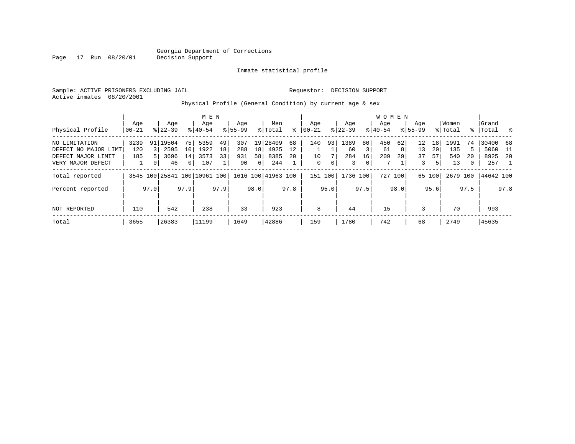Page 17 Run 08/20/01

#### Inmate statistical profile

|  |                           | Sample: ACTIVE PRISONERS EXCLUDING JAIL |  |                                                           | Requestor: DECISION SUPPORT |  |  |
|--|---------------------------|-----------------------------------------|--|-----------------------------------------------------------|-----------------------------|--|--|
|  | Active inmates 08/20/2001 |                                         |  |                                                           |                             |  |  |
|  |                           |                                         |  | Physical Profile (General Condition) by current age & sex |                             |  |  |

| Physical Profile                                                                 | Age<br>$ 00-21$    |      | Age<br>$8122 - 39$             |                                | M E N<br>Age<br>$8 40-54$    |                | Age<br>$8155 - 99$      |                     | Men<br>% Total               | ⊱              | Age<br>$ 00-21$ |                      | Age<br>$ 22-39 $       |               | <b>WOMEN</b><br>Aqe<br>$8 40-54$ |               | Age<br>$8155 - 99$  |                     | Women<br>% Total         |                    | Grand<br>%   Total              | း - မွ      |
|----------------------------------------------------------------------------------|--------------------|------|--------------------------------|--------------------------------|------------------------------|----------------|-------------------------|---------------------|------------------------------|----------------|-----------------|----------------------|------------------------|---------------|----------------------------------|---------------|---------------------|---------------------|--------------------------|--------------------|---------------------------------|-------------|
| NO LIMITATION<br>DEFECT NO MAJOR LIMT<br>DEFECT MAJOR LIMIT<br>VERY MAJOR DEFECT | 3239<br>120<br>185 | 0    | 91 19504<br>2595<br>3696<br>46 | 75<br>10<br>14<br>$\mathbf{0}$ | 5359<br>1922<br>3573<br>107  | 49<br>18<br>33 | 307<br>288<br>931<br>90 | 19<br>18<br>58<br>6 | 28409<br>4925<br>8385<br>244 | 68<br>12<br>20 | 140<br>10<br>0  | 93<br>0 <sup>1</sup> | 1389<br>60<br>284<br>3 | 80<br>16<br>0 | 450<br>61<br>209<br>7            | 62<br>8<br>29 | 12<br>13<br>37<br>3 | 18<br>20<br>57<br>5 | 1991<br>135<br>540<br>13 | 74<br>5<br>20<br>0 | 30400 68<br>5060<br>8925<br>257 | - 11<br>-20 |
| Total reported<br>Percent reported                                               |                    | 97.0 |                                | 97.9                           | 3545 100 25841 100 10961 100 | 97.9           |                         | 98.0                | 1616 100 41963 100           | 97.8           | 151             | 100<br>95.0          | 1736 100               | 97.5          | 727                              | 100<br>98.0   | 65                  | 100<br>95.6         | 2679 100                 | 97.5               | 44642 100                       | 97.8        |
| NOT REPORTED                                                                     | 110                |      | 542                            |                                | 238                          |                | 33                      |                     | 923                          |                | 8               |                      | 44                     |               | 15                               |               | 3                   |                     | 70                       |                    | 993                             |             |
| Total                                                                            | 3655               |      | 26383                          |                                | 11199                        |                | 1649                    |                     | 42886                        |                | 159             |                      | 1780                   |               | 742                              |               | 68                  |                     | 2749                     |                    | 45635                           |             |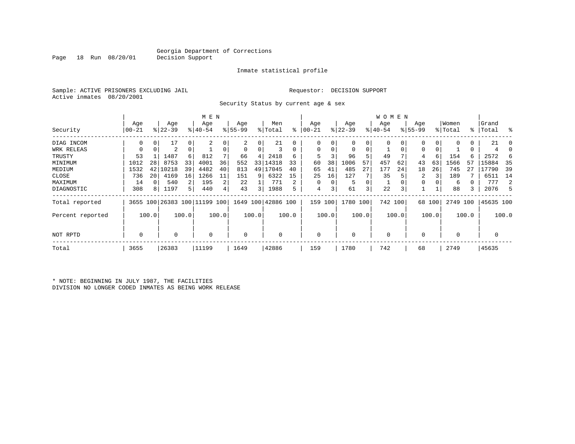Inmate statistical profile

Sample: ACTIVE PRISONERS EXCLUDING JAIL Requestor: DECISION SUPPORT Active inmates 08/20/2001

Page 18 Run 08/20/01

Security Status by current age & sex

|                  |       |       |           |                | M E N                        |       |             |       |                    |       |           |          |           |                         | W O M E N |       |             |        |             |       |           |       |
|------------------|-------|-------|-----------|----------------|------------------------------|-------|-------------|-------|--------------------|-------|-----------|----------|-----------|-------------------------|-----------|-------|-------------|--------|-------------|-------|-----------|-------|
|                  | Age   |       | Age       |                | Age                          |       | Age         |       | Men                |       | Age       |          | Age       |                         | Age       |       | Age         |        | Women       |       | Grand     |       |
| Security         | 00-21 |       | $ 22-39 $ |                | $8 40-54$                    |       | $8155 - 99$ |       | % Total            | ႜ     | $00 - 21$ |          | $ 22-39 $ |                         | $ 40-54 $ |       | $8155 - 99$ |        | % Total     |       | %   Total | ႜ     |
| DIAG INCOM       |       |       | 17        | 0              | $\overline{c}$               |       |             | 0     | 21                 | 0     |           |          | 0         | 0                       |           |       |             | 0      | $\Omega$    | 0     | 21        |       |
| WRK RELEAS       | 0     |       | 2         | 0              |                              |       | 0           | 0     |                    | 0     | 0         | 0        | 0         | 0                       |           |       | 0           |        |             | 0     |           |       |
| TRUSTY           | 53    |       | 1487      | 6              | 812                          |       | 66          | 4     | 2418               | 6     |           |          | 96        | 5                       | 49        |       | 4           | 6      | 154         | 6     | 2572      | 6     |
| MINIMUM          | 1012  | 28    | 8753      | 33             | 4001                         | 36    | 552         | 33    | 14318              | 33    | 60        | 38       | 1006      | 57                      | 457       | 62    | 43          | 63     | 1566        | 57    | 15884     | 35    |
| MEDIUM           | 1532  | 42    | 10218     | 39             | 4482                         | 40    | 813         | 49    | 17045              | 40    | 65        | 41       | 485       | 27                      | 177       | 24    | 18          | 26     | 745         | 21    | 17790     | 39    |
| CLOSE            | 736   | 20    | 4169      | 16             | 1266                         | 11    | 151         | 9     | 6322               | 15    | 25        | 16       | 127       |                         | 35        |       | 2           |        | 189         |       | 6511      | 14    |
| MAXIMUM          | 14    |       | 540       | $\overline{2}$ | 195                          | 2     | 22          |       | 771                | 2     | O         | $\Omega$ | 5         | 0                       |           |       | 0           |        | 6           |       | 777       | 2     |
| DIAGNOSTIC       | 308   | 8     | 1197      | 5              | 440                          | 4     | 43          | 3     | 1988               | 5     | 4         | 3        | 61        | $\overline{\mathbf{3}}$ | 22        | 3     |             |        | 88          | 3     | 2076      | .5    |
| Total reported   |       |       |           |                | 3655 100 26383 100 11199 100 |       |             |       | 1649 100 42886 100 |       | 159       | 100      | 1780 100  |                         | 742 100   |       |             | 68 100 | 2749 100    |       | 45635 100 |       |
| Percent reported |       | 100.0 |           | 100.0          |                              | 100.0 |             | 100.0 |                    | 100.0 |           | 100.0    |           | 100.0                   |           | 100.0 |             | 100.0  |             | 100.0 |           | 100.0 |
| NOT RPTD         | 0     |       |           |                | $\Omega$                     |       | 0           |       | 0                  |       |           |          | $\Omega$  |                         | $\Omega$  |       | $\Omega$    |        | $\mathbf 0$ |       |           |       |
| Total            | 3655  |       | 26383     |                | 11199                        |       | 1649        |       | 42886              |       | 159       |          | 1780      |                         | 742       |       | 68          |        | 2749        |       | 45635     |       |

\* NOTE: BEGINNING IN JULY 1987, THE FACILITIES DIVISION NO LONGER CODED INMATES AS BEING WORK RELEASE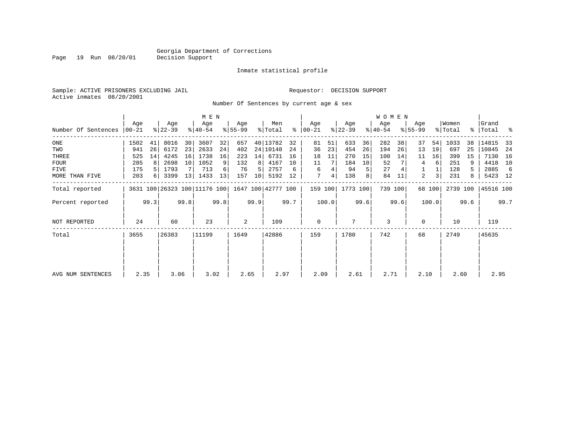Inmate statistical profile

Sample: ACTIVE PRISONERS EXCLUDING JAIL Requestor: DECISION SUPPORT Active inmates 08/20/2001

Page 19 Run 08/20/01

Number Of Sentences by current age & sex

|                     |              |      |                  |      | M E N                        |      |                  |      |                    |      |                      |         |                  |      | W O M E N        |         |                    |        |                  |      |                    |      |
|---------------------|--------------|------|------------------|------|------------------------------|------|------------------|------|--------------------|------|----------------------|---------|------------------|------|------------------|---------|--------------------|--------|------------------|------|--------------------|------|
| Number Of Sentences | Age<br>00-21 |      | Age<br>$ 22-39 $ |      | Age<br>$ 40-54 $             |      | Age<br>$8 55-99$ |      | Men<br>% Total     |      | Age<br>$8   00 - 21$ |         | Age<br>$ 22-39 $ |      | Age<br>$8 40-54$ |         | Age<br>$8155 - 99$ |        | Women<br>% Total |      | Grand<br>%   Total | ႜ    |
| ONE                 | 1502         | 41   | 8016             | 30   | 3607                         | 32   | 657              |      | 40 13782           | 32   | 81                   | 51      | 633              | 36   | 282              | 38      | 37                 | 54     | 1033             | 38   | 14815              | 33   |
| TWO                 | 941          | 26   | 6172             | 23   | 2633                         | 24   | 402              |      | 24 10148           | 24   | 36                   | 23      | 454              | 26   | 194              | 26      | 13                 | 19     | 697              | 25   | 10845              | 24   |
| THREE               | 525          | 14   | 4245             | 16   | 1738                         | 16   | 223              | 14   | 6731               | 16   | 18                   | 11      | 270              | 15   | 100              | 14      | 11                 | 16     | 399              | 15   | 7130               | 16   |
| <b>FOUR</b>         | 285          | 8    | 2698             | 10   | 1052                         | 9    | 132              | 8    | 4167               | 10   | 11                   |         | 184              | 10   | 52               |         | 4                  | 6      | 251              | 9    | 4418               | 10   |
| FIVE                | 175          |      | 1793             |      | 713                          | 6    | 76               | .5   | 2757               | 6    | 6                    |         | 94               | 5    | 27               |         |                    |        | 128              |      | 2885               | 6    |
| MORE THAN FIVE      | 203          | 6    | 3399             | 13   | 1433                         | 13   | 157              | 10   | 5192               | 12   | 7                    | 4       | 138              | 8    | 84               | 11      | 2                  | 3      | 231              | 8    | 5423 12            |      |
| Total reported      |              |      |                  |      | 3631 100 26323 100 11176 100 |      |                  |      | 1647 100 42777 100 |      |                      | 159 100 | 1773 100         |      |                  | 739 100 |                    | 68 100 | 2739 100         |      | 45516 100          |      |
| Percent reported    |              | 99.3 |                  | 99.8 |                              | 99.8 |                  | 99.9 |                    | 99.7 |                      | 100.0   |                  | 99.6 |                  | 99.6    |                    | 100.0  |                  | 99.6 |                    | 99.7 |
| NOT REPORTED        | 24           |      | 60               |      | 23                           |      | 2                |      | 109                |      | $\mathbf 0$          |         |                  |      | 3                |         | 0                  |        | 10               |      | 119                |      |
| Total               | 3655         |      | 26383            |      | 11199                        |      | 1649             |      | 42886              |      | 159                  |         | 1780             |      | 742              |         | 68                 |        | 2749             |      | 45635              |      |
|                     |              |      |                  |      |                              |      |                  |      |                    |      |                      |         |                  |      |                  |         |                    |        |                  |      |                    |      |
| AVG NUM SENTENCES   | 2.35         |      | 3.06             |      | 3.02                         |      | 2.65             |      | 2.97               |      | 2.09                 |         | 2.61             |      | 2.71             |         | 2.10               |        | 2.60             |      | 2.95               |      |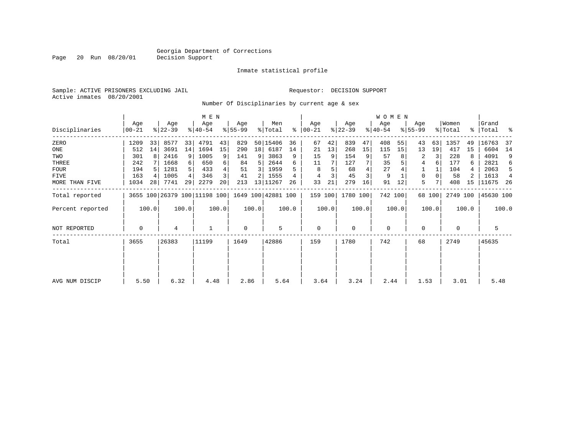Inmate statistical profile

Sample: ACTIVE PRISONERS EXCLUDING JAIL Requestor: DECISION SUPPORT Active inmates 08/20/2001

Page 20 Run 08/20/01

Number Of Disciplinaries by current age & sex

|                  |                |       |                  |       | M E N                        |       |                 |       |                    |       |                  |       |                  |       | <b>WOMEN</b>     |         |                    |        |                  |       |                    |                |
|------------------|----------------|-------|------------------|-------|------------------------------|-------|-----------------|-------|--------------------|-------|------------------|-------|------------------|-------|------------------|---------|--------------------|--------|------------------|-------|--------------------|----------------|
| Disciplinaries   | Age<br>  00-21 |       | Age<br>$ 22-39 $ |       | Age<br>$ 40-54 $             |       | Age<br>$ 55-99$ |       | Men<br>% Total     | ွေ    | Age<br>$00 - 21$ |       | Age<br>$ 22-39 $ |       | Age<br>$ 40-54 $ |         | Age<br>$8155 - 99$ |        | Women<br>% Total |       | Grand<br>% Total % |                |
| ZERO             | 1209           | 33    | 8577             | 33    | 4791                         | 43    | 829             |       | 50 15406           | 36    | 67               | 42    | 839              | 47    | 408              | 55      | 43                 | 63     | 1357             | 49    | 16763              | -37            |
| ONE              | 512            | 14    | 3691             | 14    | 1694                         | 15    | 290             | 18    | 6187               | 14    | 21               | 13    | 268              | 15    | 115              | 15      | 13                 | 19     | 417              | 15    | 6604               | 14             |
| TWO              | 301            | 8     | 2416             | 9     | 1005                         | 9     | 141             | 9     | 3863               | 9     | 15               | 9     | 154              | 9     | 57               |         | 2                  | 3      | 228              |       | 4091               | 9              |
| THREE            | 242            |       | 1668             |       | 650                          | 6     | 84              | 5     | 2644               | б     | 11               |       | 127              |       | 35               |         | 4                  |        | 177              | 6     | 2821               | 6              |
| FOUR             | 194            |       | 1281             |       | 433                          |       | 51              | 3     | 1959               |       | 8                |       | 68               |       | 27               |         |                    |        | 104              |       | 2063               | 5              |
| FIVE             | 163            |       | 1005             |       | 346                          |       | 41              |       | 1555               |       | 4                |       | 45               | 3     | 9                |         | 0                  |        | 58               |       | 1613               | $\overline{4}$ |
| MORE THAN FIVE   | 1034           | 28    | 7741             | 29    | 2279                         | 20    | 213             |       | 13 11267           | 26    | 33               | 21    | 279              | 16    | 91               | 12      | 5                  |        | 408              | 15    | 11675              | -26            |
| Total reported   |                |       |                  |       | 3655 100 26379 100 11198 100 |       |                 |       | 1649 100 42881 100 |       | 159 100          |       | 1780 100         |       |                  | 742 100 |                    | 68 100 | 2749 100         |       | 45630 100          |                |
| Percent reported |                | 100.0 |                  | 100.0 |                              | 100.0 |                 | 100.0 |                    | 100.0 |                  | 100.0 |                  | 100.0 |                  | 100.0   |                    | 100.0  |                  | 100.0 |                    | 100.0          |
| NOT REPORTED     | 0              |       | 4                |       |                              |       | 0               |       | 5                  |       | 0                |       | $\mathbf 0$      |       | $\mathbf 0$      |         | 0                  |        | 0                |       | 5                  |                |
| Total            | 3655           |       | 26383            |       | 11199                        |       | 1649            |       | 42886              |       | 159              |       | 1780             |       | 742              |         | 68                 |        | 2749             |       | 45635              |                |
|                  |                |       |                  |       |                              |       |                 |       |                    |       |                  |       |                  |       |                  |         |                    |        |                  |       |                    |                |
|                  |                |       |                  |       |                              |       |                 |       |                    |       |                  |       |                  |       |                  |         |                    |        |                  |       |                    |                |
| AVG NUM DISCIP   | 5.50           |       | 6.32             |       | 4.48                         |       | 2.86            |       | 5.64               |       | 3.64             |       | 3.24             |       | 2.44             |         | 1.53               |        | 3.01             |       | 5.48               |                |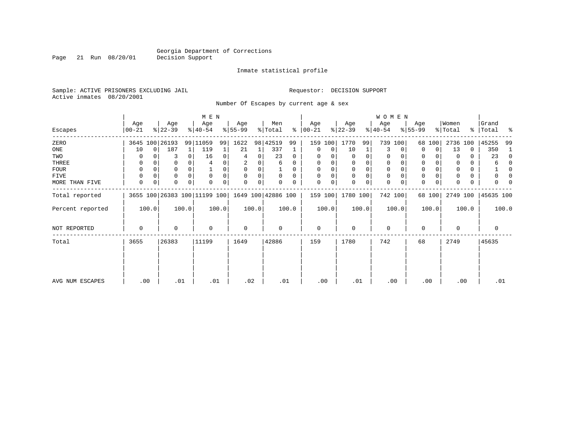Inmate statistical profile

Sample: ACTIVE PRISONERS EXCLUDING JAIL Requestor: DECISION SUPPORT Active inmates 08/20/2001

Page 21 Run 08/20/01

Number Of Escapes by current age & sex

| Women<br>Men<br>Age<br>Age<br>Age<br>Age<br>Age<br>Age<br>Age<br>Age<br>$ 22-39 $<br>$ 22-39 $<br>$ 40-54 $<br>$ 55-99$<br>% Total<br>ွေ<br>$ 40-54 $<br>% Total<br>$00 - 21$<br>$8155 - 99$<br>Escapes<br>$00 - 21$<br>3645 100 26193<br>99 11059<br>99<br>1622<br>98 42519<br>1770<br>739<br>ZERO<br>159<br>99<br>100<br>2736<br>99<br>100<br>68 100<br>100<br>187<br>337<br>13<br>ONE<br>$\Omega$<br>119<br>21<br>10<br>10<br>1<br>0<br>0<br>0<br>0<br>3<br>$\Omega$<br>1<br>$\Omega$<br>TWO<br>16<br>23<br>0<br>3<br>0<br>0<br>0<br>$\Omega$<br>0<br>0<br>4<br>0<br>0<br>0 | Grand<br>%   Total<br>ႜ<br>45255<br>99<br>350<br>23<br>$\Omega$<br>6 |
|--------------------------------------------------------------------------------------------------------------------------------------------------------------------------------------------------------------------------------------------------------------------------------------------------------------------------------------------------------------------------------------------------------------------------------------------------------------------------------------------------------------------------------------------------------------------------------|----------------------------------------------------------------------|
|                                                                                                                                                                                                                                                                                                                                                                                                                                                                                                                                                                                |                                                                      |
|                                                                                                                                                                                                                                                                                                                                                                                                                                                                                                                                                                                |                                                                      |
|                                                                                                                                                                                                                                                                                                                                                                                                                                                                                                                                                                                |                                                                      |
|                                                                                                                                                                                                                                                                                                                                                                                                                                                                                                                                                                                |                                                                      |
| THREE<br>0<br>$\mathbf 0$<br>2<br>0<br>0<br>0<br>0<br>0<br>0<br>6<br>0                                                                                                                                                                                                                                                                                                                                                                                                                                                                                                         |                                                                      |
| $\mathbf 0$<br>0<br>$\Omega$<br>$\Omega$<br>0<br>0<br>$\Omega$<br>$\Omega$<br><b>FOUR</b><br>0<br>$\Omega$<br>0<br>$\Omega$                                                                                                                                                                                                                                                                                                                                                                                                                                                    |                                                                      |
| 0<br>FIVE<br>0<br>0<br>0<br>$\Omega$<br>0<br>$\Omega$<br>$\Omega$<br>$\Omega$<br>0<br>$\Omega$<br>0<br>$\Omega$<br>$\Omega$<br>0                                                                                                                                                                                                                                                                                                                                                                                                                                               |                                                                      |
| $\mathbf 0$<br>$\Omega$<br>0<br>0<br>0<br>$\Omega$<br>0<br>0<br>0<br>0<br>MORE THAN FIVE<br>0<br>0<br>$\Omega$<br>0<br>U<br>$\Omega$<br>$\Omega$<br>0                                                                                                                                                                                                                                                                                                                                                                                                                          |                                                                      |
| 1649 100 42886 100<br>742 100<br>3655 100 26383 100 11199 100<br>159 100<br>1780 100<br>2749 100<br>68 100<br>Total reported                                                                                                                                                                                                                                                                                                                                                                                                                                                   | 45635 100                                                            |
| 100.0<br>100.0<br>100.0<br>100.0<br>100.0<br>100.0<br>100.0<br>100.0<br>100.0<br>100.0<br>Percent reported                                                                                                                                                                                                                                                                                                                                                                                                                                                                     | 100.0                                                                |
| $\mathbf{0}$<br>NOT REPORTED<br>$\Omega$<br>$\mathbf 0$<br>$\mathbf 0$<br>$\Omega$<br>$\Omega$<br>0<br>$\Omega$<br>$\mathbf 0$<br>0                                                                                                                                                                                                                                                                                                                                                                                                                                            | 0                                                                    |
| 26383<br>42886<br>Total<br>3655<br>11199<br>1649<br>159<br>1780<br>742<br>2749<br>68                                                                                                                                                                                                                                                                                                                                                                                                                                                                                           | 45635                                                                |
|                                                                                                                                                                                                                                                                                                                                                                                                                                                                                                                                                                                |                                                                      |
| .02<br>.01<br>.00<br>.01<br>.00<br>.01<br>.01<br>.00<br>.00<br>AVG NUM ESCAPES<br>.00                                                                                                                                                                                                                                                                                                                                                                                                                                                                                          | .01                                                                  |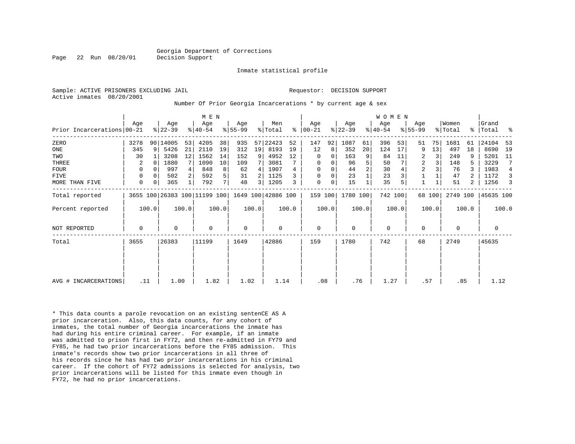#### Georgia Department of Corrections Page 22 Run 08/20/01 Decision Support

Inmate statistical profile

Active inmates 08/20/2001

#### Sample: ACTIVE PRISONERS EXCLUDING JAIL **Requestor: DECISION SUPPORT**

#### Number Of Prior Georgia Incarcerations \* by current age & sex

|                            |      |          |                  |       | M E N                                           |                |                  |       |                |       |                      |       |                  |                | <b>WOMEN</b>     |       |                  |        |                  |       |                    |       |
|----------------------------|------|----------|------------------|-------|-------------------------------------------------|----------------|------------------|-------|----------------|-------|----------------------|-------|------------------|----------------|------------------|-------|------------------|--------|------------------|-------|--------------------|-------|
| Prior Incarcerations 00-21 | Age  |          | Age<br>$ 22-39 $ |       | Age<br>$ 40-54 $                                |                | Age<br>$8 55-99$ |       | Men<br>% Total |       | Age<br>$8   00 - 21$ |       | Age<br>$ 22-39 $ |                | Age<br>$ 40-54 $ |       | Age<br>$ 55-99 $ |        | Women<br>% Total |       | Grand<br>%   Total | ႜ     |
| ZERO                       | 3278 |          | 90 14005         | 53    | 4205                                            | 38             | 935              | 57    | 22423          | 52    | 147                  | 92    | 1087             | 61             | 396              | 53    | 51               | 75     | 1681             | 61    | 24104              | 53    |
| ONE                        | 345  | 9        | 5426             | 21    | 2110                                            | 19             | 312              | 19    | 8193           | 19    | 12                   | 8     | 352              | 20             | 124              | 17    | 9                | 13     | 497              | 18    | 8690               | 19    |
| TWO                        | 30   |          | 3208             | 12    | 1562                                            | 14             | 152              | 9     | 4952           | 12    | 0                    | 0     | 163              | 9              | 84               | 11    | 2                |        | 249              |       | 5201               | -11   |
| THREE                      | 2    | $\Omega$ | 1880             |       | 1090                                            | 10             | 109              |       | 3081           |       | 0                    | 0     | 96               | 5              | 50               |       | 2                |        | 148              |       | 3229               | 7     |
| FOUR                       | 0    |          | 997              |       | 848                                             | 8              | 62               | 4     | 1907           | 4     | 0                    | 0     | 44               | $\overline{2}$ | 30               |       | $\overline{2}$   |        | 76               |       | 1983               | 4     |
| FIVE                       | 0    | $\Omega$ | 502              |       | 592                                             | 5              | 31               |       | 1125           |       | 0                    | 0     | 23               |                | 23               |       |                  |        | 47               |       | 1172               | 3     |
| MORE THAN FIVE             | 0    | 0        | 365              |       | 792                                             | 7 <sup>1</sup> | 48               | 3     | 1205           |       | 0                    | 0     | 15               |                | 35               |       |                  |        | 51               | 2     | 1256               | 3     |
| Total reported             |      |          |                  |       | 3655 100 26383 100 11199 100 1649 100 42886 100 |                |                  |       |                |       | 159 100              |       | 1780 100         |                | 742 100          |       |                  | 68 100 | 2749 100         |       | 45635 100          |       |
| Percent reported           |      | 100.0    |                  | 100.0 |                                                 | 100.0          |                  | 100.0 |                | 100.0 |                      | 100.0 |                  | 100.0          |                  | 100.0 |                  | 100.0  |                  | 100.0 |                    | 100.0 |
| <b>NOT REPORTED</b>        | 0    |          | $\Omega$         |       | $\Omega$                                        |                | 0                |       | 0              |       | $\mathbf 0$          |       | 0                |                | 0                |       | $\Omega$         |        | 0                |       | 0                  |       |
| Total                      | 3655 |          | 26383            |       | 11199                                           |                | 1649             |       | 42886          |       | 159                  |       | 1780             |                | 742              |       | 68               |        | 2749             |       | 45635              |       |
|                            |      |          |                  |       |                                                 |                |                  |       |                |       |                      |       |                  |                |                  |       |                  |        |                  |       |                    |       |
|                            |      |          |                  |       |                                                 |                |                  |       |                |       |                      |       |                  |                |                  |       |                  |        |                  |       |                    |       |
| AVG # INCARCERATIONS       |      | .11      | 1.00             |       | 1.82                                            |                | 1.02             |       | 1.14           |       | .08                  |       | .76              |                | 1.27             |       | .57              |        | .85              |       | 1.12               |       |

\* This data counts a parole revocation on an existing sentenCE AS A prior incarceration. Also, this data counts, for any cohort of inmates, the total number of Georgia incarcerations the inmate has had during his entire criminal career. For example, if an inmate was admitted to prison first in FY72, and then re-admitted in FY79 and FY85, he had two prior incarcerations before the FY85 admission. This inmate's records show two prior incarcerations in all three of his records since he has had two prior incarcerations in his criminal career. If the cohort of FY72 admissions is selected for analysis, two prior incarcerations will be listed for this inmate even though in FY72, he had no prior incarcerations.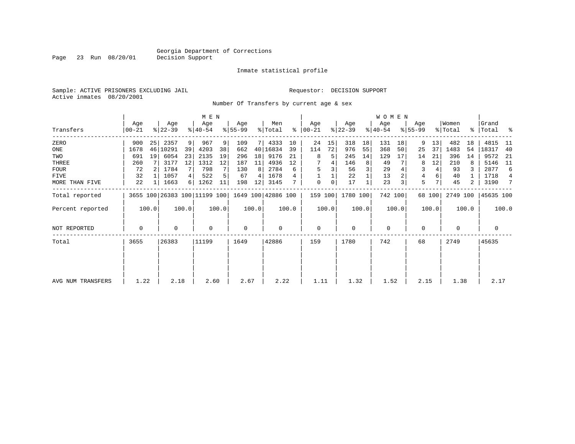Inmate statistical profile

Sample: ACTIVE PRISONERS EXCLUDING JAIL Requestor: DECISION SUPPORT Active inmates 08/20/2001

Page 23 Run 08/20/01

Number Of Transfers by current age & sex

|                   |                  |       |                  |       | M E N                        |       |                 |       |                    |       |                  |       |                  |       | WOMEN            |         |                    |        |                  |           |                 |       |
|-------------------|------------------|-------|------------------|-------|------------------------------|-------|-----------------|-------|--------------------|-------|------------------|-------|------------------|-------|------------------|---------|--------------------|--------|------------------|-----------|-----------------|-------|
| Transfers         | Age<br>$00 - 21$ |       | Age<br>$ 22-39 $ |       | Age<br>$ 40-54 $             |       | Age<br>$ 55-99$ |       | Men<br>% Total     | ႜ     | Age<br>$ 00-21 $ |       | Age<br>$ 22-39 $ |       | Age<br>$ 40-54 $ |         | Age<br>$ 55 - 99 $ |        | Women<br>% Total | $\approx$ | Grand<br> Total | ႜ     |
| ZERO              | 900              | 25    | 2357             | 9     | 967                          | 9     | 109             |       | 4333               | 10    | 24               | 15    | 318              | 18    | 131              | 18      | 9                  | 13     | 482              | 18        | 4815            | 11    |
| ONE               | 1678             |       | 46 10291         | 39    | 4203                         | 38    | 662             | 40    | 16834              | 39    | 114              | 72    | 976              | 55    | 368              | 50      | 25                 | 37     | 1483             | 54        | 18317           | -40   |
| TWO               | 691              | 19    | 6054             | 23    | 2135                         | 19    | 296             | 18    | 9176               | 21    | 8                | 5     | 245              | 14    | 129              | 17      | 14                 | 21     | 396              | 14        | 9572            | - 21  |
| THREE             | 260              |       | 3177             | 12    | 1312                         | 12    | 187             | 11    | 4936               | 12    |                  |       | 146              | 8     | 49               |         | 8                  | 12     | 210              | 8         | 5146            | - 11  |
| <b>FOUR</b>       | 72               |       | 1784             |       | 798                          |       | 130             | 8     | 2784               | 6     | 5                |       | 56               |       | 29               |         | 3                  | 4      | 93               |           | 2877            | 6     |
| FIVE              | 32               |       | 1057             | 4     | 522                          |       | 67              | 4     | 1678               |       |                  |       | 22               |       | 13               |         | 4                  | 6      | 40               |           | 1718            | 4     |
| MORE THAN FIVE    | 22               |       | 1663             | 6     | 1262                         | 11    | 198             | 12    | 3145               |       | $\mathbf 0$      | 0     | 17               |       | 23               |         | 5                  | 7      | 45               | 2         | 3190            | 7     |
| Total reported    |                  |       |                  |       | 3655 100 26383 100 11199 100 |       |                 |       | 1649 100 42886 100 |       | 159 100          |       | 1780 100         |       |                  | 742 100 |                    | 68 100 | 2749 100         |           | 45635 100       |       |
| Percent reported  |                  | 100.0 |                  | 100.0 |                              | 100.0 |                 | 100.0 |                    | 100.0 |                  | 100.0 |                  | 100.0 |                  | 100.0   |                    | 100.0  |                  | 100.0     |                 | 100.0 |
| NOT REPORTED      | 0                |       | 0                |       | $\mathbf 0$                  |       | 0               |       | 0                  |       | 0                |       | $\Omega$         |       | $\mathbf 0$      |         | 0                  |        | $\Omega$         |           | 0               |       |
| Total             | 3655             |       | 26383            |       | 11199                        |       | 1649            |       | 42886              |       | 159              |       | 1780             |       | 742              |         | 68                 |        | 2749             |           | 45635           |       |
|                   |                  |       |                  |       |                              |       |                 |       |                    |       |                  |       |                  |       |                  |         |                    |        |                  |           |                 |       |
|                   |                  |       |                  |       |                              |       |                 |       |                    |       |                  |       |                  |       |                  |         |                    |        |                  |           |                 |       |
| AVG NUM TRANSFERS | 1.22             |       | 2.18             |       | 2.60                         |       | 2.67            |       | 2.22               |       | 1.11             |       | 1.32             |       | 1.52             |         | 2.15               |        | 1.38             |           | 2.17            |       |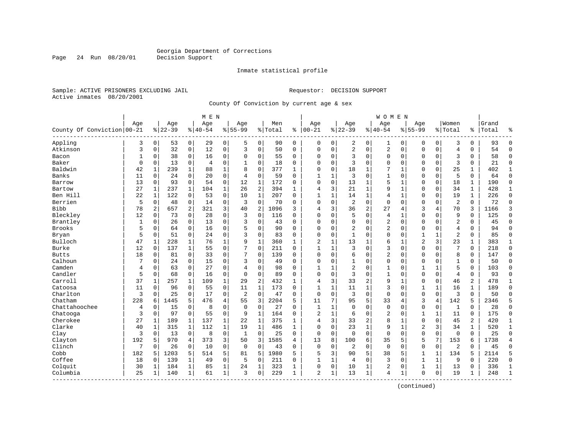Inmate statistical profile

Sample: ACTIVE PRISONERS EXCLUDING JAIL **Requestor: DECISION SUPPORT** Active inmates 08/20/2001

Page 24 Run 08/20/01

County Of Conviction by current age & sex

|                            |              |              |                  |              | M E N           |                |                    |                |                |              |                   |   |                  |                | W O M E N          |              |                  |              |                  |              |                |                |
|----------------------------|--------------|--------------|------------------|--------------|-----------------|----------------|--------------------|----------------|----------------|--------------|-------------------|---|------------------|----------------|--------------------|--------------|------------------|--------------|------------------|--------------|----------------|----------------|
| County Of Conviction 00-21 | Age          |              | Age<br>$8 22-39$ |              | Age<br>$ 40-54$ |                | Age<br>$8155 - 99$ |                | Men<br>% Total | ి            | Age<br>$100 - 21$ |   | Age<br>$8 22-39$ |                | Age<br>$8140 - 54$ |              | Age<br>$8 55-99$ |              | Women<br>% Total | ి            | Grand<br>Total | ٩,             |
| Appling                    | 3            | 0            | 53               | 0            | 29              | 0              | 5                  | $\mathbf 0$    | 90             | 0            | 0                 | 0 | 2                | 0              | 1                  | 0            | 0                | 0            | 3                | 0            | 93             | $\Omega$       |
| Atkinson                   | 3            | $\mathbf 0$  | 32               | 0            | 12              | $\mathsf 0$    | 3                  | $\mathbf 0$    | 50             | 0            | $\Omega$          | 0 | $\sqrt{2}$       | 0              | 2                  | $\mathbf 0$  | $\Omega$         | 0            | 4                | 0            | 54             | $\Omega$       |
| Bacon                      | 1            | 0            | 38               | 0            | 16              | 0              | 0                  | 0              | 55             | 0            | $\Omega$          | 0 | 3                | 0              | 0                  | $\mathbf 0$  | $\Omega$         | 0            | 3                | 0            | 58             | $\mathbf 0$    |
| Baker                      | $\mathbf 0$  | $\Omega$     | 13               | $\mathbf 0$  | 4               | $\mathbf 0$    | 1                  | $\mathbf 0$    | 18             | 0            | $\Omega$          | 0 | 3                | $\Omega$       | 0                  | $\Omega$     | $\Omega$         | $\Omega$     | 3                | 0            | 21             | $\mathbf{0}$   |
| Baldwin                    | 42           | $\mathbf{1}$ | 239              | $\mathbf{1}$ | 88              | $\mathbf{1}$   | $\mathsf{R}$       | $\mathbf 0$    | 377            | $\mathbf{1}$ | $\Omega$          | 0 | 18               | 1              | 7                  | $\mathbf{1}$ | $\Omega$         | $\Omega$     | 25               | $\mathbf{1}$ | 402            | 1              |
| Banks                      | 11           | $\mathbf 0$  | 24               | $\mathbf 0$  | 20              | $\mathbf 0$    | $\overline{4}$     | $\mathbf 0$    | 59             | $\Omega$     | $\mathbf{1}$      | 1 | 3                | $\Omega$       | $\mathbf{1}$       | $\mathbf 0$  | $\Omega$         | $\Omega$     | 5                | 0            | 64             | $\Omega$       |
| Barrow                     | 13           | $\mathbf 0$  | 93               | 0            | 54              | 0              | 12                 | $1\,$          | 172            | 0            | $\Omega$          | 0 | 13               | 1              | 5                  | 1            | $\Omega$         | 0            | 18               | 1            | 190            | $\Omega$       |
| Bartow                     | 27           | $\mathbf{1}$ | 237              | $\mathbf{1}$ | 104             | $\mathbf{1}$   | 26                 | $\overline{a}$ | 394            | $\mathbf{1}$ | 4                 | 3 | 21               | 1              | 9                  | $\mathbf{1}$ | $\Omega$         | 0            | 34               | $\mathbf{1}$ | 428            | $\mathbf{1}$   |
| Ben Hill                   | 22           | $\mathbf{1}$ | 122              | $\mathbf 0$  | 53              | $\mathbf 0$    | 10                 | $\mathbf{1}$   | 207            | $\Omega$     | $\mathbf{1}$      | 1 | 14               | 1              | $\overline{4}$     | 1            | $\Omega$         | $\Omega$     | 19               | $\mathbf{1}$ | 226            | $\Omega$       |
| Berrien                    | 5            | 0            | 48               | $\mathbf 0$  | 14              | $\mathsf 0$    | $\overline{3}$     | $\mathbf 0$    | 70             | O            | $\Omega$          | 0 | $\overline{2}$   | 0              | $\mathbf 0$        | $\mathbf 0$  | $\Omega$         | 0            | $\overline{2}$   | $\Omega$     | 72             | $\Omega$       |
| <b>Bibb</b>                | 78           | 2            | 657              | 2            | 321             | 3              | 40                 | 2              | 1096           | 3            | 4                 | 3 | 36               | $\overline{2}$ | 27                 | 4            | 3                | 4            | 70               | 3            | 1166           | 3              |
| Bleckley                   | 12           | $\Omega$     | 73               | $\mathbf 0$  | 28              | $\mathbf 0$    | 3                  | $\mathbf 0$    | 116            | $\Omega$     | $\Omega$          | 0 | 5                | $\Omega$       | $\overline{4}$     | $\mathbf{1}$ | $\Omega$         | $\Omega$     | 9                | 0            | 125            | $\Omega$       |
| Brantley                   | $\mathbf{1}$ | $\mathbf 0$  | 26               | $\mathbf 0$  | 13              | $\mathbf 0$    | 3                  | $\mathbf 0$    | 43             | 0            | 0                 | 0 | $\Omega$         | 0              | 2                  | $\mathbf 0$  | $\Omega$         | $\Omega$     | 2                | 0            | 45             | $\Omega$       |
| <b>Brooks</b>              | 5            | 0            | 64               | $\mathbf 0$  | 16              | $\mathbf 0$    | 5                  | $\mathbf 0$    | 90             | $\Omega$     | $\Omega$          | 0 | $\overline{2}$   | $\Omega$       | 2                  | $\Omega$     | $\Omega$         | $\Omega$     | $\overline{4}$   | $\Omega$     | 94             | $\Omega$       |
| Bryan                      | 5            | 0            | 51               | 0            | 24              | 0              | 3                  | 0              | 83             | 0            | $\Omega$          | 0 | $\mathbf{1}$     | 0              | 0                  | $\mathbf 0$  | 1                | 1            | $\overline{2}$   | 0            | 85             | $\Omega$       |
| Bulloch                    | 47           | $\mathbf{1}$ | 228              | 1            | 76              | $\mathbf 1$    | 9                  | $\mathbf{1}$   | 360            | $\mathbf{1}$ | 2                 | 1 | 13               |                | 6                  | $\mathbf{1}$ | $\overline{2}$   | 3            | 23               | 1            | 383            | 1              |
| Burke                      | 12           | $\Omega$     | 137              | $\mathbf{1}$ | 55              | $\mathbf 0$    | 7                  | $\mathbf 0$    | 211            | $\Omega$     | $\mathbf{1}$      | 1 | ζ                | $\Omega$       | 3                  | $\Omega$     | $\Omega$         | $\Omega$     | 7                | $\Omega$     | 218            | $\Omega$       |
| <b>Butts</b>               | 18           | 0            | 81               | 0            | 33              | $\mathbf 0$    | 7                  | $\mathbf 0$    | 139            | $\Omega$     | $\Omega$          | 0 | 6                | $\Omega$       | $\overline{2}$     | $\Omega$     | $\Omega$         | $\Omega$     | 8                | 0            | 147            | $\Omega$       |
| Calhoun                    |              | 0            | 24               | 0            | 15              | 0              | 3                  | $\mathbf 0$    | 49             | $\Omega$     | 0                 | 0 |                  | 0              | 0                  | $\mathbf 0$  | 0                | 0            | $\mathbf{1}$     | 0            | 50             | $\Omega$       |
| Camden                     | 4            | 0            | 63               | 0            | 27              | 0              | 4                  | $\mathbf 0$    | 98             | $\Omega$     | $\mathbf{1}$      | 1 | $\overline{2}$   | 0              | 1                  | 0            | 1                | 1            | 5                | 0            | 103            | $\Omega$       |
| Candler                    | 5            | $\Omega$     | 68               | $\mathbf 0$  | 16              | $\mathbf 0$    | $\Omega$           | $\mathbf 0$    | 89             | $\Omega$     | $\Omega$          | 0 | 3                | $\Omega$       | $\mathbf{1}$       | $\Omega$     | $\Omega$         | $\Omega$     | $\overline{4}$   | 0            | 93             | $\Omega$       |
| Carroll                    | 37           | 1            | 257              | 1            | 109             | $\mathbf 1$    | 29                 | $\sqrt{2}$     | 432            | 1            | 4                 | 3 | 33               | 2              | 9                  | 1            | 0                | 0            | 46               | 2            | 478            | 1              |
| Catoosa                    | 11           | 0            | 96               | 0            | 55              | $\mathbf 0$    | 11                 | $\mathbf{1}$   | 173            | 0            | $\mathbf{1}$      | 1 | 11               | 1              | 3                  | $\Omega$     | 1                | $\mathbf{1}$ | 16               | 1            | 189            | $\Omega$       |
| Charlton                   | 3            | 0            | 25               | $\mathbf 0$  | 17              | $\mathbf 0$    | 2                  | $\mathbf 0$    | 47             | 0            | $\mathbf 0$       | 0 | 3                | 0              | $\mathbf 0$        | $\Omega$     | $\Omega$         | $\mathbf 0$  | 3                | 0            | 50             | $\Omega$       |
| Chatham                    | 228          | 6            | 1445             | 5            | 476             | $\overline{4}$ | 55                 | 3              | 2204           | 5            | 11                | 7 | 95               | 5              | 33                 | 4            | 3                | 4            | 142              | 5            | 2346           | 5              |
| Chattahoochee              | 4            | 0            | 15               | $\mathbf 0$  | 8               | $\mathbf 0$    | $\mathbf 0$        | $\mathbf 0$    | 27             | $\Omega$     | $\mathbf{1}$      | 1 | $\Omega$         | $\Omega$       | $\Omega$           | $\Omega$     | $\Omega$         | 0            | $\mathbf{1}$     | $\Omega$     | 28             | $\Omega$       |
| Chatooga                   | 3            | 0            | 97               | $\mathbf 0$  | 55              | 0              | 9                  | $\mathbf{1}$   | 164            | $\Omega$     | $\overline{2}$    | 1 | 6                | $\Omega$       | 2                  | $\mathbf 0$  | 1                | 1            | 11               | 0            | 175            | $\Omega$       |
| Cherokee                   | 27           | $\mathbf{1}$ | 189              | 1            | 137             | 1              | 22                 | 1              | 375            | 1            | 4                 | 3 | 33               | 2              | 8                  | $\mathbf{1}$ | $\Omega$         | $\Omega$     | 45               | 2            | 420            | $\mathbf{1}$   |
| Clarke                     | 40           | $\mathbf{1}$ | 315              | $\mathbf{1}$ | 112             | $\mathbf{1}$   | 19                 | $\mathbf 1$    | 486            | $\mathbf{1}$ | $\Omega$          | 0 | 23               | $\mathbf{1}$   | 9                  | $\mathbf{1}$ | $\overline{2}$   | 3            | 34               | $\mathbf{1}$ | 520            | $\mathbf 1$    |
| Clay                       | 3            | 0            | 13               | 0            | 8               | $\mathbf 0$    | $\mathbf{1}$       | $\mathbf 0$    | 25             | $\Omega$     | $\mathbf 0$       | 0 | $\Omega$         | $\Omega$       | $\mathbf 0$        | $\Omega$     | $\Omega$         | 0            | $\mathbf 0$      | $\Omega$     | 25             | $\Omega$       |
| Clayton                    | 192          | 5            | 970              | 4            | 373             | 3              | 50                 | 3              | 1585           | 4            | 13                | 8 | 100              | 6              | 35                 | 5            | 5                | 7            | 153              | 6            | 1738           | $\overline{4}$ |
| Clinch                     | 7            | 0            | 26               | $\mathbf 0$  | 10              | $\mathbf 0$    | $\mathbf 0$        | $\mathbf 0$    | 43             | 0            | $\Omega$          | 0 | $\overline{2}$   | 0              | $\mathbf{0}$       | $\Omega$     | $\Omega$         | $\mathbf 0$  | $\overline{2}$   | 0            | 45             | $\Omega$       |
| Cobb                       | 182          | 5            | 1203             | 5            | 514             | 5              | 81                 | 5              | 1980           | 5            | 5                 | 3 | 90               | 5              | 38                 | 5            | $\mathbf{1}$     | $\mathbf{1}$ | 134              | 5            | 2114           | 5              |
| Coffee                     | 18           | 0            | 139              | 1            | 49              | 0              | 5                  | 0              | 211            | 0            | $\mathbf{1}$      | 1 | 4                | 0              | 3                  | $\mathbf 0$  | $\mathbf{1}$     | 1            | 9                | 0            | 220            | $\Omega$       |
| Colquit                    | 30           | 1            | 184              | 1            | 85              | $\mathbf 1$    | 24                 | 1              | 323            | 1            | $\Omega$          | 0 | 10               | 1              | 2                  | 0            | 1                | 1            | 13               | 0            | 336            | 1              |
| Columbia<br>----------     | 25           | 1            | 140              | 1            | 61              | $\mathbf{1}$   | 3                  | $\mathbf 0$    | 229            | 1            | 2                 | 1 | 13               | 1              | 4                  | 1            | $\Omega$         | 0            | 19               | 1            | 248            | $\mathbf{1}$   |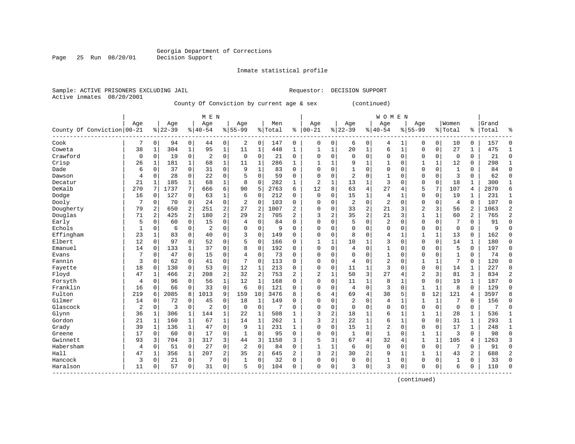Inmate statistical profile

Active inmates 08/20/2001

Page 25 Run 08/20/01

Sample: ACTIVE PRISONERS EXCLUDING JAIL Requestor: DECISION SUPPORT

County Of Conviction by current age & sex (continued)

|                            |             |             |           |              | M E N          |                         |                |                |         |                |              |                |                |                | <b>WOMEN</b>   |              |                |              |                |                |       |                |
|----------------------------|-------------|-------------|-----------|--------------|----------------|-------------------------|----------------|----------------|---------|----------------|--------------|----------------|----------------|----------------|----------------|--------------|----------------|--------------|----------------|----------------|-------|----------------|
|                            | Age         |             | Age       |              | Age            |                         | Age            |                | Men     |                | Age          |                | Age            |                | Age            |              | Age            |              | Women          |                | Grand |                |
| County Of Conviction 00-21 |             |             | $8 22-39$ |              | $ 40-54$       |                         | $8155 - 99$    |                | % Total | ႜ              | $ 00 - 21$   |                | $8 22-39$      |                | $8 40-54$      |              | $8155 - 99$    |              | % Total        | ႜ              | Total | ٩,             |
| Cook                       | 7           | 0           | 94        | $\mathbf 0$  | 44             | 0                       | $\overline{a}$ | $\mathbf 0$    | 147     | 0              | 0            | 0              | 6              | 0              | 4              | 1            | 0              | $\mathbf 0$  | 10             | 0              | 157   | $\Omega$       |
| Coweta                     | 38          | 1           | 304       | $\mathbf 1$  | 95             | $\mathbf 1$             | 11             | 1              | 448     | 1              | 1            | $\mathbf 1$    | 20             | $\mathbf 1$    | 6              | $\mathbf{1}$ | $\Omega$       | $\mathbf 0$  | 27             | 1              | 475   | -1             |
| Crawford                   | $\mathbf 0$ | $\Omega$    | 19        | $\mathbf 0$  | 2              | $\mathbf 0$             | $\mathbf 0$    | $\mathbf 0$    | 21      | $\Omega$       | 0            | $\Omega$       | $\Omega$       | $\Omega$       | 0              | $\Omega$     | $\Omega$       | $\Omega$     | $\mathbf 0$    | 0              | 21    | $\mathbf 0$    |
| Crisp                      | 26          | 1           | 181       | 1            | 68             | $\mathbf 1$             | 11             | 1              | 286     | $\mathbf{1}$   |              | $\mathbf{1}$   | 9              | $\mathbf{1}$   | 1              | $\Omega$     |                | $\mathbf{1}$ | 12             | $\Omega$       | 298   | $\mathbf{1}$   |
| Dade                       | 6           | 0           | 37        | 0            | 31             | $\mathbf 0$             | 9              | $\mathbf{1}$   | 83      | $\Omega$       | $\Omega$     | $\Omega$       |                | $\Omega$       | $\Omega$       | $\Omega$     | $\Omega$       | $\mathbf 0$  | $\mathbf{1}$   | 0              | 84    | $\Omega$       |
| Dawson                     | 4           | $\mathbf 0$ | 28        | 0            | 22             | $\mathbf 0$             | 5              | $\mathbf 0$    | 59      | 0              | $\Omega$     | 0              | 2              | $\Omega$       | 1              | $\Omega$     | $\Omega$       | $\mathbf 0$  | 3              | $\Omega$       | 62    | $\mathbf 0$    |
| Decatur                    | 21          | 1           | 185       | 1            | 68             | 1                       | 8              | 0              | 282     | 1              | 2            | 1              | 13             | 1              | 3              | $\Omega$     | $\Omega$       | 0            | 18             | 1              | 300   | 1              |
| DeKalb                     | 270         | 7           | 1737      | 7            | 666            | 6                       | 90             | 5              | 2763    | 6              | 12           | 8              | 63             | $\overline{4}$ | 27             | 4            | 5              | 7            | 107            | 4              | 2870  | 6              |
| Dodge                      | 16          | 0           | 127       | 0            | 63             | $\mathbf 1$             | 6              | $\mathbf 0$    | 212     | 0              | 0            | 0              | 15             | 1              | 4              | -1           | $\Omega$       | $\mathbf 0$  | 19             | 1              | 231   | 1              |
| Dooly                      | 7           | $\Omega$    | 70        | $\Omega$     | 24             | $\mathbf 0$             | 2              | $\Omega$       | 103     | $\Omega$       | O            | $\Omega$       | $\overline{c}$ | $\Omega$       | $\overline{2}$ | $\Omega$     | $\Omega$       | $\Omega$     | $\overline{4}$ | $\Omega$       | 107   | $\Omega$       |
| Dougherty                  | 79          | 2           | 650       | 2            | 251            | $\overline{c}$          | 27             | $\overline{2}$ | 1007    | $\overline{a}$ | 0            | $\Omega$       | 33             | $\overline{2}$ | 21             | 3            | $\overline{c}$ | 3            | 56             | $\overline{2}$ | 1063  | $\overline{2}$ |
| Douglas                    | 71          | 2           | 425       | 2            | 180            | $\overline{c}$          | 29             | $\overline{2}$ | 705     | 2              | 3            | 2              | 35             | $\overline{2}$ | 21             | 3            |                | $\mathbf{1}$ | 60             | $\overline{c}$ | 765   | $\overline{2}$ |
| Early                      | 5           | 0           | 60        | 0            | 15             | 0                       | $\overline{4}$ | $\mathbf 0$    | 84      | $\Omega$       | $\Omega$     | $\Omega$       | 5              | $\Omega$       | 2              | $\Omega$     | $\Omega$       | $\mathbf 0$  | 7              | 0              | 91    | $\Omega$       |
| Echols                     | 1           | 0           | 6         | 0            | 2              | 0                       | $\Omega$       | 0              | 9       | $\Omega$       | $\Omega$     | $\Omega$       | $\Omega$       | $\Omega$       | $\Omega$       | 0            | $\Omega$       | 0            | $\mathbf 0$    | 0              | 9     | $\bigcap$      |
| Effingham                  | 23          | 1           | 83        | $\mathbf 0$  | 40             | 0                       | 3              | $\mathbf 0$    | 149     | $\Omega$       | $\cap$       | 0              | 8              | $\Omega$       | 4              | 1            | $\mathbf{1}$   | 1            | 13             | 0              | 162   | $\Omega$       |
| Elbert                     | 12          | 0           | 97        | $\mathbf 0$  | 52             | $\mathbf 0$             | 5              | $\mathbf 0$    | 166     | 0              | -1           | 1              | 10             | 1              | 3              | $\mathbf 0$  | $\Omega$       | $\mathbf 0$  | 14             | 1              | 180   | $\mathbf 0$    |
| Emanuel                    | 14          | 0           | 133       | 1            | 37             | $\mathbf 0$             | 8              | $\mathbf 0$    | 192     | 0              | $\Omega$     | 0              | 4              | $\Omega$       |                | 0            | $\Omega$       | 0            | 5              | 0              | 197   | $\mathbf 0$    |
| Evans                      | 7           | $\Omega$    | 47        | 0            | 15             | $\mathbf 0$             | 4              | $\mathbf 0$    | 73      | $\Omega$       | $\Omega$     | $\Omega$       | $\Omega$       | $\Omega$       | 1              | $\Omega$     | $\Omega$       | $\Omega$     | $\mathbf{1}$   | $\Omega$       | 74    | $\Omega$       |
| Fannin                     | 3           | $\Omega$    | 62        | 0            | 41             | $\mathbf 0$             | 7              | $\mathbf 0$    | 113     | $\Omega$       | 0            | $\Omega$       | 4              | $\Omega$       | $\overline{2}$ | O            | $\mathbf{1}$   | $\mathbf{1}$ | 7              | 0              | 120   | $\Omega$       |
| Fayette                    | 18          | $\Omega$    | 130       | 0            | 53             | $\mathbf 0$             | 12             | 1              | 213     | $\Omega$       | $\Omega$     | $\Omega$       | 11             | 1              | 3              | $\Omega$     | $\Omega$       | $\Omega$     | 14             | 1              | 227   | $\Omega$       |
| Floyd                      | 47          | 1           | 466       | 2            | 208            | $\overline{c}$          | 32             | 2              | 753     | 2              | 2            | 1              | 50             | 3              | 27             | 4            | 2              | 3            | 81             | 3              | 834   | $\overline{2}$ |
| Forsyth                    | 4           | $\mathbf 0$ | 96        | 0            | 56             | $\mathbf 1$             | 12             | $\mathbf{1}$   | 168     | $\Omega$       | 0            | 0              | 11             | $\mathbf{1}$   | 8              |              | $\mathbf 0$    | $\mathbf 0$  | 19             | $\mathbf{1}$   | 187   | $\mathbf 0$    |
| Franklin                   | 16          | $\mathbf 0$ | 66        | $\mathbf 0$  | 33             | $\mathbf 0$             | 6              | $\mathbf 0$    | 121     | $\mathbf 0$    | $\Omega$     | 0              | 4              | $\mathbf 0$    | 3              | $\mathbf 0$  | $\mathbf{1}$   | 1            | 8              | $\mathbf 0$    | 129   | $\Omega$       |
| Fulton                     | 219         | 6           | 2085      | 8            | 1013           | 9                       | 159            | 10             | 3476    | 8              | 6            | 4              | 69             | $\overline{4}$ | 38             | 5            | 8              | 12           | 121            | 4              | 3597  | 8              |
| Gilmer                     | 14          | 0           | 72        | 0            | 45             | $\mathbf 0$             | 18             | 1              | 149     | 0              | $\Omega$     | 0              | 2              | $\Omega$       | 4              | -1           | $\mathbf{1}$   | $\mathbf{1}$ | 7              | 0              | 156   | $\mathbf 0$    |
| Glascock                   | 2           | $\mathbf 0$ | 3         | $\mathbf 0$  | $\overline{2}$ | $\mathbf 0$             | $\mathbf 0$    | 0              | 7       | $\Omega$       | $\Omega$     | 0              | 0              | $\Omega$       | 0              | 0            | $\Omega$       | $\mathbf 0$  | $\mathbf 0$    | 0              | 7     | $\mathbf 0$    |
| Glynn                      | 36          | 1           | 306       | 1            | 144            | $\mathbf 1$             | 22             | 1              | 508     | $\mathbf{1}$   | 3            | 2              | 18             | 1              | 6              | -1           | 1              | $\mathbf{1}$ | 28             | 1              | 536   | $\mathbf{1}$   |
| Gordon                     | 21          | 1           | 160       | 1            | 67             | 1                       | 14             | 1              | 262     | $\mathbf{1}$   | 3            | 2              | 22             | 1              | 6              | $\mathbf{1}$ | $\Omega$       | $\Omega$     | 31             | 1              | 293   | 1              |
| Grady                      | 39          | 1           | 136       | 1            | 47             | $\mathbf 0$             | 9              | $\mathbf{1}$   | 231     | $\mathbf{1}$   | $\Omega$     | $\Omega$       | 15             | $\mathbf{1}$   | 2              | $\Omega$     | $\Omega$       | $\Omega$     | 17             | $\mathbf 1$    | 248   | $\mathbf{1}$   |
| Greene                     | 17          | 0           | 60        | $\mathbf 0$  | 17             | 0                       | $\mathbf{1}$   | $\mathbf 0$    | 95      | 0              | $\Omega$     | 0              | $\mathbf{1}$   | $\Omega$       | $\mathbf{1}$   | $\Omega$     |                | 1            | 3              | 0              | 98    | $\Omega$       |
| Gwinnett                   | 93          | 3           | 704       | 3            | 317            | 3                       | 44             | 3              | 1158    | 3              | 5            | 3              | 67             | 4              | 32             | 4            |                | $\mathbf{1}$ | 105            | 4              | 1263  | 3              |
| Habersham                  | 4           | 0           | 51        | $\mathbf 0$  | 27             | $\mathbf 0$             | $\overline{a}$ | $\mathbf 0$    | 84      | 0              | $\mathbf{1}$ | $\mathbf{1}$   | 6              | $\mathbf 0$    | $\mathbf 0$    | $\Omega$     | $\mathbf 0$    | $\mathbf 0$  | 7              | 0              | 91    | $\Omega$       |
| Hall                       | 47          | 1           | 356       | $\mathbf{1}$ | 207            | $\overline{\mathbf{c}}$ | 35             | 2              | 645     | $\overline{a}$ | 3            | $\overline{c}$ | 30             | $\overline{2}$ | 9              | $\mathbf{1}$ | 1              | $\mathbf{1}$ | 43             | $\overline{a}$ | 688   | $\overline{a}$ |
| Hancock                    | 3           | $\Omega$    | 21        | $\mathbf 0$  | 7              | $\mathbf 0$             | 1              | $\mathbf 0$    | 32      | $\Omega$       | $\Omega$     | 0              | $\Omega$       | $\Omega$       | 1              | $\Omega$     | $\Omega$       | $\Omega$     | 1              | 0              | 33    | $\Omega$       |
| Haralson                   | 11          | 0           | 57        | 0            | 31             | 0                       | 5              | 0              | 104     | 0              | $\Omega$     | 0              | 3              | 0              | 3              | $\Omega$     | $\Omega$       | 0            | 6              | 0              | 110   | $\bigcap$      |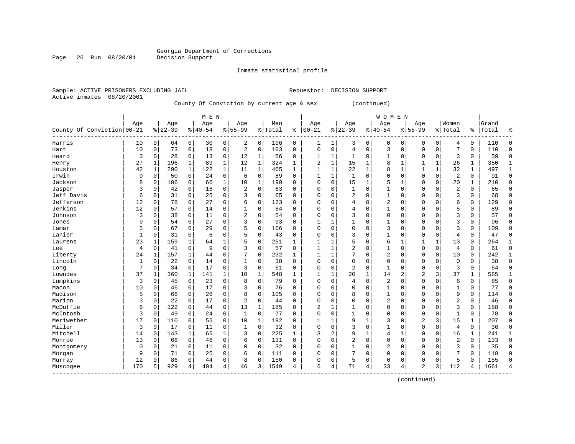Inmate statistical profile

Sample: ACTIVE PRISONERS EXCLUDING JAIL Requestor: DECISION SUPPORT Active inmates 08/20/2001

County Of Conviction by current age & sex (continued)

|                                                  | M E N        |              |           |             |             |              |                |              |         |              |              |              |                         |              | <b>WOMEN</b>   |                |                |              |                |              |       |              |
|--------------------------------------------------|--------------|--------------|-----------|-------------|-------------|--------------|----------------|--------------|---------|--------------|--------------|--------------|-------------------------|--------------|----------------|----------------|----------------|--------------|----------------|--------------|-------|--------------|
|                                                  | Age          |              | Age       |             | Age         |              | Age            |              | Men     |              | Age          |              | Age                     |              | Age            |                | Age            |              | Women          |              | Grand |              |
| County Of Conviction 00-21                       |              |              | $8 22-39$ |             | $8140 - 54$ |              | $8155 - 99$    |              | % Total | ి            | $00 - 21$    |              | $8 22-39$               |              | $8140 - 54$    | $\frac{8}{6}$  | $55 - 99$      |              | % Total        | ႜ            | Total | ٩,           |
| Harris                                           | 10           | 0            | 64        | 0           | 30          | 0            | 2              | 0            | 106     | 0            | 1            | 1            | 3                       | 0            | 0              | 0              | 0              | 0            | 4              | 0            | 110   | $\Omega$     |
| Hart                                             | 10           | $\Omega$     | 73        | 0           | 18          | 0            | 2              | $\mathbf 0$  | 103     | $\Omega$     | $\Omega$     | 0            | 4                       | $\Omega$     | 3              | $\Omega$       | $\Omega$       | $\Omega$     | 7              | 0            | 110   | $\Omega$     |
| Heard                                            | 3            | $\Omega$     | 28        | $\Omega$    | 13          | $\mathbf 0$  | 12             | 1            | 56      | $\Omega$     | $\mathbf{1}$ | 1            | $\mathbf{1}$            | $\Omega$     | $\mathbf{1}$   | $\Omega$       | $\Omega$       | $\Omega$     | 3              | $\Omega$     | 59    | $\Omega$     |
| Henry                                            | 27           | 1            | 196       | 1           | 89          | $\mathbf{1}$ | 12             | 1            | 324     | $\mathbf{1}$ | 2            | $\mathbf{1}$ | 15                      | 1            | 8              | $\mathbf{1}$   |                | $\mathbf{1}$ | 26             | 1            | 350   | $\mathbf{1}$ |
| Houston                                          | 42           | $\mathbf{1}$ | 290       | $\mathbf 1$ | 122         | $\mathbf 1$  | 11             | $\mathbf{1}$ | 465     | $\mathbf{1}$ |              | $\mathbf 1$  | 22                      | $\mathbf{1}$ | 8              | $\mathbf{1}$   |                | 1            | 32             | 1            | 497   | $\mathbf{1}$ |
| Irwin                                            | 9            | $\mathsf 0$  | 50        | $\mathbf 0$ | 24          | 0            | 6              | $\mathbf 0$  | 89      | $\mathbf 0$  | $\mathbf{1}$ | $\mathbf 1$  | $\mathbf{1}$            | $\Omega$     | $\Omega$       | $\Omega$       | $\Omega$       | $\mathbf 0$  | 2              | 0            | 91    | $\Omega$     |
| Jackson                                          | 8            | 0            | 106       | $\mathbf 0$ | 66          | $\mathbf 1$  | 10             | $\mathbf{1}$ | 190     | $\Omega$     | $\Omega$     | 0            | 15                      | 1            | 5              | 1              | $\Omega$       | $\mathbf 0$  | 20             | $\mathbf{1}$ | 210   | $\Omega$     |
| Jasper                                           | 3            | 0            | 42        | $\mathbf 0$ | 16          | $\mathbf 0$  | $\overline{2}$ | $\mathbf 0$  | 63      | $\Omega$     | $\Omega$     | 0            | 1                       | $\Omega$     | 1              | $\Omega$       | $\Omega$       | $\mathbf 0$  | $\overline{2}$ | 0            | 65    | $\Omega$     |
| Jeff Davis                                       | 6            | 0            | 31        | $\mathbf 0$ | 25          | $\mathbf 0$  | 3              | $\mathbf 0$  | 65      | 0            | $\Omega$     | 0            | $\overline{2}$          | $\Omega$     | 1              | 0              | $\Omega$       | 0            | 3              | 0            | 68    | $\mathbf 0$  |
| Jefferson                                        | 12           | 0            | 78        | 0           | 27          | $\mathbf 0$  | 6              | $\mathbf 0$  | 123     | $\Omega$     | O            | 0            |                         | $\Omega$     | $\overline{2}$ | C              | $\Omega$       | 0            | 6              | 0            | 129   | $\mathbf 0$  |
| Jenkins                                          | 12           | 0            | 57        | 0           | 14          | $\mathbf 0$  |                | $\mathbf 0$  | 84      | $\Omega$     | O            | $\Omega$     | 4                       | $\Omega$     | 1              | C              | $\Omega$       | $\Omega$     | 5              | 0            | 89    | $\Omega$     |
| Johnson                                          | 3            | $\Omega$     | 38        | 0           | 11          | $\mathbf 0$  | 2              | $\mathbf 0$  | 54      | $\Omega$     | O            | $\Omega$     | 3                       | $\Omega$     | $\Omega$       | O              | $\Omega$       | $\Omega$     | 3              | 0            | 57    | $\Omega$     |
| Jones                                            | 9            | $\Omega$     | 54        | $\Omega$    | 27          | $\mathbf 0$  | 3              | $\mathbf 0$  | 93      | $\Omega$     |              | 1            |                         | $\Omega$     | 1              | O              | $\Omega$       | $\Omega$     | 3              | 0            | 96    | $\Omega$     |
| Lamar                                            | 5            | $\Omega$     | 67        | $\Omega$    | 29          | $\mathbf 0$  | 5              | $\mathbf 0$  | 106     | $\Omega$     | 0            | $\Omega$     | $\Omega$                | $\Omega$     | 3              | 0              | $\Omega$       | $\Omega$     | 3              | $\Omega$     | 109   | $\Omega$     |
| Lanier                                           | $\mathbf{1}$ | 0            | 31        | 0           | 6           | $\mathbf 0$  | 5              | $\mathbf 0$  | 43      | $\Omega$     | C            | $\Omega$     | 3                       | $\Omega$     | $\mathbf{1}$   | 0              | $\Omega$       | $\Omega$     | 4              | $\Omega$     | 47    | $\Omega$     |
| Laurens                                          | 23           | 1            | 159       | 1           | 64          | 1            | 5              | 0            | 251     | 1            |              | 1            |                         | $\Omega$     | 6              | $\mathbf{1}$   | $\mathbf{1}$   | 1            | 13             | 0            | 264   | $\mathbf{1}$ |
| Lee                                              | 4            | 0            | 41        | $\mathbf 0$ | 9           | $\mathbf 0$  | 3              | $\mathbf 0$  | 57      | $\Omega$     | $\mathbf{1}$ | 1            | $\overline{2}$          | $\Omega$     | 1              | $\Omega$       | $\Omega$       | $\mathbf 0$  | 4              | 0            | 61    | $\Omega$     |
| Liberty                                          | 24           | 1            | 157       | 1           | 44          | 0            | 7              | $\mathbf 0$  | 232     | 1            |              | 1            |                         | $\Omega$     | 2              | $\Omega$       | $\Omega$       | $\Omega$     | 10             | 0            | 242   | 1            |
| Lincoln                                          | 1            | 0            | 22        | $\mathbf 0$ | 14          | 0            | $\mathbf{1}$   | 0            | 38      | $\Omega$     | $\Omega$     | 0            | $\Omega$                | $\Omega$     | $\Omega$       | $\Omega$       | $\Omega$       | $\Omega$     | $\mathbf 0$    | $\Omega$     | 38    | $\mathbf 0$  |
| Long                                             | 7            | $\Omega$     | 34        | $\Omega$    | 17          | 0            | 3              | $\Omega$     | 61      | $\Omega$     | $\Omega$     | $\Omega$     | $\overline{\mathbf{c}}$ | $\Omega$     | $\mathbf{1}$   | $\Omega$       | $\Omega$       | $\Omega$     | 3              | 0            | 64    | $\bigcap$    |
| Lowndes                                          | 37           | 1            | 360       | 1           | 141         | $\mathbf{1}$ | 10             | $\mathbf{1}$ | 548     | $\mathbf{1}$ | 1            | $\mathbf{1}$ | 20                      | $\mathbf{1}$ | 14             | $\overline{c}$ | $\overline{2}$ | 3            | 37             | 1            | 585   | $\mathbf{1}$ |
| Lumpkins                                         | 3            | 0            | 45        | $\mathbf 0$ | 23          | $\mathbf 0$  | 8              | $\mathbf 0$  | 79      | $\mathbf 0$  | $\Omega$     | 0            | 4                       | $\Omega$     | $\overline{2}$ | $\Omega$       | $\Omega$       | $\mathbf 0$  | 6              | 0            | 85    | $\Omega$     |
| Macon                                            | 10           | 0            | 46        | $\mathbf 0$ | 17          | $\mathbf 0$  | 3              | $\mathbf 0$  | 76      | 0            | 0            | 0            | $\Omega$                | $\Omega$     | $\mathbf{1}$   | O              | $\Omega$       | $\Omega$     | $\mathbf{1}$   | 0            | 77    | $\mathbf 0$  |
| Madison                                          | 5            | 0            | 66        | 0           | 26          | $\mathbf 0$  | 8              | $\mathbf 0$  | 105     | $\mathbf 0$  | 0            | 0            | 8                       | $\Omega$     | 1              | $\Omega$       | $\Omega$       | $\mathbf 0$  | 9              | 0            | 114   | $\cap$       |
| Marion                                           | 3            | 0            | 22        | $\mathbf 0$ | 17          | $\mathbf 0$  | $\overline{c}$ | $\mathbf 0$  | 44      | $\Omega$     | $\Omega$     | 0            |                         | $\Omega$     | $\overline{2}$ | 0              | $\Omega$       | $\Omega$     | $\overline{2}$ | 0            | 46    | $\Omega$     |
| McDuffie                                         | 6            | 0            | 122       | 0           | 44          | $\mathbf 0$  | 13             | 1            | 185     | 0            | 2            | 1            |                         | $\Omega$     | 0              | 0              | $\Omega$       | 0            | 3              | 0            | 188   | $\mathbf 0$  |
| McIntosh                                         | 3            | 0            | 49        | 0           | 24          | $\mathbf 0$  | 1              | $\mathbf 0$  | 77      | $\Omega$     | $\Omega$     | 0            |                         | $\Omega$     | 0              | 0              | $\Omega$       | $\mathbf 0$  | -1             | 0            | 78    | $\mathbf 0$  |
| Meriwether                                       | 17           | 0            | 110       | 0           | 55          | 0            | 10             | 1            | 192     | 0            |              | 1            | 9                       |              | 3              | O              | $\overline{c}$ | 3            | 15             |              | 207   | $\mathbf 0$  |
| Miller                                           | 3            | $\Omega$     | 17        | 0           | 11          | 0            | 1              | $\mathbf 0$  | 32      | $\Omega$     | $\Omega$     | $\Omega$     | 3                       | $\Omega$     | 1              | $\sqrt{ }$     | $\Omega$       | $\Omega$     | 4              | 0            | 36    | $\Omega$     |
| Mitchell                                         | 14           | $\Omega$     | 143       | 1           | 65          | $\mathbf 1$  | 3              | $\Omega$     | 225     | $\mathbf{1}$ | κ            | 2            | 9                       | 1            | 4              | $\mathbf{1}$   | $\Omega$       | $\Omega$     | 16             | 1            | 241   | $\mathbf{1}$ |
| Monroe                                           | 13           | $\Omega$     | 66        | $\mathbf 0$ | 46          | $\mathbf 0$  | 6              | 0            | 131     | $\Omega$     | $\Omega$     | $\Omega$     | 2                       | $\Omega$     | $\Omega$       | $\Omega$       | $\Omega$       | $\Omega$     | $\overline{2}$ | 0            | 133   | $\Omega$     |
| Montgomery                                       | 0            | $\Omega$     | 21        | $\mathbf 0$ | 11          | $\mathsf 0$  | $\Omega$       | 0            | 32      | $\Omega$     | O            | $\Omega$     |                         | $\Omega$     | $\overline{2}$ | $\Omega$       | $\Omega$       | $\Omega$     | 3              | 0            | 35    | $\Omega$     |
| Morgan                                           | 9            | 0            | 71        | $\mathbf 0$ | 25          | 0            | 6              | $\mathbf 0$  | 111     | 0            | 0            | 0            |                         | $\mathbf 0$  | $\Omega$       | $\Omega$       | $\Omega$       | $\mathbf 0$  | 7              | 0            | 118   | $\Omega$     |
| Murray                                           | 12           | 0            | 86        | 0           | 44          | 0            | 8              | $\mathbf 0$  | 150     | $\mathbf 0$  | $\Omega$     | 0            | 5                       | $\Omega$     | 0              | $\Omega$       | $\Omega$       | $\mathbf 0$  | 5              | 0            | 155   | $\cap$       |
| Muscogee<br>$\cdots \cdots \cdots \cdots \cdots$ | 170          | 5            | 929       | 4           | 404         | 4            | 46             | 3            | 1549    | 4            | 6            | 4            | 71                      | 4            | 33             | 4              | $\overline{2}$ | 3            | 112            | 4            | 1661  | 4            |

(continued)

Page 26 Run 08/20/01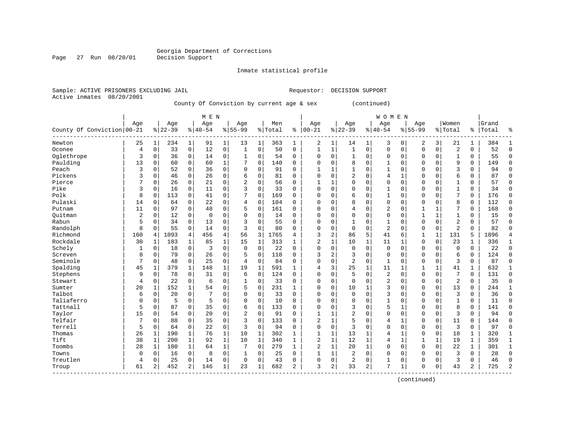Inmate statistical profile

Sample: ACTIVE PRISONERS EXCLUDING JAIL Requestor: DECISION SUPPORT

Active inmates 08/20/2001

Page 27 Run 08/20/01

#### County Of Conviction by current age & sex (continued)

|                            |                |                |           |                | M E N     |              |                |              |         |              |                |              |                |                | <b>WOMEN</b>   |              |              |              |                |             |           |                |
|----------------------------|----------------|----------------|-----------|----------------|-----------|--------------|----------------|--------------|---------|--------------|----------------|--------------|----------------|----------------|----------------|--------------|--------------|--------------|----------------|-------------|-----------|----------------|
|                            | Age            |                | Age       |                | Age       |              | Age            |              | Men     |              | Age            |              | Age            |                | Age            |              | Age          |              | Women          |             | Grand     |                |
| County Of Conviction 00-21 |                |                | $8 22-39$ |                | $8 40-54$ |              | $8155 - 99$    |              | % Total | ి            | $00 - 21$      |              | $8 22-39$      |                | $8140 - 54$    |              | $8 55-99$    |              | % Total        |             | %   Total | ిక             |
| Newton                     | 25             | $1\vert$       | 234       | $\mathbf 1$    | 91        | $\mathbf{1}$ | 13             | 1            | 363     | 1            | 2              | 1            | 14             | 1              | 3              | 0            | 2            | 3            | 21             | 1           | 384       | 1              |
| Oconee                     | 4              | $\Omega$       | 33        | $\mathbf 0$    | 12        | 0            | 1              | $\Omega$     | 50      | $\Omega$     | 1              | 1            | $\mathbf{1}$   | $\mathbf 0$    | $\Omega$       | $\Omega$     | $\Omega$     | $\Omega$     | $\overline{c}$ | $\Omega$    | 52        | $\Omega$       |
| Oglethrope                 | 3              | $\Omega$       | 36        | $\Omega$       | 14        | 0            | 1              | $\Omega$     | 54      | $\Omega$     | $\Omega$       | $\Omega$     | $\mathbf{1}$   | $\Omega$       | $\Omega$       | $\Omega$     | U            | $\Omega$     | $\mathbf{1}$   | $\Omega$    | 55        | $\Omega$       |
| Paulding                   | 13             | $\Omega$       | 60        | $\Omega$       | 60        | $\mathbf{1}$ |                | $\mathbf 0$  | 140     | $\Omega$     | $\Omega$       | $\Omega$     | 8              | $\mathbf 0$    | $\mathbf{1}$   | $\Omega$     | 0            | $\Omega$     | 9              | $\Omega$    | 149       | $\mathbf 0$    |
| Peach                      | 3              | 0              | 52        | $\mathbf 0$    | 36        | 0            | $\Omega$       | $\mathbf 0$  | 91      | 0            |                | $\mathbf{1}$ | $\mathbf{1}$   | 0              |                | $\mathbf 0$  | $\Omega$     | $\Omega$     | 3              | $\Omega$    | 94        | $\mathbf 0$    |
| Pickens                    | 3              | 0              | 46        | $\mathbf 0$    | 26        | 0            | 6              | $\mathbf 0$  | 81      | $\Omega$     | $\mathbf 0$    | $\mathbf 0$  | 2              | 0              | 4              | 1            | 0            | $\Omega$     | 6              | $\Omega$    | 87        | $\mathbf 0$    |
| Pierce                     | 7              | 0              | 26        | $\mathbf 0$    | 21        | 0            | $\overline{c}$ | $\mathbf 0$  | 56      | $\Omega$     | $\mathbf{1}$   | 1            | $\mathbf 0$    | $\mathbf 0$    | $\Omega$       | $\mathbf 0$  | 0            | $\Omega$     | $\mathbf{1}$   | $\Omega$    | 57        | $\mathbf 0$    |
| Pike                       | 3              | 0              | 16        | $\mathbf 0$    | 11        | 0            | ς              | $\mathbf 0$  | 33      | $\mathbf 0$  | $\mathbf 0$    | $\mathbf 0$  | $\Omega$       | 0              | -1             | $\mathbf 0$  | $\Omega$     | $\Omega$     | $\mathbf{1}$   | 0           | 34        | $\mathbf 0$    |
| Polk                       | 8              | $\Omega$       | 113       | $\Omega$       | 41        | 0            |                | $\Omega$     | 169     | $\Omega$     | $\Omega$       | $\Omega$     | 6              | 0              |                | $\Omega$     | 0            | 0            | 7              | $\Omega$    | 176       | $\mathbf 0$    |
| Pulaski                    | 14             | $\Omega$       | 64        | 0              | 22        | 0            | 4              | $\Omega$     | 104     | 0            | $\Omega$       | 0            | 8              | 0              | $\Omega$       | $\Omega$     | 0            | $\Omega$     | 8              | $\Omega$    | 112       | $\mathbf 0$    |
| Putnam                     | 11             | 0              | 97        | $\Omega$       | 48        | 0            | 5              | $\Omega$     | 161     | $\Omega$     | $\Omega$       | $\Omega$     | 4              | 0              | 2              | $\Omega$     | 1            | $\mathbf{1}$ | 7              | $\Omega$    | 168       | $\Omega$       |
| Ouitman                    | $\overline{2}$ | 0              | 12        | $\Omega$       | $\Omega$  | $\Omega$     | $\Omega$       | $\Omega$     | 14      | $\Omega$     | $\Omega$       | $\Omega$     | $\Omega$       | 0              | $\Omega$       | $\Omega$     | 1            | $\mathbf{1}$ | -1             | $\Omega$    | 15        | $\Omega$       |
| Rabun                      | 5              | $\Omega$       | 34        | $\Omega$       | 13        | 0            | 3              | $\Omega$     | 55      | $\Omega$     | $\Omega$       | $\Omega$     | $\mathbf{1}$   | 0              | $\mathbf{1}$   | $\Omega$     | 0            | $\Omega$     | $\overline{2}$ | $\Omega$    | 57        | $\Omega$       |
| Randolph                   | 8              | 0              | 55        | $\mathbf 0$    | 14        | 0            | 3              | $\mathbf 0$  | 80      | 0            | $\Omega$       | $\mathbf 0$  | $\Omega$       | $\mathbf 0$    | $\overline{2}$ | $\mathbf 0$  | 0            | 0            | $\overline{2}$ | $\Omega$    | 82        | $\Omega$       |
| Richmond                   | 160            | 4              | 1093      | 4              | 456       | 4            | 56             | 3            | 1765    | 4            | 3              | 2            | 86             | 5              | 41             | 6            | 1            | $\mathbf{1}$ | 131            | 5           | 1896      | 4              |
| Rockdale                   | 30             | 1              | 183       | $\mathbf 1$    | 85        | $\mathbf 1$  | 15             | $\mathbf{1}$ | 313     | 1            | $\overline{2}$ | 1            | 10             | $\mathbf 1$    | 11             | 1            | 0            | 0            | 23             | 1           | 336       | $\mathbf{1}$   |
| Schely                     | $\mathbf{1}$   | 0              | 18        | $\mathbf 0$    | 3         | 0            | $\Omega$       | $\mathbf 0$  | 22      | $\mathbf 0$  | $\Omega$       | $\mathbf 0$  | $\mathbf 0$    | $\mathbf 0$    | $\mathbf 0$    | 0            | 0            | 0            | $\Omega$       | 0           | 22        | $\mathbf 0$    |
| Screven                    | 8              | 0              | 79        | 0              | 26        | 0            | 5              | 0            | 118     | 0            | 3              | 2            | 3              | 0              | $\Omega$       | $\mathbf 0$  | 0            | 0            | 6              | 0           | 124       | $\mathbf 0$    |
| Seminole                   | 7              | 0              | 48        | $\mathbf 0$    | 25        | 0            | 4              | $\mathbf 0$  | 84      | 0            | $\mathbf 0$    | $\mathbf 0$  | $\overline{2}$ | $\mathbf 0$    | $\mathbf{1}$   | $\mathbf 0$  | $\Omega$     | 0            | 3              | $\Omega$    | 87        | $\mathbf 0$    |
| Spalding                   | 45             | 1              | 379       | $\mathbf{1}$   | 148       | $\mathbf{1}$ | 19             | $\mathbf{1}$ | 591     | 1            | 4              | 3            | 25             | $\mathbf{1}$   | 11             | 1            | $\mathbf{1}$ | $\mathbf{1}$ | 41             | 1           | 632       | $\mathbf{1}$   |
| Stephens                   | 9              | $\Omega$       | 78        | $\Omega$       | 31        | $\Omega$     | 6              | $\Omega$     | 124     | $\Omega$     | $\Omega$       | $\Omega$     | 5              | $\Omega$       | $\overline{2}$ | $\Omega$     | $\Omega$     | $\Omega$     | 7              | $\Omega$    | 131       | $\Omega$       |
| Stewart                    | 4              | $\Omega$       | 22        | $\Omega$       | 6         | 0            | 1              | $\Omega$     | 33      | $\Omega$     | $\mathbf 0$    | $\mathbf 0$  | $\Omega$       | $\Omega$       | $\overline{2}$ | $\Omega$     | 0            | $\Omega$     | $\overline{2}$ | $\Omega$    | 35        | $\Omega$       |
| Sumter                     | 20             | 1              | 152       | 1              | 54        | 0            | 5              | $\mathbf 0$  | 231     | $\mathbf{1}$ | $\Omega$       | $\mathbf 0$  | 10             | 1              | 3              | $\mathbf 0$  | 0            | 0            | 13             | $\Omega$    | 244       | 1              |
| Talbot                     | 6              | 0              | 20        | $\mathbf 0$    | 7         | 0            | $\Omega$       | 0            | 33      | 0            | $\mathbf 0$    | 0            | $\Omega$       | 0              | 3              | $\mathbf 0$  | 0            | 0            | 3              | $\Omega$    | 36        | $\mathbf 0$    |
| Taliaferro                 | 0              | 0              | 5         | $\mathbf 0$    | 5         | 0            | $\Omega$       | $\Omega$     | 10      | $\Omega$     | $\mathbf 0$    | $\Omega$     | $\Omega$       | $\Omega$       |                | $\Omega$     | 0            | $\Omega$     | $\mathbf{1}$   | $\Omega$    | 11        | $\mathbf 0$    |
| Tattnall                   | 5              | 0              | 87        | $\mathbf 0$    | 35        | 0            | 6              | $\mathbf 0$  | 133     | $\Omega$     | $\mathbf 0$    | 0            | 3              | $\mathbf 0$    | 5              | 1            | $\Omega$     | $\Omega$     | 8              | 0           | 141       | $\mathbf 0$    |
| Taylor                     | 15             | 0              | 54        | 0              | 20        | 0            | $\overline{2}$ | $\mathbf 0$  | 91      | 0            |                | 1            | $\overline{2}$ | 0              |                | $\mathbf 0$  | 0            | 0            | 3              | 0           | 94        | 0              |
| Telfair                    | 7              | $\Omega$       | 88        | $\Omega$       | 35        | 0            | 3              | $\Omega$     | 133     | 0            | $\overline{2}$ | 1            | 5              | 0              |                | 1            | 0            | $\Omega$     | 11             | $\Omega$    | 144       | $\Omega$       |
| Terrell                    | 5              | $\Omega$       | 64        | 0              | 22        | 0            | 3              | $\Omega$     | 94      | 0            | $\Omega$       | $\mathbf 0$  | 3              | 0              | $\Omega$       | $\Omega$     | 0            | $\Omega$     | 3              | $\Omega$    | 97        | $\Omega$       |
| Thomas                     | 26             | 1              | 190       | 1              | 76        | $\mathbf 1$  | 10             | 1            | 302     | 1            | 1              | $\mathbf{1}$ | 13             | 1              | 4              | 1            | 0            | $\Omega$     | 18             | 1           | 320       | $\mathbf{1}$   |
| Tift                       | 38             | $\mathbf{1}$   | 200       | 1              | 92        | $\mathbf{1}$ | 10             | $\mathbf{1}$ | 340     | $\mathbf{1}$ | $\overline{2}$ | $\mathbf{1}$ | 12             | $\mathbf{1}$   | 4              | $\mathbf{1}$ | 1            | 1            | 19             | 1           | 359       | $\mathbf{1}$   |
| Toombs                     | 28             | 1              | 180       | $\mathbf{1}$   | 64        | $\mathbf 1$  | 7              | $\Omega$     | 279     | 1            | $\overline{2}$ | $\mathbf{1}$ | 20             | $\mathbf{1}$   | $\Omega$       | $\Omega$     | 0            | $\Omega$     | 22             | 1           | 301       | $\mathbf{1}$   |
| Towns                      | $\mathsf 0$    | 0              | 16        | $\overline{0}$ | 8         | 0            |                | 0            | 25      | 0            |                | $\mathbf{1}$ | 2              | $\mathbf 0$    | $\Omega$       | $\mathbf 0$  | 0            | 0            | 3              | $\Omega$    | 28        | $\mathbf 0$    |
| Treutlen                   | 4              | 0              | 25        | $\mathbf 0$    | 14        | 0            | 0              | $\mathbf 0$  | 43      | $\mathbf 0$  | $\mathbf 0$    | 0            | 2              | 0              |                | 0            | 0            | 0            | 3              | $\mathbf 0$ | 46        | $\Omega$       |
| Troup<br>$- - - - - -$     | 61             | $\overline{a}$ | 452       | 2              | 146       | $\mathbf 1$  | 23             | 1            | 682     | 2            | ζ              | 2            | 33             | $\overline{a}$ | 7              | 1            | $\Omega$     | 0            | 43             | 2           | 725       | $\overline{2}$ |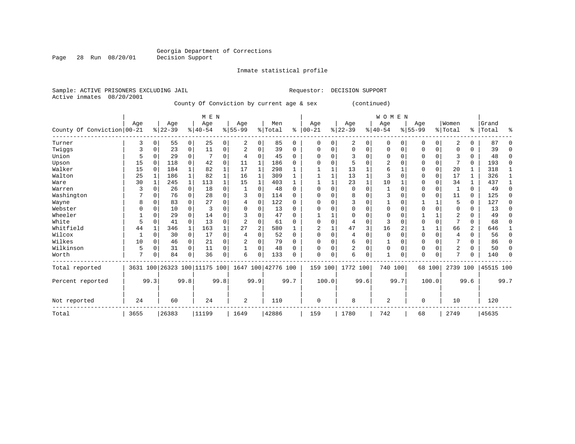## Georgia Department of Corrections<br>Decision Support

Inmate statistical profile

|                           | Sample: ACTIVE PRISONERS EXCLUDING JAIL | Requestor: DECISION SUPPORT |
|---------------------------|-----------------------------------------|-----------------------------|
| Active inmates 08/20/2001 |                                         |                             |

Page 28 Run 08/20/01

County Of Conviction by current age & sex (continued)

|                            |      |             |           |              | M E N                        |          |           |          |                    |          |             |          |                |      | <b>WOMEN</b> |                |             |          |                |              |           |          |
|----------------------------|------|-------------|-----------|--------------|------------------------------|----------|-----------|----------|--------------------|----------|-------------|----------|----------------|------|--------------|----------------|-------------|----------|----------------|--------------|-----------|----------|
|                            | Age  |             | Age       |              | Age                          |          | Age       |          | Men                |          | Age         |          | Age            |      | Age          |                | Age         |          | Women          |              | Grand     |          |
| County Of Conviction 00-21 |      |             | $ 22-39 $ |              | $8 40-54$                    |          | $8 55-99$ |          | % Total            | ႜ        | $ 00-21$    |          | $ 22-39 $      |      | $8 40-54$    |                | $8155 - 99$ |          | %   Total      | ွေ           | Total     | ిక       |
| Turner                     | 3    | $\mathbf 0$ | 55        | 0            | 25                           | 0        | 2         | 0        | 85                 | 0        | $\mathbf 0$ | $\Omega$ | 2              | 0    | 0            | 0              | 0           | 0        | 2              | $\Omega$     | 87        | $\Omega$ |
| Twiggs                     | 3    | 0           | 23        | 0            | 11                           | 0        |           | 0        | 39                 | $\Omega$ | n           |          | $\Omega$       | U    | $\Omega$     | $\Omega$       | 0           | $\Omega$ | O              | <sup>0</sup> | 39        | $\Omega$ |
| Union                      | 5    | $\Omega$    | 29        | 0            |                              | 0        | 4         | 0        | 45                 | $\Omega$ |             |          | 3              | U    | ∩            | $\Omega$       | O           | $\Omega$ | २              | $\Omega$     | 48        | $\Omega$ |
| Upson                      | 15   | $\Omega$    | 118       | $\Omega$     | 42                           | $\Omega$ | 11        | 1        | 186                | $\Omega$ |             |          | 5              |      | 2            |                | 0           | $\Omega$ |                | $\Omega$     | 193       | $\Omega$ |
| Walker                     | 15   | $\Omega$    | 184       |              | 82                           | 1        | 17        |          | 298                |          |             |          | 13             |      | 6            |                | 0           | $\Omega$ | 20             |              | 318       |          |
| Walton                     | 25   |             | 186       | 1            | 82                           | 1        | 16        | 1        | 309                |          |             |          | 13             |      | 3            |                | 0           | $\Omega$ | 17             |              | 326       |          |
| Ware                       | 30   |             | 245       | $\mathbf 1$  | 113                          | 1        | 15        | 1        | 403                | 1        |             |          | 23             |      | 10           |                | 0           | $\Omega$ | 34             |              | 437       |          |
| Warren                     |      | $\Omega$    | 26        | 0            | 18                           | 0        |           | 0        | 48                 | $\Omega$ | $\cap$      |          | $\mathbf 0$    | U    |              | ∩              | 0           | $\Omega$ |                | $\Omega$     | 49        | $\Omega$ |
| Washington                 |      | $\Omega$    | 76        | $\Omega$     | 28                           | $\Omega$ | 3         | $\Omega$ | 114                | $\Omega$ |             |          | 8              | U    | 3            | $\Omega$       | 0           | $\Omega$ | 11             | $\Omega$     | 125       | $\Omega$ |
| Wayne                      | 8    | O           | 83        | 0            | 27                           | 0        | 4         | 0        | 122                | $\Omega$ |             |          | 3              | U    |              |                |             |          | 5              | $\Omega$     | 127       | $\Omega$ |
| Webster                    |      | 0           | 10        | 0            | 3                            | 0        |           | 0        | 13                 | $\Omega$ |             |          |                | U    | 0            |                | 0           | $\Omega$ | $\Omega$       | 0            | 13        | $\Omega$ |
| Wheeler                    |      | $\Omega$    | 29        | $\Omega$     | 14                           | O        |           | $\Omega$ | 47                 | $\Omega$ |             |          | $\Omega$       | U    | $\Omega$     |                |             |          | 2              | $\Omega$     | 49        | $\Omega$ |
| White                      | 5    | $\Omega$    | 41        | $\Omega$     | 13                           | 0        |           | $\Omega$ | 61                 | $\Omega$ |             |          | $\overline{4}$ | U    | 3            |                | U           | $\Omega$ |                | $\Omega$     | 68        | $\Omega$ |
| Whitfield                  | 44   |             | 346       | $\mathbf{1}$ | 163                          | 1        | 27        | 2        | 580                |          | 2           |          | 47             | 3    | 16           | $\overline{c}$ |             |          | 66             | 2            | 646       |          |
| Wilcox                     |      | $\Omega$    | 30        | 0            | 17                           | 0        | 4         | $\Omega$ | 52                 | $\Omega$ | $\cap$      |          | 4              | U    | $\Omega$     | $\Omega$       | $\Omega$    | $\Omega$ | 4              | $\Omega$     | 56        | $\Omega$ |
| Wilkes                     | 10   | $\Omega$    | 46        | 0            | 21                           | 0        | 2         | 0        | 79                 | $\Omega$ |             |          | 6              | 0    |              | $\Omega$       | 0           | $\Omega$ |                | O            | 86        | $\Omega$ |
| Wilkinson                  | 5    | $\Omega$    | 31        | $\Omega$     | 11                           | 0        |           | 0        | 48                 | $\Omega$ | O           |          | 2              | 0    | $\Omega$     | $\Omega$       | 0           | 0        | $\overline{2}$ | 0            | 50        | 0        |
| Worth                      | 7    | $\Omega$    | 84        | $\Omega$     | 36                           | 0        | 6         | $\Omega$ | 133                | O        | $\Omega$    | $\Omega$ | 6              | 0    |              | 0              | 0           | $\Omega$ | $\mathbf{r}$   | ∩            | 140       | $\Omega$ |
| Total reported             |      |             |           |              | 3631 100 26323 100 11175 100 |          |           |          | 1647 100 42776 100 |          | 159 100     |          | 1772 100       |      | 740 100      |                | 68 100      |          | 2739 100       |              | 45515 100 |          |
| Percent reported           |      | 99.3        |           | 99.8         |                              | 99.8     |           | 99.9     |                    | 99.7     |             | 100.0    |                | 99.6 |              | 99.7           |             | 100.0    |                | 99.6         |           | 99.7     |
| Not reported               | 24   |             | 60        |              | 24                           |          | 2         |          | 110                |          | $\Omega$    |          | 8              |      | 2            |                | $\Omega$    |          | 10             |              | 120       |          |
| Total                      | 3655 |             | 26383     |              | 11199                        |          | 1649      |          | 42886              |          | 159         |          | 1780           |      | 742          |                | 68          |          | 2749           |              | 45635     |          |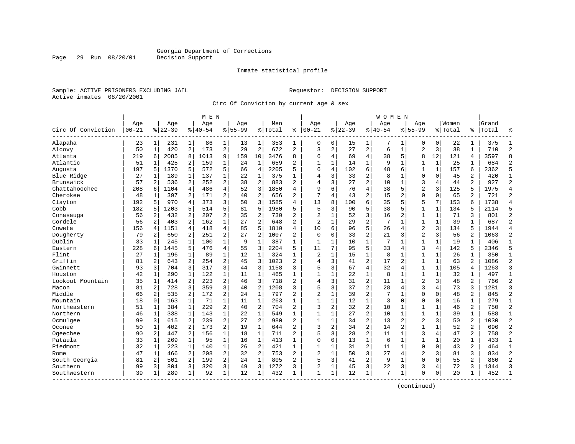Inmate statistical profile

Sample: ACTIVE PRISONERS EXCLUDING JAIL Requestor: DECISION SUPPORT Active inmates 08/20/2001

Page 29 Run 08/20/01

Circ Of Conviction by current age & sex

|                    |                  |                |                  |                | M E N           |                |                    |                |                |                |                   |              |                  |                | W O M E N          |                |                    |              |                  |                |                |                |
|--------------------|------------------|----------------|------------------|----------------|-----------------|----------------|--------------------|----------------|----------------|----------------|-------------------|--------------|------------------|----------------|--------------------|----------------|--------------------|--------------|------------------|----------------|----------------|----------------|
| Circ Of Conviction | Age<br>$00 - 21$ |                | Age<br>$8 22-39$ |                | Age<br>$ 40-54$ |                | Aqe<br>$8155 - 99$ |                | Men<br>% Total | ి              | Age<br>$100 - 21$ |              | Aqe<br>$8 22-39$ |                | Aqe<br>$8140 - 54$ |                | Aqe<br>$8155 - 99$ |              | Women<br>% Total | ి              | Grand<br>Total | ٩,             |
| Alapaha            | 23               | $\mathbf{1}$   | 231              | $\mathbf 1$    | 86              | $\mathbf{1}$   | 13                 | 1              | 353            | 1              | 0                 | 0            | 15               | 1              |                    | 1              | 0                  | 0            | 22               | 1              | 375            |                |
| Alcovy             | 50               | $\mathbf{1}$   | 420              | 2              | 173             | $\overline{2}$ | 29                 | $\overline{c}$ | 672            | $\overline{a}$ | 3                 | 2            | 27               | 2              | 6                  | $\mathbf{1}$   | $\overline{2}$     | 3            | 38               | $\mathbf{1}$   | 710            | $\overline{c}$ |
| Atlanta            | 219              | 6              | 2085             | 8              | 1013            | 9              | 159                | 10             | 3476           | 8              | 6                 | 4            | 69               | 4              | 38                 | 5              | 8                  | 12           | 121              | 4              | 3597           | 8              |
| Atlantic           | 51               | $\mathbf{1}$   | 425              | $\overline{a}$ | 159             | $\mathbf 1$    | 24                 | $\mathbf{1}$   | 659            | $\overline{2}$ | $\mathbf{1}$      | $\mathbf{1}$ | 14               | 1              | 9                  | $\mathbf{1}$   | 1                  | $\mathbf{1}$ | 25               | 1              | 684            | $\overline{2}$ |
| Augusta            | 197              | 5              | 1370             | 5              | 572             | 5              | 66                 | 4              | 2205           | 5              | 6                 | 4            | 102              | 6              | 48                 | 6              | $\mathbf{1}$       | $\mathbf{1}$ | 157              | 6              | 2362           | 5              |
| Blue Ridge         | 27               | 1              | 189              | 1              | 137             | $\mathbf{1}$   | 22                 | 1              | 375            | 1              | 4                 | 3            | 33               | $\overline{2}$ | 8                  | $\mathbf{1}$   | $\Omega$           | $\Omega$     | 45               | $\overline{a}$ | 420            | $\mathbf{1}$   |
| Brunswick          | 57               | 2              | 536              | 2              | 252             | $\overline{a}$ | 38                 | $\overline{2}$ | 883            | $\overline{2}$ | 4                 | 3            | 27               | $\overline{a}$ | 10                 | $\mathbf{1}$   | 3                  | 4            | 44               | $\overline{2}$ | 927            | $\overline{2}$ |
| Chattahoochee      | 208              | 6              | 1104             | $\overline{4}$ | 486             | $\overline{4}$ | 52                 | 3              | 1850           | 4              | 9                 | б.           | 76               | $\overline{4}$ | 38                 | 5              | $\overline{2}$     | 3            | 125              | 5              | 1975           | $\overline{4}$ |
| Cherokee           | 48               | 1              | 397              | 2              | 171             | $\overline{a}$ | 40                 | 2              | 656            | $\overline{a}$ | 7                 | 4            | 43               | $\overline{2}$ | 15                 | $\overline{2}$ | $\Omega$           | $\Omega$     | 65               | 2              | 721            | $\overline{2}$ |
| Clayton            | 192              | 5.             | 970              | 4              | 373             | 3              | 50                 | 3              | 1585           | 4              | 13                | 8            | 100              | 6              | 35                 | 5              | 5                  | 7            | 153              | 6              | 1738           | $\overline{4}$ |
| Cobb               | 182              | 5              | 1203             | 5              | 514             | 5              | 81                 | 5              | 1980           | 5              | 5                 | 3            | 90               | 5              | 38                 | 5              | $\mathbf{1}$       | $\mathbf{1}$ | 134              | 5              | 2114           | 5              |
| Conasauga          | 56               | 2              | 432              | 2              | 207             | 2              | 35                 | 2              | 730            | $\overline{2}$ | 2                 | $\mathbf{1}$ | 52               | 3              | 16                 | 2              | $\mathbf{1}$       | $\mathbf{1}$ | 71               | 3              | 801            | $\overline{2}$ |
| Cordele            | 56               | 2              | 403              | 2              | 162             | $\mathbf 1$    | 27                 | $\overline{2}$ | 648            | $\overline{2}$ | 2                 | 1            | 29               | $\overline{c}$ | 7                  | $\mathbf{1}$   | 1                  | 1            | 39               | $\mathbf{1}$   | 687            | $\overline{2}$ |
| Coweta             | 156              | 4              | 1151             | 4              | 418             | 4              | 85                 | 5              | 1810           | 4              | 10                | б.           | 96               | 5              | 26                 | 4              | $\overline{2}$     | 3            | 134              | 5              | 1944           | $\overline{4}$ |
| Dougherty          | 79               | 2              | 650              | 2              | 251             | 2              | 27                 | $\overline{2}$ | 1007           | $\overline{2}$ | $\Omega$          | 0            | 33               | $\overline{2}$ | 21                 | 3              | $\overline{2}$     | 3            | 56               | 2              | 1063           | $\overline{2}$ |
| Dublin             | 33               | 1              | 245              | $\mathbf{1}$   | 100             | $\mathbf 1$    | 9                  | $\mathbf{1}$   | 387            | 1              | 1                 | 1            | 10               | 1              | 7                  | $\mathbf{1}$   | $\mathbf{1}$       | 1            | 19               | 1              | 406            | $\mathbf{1}$   |
| Eastern            | 228              | 6              | 1445             | 5              | 476             | 4              | 55                 | 3              | 2204           | 5              | 11                | 7            | 95               | 5              | 33                 | $\overline{4}$ | 3                  | 4            | 142              | 5              | 2346           | 5              |
| Flint              | 27               | $\mathbf{1}$   | 196              | $\mathbf{1}$   | 89              | $\mathbf{1}$   | 12                 | $\mathbf{1}$   | 324            | $\mathbf{1}$   | 2                 | $\mathbf{1}$ | 15               | 1              | 8                  | $\mathbf{1}$   | $\mathbf{1}$       | $\mathbf{1}$ | 26               | $\mathbf{1}$   | 350            | $\mathbf{1}$   |
| Griffin            | 81               | 2              | 643              | 2              | 254             | $\overline{a}$ | 45                 | 3              | 1023           | $\overline{2}$ | 4                 | 3            | 41               | $\overline{c}$ | 17                 | $\overline{2}$ | $\mathbf{1}$       | $\mathbf 1$  | 63               | $\overline{a}$ | 1086           | $\overline{2}$ |
| Gwinnett           | 93               | $\overline{3}$ | 704              | 3              | 317             | 3              | 44                 | 3              | 1158           | 3              | 5                 | 3            | 67               | $\overline{4}$ | 32                 | 4              | $\mathbf{1}$       | $\mathbf{1}$ | 105              | 4              | 1263           | $\overline{3}$ |
| Houston            | 42               | 1              | 290              | $\mathbf{1}$   | 122             | $\mathbf{1}$   | 11                 | 1              | 465            | $\mathbf{1}$   | $\mathbf{1}$      | 1            | 22               | 1              | 8                  | 1              | $\mathbf{1}$       | 1            | 32               | 1              | 497            | $\mathbf{1}$   |
| Lookout Mountain   | 35               | 1              | 414              | 2              | 223             | $\overline{a}$ | 46                 | 3              | 718            | $\overline{2}$ | 4                 | 3            | 31               | 2              | 11                 | $\mathbf{1}$   | $\overline{2}$     | 3            | 48               | 2              | 766            | $\overline{c}$ |
| Macon              | 81               | 2              | 728              | 3              | 359             | 3              | 40                 | 2              | 208            | 3              | 5                 | 3            | 37               | $\overline{c}$ | 28                 | $\overline{4}$ | 3                  | 4            | 73               | 3              | 1281           | 3              |
| Middle             | 66               | 2              | 535              | 2              | 172             | $\overline{a}$ | 24                 | 1              | 797            | $\overline{2}$ | $\overline{2}$    | $\mathbf{1}$ | 39               | $\overline{2}$ | 7                  | 1              | $\Omega$           | $\Omega$     | 48               | $\overline{a}$ | 845            | $\overline{2}$ |
| Mountain           | 18               | $\Omega$       | 163              | $\mathbf{1}$   | 71              | $\mathbf{1}$   | 11                 | $\mathbf{1}$   | 263            | $\mathbf{1}$   | $\mathbf{1}$      | 1            | 12               | $\mathbf{1}$   | 3                  | $\Omega$       | $\Omega$           | $\Omega$     | 16               | 1              | 279            | $\mathbf{1}$   |
| Northeastern       | 51               | $\mathbf{1}$   | 384              | $\mathbf{1}$   | 229             | $\overline{a}$ | 40                 | $\overline{2}$ | 704            | $\overline{a}$ | 3                 | 2            | 32               | $\overline{a}$ | 10                 | $\mathbf{1}$   | $\mathbf{1}$       | $\mathbf 1$  | 46               | $\overline{2}$ | 750            | $\overline{2}$ |
| Northern           | 46               | 1              | 338              | $\mathbf{1}$   | 143             | $\mathbf{1}$   | 22                 | $\mathbf{1}$   | 549            | $\mathbf{1}$   | $\mathbf{1}$      | $\mathbf{1}$ | 27               | $\overline{a}$ | 10                 | $\mathbf{1}$   | $\mathbf{1}$       | $\mathbf{1}$ | 39               | $\mathbf{1}$   | 588            | $\mathbf{1}$   |
| Ocmulgee           | 99               | 3              | 615              | 2              | 239             | $\overline{a}$ | 27                 | 2              | 980            | 2              | $\mathbf{1}$      | 1            | 34               | $\overline{a}$ | 13                 | $\overline{2}$ | $\overline{2}$     | 3            | 50               | $\overline{a}$ | 1030           | $\overline{2}$ |
| Oconee             | 50               | 1              | 402              | 2              | 173             | 2              | 19                 | $\mathbf 1$    | 644            | 2              | 3                 | 2            | 34               | $\overline{a}$ | 14                 | $\overline{2}$ | $\mathbf{1}$       | $\mathbf{1}$ | 52               | 2              | 696            | $\overline{2}$ |
| Ogeechee           | 90               | 2              | 447              | 2              | 156             | $\mathbf{1}$   | 18                 | $\mathbf{1}$   | 711            | $\overline{2}$ | 5                 | 3            | 28               | $\overline{a}$ | 11                 | $\mathbf{1}$   | 3                  | 4            | 47               | $\overline{2}$ | 758            | $\overline{2}$ |
| Pataula            | 33               | 1              | 269              | $\mathbf{1}$   | 95              | $\mathbf{1}$   | 16                 | $\mathbf 1$    | 413            | 1              | $\Omega$          | 0            | 13               | $\mathbf{1}$   | 6                  | $\mathbf{1}$   | $\mathbf{1}$       | 1            | 20               | 1              | 433            | $\mathbf{1}$   |
| Piedmont           | 32               | $\mathbf{1}$   | 223              | $\mathbf{1}$   | 140             | 1              | 26                 | 2              | 421            | $\mathbf{1}$   | $\mathbf{1}$      | 1            | 31               | $\overline{a}$ | 11                 | 1              | $\Omega$           | $\mathbf 0$  | 43               | $\overline{2}$ | 464            | $\mathbf{1}$   |
| Rome               | 47               | $\mathbf{1}$   | 466              | 2              | 208             | $\overline{a}$ | 32                 | 2              | 753            | $\overline{c}$ | $\overline{2}$    | 1            | 50               | 3              | 27                 | 4              | $\overline{2}$     | 3            | 81               | 3              | 834            | $\overline{2}$ |
| South Georgia      | 81               | 2              | 501              | 2              | 199             | $\overline{a}$ | 24                 | $\mathbf{1}$   | 805            | $\overline{2}$ | 5                 | 3            | 41               | $\overline{2}$ | 9                  | 1              | $\mathbf{0}$       | $\Omega$     | 55               | 2              | 860            | $\overline{2}$ |
| Southern           | 99               | 3              | 804              | 3              | 320             | $\overline{3}$ | 49                 | 3              | 1272           | 3              | $\overline{2}$    | 1            | 45               | 3              | 22                 | 3              | 3                  | 4            | 72               | 3              | 1344           | 3              |
| Southwestern       | 39               | 1              | 289              | $\mathbf{1}$   | 92              | 1              | 12                 | $\mathbf{1}$   | 432            | $\mathbf{1}$   | $\mathbf{1}$      | $\mathbf{1}$ | 12               | $\mathbf{1}$   | 7                  | $\mathbf{1}$   | $\Omega$           | $\Omega$     | 20               | $\mathbf{1}$   | 452            | $\mathbf{1}$   |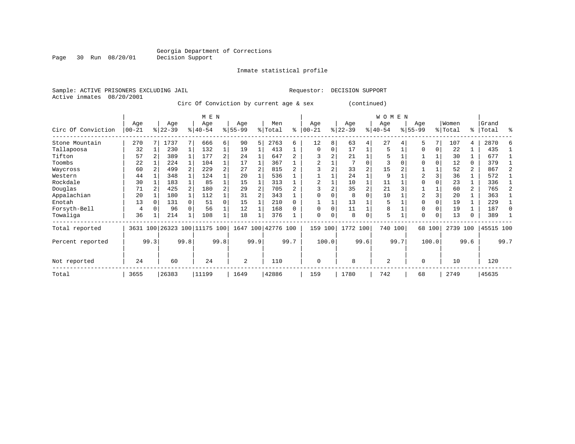Inmate statistical profile

Sample: ACTIVE PRISONERS EXCLUDING JAIL Requestor: DECISION SUPPORT Active inmates 08/20/2001

Circ Of Conviction by current age & sex (continued)

|                    |            |      |          |      | M E N                        |                |           |      |                    |      |             |       |           |                | WOMEN     |      |                |          |          |                |           |              |
|--------------------|------------|------|----------|------|------------------------------|----------------|-----------|------|--------------------|------|-------------|-------|-----------|----------------|-----------|------|----------------|----------|----------|----------------|-----------|--------------|
|                    | Age        |      | Age      |      | Age                          |                | Age       |      | Men                |      | Age         |       | Age       |                | Age       |      | Age            |          | Women    |                | Grand     |              |
| Circ Of Conviction | $ 00 - 21$ |      | $ 22-39$ |      | $8 40-54$                    |                | $8 55-99$ |      | % Total            | နွ   | $ 00-21$    | %     | $22 - 39$ |                | $ 40-54 $ |      | $8 55-99$      |          | % Total  | ွေ             | Total     | ႜ            |
| Stone Mountain     | 270        |      | 1737     |      | 666                          | 6              | 90        | 5    | 2763               | 6    | 12          | 8     | 63        | 4              | 27        |      | 5              | 7        | 107      | 4              | 2870      |              |
| Tallapoosa         | 32         |      | 230      |      | 132                          |                | 19        |      | 413                |      | $\Omega$    | 0     | 17        |                | 5         |      | $\mathbf 0$    | 0        | 22       |                | 435       |              |
| Tifton             | 57         |      | 389      |      | 177                          | $\overline{a}$ | 24        |      | 647                |      |             | 2     | 21        |                | 5         |      |                |          | 30       |                | 677       |              |
| Toombs             | 22         |      | 224      |      | 104                          |                | 17        |      | 367                |      |             |       |           | $\Omega$       | 3         |      |                |          | 12       | 0              | 379       |              |
| Waycross           | 60         |      | 499      |      | 229                          | $\overline{a}$ | 27        |      | 815                |      |             |       | 33        | $\overline{2}$ | 15        |      |                |          | 52       | $\overline{a}$ | 867       |              |
| Western            | 44         |      | 348      |      | 124                          |                | 20        |      | 536                |      |             |       | 24        |                | 9         |      | $\overline{a}$ |          | 36       | 1              | 572       |              |
| Rockdale           | 30         |      | 183      |      | 85                           |                | 15        |      | 313                |      |             |       | 10        |                | 11        |      |                |          | 23       |                | 336       |              |
| Douglas            | 71         |      | 425      |      | 180                          | 2              | 29        |      | 705                |      |             |       | 35        |                | 21        |      |                |          | 60       | $\overline{a}$ | 765       |              |
| Appalachian        | 20         |      | 180      |      | 112                          |                | 31        |      | 343                |      |             |       | 8         |                | 10        |      | 2              |          | 20       |                | 363       |              |
| Enotah             | 13         |      | 131      |      | 51                           | $\Omega$       | 15        |      | 210                |      |             |       | 13        |                | 5         |      |                |          | 19       |                | 229       |              |
| Forsyth-Bell       | 4          |      | 96       |      | 56                           |                | 12        |      | 168                |      | $\Omega$    | 0     | 11        |                | 8         |      | $\Omega$       |          | 19       |                | 187       | <sup>0</sup> |
| Towaliga           | 36         |      | 214      |      | 108                          |                | 18        |      | 376                |      | $\Omega$    | 0     | 8         | $\Omega$       | 5         |      | $\Omega$       | $\Omega$ | 13       | 0              | 389       |              |
| Total reported     |            |      |          |      | 3631 100 26323 100 11175 100 |                |           |      | 1647 100 42776 100 |      | 159         | 100   | 1772 100  |                | 740 100   |      |                | 68 100   | 2739 100 |                | 45515 100 |              |
| Percent reported   |            | 99.3 |          | 99.8 |                              | 99.8           |           | 99.9 |                    | 99.7 |             | 100.0 |           | 99.6           |           | 99.7 |                | 100.0    |          | 99.6           |           | 99.7         |
| Not reported       | 24         |      | 60       |      | 24                           |                | 2         |      | 110                |      | $\mathbf 0$ |       | 8         |                | 2         |      | $\Omega$       |          | 10       |                | 120       |              |
| Total              | 3655       |      | 26383    |      | 11199                        |                | 1649      |      | 42886              |      | 159         |       | 1780      |                | 742       |      | 68             |          | 2749     |                | 45635     |              |

Page 30 Run 08/20/01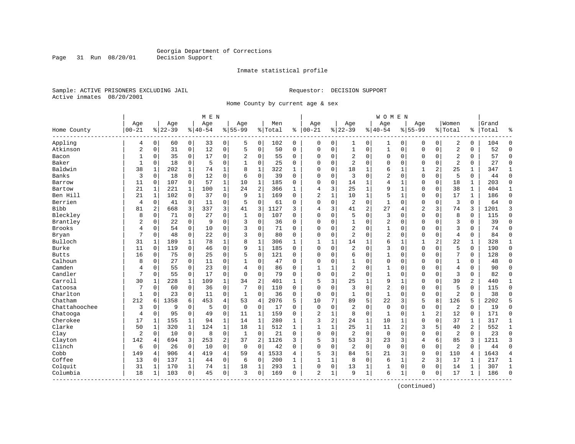Inmate statistical profile

Sample: ACTIVE PRISONERS EXCLUDING JAIL Requestor: DECISION SUPPORT Active inmates 08/20/2001

Page 31 Run 08/20/01

Home County by current age & sex

|                          |                  |                |                  |                | M E N           |                |                    |              |                |              |                   |   |                  |                | W O M E N          |                |                  |          |                  |              |                |                |
|--------------------------|------------------|----------------|------------------|----------------|-----------------|----------------|--------------------|--------------|----------------|--------------|-------------------|---|------------------|----------------|--------------------|----------------|------------------|----------|------------------|--------------|----------------|----------------|
| Home County              | Age<br>$00 - 21$ |                | Age<br>$8 22-39$ |                | Age<br>$ 40-54$ |                | Age<br>$8155 - 99$ |              | Men<br>% Total | ి            | Age<br>$100 - 21$ |   | Age<br>$8 22-39$ |                | Age<br>$8140 - 54$ |                | Age<br>$8 55-99$ |          | Women<br>% Total | ి            | Grand<br>Total | န္             |
| Appling                  | 4                | 0              | 60               | 0              | 33              | 0              | 5                  | 0            | 102            | 0            | 0                 | 0 | 1                | 0              | 1                  | 0              | 0                | 0        | 2                | 0            | 104            | $\Omega$       |
| Atkinson                 | $\overline{2}$   | $\mathbf 0$    | 31               | 0              | 12              | $\mathsf 0$    | 5                  | $\mathbf 0$  | 50             | 0            | $\Omega$          | 0 | $\mathbf 1$      | 0              | $\mathbf{1}$       | $\mathbf 0$    | $\Omega$         | 0        | $\overline{a}$   | 0            | 52             | $\Omega$       |
| Bacon                    | 1                | 0              | 35               | $\mathbf 0$    | 17              | 0              | 2                  | 0            | 55             | 0            | $\Omega$          | 0 | 2                | 0              | 0                  | $\mathbf 0$    | 0                | 0        | $\overline{2}$   | 0            | 57             | $\mathbf 0$    |
| Baker                    | $\mathbf{1}$     | $\Omega$       | 18               | $\mathbf 0$    | 5               | $\mathbf 0$    | 1                  | $\mathbf 0$  | 25             | 0            | $\Omega$          | 0 | $\overline{2}$   | $\Omega$       | 0                  | $\Omega$       | $\Omega$         | $\Omega$ | $\overline{2}$   | $\Omega$     | 27             | $\Omega$       |
| Baldwin                  | 38               | $\mathbf{1}$   | 202              | 1              | 74              | $\mathbf{1}$   | 8                  | $\mathbf{1}$ | 322            | $\mathbf{1}$ | $\Omega$          | 0 | 18               | 1              | 6                  | 1              | $\mathbf{1}$     | 2        | 25               | $\mathbf{1}$ | 347            | 1              |
| Banks                    | 3                | $\mathbf 0$    | 18               | $\mathbf 0$    | 12              | $\mathsf 0$    | 6                  | $\mathbf 0$  | 39             | $\Omega$     | $\Omega$          | 0 | 3                | $\Omega$       | 2                  | $\mathbf 0$    | $\Omega$         | $\Omega$ | 5                | 0            | 44             | $\Omega$       |
| Barrow                   | 11               | 0              | 107              | 0              | 57              | $\mathbf{1}$   | 10                 | $\mathbf{1}$ | 185            | 0            | 0                 | 0 | 14               | 1              | 4                  | 1              | $\Omega$         | 0        | 18               | 1            | 203            | $\Omega$       |
| Bartow                   | 21               | $\mathbf{1}$   | 221              | $\mathbf 1$    | 100             | $\mathbf{1}$   | 24                 | 2            | 366            | $\mathbf{1}$ | 4                 | 3 | 25               | 1              | 9                  | $\mathbf{1}$   | $\Omega$         | 0        | 38               | $\mathbf{1}$ | 404            | $\mathbf{1}$   |
| Ben Hill                 | 21               | $\mathbf{1}$   | 102              | $\mathbf 0$    | 37              | $\mathbf 0$    | 9                  | $\mathbf{1}$ | 169            | $\Omega$     | 2                 | 1 | 10               | 1              | 5                  | 1              | $\Omega$         | $\Omega$ | 17               | $\mathbf{1}$ | 186            | $\Omega$       |
| Berrien                  | $\overline{4}$   | 0              | 41               | 0              | 11              | $\mathsf 0$    | 5                  | $\mathbf 0$  | 61             | 0            | $\Omega$          | 0 | $\overline{2}$   | 0              | $\mathbf{1}$       | $\Omega$       | $\Omega$         | 0        | $\overline{3}$   | $\Omega$     | 64             | $\Omega$       |
| <b>Bibb</b>              | 81               | $\overline{2}$ | 668              | 3              | 337             | 3              | 41                 | 3            | 1127           | 3            | 4                 | 3 | 41               | $\overline{2}$ | 27                 | $\overline{4}$ | $\overline{2}$   | 3        | 74               | 3            | 1201           | 3              |
| Bleckley                 | 8                | $\Omega$       | 71               | $\mathbf 0$    | 27              | $\mathbf 0$    | $\mathbf{1}$       | $\mathbf 0$  | 107            | $\Omega$     | $\Omega$          | 0 | 5                | $\Omega$       | 3                  | $\Omega$       | $\Omega$         | $\Omega$ | 8                | 0            | 115            | $\Omega$       |
| Brantley                 | $\overline{a}$   | $\mathbf 0$    | 22               | $\mathbf 0$    | 9               | $\mathbf 0$    | 3                  | $\mathbf 0$  | 36             | 0            | 0                 | 0 |                  | 0              | 2                  | $\mathbf 0$    | $\Omega$         | $\Omega$ | 3                | 0            | 39             | $\Omega$       |
| <b>Brooks</b>            | 4                | 0              | 54               | $\mathbf 0$    | 10              | $\mathbf 0$    | 3                  | 0            | 71             | $\Omega$     | $\Omega$          | 0 | $\overline{2}$   | $\Omega$       | $\mathbf{1}$       | $\Omega$       | $\Omega$         | $\Omega$ | 3                | $\Omega$     | 74             | $\Omega$       |
| Bryan                    | 7                | 0              | 48               | 0              | 22              | 0              | 3                  | 0            | 80             | 0            | $\Omega$          | 0 | 2                | $\Omega$       | 2                  | $\mathbf 0$    | $\Omega$         | $\Omega$ | $\overline{4}$   | 0            | 84             | $\Omega$       |
| Bulloch                  | 31               | $\mathbf{1}$   | 189              | 1              | 78              | $\mathbf 1$    | 8                  | $\mathbf{1}$ | 306            | $\mathbf{1}$ | $\mathbf{1}$      | 1 | 14               | 1              | 6                  | 1              | 1                | 2        | 22               | 1            | 328            | 1              |
| Burke                    | 11               | $\Omega$       | 119              | $\mathbf 0$    | 46              | $\mathbf 0$    | 9                  | $\mathbf{1}$ | 185            | $\Omega$     | $\Omega$          | 0 | $\overline{2}$   | $\Omega$       | 3                  | $\Omega$       | $\Omega$         | $\Omega$ | 5                | $\Omega$     | 190            | $\Omega$       |
| <b>Butts</b>             | 16               | 0              | 75               | $\mathbf 0$    | 25              | $\mathbf 0$    | 5                  | $\mathbf 0$  | 121            | $\Omega$     | $\Omega$          | 0 | 6                | $\Omega$       | $\mathbf{1}$       | $\Omega$       | $\Omega$         | $\Omega$ | 7                | 0            | 128            | $\Omega$       |
| Calhoun                  | 8                | $\mathsf 0$    | 27               | 0              | 11              | 0              | 1                  | $\mathbf 0$  | 47             | 0            | 0                 | 0 |                  | 0              | 0                  | $\mathbf 0$    | $\Omega$         | 0        | $\mathbf{1}$     | 0            | 48             | $\Omega$       |
| Camden                   | 4                | 0              | 55               | $\mathbf 0$    | 23              | 0              | 4                  | $\mathbf 0$  | 86             | $\Omega$     | $\mathbf{1}$      | 1 | $\overline{2}$   | 0              | 1                  | 0              | $\Omega$         | 0        | $\overline{4}$   | 0            | 90             | $\Omega$       |
| Candler                  | 7                | $\Omega$       | 55               | $\mathbf 0$    | 17              | $\mathbf 0$    | $\Omega$           | $\mathbf 0$  | 79             | $\Omega$     | $\Omega$          | 0 | $\overline{2}$   | $\Omega$       | $\mathbf{1}$       | $\mathbf 0$    | $\Omega$         | $\Omega$ | 3                | 0            | 82             | $\Omega$       |
| Carroll                  | 30               | $\mathbf{1}$   | 228              | 1              | 109             | $\mathbf 1$    | 34                 | $\sqrt{2}$   | 401            | 1            | 5                 | 3 | 25               | 1              | 9                  | 1              | $\Omega$         | $\Omega$ | 39               | 2            | 440            | 1              |
| Catoosa                  | 7                | 0              | 60               | 0              | 36              | 0              | 7                  | $\mathbf 0$  | 110            | 0            | $\Omega$          | 0 | 3                | $\Omega$       | $\overline{2}$     | $\Omega$       | $\Omega$         | $\Omega$ | 5                | 0            | 115            | $\Omega$       |
| Charlton                 | $\mathbf{1}$     | 0              | 23               | $\mathbf 0$    | 11              | $\mathbf 0$    | 1                  | $\mathbf 0$  | 36             | 0            | $\mathbf 0$       | 0 | $\mathbf{1}$     | 0              | 1                  | $\mathbf 0$    | $\Omega$         | 0        | $\overline{2}$   | 0            | 38             | $\Omega$       |
| Chatham                  | 212              | 6              | 1358             | 6              | 453             | $\overline{4}$ | 53                 | 4            | 2076           | 5.           | 10                | 7 | 89               | 5              | 22                 | 3              | 5                | 8        | 126              | 5            | 2202           | 5              |
| Chattahoochee            | 3                | $\mathbf 0$    | 9                | $\mathbf 0$    | 5               | $\mathbf 0$    | $\mathbf 0$        | $\mathbf 0$  | 17             | $\Omega$     | $\Omega$          | 0 | $\overline{2}$   | 0              | $\mathbf 0$        | $\Omega$       | $\Omega$         | 0        | $\overline{c}$   | $\Omega$     | 19             | $\Omega$       |
| Chatooga                 | 4                | 0              | 95               | 0              | 49              | 0              | 11                 | 1            | 159            | 0            | $\overline{2}$    | 1 | 8                | 0              | 1                  | $\mathbf 0$    | 1                | 2        | 12               | 0            | 171            | $\Omega$       |
| Cherokee                 | 17               | $\mathbf{1}$   | 155              | 1              | 94              | $\mathbf 1$    | 14                 | 1            | 280            | 1            | 3                 | 2 | 24               | 1              | 10                 | $\mathbf{1}$   | $\Omega$         | $\Omega$ | 37               | 1            | 317            | $\mathbf{1}$   |
| Clarke                   | 50               | $\mathbf{1}$   | 320              | $\mathbf{1}$   | 124             | $\mathbf{1}$   | 18                 | $\mathbf 1$  | 512            | $\mathbf{1}$ | $\mathbf{1}$      | 1 | 25               | $\mathbf 1$    | 11                 | 2              | 3                | 5        | 40               | 2            | 552            | $\mathbf 1$    |
| Clay                     | $\sqrt{2}$       | $\Omega$       | 10               | 0              | 8               | $\mathbf 0$    | 1                  | $\mathbf 0$  | 21             | $\Omega$     | $\Omega$          | 0 | $\overline{2}$   | $\Omega$       | $\mathbf 0$        | $\Omega$       | $\Omega$         | $\Omega$ | $\overline{2}$   | $\Omega$     | 23             | $\Omega$       |
| Clayton                  | 142              | 4              | 694              | 3              | 253             | 2              | 37                 | 2            | 1126           | 3            | 5                 | 3 | 53               | 3              | 23                 | 3              | 4                | 6        | 85               | 3            | 1211           | 3              |
| Clinch                   | 6                | 0              | 26               | $\mathbf 0$    | 10              | $\mathbf 0$    | 0                  | $\mathbf 0$  | 42             | 0            | $\Omega$          | 0 | $\overline{2}$   | 0              | $\mathbf 0$        | $\Omega$       | $\Omega$         | 0        | $\overline{2}$   | 0            | 44             | $\Omega$       |
| Cobb                     | 149              | 4              | 906              | $\overline{4}$ | 419             | $\overline{4}$ | 59                 | 4            | 1533           | 4            | 5                 | 3 | 84               | 5              | 21                 | 3              | $\Omega$         | 0        | 110              | 4            | 1643           | $\overline{4}$ |
| Coffee                   | 13               | 0              | 137              | 1              | 44              | 0              | 6                  | 0            | 200            | 1            | $\mathbf{1}$      | 1 | 8                | 0              | 6                  | 1              | $\overline{2}$   | 3        | 17               | 1            | 217            | 1              |
| Colquit                  | 31               | 1              | 170              | 1              | 74              | $\mathbf 1$    | 18                 | 1            | 293            | 1            | 0                 | 0 | 13               | 1              | 1                  | 0              | $\Omega$         | 0        | 14               | 1            | 307            | $\mathbf{1}$   |
| Columbia<br>------------ | 18               | 1              | 103              | 0              | 45              | $\mathbf 0$    | 3                  | $\mathbf 0$  | 169            | 0            | 2                 | 1 | 9                | 1              | 6                  | 1              | $\Omega$         | 0        | 17               | $\mathbf 1$  | 186            | $\Omega$       |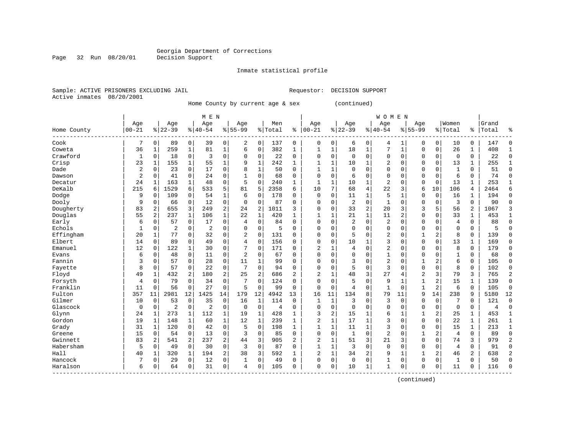Inmate statistical profile

Sample: ACTIVE PRISONERS EXCLUDING JAIL Requestor: DECISION SUPPORT Active inmates 08/20/2001

Page 32 Run 08/20/01

Home County by current age & sex (continued)

|                       | M E N          |             |                |             |                |                |                |              |           |                |                |              |                |                | <b>WOMEN</b>   |              |                |                |                |              |       |                |
|-----------------------|----------------|-------------|----------------|-------------|----------------|----------------|----------------|--------------|-----------|----------------|----------------|--------------|----------------|----------------|----------------|--------------|----------------|----------------|----------------|--------------|-------|----------------|
|                       | Age            |             | Age            |             | Age            |                | Age            |              | Men       |                | Age            |              | Age            |                | Age            |              | Age            |                | Women          |              | Grand |                |
| Home County<br>------ | $00 - 21$      |             | $8 22-39$      |             | $8 40-54$      |                | $8155 - 99$    |              | %   Total | ి              | $ 00 - 21$     |              | $ 22-39$       |                | $8140 - 54$    |              | $8155 - 99$    |                | % Total        | ႜ            | Total | ႜ              |
| Cook                  | 7              | 0           | 89             | 0           | 39             | 0              | 2              | 0            | 137       | 0              | 0              | 0            | 6              | 0              | 4              | 1            | $\Omega$       | 0              | 10             | 0            | 147   | C              |
| Coweta                | 36             | 1           | 259            | 1           | 81             | $\mathbf{1}$   | 6              | $\Omega$     | 382       | $\mathbf{1}$   | $\mathbf{1}$   | 1            | 18             | 1              | 7              | $\mathbf{1}$ | $\Omega$       | $\mathbf 0$    | 26             | 1            | 408   | -1             |
| Crawford              | 1              | $\Omega$    | 18             | $\mathbf 0$ | 3              | 0              | $\Omega$       | $\mathbf 0$  | 22        | $\Omega$       | $\Omega$       | 0            | $\Omega$       | $\Omega$       | 0              | $\Omega$     | $\Omega$       | $\mathbf 0$    | 0              | 0            | 22    | $\Omega$       |
| Crisp                 | 23             | 1           | 155            | 1           | 55             | $\mathbf 1$    | 9              | $\mathbf 1$  | 242       | $\mathbf{1}$   |                | 1            | 10             | 1              | 2              | $\mathbf 0$  | $\Omega$       | $\mathbf 0$    | 13             | 1            | 255   | $\mathbf{1}$   |
| Dade                  | $\overline{a}$ | 0           | 23             | $\mathbf 0$ | 17             | 0              |                | $\mathbf 1$  | 50        | $\Omega$       | $\mathbf{1}$   | 1            | $\mathbf 0$    | $\Omega$       | $\Omega$       | $\Omega$     | $\Omega$       | $\mathbf 0$    | $\mathbf{1}$   | 0            | 51    | $\Omega$       |
| Dawson                | $\overline{a}$ | 0           | 41             | $\mathbf 0$ | 24             | 0              |                | $\Omega$     | 68        | $\Omega$       | $\Omega$       | 0            | 6              | $\Omega$       | $\Omega$       | $\Omega$     | $\Omega$       | $\mathbf 0$    | 6              | 0            | 74    | $\mathbf 0$    |
| Decatur               | 24             | 1           | 163            | 1           | 48             | 0              | 5              | $\Omega$     | 240       | 1              | 1              | 1            | 10             | 1              | 2              | $\Omega$     | $\Omega$       | $\mathbf 0$    | 13             | 1            | 253   | $\mathbf{1}$   |
| DeKalb                | 215            | 6           | 1529           | 6           | 533            | 5              | 81             | 5            | 2358      | 6              | 10             | 7            | 68             | $\overline{4}$ | 22             | 3            | 6              | 10             | 106            | 4            | 2464  | 6              |
| Dodge                 | 9              | $\Omega$    | 109            | $\Omega$    | 54             | 1              | 6              | $\Omega$     | 178       | 0              | $\mathbf 0$    | 0            | 11             | 1              | 5              |              | $\Omega$       | $\Omega$       | 16             | 1            | 194   | $\Omega$       |
| Dooly                 | 9              | 0           | 66             | 0           | 12             | 0              | $\Omega$       | $\Omega$     | 87        | O              | <sup>0</sup>   | O            | $\overline{2}$ | $\Omega$       | $\mathbf{1}$   | $\Omega$     | $\Omega$       | $\Omega$       | 3              | 0            | 90    | $\Omega$       |
| Dougherty             | 83             | 2           | 655            | 3           | 249            | 2              | 24             | 2            | 1011      | ς              | $\Omega$       | O            | 33             | $\overline{2}$ | 20             | 3            | 3              | 5              | 56             | 2            | 1067  | 3              |
| Douglas               | 55             | 2           | 237            | 1           | 106            | $\mathbf{1}$   | 22             | $\mathbf{1}$ | 420       | 1              | $\mathbf{1}$   | 1            | 21             | $\mathbf{1}$   | 11             | 2            | $\Omega$       | $\Omega$       | 33             | 1            | 453   | 1              |
| Early                 | 6              | 0           | 57             | $\mathbf 0$ | 17             | 0              | 4              | $\Omega$     | 84        | $\Omega$       | $\Omega$       | 0            | $\overline{2}$ | $\mathbf 0$    | 2              | $\Omega$     | $\Omega$       | $\mathbf 0$    | $\overline{4}$ | $\mathbf 0$  | 88    | $\Omega$       |
| Echols                | $\mathbf{1}$   | 0           | $\overline{2}$ | $\mathbf 0$ | $\overline{2}$ | 0              | $\Omega$       | $\mathbf 0$  | 5         | $\Omega$       | $\Omega$       | 0            | $\Omega$       | 0              | 0              | $\Omega$     | $\Omega$       | $\mathbf 0$    | $\Omega$       | 0            | 5     | $\Omega$       |
| Effingham             | 20             | 1           | 77             | 0           | 32             | 0              | $\overline{2}$ | $\mathbf 0$  | 131       | $\Omega$       | $\Omega$       | 0            | 5              | $\Omega$       | 2              | 0            | 1              | 2              | 8              | 0            | 139   | $\Omega$       |
| Elbert                | 14             | $\Omega$    | 89             | $\Omega$    | 49             | 0              | 4              | $\Omega$     | 156       | $\Omega$       | $\Omega$       | 0            | 10             | 1              | 3              | $\Omega$     | $\Omega$       | $\Omega$       | 13             | 1            | 169   | $\Omega$       |
| Emanuel               | 12             | 0           | 122            | 1           | 30             | 0              | 7              | $\Omega$     | 171       | 0              | 2              |              | 4              | $\Omega$       | 2              | $\Omega$     | $\Omega$       | $\Omega$       | 8              | $\Omega$     | 179   | $\mathbf 0$    |
| Evans                 | 6              | $\mathbf 0$ | 48             | 0           | 11             | 0              | $\overline{c}$ | $\Omega$     | 67        | O              | $\Omega$       | 0            | $\Omega$       | $\Omega$       | 1              | $\Omega$     | $\Omega$       | $\Omega$       |                | 0            | 68    | $\Omega$       |
| Fannin                | 3              | $\Omega$    | 57             | 0           | 28             | 0              | 11             | $\mathbf{1}$ | 99        | $\Omega$       | $\Omega$       | O            | 3              | $\Omega$       | 2              | $\Omega$     | 1              | 2              | 6              | 0            | 105   | $\Omega$       |
| Fayette               | 8              | $\Omega$    | 57             | $\Omega$    | 22             | 0              | 7              | $\Omega$     | 94        | $\Omega$       | $\Omega$       | O            | 5              | $\Omega$       | 3              | $\Omega$     | $\Omega$       | $\Omega$       | 8              | 0            | 102   | $\Omega$       |
| Floyd                 | 49             | 1           | 432            | 2           | 180            | 2              | 25             | 2            | 686       | $\overline{2}$ | 2              | 1            | 48             | 3              | 27             | 4            | $\overline{2}$ | 3              | 79             | 3            | 765   | $\overline{2}$ |
| Forsyth               | 4              | 0           | 79             | $\mathbf 0$ | 34             | 0              | 7              | $\Omega$     | 124       | $\Omega$       | $\Omega$       | 0            | 5              | $\mathbf 0$    | 9              |              | 1              | $\overline{2}$ | 15             | 1            | 139   | $\mathbf 0$    |
| Franklin              | 11             | $\Omega$    | 56             | $\Omega$    | 27             | $\Omega$       | 5              | $\Omega$     | 99        | $\Omega$       | $\Omega$       | $\Omega$     | 4              | $\Omega$       | $\mathbf{1}$   | $\Omega$     | $\mathbf{1}$   | 2              | 6              | $\Omega$     | 105   | $\Omega$       |
| Fulton                | 357            | 11          | 2981           | 12          | 1425           | 14             | 179            | 12           | 4942      | 13             | 16             | 11           | 134            | 8              | 79             | 11           | 9              | 14             | 238            | 9            | 5180  | 12             |
| Gilmer                | 10             | $\Omega$    | 53             | $\mathbf 0$ | 35             | 0              | 16             | $\mathbf{1}$ | 114       | $\Omega$       | 1              | $\mathbf{1}$ | 3              | $\Omega$       | 3              | $\Omega$     | $\Omega$       | $\Omega$       | 7              | $\Omega$     | 121   | $\mathbf 0$    |
| Glascock              | 0              | 0           | $\overline{2}$ | 0           | $\overline{2}$ | 0              | $\mathbf 0$    | 0            | 4         | $\Omega$       | $\Omega$       | 0            | $\Omega$       | $\Omega$       | 0              | $\Omega$     | $\Omega$       | 0              | $\mathbf 0$    | 0            | 4     | $\mathbf 0$    |
| Glynn                 | 24             |             | 273            | 1           | 112            | 1              | 19             | 1            | 428       | 1              | 3              | 2            | 15             |                | б              |              |                | 2              | 25             | 1            | 453   | $\mathbf{1}$   |
| Gordon                | 19             |             | 148            | 1           | 60             | $\mathbf 1$    | 12             | 1            | 239       | 1              | $\overline{2}$ | 1            | 17             | 1              | 3              | $\Omega$     | $\Omega$       | $\mathbf 0$    | 22             | 1            | 261   | 1              |
| Grady                 | 31             | 1           | 120            | $\mathbf 0$ | 42             | 0              | .5             | $\Omega$     | 198       | 1              | $\mathbf{1}$   | 1            | 11             | $\mathbf{1}$   | 3              | n            | $\Omega$       | $\Omega$       | 15             | $\mathbf{1}$ | 213   | $\mathbf{1}$   |
| Greene                | 15             | $\Omega$    | 54             | $\mathbf 0$ | 13             | 0              | 3              | $\Omega$     | 85        | $\Omega$       | $\Omega$       | 0            | $\mathbf{1}$   | $\Omega$       | $\overline{a}$ | $\Omega$     | $\mathbf{1}$   | 2              | $\overline{4}$ | 0            | 89    | $\Omega$       |
| Gwinnett              | 83             | 2           | 541            | 2           | 237            | 2              | 44             | 3            | 905       | $\overline{2}$ | 2              | $\mathbf{1}$ | 51             | 3              | 21             | 3            | $\Omega$       | $\Omega$       | 74             | 3            | 979   | $\overline{2}$ |
| Habersham             | 5              | $\Omega$    | 49             | $\mathbf 0$ | 30             | $\Omega$       | 3              | $\mathbf 0$  | 87        | 0              | $\mathbf{1}$   | 1            | $\overline{3}$ | $\Omega$       | $\Omega$       | $\Omega$     | $\Omega$       | $\Omega$       | 4              | 0            | 91    | $\Omega$       |
| Hall                  | 40             | 1           | 320            | 1           | 194            | $\overline{a}$ | 38             | 3            | 592       | $\mathbf{1}$   | 2              | 1            | 34             | $\overline{2}$ | 9              | 1            |                | 2              | 46             | 2            | 638   | 2              |
| Hancock               | 7              | 0           | 29             | $\mathbf 0$ | 12             | 0              | 1              | $\mathbf 0$  | 49        | 0              | $\Omega$       | 0            | $\mathbf{0}$   | $\mathbf 0$    | $\mathbf{1}$   | $\mathbf 0$  | $\Omega$       | $\mathbf 0$    | $\mathbf{1}$   | 0            | 50    | $\cap$         |
| Haralson              | 6              | 0           | 64             | 0           | 31             | 0              | 4              | $\Omega$     | 105       | $\Omega$       | $\Omega$       | 0            | 10             | 1              | $\mathbf{1}$   | $\Omega$     | $\Omega$       | 0              | 11             | 0            | 116   | $\cap$         |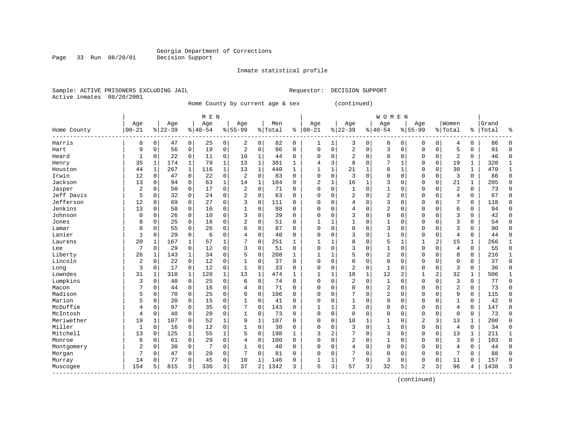Inmate statistical profile

Sample: ACTIVE PRISONERS EXCLUDING JAIL Requestor: DECISION SUPPORT Active inmates 08/20/2001

Page 33 Run 08/20/01

Home County by current age & sex (continued)

|             |                       |                |              |           |             | M E N     |                |                |                |         |              |                |              |                          |          | <b>WOMEN</b>   |              |                |             |                |          |       |              |
|-------------|-----------------------|----------------|--------------|-----------|-------------|-----------|----------------|----------------|----------------|---------|--------------|----------------|--------------|--------------------------|----------|----------------|--------------|----------------|-------------|----------------|----------|-------|--------------|
|             |                       | Age            |              | Age       |             | Age       |                | Age            |                | Men     |              | Age            |              | Age                      |          | Age            |              | Age            |             | Women          |          | Grand |              |
| Home County | $ 00 - 21$<br>------- |                |              | $8 22-39$ |             | $8 40-54$ |                | $8 55-99$      |                | % Total | ႜ            | $00 - 21$      |              | $8 22-39$                |          | $8 40-54$      |              | $8155 - 99$    |             | % Total        | ႜ        | Total | န္           |
| Harris      |                       | 8              | 0            | 47        | 0           | 25        | 0              | 2              | 0              | 82      | 0            | -1             | 1            | 3                        | 0        | 0              | 0            | 0              | 0           | 4              | 0        | 86    | Λ            |
| Hart        |                       | 9              | $\Omega$     | 56        | $\mathbf 0$ | 19        | 0              | 2              | $\mathbf 0$    | 86      | $\Omega$     | $\Omega$       | 0            | $\overline{2}$           | $\Omega$ | 3              | $\Omega$     | $\Omega$       | $\mathbf 0$ | 5              | 0        | 91    | $\Omega$     |
| Heard       |                       |                | $\Omega$     | 22        | 0           | 11        | 0              | 10             | 1              | 44      | $\Omega$     | C              | $\Omega$     | $\overline{\mathcal{L}}$ | $\Omega$ | $\Omega$       | O            | $\Omega$       | $\Omega$    | 2              | $\Omega$ | 46    | ſ            |
| Henry       |                       | 35             | $\mathbf{1}$ | 174       | 1           | 79        | $\mathbf{1}$   | 13             | 1              | 301     | $\mathbf{1}$ |                | 3            | 8                        | $\Omega$ | 7              | 1            | $\Omega$       | $\mathbf 0$ | 19             | 1        | 320   |              |
| Houston     |                       | 44             | 1            | 267       | $\mathbf 1$ | 116       | $\mathbf 1$    | 13             | $\mathbf{1}$   | 440     | $\mathbf{1}$ |                | $\mathbf{1}$ | 21                       |          | 8              | 1            | O              | $\mathbf 0$ | 30             | 1        | 470   |              |
| Irwin       |                       | 12             | 0            | 47        | $\mathbf 0$ | 22        | 0              | $\overline{c}$ | $\mathbf 0$    | 83      | 0            | $\Omega$       | 0            | 3                        | $\Omega$ | 0              | $\Omega$     | $\Omega$       | $\mathbf 0$ | 3              | 0        | 86    | Λ            |
| Jackson     |                       | 13             | $\Omega$     | 94        | $\mathbf 0$ | 63        | $\mathbf{1}$   | 14             | 1              | 184     | 0            | $\overline{c}$ | $\mathbf{1}$ | 16                       | 1        | 3              | 0            | $\Omega$       | $\Omega$    | 21             | 1        | 205   | $\Omega$     |
| Jasper      |                       | $\overline{a}$ | 0            | 50        | 0           | 17        | 0              | $\overline{2}$ | 0              | 71      | 0            | $\Omega$       | 0            | $\mathbf{1}$             | $\Omega$ | 1              | U            | $\Omega$       | $\Omega$    | 2              | 0        | 73    | $\Omega$     |
| Jeff Davis  |                       | 5              | $\Omega$     | 32        | 0           | 24        | 0              | $\overline{2}$ | $\mathbf 0$    | 63      | $\Omega$     | $\Omega$       | 0            | $\overline{2}$           | $\Omega$ | $\overline{2}$ | O            | $\Omega$       | 0           | $\overline{4}$ | 0        | 67    | $\Omega$     |
| Jefferson   |                       | 12             | 0            | 69        | 0           | 27        | 0              | 3              | $\mathbf 0$    | 111     | O            | C              | $\Omega$     |                          | $\Omega$ | 3              | U            | $\Omega$       | $\Omega$    | 7              | 0        | 118   | $\Omega$     |
| Jenkins     |                       | 13             | 0            | 58        | 0           | 16        | 0              |                | $\mathbf 0$    | 88      | O            | C              | $\Omega$     |                          |          | 2              | U            | $\Omega$       | $\Omega$    | 6              | 0        | 94    | 0            |
| Johnson     |                       | 0              | 0            | 26        | $\Omega$    | 10        | 0              | 3              | $\Omega$       | 39      | O            | C              | 0            | 3                        | ∩        | 0              | O            | $\Omega$       | $\Omega$    | 3              | 0        | 42    | $\Omega$     |
| Jones       |                       | 8              | $\Omega$     | 25        | $\Omega$    | 16        | 0              | 2              | 0              | 51      | $\Omega$     |                | 1            |                          | $\Omega$ | 1              | U            | $\Omega$       | $\Omega$    | 3              | O        | 54    | ∩            |
| Lamar       |                       | 0              | $\Omega$     | 55        | $\Omega$    | 26        | 0              | б              | $\mathbf 0$    | 87      | $\Omega$     | C              | 0            | $\Omega$                 | $\Omega$ | 3              | U            | $\Omega$       | $\Omega$    | 3              | 0        | 90    | ∩            |
| Lanier      |                       | 1              | 0            | 29        | $\mathbf 0$ | 6         | 0              |                | $\mathbf 0$    | 40      | 0            | C              | 0            | 3                        | $\Omega$ | 1              | 0            | $\Omega$       | $\mathbf 0$ | 4              | 0        | 44    | Λ            |
| Laurens     |                       | 20             | 1            | 167       | 1           | 57        | 1              |                | $\mathbf 0$    | 251     | $\mathbf{1}$ |                | 1            | 8                        | $\Omega$ | 5              | $\mathbf{1}$ |                | 2           | 15             | 1        | 266   |              |
| Lee         |                       | 7              | 0            | 29        | $\mathbf 0$ | 12        | 0              | 3              | 0              | 51      | $\Omega$     | $\Omega$       | $\Omega$     | 3                        | $\Omega$ | 1              | $\Omega$     | $\Omega$       | $\Omega$    | 4              | 0        | 55    | $\Omega$     |
| Liberty     |                       | 26             | 1            | 143       | $\mathbf 1$ | 34        | 0              | 5              | $\mathbf 0$    | 208     | $\mathbf{1}$ | ำ              | 1            |                          | $\Omega$ | 2              | O            | $\Omega$       | $\mathbf 0$ | 8              | 0        | 216   | $\mathbf{1}$ |
| Lincoln     |                       | 2              | 0            | 22        | $\mathbf 0$ | 12        | 0              |                | 0              | 37      | 0            | $\Omega$       | 0            | $\Omega$                 | $\Omega$ | 0              | O            | $\Omega$       | 0           | $\Omega$       | 0        | 37    | $\Omega$     |
| Long        |                       | 3              | 0            | 17        | 0           | 12        | 0              |                | $\mathbf 0$    | 33      | 0            | 0              | 0            | 2                        | $\Omega$ | 1              | 0            | $\Omega$       | $\Omega$    | 3              | 0        | 36    | <sup>0</sup> |
| Lowndes     |                       | 31             | 1            | 310       | 1           | 120       | $\mathbf 1$    | 13             | 1              | 474     | $\mathbf{1}$ | 1              | 1            | 18                       | 1        | 12             | 2            | -1             | 2           | 32             | 1        | 506   |              |
| Lumpkins    |                       | 3              | $\Omega$     | 40        | $\mathbf 0$ | 25        | 0              | 6              | $\mathbf 0$    | 74      | 0            | $\cap$         | $\Omega$     | $\overline{2}$           | $\Omega$ | $\mathbf{1}$   | $\Omega$     | $\Omega$       | $\Omega$    | 3              | 0        | 77    | $\Omega$     |
| Macon       |                       |                | $\Omega$     | 44        | $\mathbf 0$ | 16        | 0              | 4              | $\mathbf 0$    | 71      | $\Omega$     | C              | $\Omega$     | $\Omega$                 | $\Omega$ | 2              | O            | $\Omega$       | $\Omega$    | 2              | 0        | 73    | ſ            |
| Madison     |                       | 5              | $\Omega$     | 70        | $\Omega$    | 25        | 0              | 6              | $\mathbf 0$    | 106     | $\Omega$     | C              | $\Omega$     |                          | $\Omega$ | 2              | O            | $\Omega$       | $\Omega$    | 9              | 0        | 115   | <sup>0</sup> |
| Marion      |                       | 5              | 0            | 20        | $\Omega$    | 15        | 0              |                | $\mathbf 0$    | 41      | 0            | C              | $\Omega$     |                          | 0        | 0              | 0            | 0              | $\Omega$    | 1              | 0        | 42    | ſ            |
| McDuffie    |                       | 4              | $\Omega$     | 97        | 0           | 35        | 0              |                | $\mathbf 0$    | 143     | 0            |                | 1            | 3                        | $\Omega$ | 0              | 0            | $\Omega$       | 0           | 4              | 0        | 147   | $\sqrt{ }$   |
| McIntosh    |                       | 4              | 0            | 48        | 0           | 20        | 0              | 1              | 0              | 73      | 0            | $\cap$         | 0            | $\cap$                   | $\Omega$ | $\Omega$       | O            | $\Omega$       | 0           | 0              | 0        | 73    | $\Omega$     |
| Meriwether  |                       | 19             | 1            | 107       | $\Omega$    | 52        | 1              | 9              | 1              | 187     | 0            | $\Omega$       | $\Omega$     | 10                       |          | 1              | O            | $\overline{2}$ | 3           | 13             | 1        | 200   | $\Omega$     |
| Miller      |                       | 1              | $\Omega$     | 16        | 0           | 12        | 0              |                | $\mathbf 0$    | 30      | $\Omega$     | $\Omega$       | $\Omega$     | 3                        | $\Omega$ | 1              | 0            | $\Omega$       | 0           | 4              | 0        | 34    | $\Omega$     |
| Mitchell    |                       | 13             | O            | 125       | 1           | 55        | 1              | 5              | $\mathbf 0$    | 198     | $\mathbf{1}$ | 3              | 2            |                          |          | 3              | $\Omega$     | $\Omega$       | $\Omega$    | 13             | 1        | 211   |              |
| Monroe      |                       | 6              | 0            | 61        | 0           | 29        | 0              | 4              | 0              | 100     | O            | $\Omega$       | $\Omega$     | 2                        | ∩        | 1              | $\Omega$     | $\Omega$       | $\Omega$    | 3              | 0        | 103   | $\Omega$     |
| Montgomery  |                       | $\overline{2}$ | 0            | 30        | 0           | 7         | 0              |                | $\mathbf 0$    | 40      | 0            | C              | $\Omega$     | 4                        | ∩        | $\Omega$       | O            | $\Omega$       | $\Omega$    | 4              | 0        | 44    | ∩            |
| Morgan      |                       | 7              | 0            | 47        | $\Omega$    | 20        | 0              | 7              | $\Omega$       | 81      | 0            | C              | $\Omega$     |                          | ∩        | 0              | U            | $\Omega$       | $\Omega$    | 7              | $\Omega$ | 88    | ∩            |
| Murray      |                       | 14             | 0            | 77        | 0           | 45        | 0              | 10             | 1              | 146     | $\Omega$     |                | 1            |                          | $\Omega$ | 3              | O            | $\mathbf 0$    | 0           | 11             | 0        | 157   | <sup>0</sup> |
| Muscogee    |                       | 154            | 5            | 815       | 3           | 336       | 3 <sup>1</sup> | 37             | $\overline{2}$ | 1342    | 3            | 5              | 3            | 57                       | 3        | 32             | 5            | 2              | 3           | 96             | 4        | 1438  |              |

------------------------------------------------------------------------------------------------------------------------------------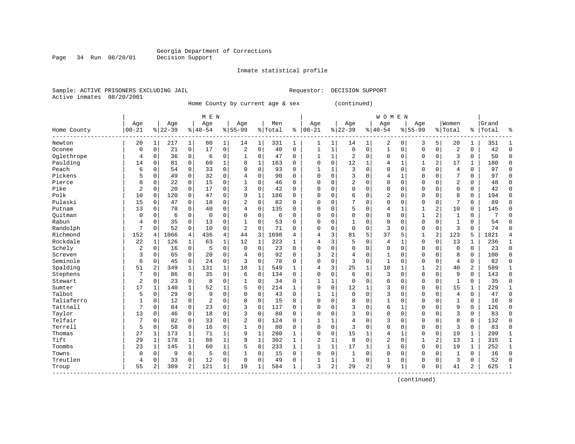Inmate statistical profile

Sample: ACTIVE PRISONERS EXCLUDING JAIL Requestor: DECISION SUPPORT Active inmates 08/20/2001

Page 34 Run 08/20/01

Home County by current age & sex (continued)

|                        |                |                |           |              | M E N          |                |                |              |         |              |              |              |                |              | <b>WOMEN</b>   |              |              |                         |                |                |       |              |
|------------------------|----------------|----------------|-----------|--------------|----------------|----------------|----------------|--------------|---------|--------------|--------------|--------------|----------------|--------------|----------------|--------------|--------------|-------------------------|----------------|----------------|-------|--------------|
|                        | Age            |                | Age       |              | Age            |                | Age            |              | Men     |              | Age          |              | Age            |              | Age            |              | Age          |                         | Women          |                | Grand |              |
| Home County<br>------- | $00 - 21$      |                | $8 22-39$ |              | $8 40-54$      |                | $8155 - 99$    |              | % Total | ి            | $00 - 21$    |              | $8 22-39$      |              | $8140 - 54$    |              | $8155 - 99$  |                         | % Total        | ႜ              | Total | 우            |
| Newton                 | 20             | $\mathbf{1}$   | 217       | 1            | 80             | 1              | 14             | 1            | 331     | 1            | 1            | 1            | 14             | 1            | 2              | 0            | 3            | 5                       | 20             | 1              | 351   |              |
| Oconee                 | $\Omega$       | $\Omega$       | 21        | 0            | 17             | $\mathbf 0$    | $\overline{2}$ | $\mathbf 0$  | 40      | $\Omega$     | 1            | $\mathbf 1$  | $\Omega$       | $\Omega$     | $\mathbf{1}$   | $\Omega$     | $\Omega$     | $\Omega$                | $\overline{2}$ | $\Omega$       | 42    | $\Omega$     |
| Oglethrope             | 4              | $\Omega$       | 36        | 0            | 6              | 0              | 1              | 0            | 47      | $\Omega$     | $\mathbf{1}$ | 1            | 2              | $\Omega$     | $\Omega$       | $\Omega$     | $\Omega$     | $\mathbf 0$             | 3              | $\Omega$       | 50    | $\cap$       |
| Paulding               | 14             | $\Omega$       | 81        | $\mathbf 0$  | 60             | $\mathbf 1$    | 8              | 1            | 163     | 0            | $\Omega$     | $\Omega$     | 12             | $\mathbf{1}$ | 4              | 1            | $\mathbf{1}$ | 2                       | 17             | 1              | 180   | <sup>0</sup> |
| Peach                  | 6              | $\mathbf 0$    | 54        | 0            | 33             | 0              | $\Omega$       | $\mathbf 0$  | 93      | $\mathbf 0$  | $\mathbf{1}$ | 1            | 3              | $\Omega$     | 0              | $\Omega$     | $\Omega$     | $\Omega$                | 4              | 0              | 97    | $\Omega$     |
| Pickens                | 5              | $\mathbf 0$    | 49        | $\mathbf 0$  | 32             | 0              | 4              | $\mathbf 0$  | 90      | $\Omega$     | $\Omega$     | $\Omega$     | 3              | $\cap$       | 4              | 1            | $\Omega$     | $\Omega$                | 7              | 0              | 97    | $\cap$       |
| Pierce                 | 8              | $\mathbf 0$    | 22        | 0            | 15             | 0              | 1              | $\mathbf 0$  | 46      | $\mathbf 0$  | $\Omega$     | 0            | $\overline{a}$ | $\Omega$     | 0              | $\Omega$     | $\Omega$     | $\Omega$                | 2              | 0              | 48    | $\Omega$     |
| Pike                   | 2              | 0              | 20        | $\mathbf 0$  | 17             | $\mathbf 0$    | 3              | $\mathbf 0$  | 42      | 0            | $\Omega$     | 0            | $\Omega$       | $\Omega$     | 0              | 0            | $\mathbf 0$  | 0                       | 0              | 0              | 42    | $\Omega$     |
| Polk                   | 10             | $\Omega$       | 120       | 0            | 47             | $\mathbf 0$    | 9              | 1            | 186     | $\Omega$     | 0            | $\Omega$     | 6              | O            | $\overline{2}$ | 0            | $\Omega$     | $\Omega$                | 8              | 0              | 194   | $\Omega$     |
| Pulaski                | 15             | $\Omega$       | 47        | 0            | 18             | 0              | $\overline{2}$ | $\mathbf 0$  | 82      | 0            | O            | $\Omega$     |                | $\Omega$     | $\Omega$       | 0            | $\Omega$     | 0                       | 7              | 0              | 89    | <sup>0</sup> |
| Putnam                 | 13             | $\Omega$       | 78        | $\Omega$     | 40             | $\mathbf 0$    | 4              | $\Omega$     | 135     | 0            | O            | $\Omega$     | 5              | $\Omega$     | 4              | 1            | $\mathbf{1}$ | 2                       | 10             | $\Omega$       | 145   | ∩            |
| Ouitman                | $\Omega$       | $\Omega$       | 6         | $\Omega$     | $\Omega$       | $\Omega$       | $\Omega$       | $\Omega$     | 6       | $\Omega$     | 0            | $\Omega$     | $\Omega$       | $\Omega$     | 0              | $\Omega$     | $\mathbf{1}$ | $\overline{a}$          | $\mathbf{1}$   | $\Omega$       | 7     |              |
| Rabun                  | 4              | $\Omega$       | 35        | $\mathbf 0$  | 13             | $\mathbf 0$    | 1              | 0            | 53      | $\Omega$     | $\Omega$     | $\Omega$     |                | $\Omega$     | 0              | O            | $\Omega$     | $\Omega$                | $\mathbf{1}$   | 0              | 54    | ſ            |
| Randolph               | 7              | $\Omega$       | 52        | $\mathbf 0$  | 10             | $\mathbf 0$    | $\overline{2}$ | $\mathbf 0$  | 71      | $\Omega$     | O            | 0            | $\Omega$       | $\Omega$     | 3              | O            | $\mathbf 0$  | $\mathbf 0$             | 3              | $\Omega$       | 74    | ſ            |
| Richmond               | 152            | 4              | 1066      | 4            | 436            | $\overline{4}$ | 44             | 3            | 1698    | 4            | 4            | 3            | 81             | 5            | 37             | 5            | 1            | $\overline{\mathbf{c}}$ | 123            | 5              | 1821  |              |
| Rockdale               | 22             | 1              | 126       | $\mathbf 1$  | 63             | $\mathbf 1$    | 12             | 1            | 223     | $\mathbf 1$  | 4            | 3            | 5              | $\Omega$     | 4              | 1            | $\mathbf 0$  | 0                       | 13             | 1              | 236   | $\mathbf{1}$ |
| Schely                 | $\overline{2}$ | 0              | 16        | $\mathbf 0$  | 5              | $\mathbf 0$    | $\mathbf 0$    | $\mathbf 0$  | 23      | 0            | $\Omega$     | 0            | $\Omega$       | $\Omega$     | 0              | 0            | $\mathbf 0$  | $\mathbf 0$             | $\mathbf 0$    | 0              | 23    | $\Omega$     |
| Screven                | 3              | 0              | 65        | $\mathbf 0$  | 20             | $\mathbf 0$    | 4              | $\mathbf 0$  | 92      | 0            | 3            | 2            | $\overline{4}$ | $\Omega$     | 1              | U            | $\mathbf 0$  | 0                       | 8              | 0              | 100   | $\Omega$     |
| Seminole               | 6              | 0              | 45        | $\mathbf 0$  | 24             | $\mathbf 0$    | 3              | $\mathbf 0$  | 78      | $\Omega$     | $\Omega$     | 0            | 3              | $\mathbf 0$  | $\mathbf{1}$   | 0            | $\Omega$     | 0                       | 4              | 0              | 82    | <sup>0</sup> |
| Spalding               | 51             | 2              | 349       | 1            | 131            | $\mathbf{1}$   | 18             | $\mathbf{1}$ | 549     | 1            | 4            | 3            | 25             | 1            | 10             | $\mathbf{1}$ | 1            | $\overline{a}$          | 40             | $\overline{2}$ | 589   |              |
| Stephens               | 7              | $\Omega$       | 86        | $\mathbf 0$  | 35             | $\Omega$       | 6              | $\Omega$     | 134     | $\Omega$     | $\Omega$     | $\Omega$     | 6              | $\Omega$     | 3              | $\Omega$     | $\Omega$     | $\Omega$                | 9              | $\Omega$       | 143   | $\Omega$     |
| Stewart                | $\overline{2}$ | $\Omega$       | 23        | $\mathbf 0$  | 8              | $\mathbf 0$    | $\mathbf{1}$   | 0            | 34      | 0            | -1           | 1            | $\Omega$       | $\Omega$     | 0              | $\Omega$     | $\Omega$     | $\mathbf 0$             | $\mathbf{1}$   | 0              | 35    | <sup>0</sup> |
| Sumter                 | 17             | 1              | 140       | 1            | 52             | $\mathbf 1$    | 5              | $\mathbf 0$  | 214     | $\mathbf{1}$ | $\Omega$     | 0            | 12             | 1            | 3              | O            | $\Omega$     | $\Omega$                | 15             | 1              | 229   |              |
| Talbot                 | 5              | 0              | 29        | 0            | 9              | $\mathbf 0$    | $\Omega$       | $\mathbf 0$  | 43      | 0            | $\mathbf{1}$ | 1            | $\Omega$       | $\Omega$     | 3              | 0            | $\Omega$     | 0                       | 4              | 0              | 47    | $\Omega$     |
| Taliaferro             | $\mathbf{1}$   | 0              | 12        | $\mathbf 0$  | $\overline{2}$ | $\mathbf 0$    | $\Omega$       | $\mathbf 0$  | 15      | $\Omega$     | $\Omega$     | $\Omega$     | $\Omega$       | $\cap$       | $\mathbf{1}$   | U            | $\Omega$     | $\Omega$                | $\mathbf{1}$   | 0              | 16    | $\cap$       |
| Tattnall               | 7              | $\Omega$       | 84        | $\mathbf 0$  | 23             | 0              | 3              | $\mathbf 0$  | 117     | 0            | $\Omega$     | 0            | 3              | U            | 6              | 1            | $\Omega$     | 0                       | 9              | 0              | 126   | $\Omega$     |
| Taylor                 | 13             | O              | 46        | $\mathbf 0$  | 18             | $\mathsf 0$    | 3              | $\mathbf 0$  | 80      | $\Omega$     | $\Omega$     | 0            | 3              | $\Omega$     | 0              | $\Omega$     | $\mathbf 0$  | $\Omega$                | 3              | 0              | 83    | $\mathbf 0$  |
| Telfair                | 7              | $\Omega$       | 82        | $\mathbf 0$  | 33             | 0              | $\overline{2}$ | $\mathbf 0$  | 124     | 0            |              | 1            |                | O            | 3              | 0            | $\Omega$     | $\Omega$                | 8              | 0              | 132   | $\Omega$     |
| Terrell                | 5              | $\Omega$       | 58        | 0            | 16             | $\mathbf 0$    | 1              | $\mathbf 0$  | 80      | $\Omega$     | $\Omega$     | $\Omega$     | 3              | $\Omega$     | $\Omega$       | 0            | $\Omega$     | $\Omega$                | 3              | 0              | 83    | <sup>0</sup> |
| Thomas                 | 27             | $\mathbf{1}$   | 173       | $\mathbf{1}$ | 71             | $\mathbf{1}$   | 9              | 1            | 280     | $\mathbf{1}$ | $\Omega$     | $\Omega$     | 15             | 1            | 4              | 1            | $\Omega$     | $\Omega$                | 19             | $\mathbf{1}$   | 299   | -1           |
| Tift                   | 29             | $\mathbf{1}$   | 178       | 1            | 86             | $\mathbf{1}$   | 9              | $\mathbf{1}$ | 302     | $\mathbf{1}$ | 2            | $\mathbf{1}$ | 8              | $\Omega$     | 2              | $\Omega$     | 1            | $\overline{a}$          | 13             | 1              | 315   | -1           |
| Toombs                 | 23             | 1              | 145       | $\mathbf 1$  | 60             | $\mathbf 1$    | 5              | $\mathbf 0$  | 233     | $\mathbf{1}$ | 1            | 1            | 17             | 1            | 1              | U            | $\Omega$     | $\Omega$                | 19             | 1              | 252   |              |
| Towns                  | $\mathsf 0$    | 0              | 9         | $\mathbf 0$  | 5              | 0              | 1              | 0            | 15      | $\mathbf 0$  | 0            | 0            |                | $\Omega$     | 0              | O            | $\Omega$     | 0                       | $\mathbf{1}$   | 0              | 16    | $\Omega$     |
| Treutlen               | 4              | 0              | 33        | 0            | 12             | 0              | 0              | $\mathbf 0$  | 49      | $\mathbf 0$  | $\mathbf{1}$ | 1            | $\mathbf{1}$   | $\mathbf 0$  | $\mathbf{1}$   | 0            | $\mathbf 0$  | 0                       | 3              | 0              | 52    | $\sqrt{ }$   |
| Troup                  | 55             | $\overline{a}$ | 389       | 2            | 121            | $\mathbf 1$    | 19             | 1            | 584     | 1            | 3            | 2            | 29             | 2            | 9              | 1            | $\Omega$     | 0                       | 41             | 2              | 625   | $\mathbf{1}$ |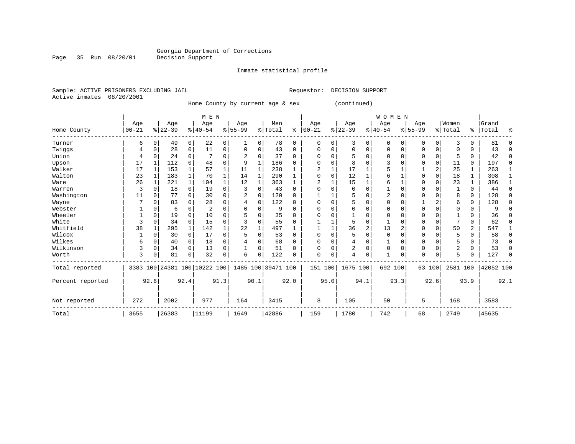Inmate statistical profile

Sample: ACTIVE PRISONERS EXCLUDING JAIL Requestor: DECISION SUPPORT Active inmates 08/20/2001

Page 35 Run 08/20/01

Home County by current age & sex (continued)

|                  |            |              |           |              | M E N                   |          |           |              |                    |             |            |          |                |          | WOMEN        |                |             |          |                |                |           |              |
|------------------|------------|--------------|-----------|--------------|-------------------------|----------|-----------|--------------|--------------------|-------------|------------|----------|----------------|----------|--------------|----------------|-------------|----------|----------------|----------------|-----------|--------------|
|                  | Age        |              | Age       |              | Age                     |          | Age       |              | Men                |             | Age        |          | Age            |          | Age          |                | Age         |          | Women          |                | Grand     |              |
| Home County      | $ 00 - 21$ |              | $8 22-39$ |              | $8 40-54$               |          | $8 55-99$ |              | % Total            | နွ          | $ 00 - 21$ |          | $ 22-39 $      |          | $ 40-54$     |                | $8155 - 99$ |          | % Total        | $\approx$      | Total     | ႜ            |
| Turner           | 6          | $\mathbf 0$  | 49        | 0            | 22                      | 0        | 1         | 0            | 78                 | $\mathbf 0$ | $\Omega$   | $\Omega$ | 3              | 0        | 0            | 0              | 0           | 0        | 3              | $\Omega$       | 81        | $\Omega$     |
| Twiggs           |            | $\mathbf 0$  | 28        | 0            | 11                      | 0        | $\Omega$  | 0            | 43                 | $\mathbf 0$ | $\Omega$   | 0        | $\mathbf 0$    | 0        | 0            | 0              | 0           | 0        | $\Omega$       | $\Omega$       | 43        | 0            |
| Union            |            | $\mathbf 0$  | 24        | 0            |                         | 0        |           | 0            | 37                 | $\Omega$    |            | $\Omega$ | 5              | $\Omega$ | $\Omega$     | 0              | 0           | 0        | 5              | $\Omega$       | 42        | 0            |
| Upson            | 17         |              | 112       | $\Omega$     | 48                      | $\Omega$ | 9         | $\mathbf{1}$ | 186                | $\Omega$    | $\Omega$   | $\Omega$ | 8              | O        |              | $\Omega$       | 0           | $\Omega$ | 11             | 0              | 197       | 0            |
| Walker           | 17         | 1            | 153       | $\mathbf{1}$ | 57                      |          | 11        | 1            | 238                |             | 2          |          | 17             |          |              |                |             | 2        | 25             |                | 263       | 1            |
| Walton           | 23         | 1            | 183       | $\mathbf{1}$ | 70                      |          | 14        | $\mathbf{1}$ | 290                |             |            | $\Omega$ | 12             |          | 6            |                | 0           | $\Omega$ | 18             |                | 308       | $\mathbf{1}$ |
| Ware             | 26         |              | 221       | $\mathbf{1}$ | 104                     | 1        | 12        | $\mathbf{1}$ | 363                |             |            |          | 15             |          | 6            |                | $\Omega$    | $\Omega$ | 23             |                | 386       | $\mathbf{1}$ |
| Warren           | 3          | 0            | 18        | $\mathbf 0$  | 19                      | 0        | 3         | 0            | 43                 | $\Omega$    |            |          | 0              | $\Omega$ |              | $\Omega$       | 0           | $\Omega$ |                | $\Omega$       | 44        | $\Omega$     |
| Washington       | 11         | 0            | 77        | $\Omega$     | 30                      | 0        |           | 0            | 120                | $\Omega$    |            |          | 5              | O        |              | $\Omega$       | $\Omega$    | $\Omega$ | 8              | $\Omega$       | 128       | 0            |
| Wayne            |            | $\Omega$     | 83        | 0            | 28                      | 0        | 4         | 0            | 122                | $\Omega$    |            |          | 5              | O        |              | $\Omega$       |             | 2        | 6              | $\Omega$       | 128       | 0            |
| Webster          |            | $\Omega$     | 6         | $\Omega$     | $\overline{2}$          | 0        |           | O            | 9                  | $\Omega$    |            |          | $\Omega$       | N        |              | $\Omega$       | $\Omega$    | $\Omega$ |                | O              | 9         | $\Omega$     |
| Wheeler          |            | $\Omega$     | 19        | $\Omega$     | 10                      | 0        |           | 0            | 35                 | $\Omega$    |            |          |                | 0        | $\Omega$     | $\Omega$       | $\Omega$    | $\Omega$ |                | $\Omega$       | 36        | $\Omega$     |
| White            | 3          | $\mathbf 0$  | 34        | $\Omega$     | 15                      | 0        |           | $\Omega$     | 55                 | $\Omega$    |            |          | 5              | 0        |              | $\Omega$       | 0           | $\Omega$ | 7              | $\Omega$       | 62        | $\Omega$     |
| Whitfield        | 38         |              | 295       | $\mathbf{1}$ | 142                     |          | 22        | $\mathbf{1}$ | 497                | 1           |            |          | 36             | 2        | 13           | $\overline{2}$ | 0           | $\Omega$ | 50             | $\overline{a}$ | 547       | 1            |
| Wilcox           |            | 0            | 30        | 0            | 17                      | 0        | 5         | 0            | 53                 | $\Omega$    | $\Omega$   |          | 5              | $\Omega$ | $\Omega$     | $\Omega$       | $\Omega$    | $\Omega$ | 5              | $\Omega$       | 58        | 0            |
| Wilkes           | 6          | 0            | 40        | 0            | 18                      | 0        |           | 0            | 68                 | $\Omega$    |            |          | 4              | $\Omega$ |              | $\Omega$       | 0           | $\Omega$ | 5              | O              | 73        | $\Omega$     |
| Wilkinson        | 3          | $\mathbf 0$  | 34        | $\Omega$     | 13                      | 0        |           | 0            | 51                 | $\Omega$    | $\Omega$   |          | $\overline{2}$ | 0        | $\Omega$     | $\Omega$       | $\Omega$    | $\Omega$ | $\overline{2}$ | $\Omega$       | 53        | 0            |
| Worth            | 3          | $\mathsf{C}$ | 81        | $\Omega$     | 32                      | 0        | 6         | 0            | 122                | $\Omega$    | $\Omega$   | 0        | $\overline{4}$ | 0        | $\mathbf{1}$ | 0              | $\Omega$    | $\Omega$ | 5              |                | 127       | $\Omega$     |
| Total reported   | 3383       |              |           |              | 100 24381 100 10222 100 |          |           |              | 1485 100 39471 100 |             | 151        | 100      | 1675 100       |          | 692 100      |                |             | 63 100   | 2581 100       |                | 42052 100 |              |
| Percent reported |            | 92.6         |           | 92.4         |                         | 91.3     | 90.1      |              |                    | 92.0        |            | 95.0     |                | 94.1     |              | 93.3           |             | 92.6     |                | 93.9           |           | 92.1         |
| Not reported     | 272        |              | 2002      |              | 977                     |          | 164       |              | 3415               |             | 8          |          | 105            |          | 50           |                | 5           |          | 168            |                | 3583      |              |
| Total            | 3655       |              | 26383     |              | 11199                   |          | 1649      |              | 42886              |             | 159        |          | 1780           |          | 742          |                | 68          |          | 2749           |                | 45635     |              |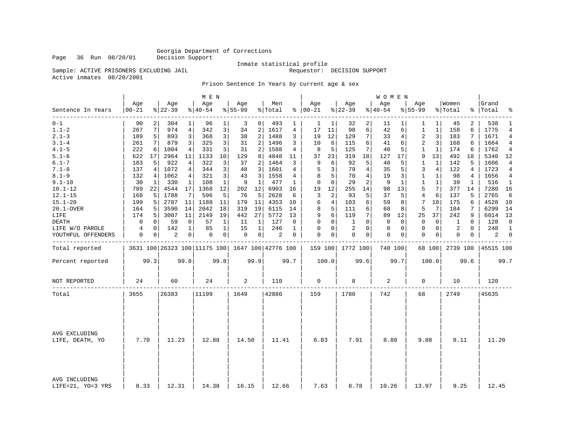Page 36 Run 08/20/01

### Inmate statistical profile<br>Requestor: DECISION SUPPORT

Sample: ACTIVE PRISONERS EXCLUDING JAIL Active inmates 08/20/2001

### Prison Sentence In Years by current age & sex

|                                    |                  |      |                 |                | M E N           |              |                 |                |                                                   |              |                   |          |                    |                | W O M E N        |          |                    |                |                  |          |                    |                |
|------------------------------------|------------------|------|-----------------|----------------|-----------------|--------------|-----------------|----------------|---------------------------------------------------|--------------|-------------------|----------|--------------------|----------------|------------------|----------|--------------------|----------------|------------------|----------|--------------------|----------------|
| Sentence In Years                  | Age<br>$00 - 21$ |      | Age<br>$ 22-39$ |                | Age<br>$ 40-54$ |              | Age<br>$ 55-99$ |                | Men<br>% Total                                    |              | Age<br>$% 100-21$ |          | Age<br>$8$   22-39 |                | Age<br>$8 40-54$ |          | Age<br>$8155 - 99$ |                | Women<br>% Total |          | Grand<br>%   Total | ್ಠಿ            |
| $0 - 1$                            | 90               |      | 304             | $\mathbf{1}$   | 96              | 1            | 3               | 0              | 493                                               | 1            | 1                 | 1        | 32                 | 2              | 11               | $1\vert$ | 1                  | $1\vert$       | 45               | 2        | 538                | 1              |
| $1.1 - 2$                          | 267              | 7    | 974             | $\overline{4}$ | 342             | 3            | 34              | 2              | 1617                                              | 4            | 17                | 11       | 98                 | 6              | 42               | б.       | $1\,$              | $\mathbf{1}$   | 158              | 6        | 1775               | $\overline{4}$ |
| $2.1 - 3$                          | 189              | 5    | 893             | 3              | 368             | 3            | 38              | $\overline{a}$ | 1488                                              | 3            | 19                | 12       | 129                | 7              | 33               | 4        | 2                  | 3 <sup>1</sup> | 183              | 7        | 1671               | $\overline{4}$ |
| $3.1 - 4$                          | 261              | 7    | 879             | 3              | 325             | 3            | 31              | 2              | 1496                                              | 3            | 10                | 6        | 115                | 6              | 41               | 6        | 2                  | 3              | 168              | 6        | 1664               | 4              |
| $4.1 - 5$                          | 222              | 6    | 1004            | 4              | 331             | 3            | 31              | $\overline{2}$ | 1588                                              | 4            | 8                 | 5        | 125                | 7              | 40               | 5        | 1                  | 1              | 174              | 6        | 1762               | $\overline{4}$ |
| $5.1 - 6$                          | 622              | 17   | 2964            | 11             | 1133            | 10           | 129             | 8              | 4848                                              | 11           | 37                | 23       | 319                | 18             | 127              | 17       | 9                  | 13             | 492              | 18       | 5340               | 12             |
| $6.1 - 7$                          | 183              | 5    | 922             | 4              | 322             | 3            | 37              | 2              | 1464                                              | 3            | 9                 | 6        | 92                 | 5              | 40               | 5        | 1                  | 1              | 142              | 5        | 1606               | $\overline{4}$ |
| $7.1 - 8$                          | 137              | 4    | 1072            | 4              | 344             | 3            | 48              | $\overline{3}$ | 1601                                              | 4            | 5                 | 3        | 79                 | $\overline{4}$ | 35               | 5        | 3                  | 4              | 122              | 4        | 1723               | $\overline{4}$ |
| $8.1 - 9$                          | 132              | 4    | 1062            | 4              | 321             | 3            | 43              | 3              | 1558                                              | 4            | 8                 | 5        | 70                 | $\overline{4}$ | 19               | 3        | $\mathbf 1$        | $\mathbf{1}$   | 98               | 4        | 1656               | 4              |
| $9.1 - 10$                         | 30               | 1    | 330             | 1              | 108             | 1            | 9               | 1              | 477                                               | 1            | $\mathbf 0$       | 0        | 29                 | 2              | 9                | 1        | 1                  | $\mathbf 1$    | 39               | 1        | 516                | 1              |
| $10.1 - 12$                        | 789              | 22   | 4544            | 17             | 1368            | 12           | 202             | 12             | 6903                                              | 16           | 19                | 12       | 255                | 14             | 98               | 13       | 5                  | 7 <sup>1</sup> | 377              | 14       | 7280               | 16             |
| $12.1 - 15$                        | 168              | 5    | 1788            | 7              | 596             | 5            | 76              | 5              | 2628                                              | 6            | 3                 | 2        | 93                 | 5              | 37               | 5        | $\overline{4}$     | 6              | 137              | 5        | 2765               | 6              |
| $15.1 - 20$                        | 199              | 5    | 2787            | 11             | 1188            | 11           | 179             | 11             | 4353                                              | 10           | 6                 | 4        | 103                | 6              | 59               | 8        | 7                  | 10             | 175              | 6        | 4528               | 10             |
| 20.1-OVER                          | 164              | 5    | 3590            | 14             | 2042            | 18           | 319             | 19             | 6115                                              | 14           | 8                 | 5        | 111                | 6              | 60               | 8        | 5                  | 7              | 184              | 7        | 6299               | 14             |
| LIFE                               | 174              | 5    | 3007            | 11             | 2149            | 19           | 442             | 27             | 5772                                              | 13           | 9                 | 6        | 119                | 7              | 89               | 12       | 25                 | 37             | 242              | 9        | 6014               | 13             |
| DEATH                              | 0                | 0    | 59              | 0              | 57              | 1            | 11              | 1              | 127                                               | 0            | 0                 | 0        | 1                  | $\Omega$       | 0                | 0        | 0                  | $\circ$        | 1                | 0        | 128                | $\mathbf 0$    |
| LIFE W/O PAROLE                    | 4                | 0    | 142             | $\mathbf 1$    | 85              | $\mathbf{1}$ | 15              | $\mathbf{1}$   | 246                                               | $\mathbf{1}$ | $\Omega$          | $\Omega$ | 2                  | $\Omega$       | 0                | 0        | $\Omega$           | $\overline{0}$ | 2                | $\Omega$ | 248                | $\mathbf{1}$   |
| YOUTHFUL OFFENDERS                 | 0                | 0    | $\overline{2}$  | 0              | 0               | 0            | $\mathbf 0$     | $\circ$        | 2                                                 | 0            | 0                 | 0        | $\mathbf{0}$       | $\mathbf 0$    | 0                | 0        | $\mathbf{0}$       | $\circ$        | 0                | 0        | 2                  | $\mathbf 0$    |
| Total reported                     |                  |      |                 |                |                 |              |                 |                | 3631 100 26323 100 11175 100   1647 100 42776 100 |              |                   |          | 159 100 1772 100   |                | 740 100          |          |                    | 68 100         | 2739 100         |          | 45515 100          |                |
| Percent reported                   |                  | 99.3 |                 | 99.8           |                 | 99.8         |                 | 99.9           |                                                   | 99.7         |                   | 100.0    |                    | 99.6           |                  | 99.7     |                    | 100.0          |                  | 99.6     |                    | 99.7           |
| NOT REPORTED                       | 24               |      | 60              |                | 24              |              | 2               |                | 110                                               |              | $\mathbf 0$       |          | 8                  |                | 2                |          | 0                  |                | 10               |          | 120                |                |
| Total                              | 3655             |      | 26383           |                | 11199           |              | 1649            |                | 42886                                             |              | 159               |          | 1780               |                | 742              |          | 68                 |                | 2749             |          | 45635              |                |
|                                    |                  |      |                 |                |                 |              |                 |                |                                                   |              |                   |          |                    |                |                  |          |                    |                |                  |          |                    |                |
| AVG EXCLUDING<br>LIFE, DEATH, YO   | 7.70             |      | 11.23           |                | 12.88           |              | 14.50           |                | 11.41                                             |              | 6.83              |          | 7.91               |                | 8.80             |          | 9.88               |                | 8.11             |          | 11.20              |                |
|                                    |                  |      |                 |                |                 |              |                 |                |                                                   |              |                   |          |                    |                |                  |          |                    |                |                  |          |                    |                |
| AVG INCLUDING<br>LIFE=21, YO=3 YRS | 8.33             |      | 12.31           |                | 14.38           |              | 16.15           |                | 12.66                                             |              | 7.63              |          | 8.78               |                | 10.26            |          | 13.97              |                | 9.25             |          | 12.45              |                |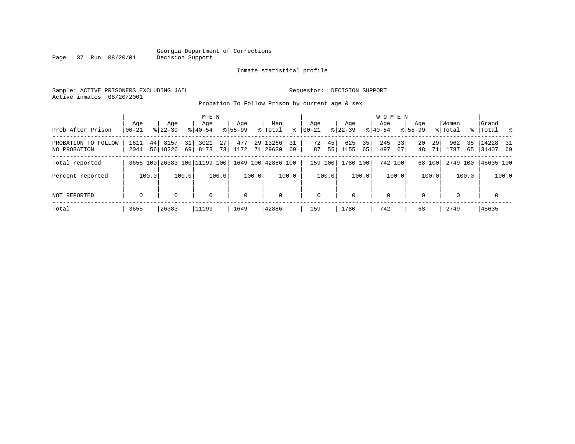#### Georgia Department of Corrections Page 37 Run 08/20/01

#### Inmate statistical profile

Sample: ACTIVE PRISONERS EXCLUDING JAIL Requestor: DECISION SUPPORT Active inmates 08/20/2001

Probation To Follow Prison by current age & sex

| Prob After Prison                   | Aqe<br>$ 00-21$ | Age<br>$8122 - 39$                              | $8140 - 54$              | M E N<br>Age | Aqe<br>$8155 - 99$ |       | Men<br>% Total          | ႜ     | Aqe<br>$00 - 21$ |          | Age<br>$8122 - 39$ |          | <b>WOMEN</b><br>Aqe<br>$8140 - 54$ |          | Age<br>$8155 - 99$ |          | Women<br>% Total |          | Grand<br>% Total %       |       |
|-------------------------------------|-----------------|-------------------------------------------------|--------------------------|--------------|--------------------|-------|-------------------------|-------|------------------|----------|--------------------|----------|------------------------------------|----------|--------------------|----------|------------------|----------|--------------------------|-------|
| PROBATION TO FOLLOW<br>NO PROBATION | 1611<br>2044    | 44<br>8157<br>56 18226                          | 3021<br>31<br>8178<br>69 | 27<br>73     | 477<br>1172        |       | 29 13266<br>71 29620 69 | 31    | 72<br>87         | 45<br>55 | 625<br>1155        | 35<br>65 | 245<br>497                         | 33<br>67 | 20<br>48           | 29<br>71 | 962<br>1787      | 35<br>65 | $14228$ 31<br>  31407 69 |       |
| Total reported                      |                 | 3655 100 26383 100 11199 100 1649 100 42886 100 |                          |              |                    |       |                         |       | 159 100          |          | 1780 100           |          | 742 100                            |          |                    | 68 100   | 2749 100         |          | 45635 100                |       |
| Percent reported                    | 100.0           |                                                 | 100.0                    | 100.0        |                    | 100.0 |                         | 100.0 |                  | 100.0    |                    | 100.0    |                                    | 100.0    |                    | 100.0    |                  | 100.0    |                          | 100.0 |
| NOT REPORTED                        | $\mathbf 0$     | $\Omega$                                        |                          | $\mathbf 0$  | $\mathbf 0$        |       | $\mathbf 0$             |       | $\mathbf 0$      |          | $\Omega$           |          | $\mathbf 0$                        |          | $\Omega$           |          | $\Omega$         |          | $\mathbf 0$              |       |
| Total                               | 3655            | 26383                                           | 11199                    |              | 1649               |       | 42886                   |       | 159              |          | 1780               |          | 742                                |          | 68                 |          | 2749             |          | 45635                    |       |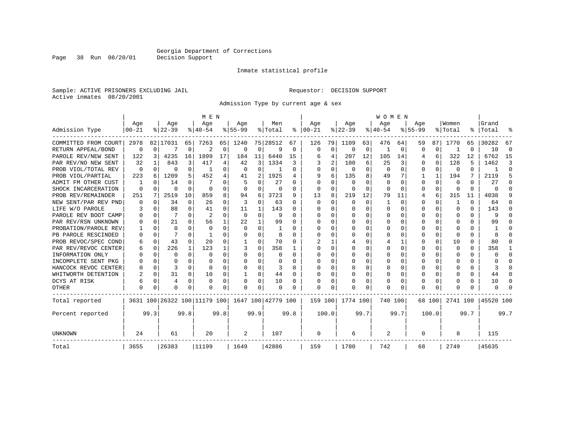#### Inmate statistical profile

Sample: ACTIVE PRISONERS EXCLUDING JAIL Requestor: DECISION SUPPORT Active inmates 08/20/2001

Page 38 Run 08/20/01

Admission Type by current age & sex

|                      |                  |          |                  |          | M E N                        |          |                  |              |                    |      |                      |          |                  |          | <b>WOMEN</b>     |              |                    |          |                  |      |                    |          |
|----------------------|------------------|----------|------------------|----------|------------------------------|----------|------------------|--------------|--------------------|------|----------------------|----------|------------------|----------|------------------|--------------|--------------------|----------|------------------|------|--------------------|----------|
| Admission Type       | Age<br>$00 - 21$ |          | Age<br>$8 22-39$ |          | Age<br>$8 40-54$             |          | Age<br>$8 55-99$ |              | Men<br>% Total     |      | Age<br>$8   00 - 21$ |          | Age<br>$ 22-39 $ |          | Age<br>$8 40-54$ |              | Age<br>$8155 - 99$ |          | Women<br>% Total |      | Grand<br>%   Total |          |
|                      |                  |          |                  |          |                              |          |                  |              |                    |      |                      |          |                  |          |                  |              |                    |          |                  |      |                    |          |
| COMMITTED FROM COURT | 2978             |          | 82   17031       | 65       | 7263                         | 65       | 1240             |              | 75 28512           | 67   | 126                  | 79       | 1109             | 63       | 476              | 64           | 59                 | 87       | 1770             | 65   | 30282              | 67       |
| RETURN APPEAL/BOND   | 0                | 0        |                  | 0        | 2                            | 0        | $\Omega$         | 0            | 9                  | 0    | $\mathbf 0$          | 0        | $\Omega$         | 0        |                  | 0            | O                  | 0        |                  | O    | 10                 | $\Omega$ |
| PAROLE REV/NEW SENT  | 122              | 3        | 4235             | 16       | 1899                         | 17       | 184              | 11           | 6440               | 15   | 6                    | 4        | 207              | 12       | 105              | 14           |                    | 6        | 322              | 12   | 6762               | 15       |
| PAR REV/NO NEW SENT  | 32               |          | 843              | 3        | 417                          | 4        | 42               | 3            | 1334               | 3    |                      | 2        | 100              | 6        | 25               | 3            | $\Omega$           | $\Omega$ | 128              | 5    | 1462               | 3        |
| PROB VIOL/TOTAL REV  | 0                | $\Omega$ | 0                | 0        |                              | $\Omega$ | $\Omega$         | $\Omega$     |                    | 0    | $\Omega$             | $\Omega$ | $\Omega$         | $\Omega$ | $\Omega$         | $\Omega$     | $\Omega$           | $\Omega$ | $\Omega$         | 0    |                    | $\Omega$ |
| PROB VIOL/PARTIAL    | 223              | 6        | 1209             | 5.       | 452                          | 4        | 41               | 2            | 1925               | 4    | 9                    | 6        | 135              | 8        | 49               |              |                    | 1        | 194              | 7    | 2119               | 5        |
| ADMIT FM OTHER CUST  |                  | $\Omega$ | 14               | 0        |                              | $\Omega$ |                  | $\Omega$     | 27                 | 0    | $\Omega$             | $\Omega$ | $\Omega$         | O        | $\Omega$         | <sup>0</sup> | $\Omega$           | $\Omega$ | 0                | 0    | 27                 | ∩        |
| SHOCK INCARCERATION  | $\Omega$         | $\Omega$ | O                | 0        | $\Omega$                     | 0        | $\Omega$         | 0            | 0                  | 0    | $\Omega$             | 0        | 0                | O        | 0                | $\Omega$     | $\Omega$           | $\Omega$ | <sup>0</sup>     | 0    | U                  | ſ        |
| PROB REV/REMAINDER   | 251              | 7        | 2519             | 10       | 859                          | 8        | 94               | 6            | 3723               | 9    | 13                   | 8        | 219              | 12       | 79               | 11           | 4                  | 6        | 315              | 11   | 4038               |          |
| NEW SENT/PAR REV PND |                  | $\Omega$ | 34               | 0        | 26                           | 0        | 3                | $\mathbf 0$  | 63                 | 0    | $\Omega$             | $\Omega$ | $\Omega$         | $\Omega$ | 1                | $\Omega$     | $\Omega$           | $\Omega$ |                  | 0    | 64                 |          |
| LIFE W/O PAROLE      |                  | $\Omega$ | 88               | 0        | 41                           | 0        | 11               | 1            | 143                | 0    | O                    | $\Omega$ | $\Omega$         | $\Omega$ | U                | O            | $\Omega$           | $\Omega$ | <sup>0</sup>     | 0    | 143                |          |
| PAROLE REV BOOT CAMP |                  | $\Omega$ | 7                | $\Omega$ | $\overline{c}$               | $\Omega$ | $\Omega$         | 0            | q                  | U    | n                    | 0        | $\Omega$         | $\Omega$ | Ω                | n            | ∩                  | $\Omega$ | O                | 0    | 9                  |          |
| PAR REV/RSN UNKNOWN  |                  | $\Omega$ | 21               | C.       | 56                           | 1        | 22               | $\mathbf{1}$ | 99                 | U    | ∩                    | 0        | $\Omega$         | $\Omega$ | U                | O            | ∩                  | $\Omega$ | U                | U    | 99                 |          |
| PROBATION/PAROLE REV |                  | $\Omega$ | $\Omega$         | U        | $\Omega$                     | $\Omega$ | $\Omega$         | $\Omega$     |                    | U    | ∩                    | 0        | U                | $\Omega$ | U                | O            | ∩                  | U        | U                | U    |                    |          |
| PB PAROLE RESCINDED  |                  | $\Omega$ |                  | U        |                              | O        | U                | $\Omega$     | 8                  | U    | <sup>0</sup>         | 0        | U                | $\Omega$ | U                | O            | ∩                  | $\Omega$ | n                | U    |                    |          |
| PROB REVOC/SPEC COND | 6                | $\Omega$ | 43               | 0        | 20                           | 0        |                  | 0            | 70                 | U    |                      |          |                  | O        |                  |              | $\Omega$           | $\Omega$ | 10               | U    | 80                 | O        |
| PAR REV/REVOC CENTER | h                | 0        | 226              | 1        | 123                          |          |                  | 0            | 358                |      | <sup>0</sup>         | 0        |                  | O        | Ω                | O            | $\Omega$           | U        | <sup>0</sup>     | 0    | 358                |          |
| INFORMATION ONLY     |                  | $\Omega$ | O                | 0        | $\Omega$                     | 0        | O                | 0            | O                  | 0    | $\Omega$             | 0        | 0                | O        | U                | $\Omega$     | $\Omega$           | $\Omega$ | O                | 0    | U                  | ∩        |
| INCOMPLETE SENT PKG  |                  | $\Omega$ | O                | 0        | $\Omega$                     | 0        | O                | $\Omega$     | O                  | O    | <sup>0</sup>         | $\Omega$ | <sup>0</sup>     | O        | O                | O            | O                  | $\Omega$ | C                | 0    |                    | n        |
| HANCOCK REVOC CENTER |                  | $\Omega$ | 3                | 0        | $\Omega$                     | 0        | U                | $\Omega$     | 3                  | U    | ∩                    | $\Omega$ | O                | O        | 0                | $\Omega$     | $\Omega$           | $\Omega$ |                  | 0    | 3                  | ∩        |
| WHITWORTH DETENTION  |                  | $\Omega$ | 31               | 0        | 10                           | 0        | -1               | 0            | 44                 | O    | <sup>0</sup>         | 0        | $\Omega$         | O        | 0                | $\Omega$     | $\Omega$           | $\Omega$ |                  | U    | 44                 | ∩        |
| DCYS AT RISK         | 6                | $\Omega$ | 4                | $\Omega$ | $\Omega$                     | 0        |                  | $\Omega$     | 10                 | 0    |                      | 0        | 0                | $\Omega$ | 0                | 0            | $\Omega$           | $\Omega$ |                  | 0    | 10                 | C        |
| <b>OTHER</b>         | $\Omega$         | $\Omega$ | O                | U        | O                            | 0        | O                | $\Omega$     | O                  | O    | $\Omega$             | O        | O                | $\Omega$ | O                | O            | $\Omega$           | $\Omega$ |                  | U    | U                  |          |
| Total reported       |                  |          |                  |          | 3631 100 26322 100 11179 100 |          |                  |              | 1647 100 42779 100 |      | 159 100              |          | 1774 100         |          | 740 100          |              |                    | 68 100   | 2741 100         |      | 45520 100          |          |
| Percent reported     |                  | 99.3     |                  | 99.8     |                              | 99.8     |                  | 99.9         |                    | 99.8 |                      | 100.0    |                  | 99.7     |                  | 99.7         |                    | 100.0    |                  | 99.7 |                    | 99.7     |
| UNKNOWN              | 24               |          | 61               |          | 20                           |          | 2                |              | 107                |      | 0                    |          | 6                |          | 2                |              | 0                  |          | 8                |      | 115                |          |
| Total                | 3655             |          | 26383            |          | 11199                        |          | 1649             |              | 42886              |      | 159                  |          | 1780             |          | 742              |              | 68                 |          | 2749             |      | 45635              |          |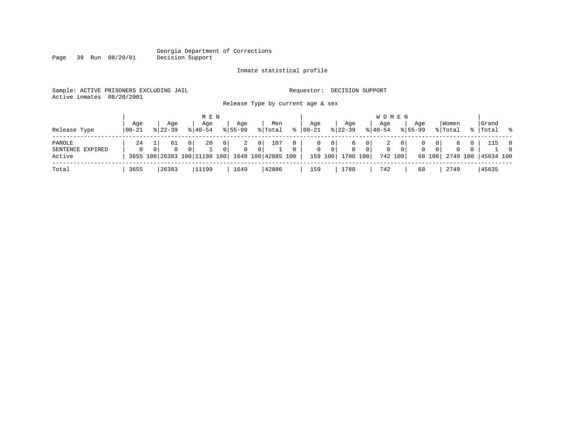#### Georgia Department of Corrections Page 39 Run 08/20/01

### Inmate statistical profile

|  | Sample: ACTIVE PRISONERS EXCLUDING JAIL | Requestor: DECISION SUPPORT |  |
|--|-----------------------------------------|-----------------------------|--|
|  | Active inmates 08/20/2001               |                             |  |

Release Type by current age & sex

| Release Type                         | Aqe<br>$100 - 21$ | Age<br>$8122 - 39$ | M E N<br>Aqe<br>$8140 - 54$                                | Aqe<br>$8155 - 99$                                | Men<br>% Total                          | ႜ        | Aqe<br>$ 00 - 21 $ | $8 \mid 22 - 39$                          | Aqe                                         | <b>WOMEN</b><br>Age<br>$ 40-54 $ |                                             | Aqe<br>$8155 - 99$ |                                            | Women<br>% Total                |                     | Grand<br>%   Total | $\sim$ 8                   |
|--------------------------------------|-------------------|--------------------|------------------------------------------------------------|---------------------------------------------------|-----------------------------------------|----------|--------------------|-------------------------------------------|---------------------------------------------|----------------------------------|---------------------------------------------|--------------------|--------------------------------------------|---------------------------------|---------------------|--------------------|----------------------------|
| PAROLE<br>SENTENCE EXPIRED<br>Active | 24                | 61<br>$\Omega$     | 20<br>0<br>3655 100 26383 100 11198 100 1649 100 42885 100 | $\overline{0}$<br>2<br>$\Omega$<br>$\overline{0}$ | 107<br>0 <sup>1</sup><br>$\overline{0}$ | $\Omega$ | 0<br>$\mathbf{0}$  | $\mathbf{0}$<br>0 <sup>1</sup><br>159 100 | 6<br>0 <sup>1</sup><br>$\Omega$<br>1780 100 | 2<br>$\mathbf 0$                 | 0 <sup>1</sup><br>0 <sup>1</sup><br>742 100 | $\mathbf{0}$       | 0 <sup>1</sup><br>$\overline{0}$<br>68 100 | 8<br>$\overline{0}$<br>2749 100 | $\circ$<br>$\Omega$ | 115<br>45634 100   | $\overline{0}$<br>$\Omega$ |
| Total                                | 3655              | 26383              | 11199                                                      | 1649                                              | 42886                                   |          | 159                | 1780                                      |                                             | 742                              |                                             | 68                 |                                            | 2749                            |                     | 45635              |                            |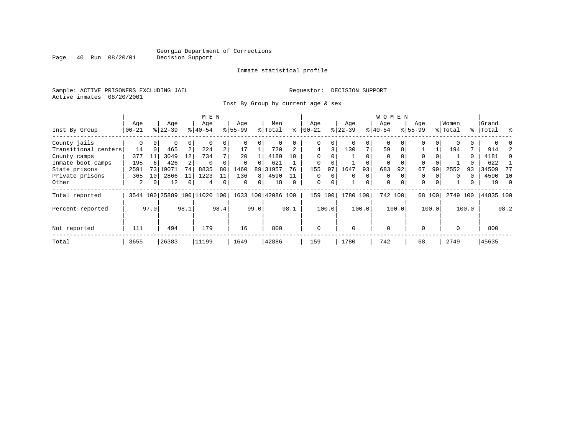Page 40 Run 08/20/01

#### Inmate statistical profile

Sample: ACTIVE PRISONERS EXCLUDING JAIL **Requestor: DECISION SUPPORT** Active inmates 08/20/2001

Inst By Group by current age & sex

|                      |                                          |          |           |    | M E N       |                |             |          |                    |          |                |          |          |     | <b>WOMEN</b> |          |             |          |          |          |           |          |
|----------------------|------------------------------------------|----------|-----------|----|-------------|----------------|-------------|----------|--------------------|----------|----------------|----------|----------|-----|--------------|----------|-------------|----------|----------|----------|-----------|----------|
|                      | Age                                      |          | Age       |    | Age         |                | Age         |          | Men                |          | Age            |          | Age      |     | Age          |          | Age         |          | Women    |          | Grand     |          |
| Inst By Group        | $00 - 21$                                |          | $8 22-39$ |    | $8140 - 54$ |                | $8155 - 99$ |          | % Total            | ႜ        | $00 - 21$      |          | $ 22-39$ |     | $ 40-54$     |          | $8155 - 99$ |          | % Total  |          | %   Total | ွေ       |
| County jails         | 0                                        | $\Omega$ | 0         | 0  | 0           | 0              |             | 0        | 0                  |          | 0              | 0        |          | 0   | 0            |          | 0           | $\Omega$ |          |          |           |          |
| Transitional centers | 14                                       | $\Omega$ | 465       | 2  | 224         | $\overline{a}$ | 17          |          | 720                |          | $\overline{4}$ | 3        | 130      | 7   | 59           | 8        |             |          | 194      |          | 914       |          |
| County camps         | 377                                      | 11       | 3049      | 12 | 734         | 7              | 20          |          | 4180               | 10       | $\Omega$       |          |          |     | $\Omega$     |          | $\Omega$    |          |          | $\Omega$ | 4181      | 9        |
| Inmate boot camps    | 195                                      | 6        | 426       |    | $\Omega$    |                | $\Omega$    |          | 621                |          | $\mathbf 0$    |          |          |     | 0            |          | $\Omega$    |          |          |          | 622       |          |
| State prisons        | 2591                                     | 73       | 19071     | 74 | 8835        | 80             | 1460        |          | 89 31957           | 76       | 155            | 97       | 1647     | 93  | 683          | 92       | 67          | 99       | 2552     | 93       | 34509     | 77       |
| Private prisons      | 365                                      | 10       | 2866      | 11 | 1223        | 11             | 136         | 8        | 4590               |          | $\Omega$       | $\Omega$ | $\Omega$ | 0   | $\Omega$     |          | $\Omega$    |          | $\Omega$ |          | 4590      | - 10     |
| Other                | 2                                        | 0        | 12        | 0  | 4           | 0              | $\Omega$    | $\Omega$ | 18                 | $\Omega$ | $\mathbf 0$    | 0        |          | 0   | $\mathbf 0$  | $\Omega$ | $\Omega$    | $\Omega$ |          |          | 19        | $\Omega$ |
| Total reported       |                                          |          |           |    |             | 100            |             |          | 1633 100 42086 100 |          | 159            | 100      | 1780     | 100 | 742 100      |          |             | 68 100   | 2749     | 100      | 44835 100 |          |
| Percent reported     | 3544 100 25889 100 11020<br>97.0<br>98.1 |          |           |    | 98.4        |                | 99.0        |          | 98.1               |          | 100.0          |          | 100.0    |     | 100.0        |          | 100.0       |          | 100.0    |          | 98.2      |          |
| Not reported         | 111                                      |          | 494       |    | 179         |                | 16          |          | 800                |          | $\mathbf 0$    |          | $\Omega$ |     | $\Omega$     |          | $\Omega$    |          | $\Omega$ |          | 800       |          |
| Total                | 3655                                     |          | 26383     |    | 11199       |                | 1649        |          | 42886              |          | 159            |          | 1780     |     | 742          |          | 68          |          | 2749     |          | 45635     |          |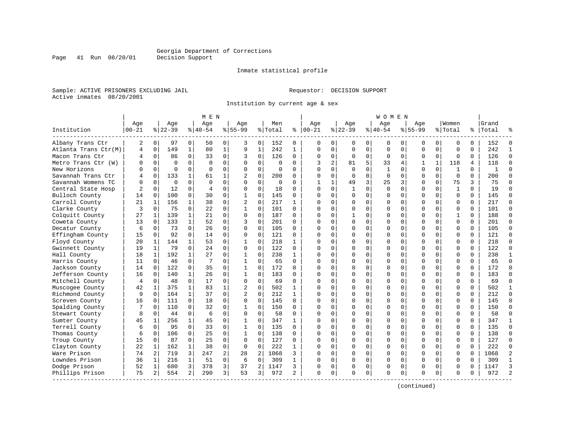Inmate statistical profile

Sample: ACTIVE PRISONERS EXCLUDING JAIL **Requestor: DECISION SUPPORT** Active inmates 08/20/2001

Institution by current age & sex

|                      |                   |                |                  |              | M E N            |              |                    |                |                |              |                   |                |                  |             | W O M E N          |             |                    |              |                  |          |                    |                |
|----------------------|-------------------|----------------|------------------|--------------|------------------|--------------|--------------------|----------------|----------------|--------------|-------------------|----------------|------------------|-------------|--------------------|-------------|--------------------|--------------|------------------|----------|--------------------|----------------|
| Institution          | Age<br>$ 00 - 21$ |                | Age<br>$8 22-39$ |              | Age<br>$8 40-54$ |              | Aqe<br>$8155 - 99$ |                | Men<br>% Total | ႜ            | Aqe<br>$ 00 - 21$ |                | Aqe<br>$8 22-39$ |             | Aqe<br>$8140 - 54$ |             | Aqe<br>$8155 - 99$ |              | Women<br>% Total |          | Grand<br>%   Total |                |
| Albany Trans Ctr     | 2                 | 0              | 97               | 0            | 50               | 0            | 3                  | 0              | 152            | 0            | $\Omega$          | 0              | 0                | 0           | 0                  | 0           | 0                  | 0            | 0                | $\Omega$ | 152                | $\Omega$       |
| Atlanta Trans Ctr(M) | 4                 | $\mathbf 0$    | 149              | $\mathbf{1}$ | 80               | $\mathbf{1}$ | 9                  | $\mathbf{1}$   | 242            | $\mathbf{1}$ | $\Omega$          | $\mathbf 0$    | $\mathbf 0$      | $\mathbf 0$ | $\mathbf 0$        | $\mathbf 0$ | $\mathbf 0$        | $\Omega$     | $\mathbf 0$      | $\Omega$ | 242                | $\mathbf{1}$   |
| Macon Trans Ctr      | 4                 | $\mathbf 0$    | 86               | 0            | 33               | 0            | 3                  | 0              | 126            | 0            | $\mathbf 0$       | 0              | $\mathbf 0$      | 0           | $\mathbf 0$        | $\mathbf 0$ | 0                  | 0            | $\mathbf 0$      | 0        | 126                | $\Omega$       |
| Metro Trans Ctr (W)  | O                 | $\Omega$       | $\Omega$         | $\Omega$     | $\Omega$         | $\Omega$     | $\Omega$           | $\Omega$       | $\Omega$       | 0            | 3                 | $\overline{a}$ | 81               | 5           | 33                 | 4           | 1                  | $\mathbf{1}$ | 118              | 4        | 118                | $\Omega$       |
| New Horizons         | U                 | $\Omega$       | $\Omega$         | $\Omega$     | $\Omega$         | $\Omega$     | $\Omega$           | $\Omega$       | $\Omega$       | O            | $\Omega$          | $\Omega$       | $\Omega$         | $\Omega$    | $\mathbf{1}$       | $\Omega$    | $\Omega$           | $\Omega$     | $\mathbf{1}$     | $\Omega$ | $\mathbf{1}$       |                |
| Savannah Trans Ctr   |                   | $\Omega$       | 133              | $\mathbf{1}$ | 61               | 1            | 2                  | $\Omega$       | 200            | 0            | $\Omega$          | $\Omega$       | $\Omega$         | $\Omega$    | $\Omega$           | $\Omega$    | $\Omega$           | $\Omega$     | $\Omega$         | $\Omega$ | 200                | $\Omega$       |
| Savannah Womens TC   |                   | $\mathbf 0$    | $\mathbf 0$      | 0            | $\Omega$         | 0            | $\Omega$           | 0              | 0              | 0            | 1                 | $\mathbf{1}$   | 49               | 3           | 25                 | 3           | $\Omega$           | $\mathbf 0$  | 75               | 3        | 75                 | $\Omega$       |
| Central State Hosp   |                   | $\Omega$       | 12               | $\Omega$     | $\overline{4}$   | 0            | $\Omega$           | $\Omega$       | 18             | $\Omega$     | $\Omega$          | $\Omega$       | $\mathbf{1}$     | $\Omega$    | $\Omega$           | $\Omega$    | $\Omega$           | $\Omega$     | $\mathbf{1}$     | $\Omega$ | 19                 | $\Omega$       |
| Bulloch County       | 14                | $\Omega$       | 100              | 0            | 30               | 0            | 1                  | $\Omega$       | 145            | $\Omega$     | $\Omega$          | 0              | $\Omega$         | $\mathbf 0$ | $\Omega$           | 0           | $\Omega$           | $\Omega$     | $\mathbf 0$      | $\Omega$ | 145                | $\Omega$       |
| Carroll County       | 21                | 1              | 156              | 1            | 38               | 0            | 2                  | 0              | 217            | 1            | $\cap$            | 0              | U                | $\Omega$    | $\Omega$           | 0           | $\Omega$           | $\Omega$     | $\Omega$         | $\Omega$ | 217                | $\Omega$       |
| Clarke County        | 3                 | $\Omega$       | 75               | 0            | 22               | 0            | 1                  | $\Omega$       | 101            | 0            | $\cap$            | $\Omega$       | $\Omega$         | $\Omega$    | $\Omega$           | $\Omega$    | $\Omega$           | $\Omega$     | $\Omega$         | $\Omega$ | 101                | $\Omega$       |
| Colquitt County      | 27                | 1              | 139              | $\mathbf{1}$ | 21               | 0            | $\Omega$           | $\Omega$       | 187            | $\Omega$     | $\Omega$          | $\Omega$       | $\mathbf{1}$     | $\Omega$    | $\Omega$           | $\Omega$    | $\Omega$           | $\Omega$     | $\mathbf{1}$     | $\Omega$ | 188                | $\Omega$       |
| Coweta County        | 13                | $\Omega$       | 133              | $\mathbf{1}$ | 52               | 0            | 3                  | $\mathbf 0$    | 201            | 0            | $\cap$            | $\Omega$       | $\Omega$         | $\mathbf 0$ | $\Omega$           | $\mathbf 0$ | $\Omega$           | $\Omega$     | $\mathbf 0$      | $\Omega$ | 201                | $\Omega$       |
| Decatur County       | 6                 | $\Omega$       | 73               | $\Omega$     | 26               | 0            | $\Omega$           | $\Omega$       | 105            | $\Omega$     | $\Omega$          | $\Omega$       | $\Omega$         | $\Omega$    | U                  | $\Omega$    | $\Omega$           | $\Omega$     | $\Omega$         | $\Omega$ | 105                | $\Omega$       |
| Effingham County     | 15                | 0              | 92               | 0            | 14               | 0            | $\Omega$           | $\Omega$       | 121            | 0            | $\Omega$          | $\Omega$       | $\Omega$         | 0           | $\Omega$           | 0           | $\Omega$           | $\Omega$     | $\Omega$         | 0        | 121                | $\Omega$       |
| Floyd County         | 20                | 1              | 144              |              | 53               | 0            |                    | $\Omega$       | 218            | $\mathbf{1}$ | $\cap$            | $\Omega$       | $\Omega$         | $\Omega$    | $\Omega$           | 0           | $\Omega$           | $\Omega$     | $\Omega$         | $\Omega$ | 218                | $\Omega$       |
| Gwinnett County      | 19                | 1              | 79               | $\Omega$     | 2.4              | 0            | $\Omega$           | $\Omega$       | 122            | 0            | $\cap$            | $\Omega$       | $\Omega$         | $\Omega$    | $\Omega$           | $\Omega$    | $\Omega$           | $\Omega$     | $\Omega$         | $\Omega$ | 122                | $\Omega$       |
| Hall County          | 18                | 1              | 192              | $\mathbf{1}$ | 27               | 0            | 1                  | $\Omega$       | 238            | 1            | n                 | $\Omega$       | $\Omega$         | $\Omega$    | $\Omega$           | $\Omega$    | $\Omega$           | $\Omega$     | $\Omega$         | $\Omega$ | 238                | -1             |
| Harris County        | 11                | 0              | 46               | 0            | -7               | 0            | 1                  | 0              | 65             | $\Omega$     | C                 | $\mathbf 0$    | $\Omega$         | $\mathbf 0$ | $\Omega$           | $\mathbf 0$ | $\Omega$           | $\Omega$     | $\mathbf 0$      | $\Omega$ | 65                 | $\Omega$       |
| Jackson County       | 14                | $\Omega$       | 122              | 0            | 35               | 0            | $\mathbf{1}$       | 0              | 172            | $\Omega$     | $\cap$            | 0              | $\Omega$         | 0           | $\Omega$           | $\mathbf 0$ | $\Omega$           | $\Omega$     | $\Omega$         | $\Omega$ | 172                | $\Omega$       |
| Jefferson County     | 16                | $\Omega$       | 140              | $\mathbf{1}$ | 26               | $\Omega$     | 1                  | $\Omega$       | 183            | 0            | $\Omega$          | $\Omega$       | $\Omega$         | $\Omega$    | $\Omega$           | $\Omega$    | $\Omega$           | $\Omega$     | $\Omega$         | $\Omega$ | 183                | $\Omega$       |
| Mitchell County      | $\overline{4}$    | 0              | 48               | 0            | 17               | 0            | $\Omega$           | 0              | 69             | 0            | $\Omega$          | $\Omega$       | U                | 0           | $\Omega$           | 0           | $\Omega$           | $\Omega$     | $\Omega$         | 0        | 69                 | $\Omega$       |
| Muscogee County      | 42                | 1              | 375              | 1            | 83               | 1            | 2                  | $\Omega$       | 502            | 1            | n                 | $\Omega$       | $\Omega$         | $\Omega$    | $\Omega$           | $\Omega$    | $\Omega$           | $\Omega$     | $\Omega$         | $\Omega$ | 502                | $\mathbf{1}$   |
| Richmond County      | 9                 | $\Omega$       | 164              | 1            | 37               | 0            | 2                  | 0              | 212            | $\mathbf{1}$ | $\cap$            | 0              | $\Omega$         | $\mathbf 0$ | $\Omega$           | 0           | $\Omega$           | $\Omega$     | $\mathbf 0$      | $\Omega$ | 212                | $\Omega$       |
| Screven County       | 16                | $\Omega$       | 111              | $\Omega$     | 18               | 0            | $\Omega$           | $\mathbf 0$    | 145            | $\Omega$     | $\Omega$          | $\Omega$       | $\Omega$         | $\mathbf 0$ | $\Omega$           | $\mathbf 0$ | $\Omega$           | $\Omega$     | $\Omega$         | $\Omega$ | 145                | $\Omega$       |
| Spalding County      |                   | $\Omega$       | 110              | $\Omega$     | 32               | $\Omega$     | 1                  | $\Omega$       | 150            | 0            | $\bigcap$         | $\Omega$       | $\Omega$         | $\Omega$    | $\Omega$           | $\Omega$    | $\Omega$           | $\Omega$     | $\Omega$         | $\Omega$ | 150                | $\Omega$       |
| Stewart County       | 8                 | 0              | 44               | 0            | 6                | 0            | $\Omega$           | 0              | 58             | 0            | $\Omega$          | 0              | $\Omega$         | 0           | U                  | 0           | $\Omega$           | $\Omega$     | $\Omega$         | $\Omega$ | 58                 | $\Omega$       |
| Sumter County        | 45                | 1              | 256              | $\mathbf{1}$ | 45               | 0            |                    | $\Omega$       | 347            | $\mathbf{1}$ | $\cap$            | $\Omega$       | $\Omega$         | $\Omega$    | $\Omega$           | $\Omega$    | $\Omega$           | $\Omega$     | $\Omega$         | $\Omega$ | 347                | $\mathbf{1}$   |
| Terrell County       | 6                 | $\Omega$       | 95               | $\Omega$     | 33               | 0            |                    | $\Omega$       | 135            | 0            | $\cap$            | $\Omega$       | $\Omega$         | $\Omega$    | $\Omega$           | $\Omega$    | $\Omega$           | $\Omega$     | $\Omega$         | $\Omega$ | 135                | $\Omega$       |
| Thomas County        | 6                 | $\Omega$       | 106              | $\Omega$     | 25               | 0            | 1                  | $\Omega$       | 138            | 0            | ∩                 | $\Omega$       | $\Omega$         | $\Omega$    | $\Omega$           | $\Omega$    | $\Omega$           | $\Omega$     | $\Omega$         | $\Omega$ | 138                | $\Omega$       |
| Troup County         | 15                | $\mathbf 0$    | 87               | 0            | 25               | 0            | $\Omega$           | $\mathbf 0$    | 127            | 0            | C                 | $\Omega$       | $\Omega$         | $\mathbf 0$ | $\Omega$           | 0           | $\Omega$           | $\Omega$     | $\mathbf 0$      | $\Omega$ | 127                | $\Omega$       |
| Clayton County       | 22                | 1              | 162              | $\mathbf{1}$ | 38               | 0            | $\Omega$           | $\mathbf 0$    | 222            | $\mathbf{1}$ | $\cap$            | $\mathbf 0$    | $\Omega$         | 0           | $\Omega$           | 0           | $\Omega$           | $\Omega$     | $\mathbf 0$      | $\Omega$ | 222                | $\Omega$       |
| Ware Prison          | 74                | $\overline{2}$ | 719              | 3            | 247              | 2            | 28                 | $\overline{c}$ | 1068           | 3            | $\cap$            | $\Omega$       | $\Omega$         | $\Omega$    | $\Omega$           | $\mathbf 0$ | $\Omega$           | $\Omega$     | $\Omega$         | $\Omega$ | 1068               | $\overline{2}$ |
| Lowndes Prison       | 36                | 1              | 216              | $\mathbf 1$  | 51               | 0            | 6                  | $\mathbf 0$    | 309            | 1            | $\Omega$          | 0              | $\Omega$         | 0           | $\Omega$           | $\mathbf 0$ | $\Omega$           | $\Omega$     | $\mathbf 0$      | 0        | 309                | $\mathbf{1}$   |
| Dodge Prison         | 52                | 1              | 680              | 3            | 378              | 3            | 37                 | 2              | 1147           | 3            | O                 | 0              | 0                | 0           | 0                  | 0           | $\Omega$           | 0            | 0                | O        | 1147               | 3              |
| Phillips Prison      | 75                | 2              | 554              | 2            | 290              | 3            | 53                 | 3              | 972            | 2            | $\Omega$          | 0              | $\Omega$         | 0           | $\Omega$           | $\mathbf 0$ | $\Omega$           | 0            | $\Omega$         | 0        | 972                | $\mathcal{D}$  |

(continued)

Page 41 Run 08/20/01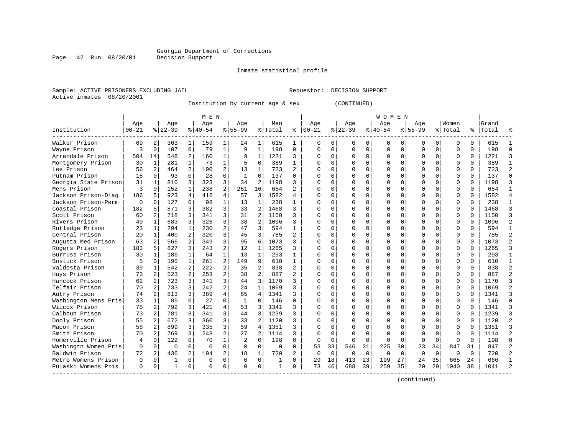Page 42 Run 08/20/01

#### Inmate statistical profile

Sample: ACTIVE PRISONERS EXCLUDING JAIL Requestor: DECISION SUPPORT Active inmates 08/20/2001

Institution by current age & sex (CONTINUED)

|                      |           |                |           |                | M E N     |                |                |                |             |                |          |          |             |             | W O M E N |             |             |             |          |          |       |                |
|----------------------|-----------|----------------|-----------|----------------|-----------|----------------|----------------|----------------|-------------|----------------|----------|----------|-------------|-------------|-----------|-------------|-------------|-------------|----------|----------|-------|----------------|
|                      | Age       |                | Age       |                | Age       |                | Age            |                | Men         |                | Age      |          | Age         |             | Age       |             | Age         |             | Women    |          | Grand |                |
| Institution          | $00 - 21$ |                | $ 22-39 $ |                | $8 40-54$ |                | $8155 - 99$    |                | % Total     | နွ             | $ 00-21$ |          | $ 22-39$    |             | $ 40-54$  |             | $8155 - 99$ |             | % Total  | ႜ        | Total |                |
| Walker Prison        | 69        | 2              | 363       | $\mathbf{1}$   | 159       | 1              | 24             | 1              | 615         | 1              | n        | 0        | 0           | 0           | 0         | 0           | 0           | 0           | $\Omega$ | 0        | 615   |                |
| Wayne Prison         | 3         | $\mathbf 0$    | 107       | $\mathbf 0$    | 79        | $\mathbf 1$    | 9              | $\mathbf{1}$   | 198         | $\mathbf 0$    | $\Omega$ | $\Omega$ | 0           | $\mathbf 0$ | $\Omega$  | $\mathbf 0$ | $\Omega$    | $\mathbf 0$ | $\Omega$ | 0        | 198   | $\bigcap$      |
| Arrendale Prison     | 504       | 14             | 548       | 2              | 160       | 1              | 9              | $\mathbf{1}$   | 1221        | 3              |          | $\Omega$ | $\Omega$    | $\mathbf 0$ | $\Omega$  | 0           | 0           | $\Omega$    | $\Omega$ | 0        | 1221  | 3              |
| Montgomery Prison    | 30        | 1              | 281       | $\mathbf{1}$   | 73        | $\mathbf{1}$   | 5              | $\mathbf 0$    | 389         | $\mathbf{1}$   |          | 0        | 0           | 0           |           | $\mathbf 0$ | 0           | $\Omega$    | $\Omega$ | 0        | 389   | $\mathbf{1}$   |
| Lee Prison           | 56        | $\overline{2}$ | 464       | 2              | 190       | $\overline{a}$ | 13             | 1              | 723         | $\overline{a}$ |          | 0        |             | O           |           | $\Omega$    | $\Omega$    | $\Omega$    | $\Omega$ | 0        | 723   | $\mathfrak{D}$ |
| Putnam Prison        | 15        | $\Omega$       | 93        | $\Omega$       | 28        | 0              | $\overline{1}$ | 0              | 137         | $\Omega$       |          | 0        | U           | $\Omega$    | U         | $\mathbf 0$ | $\Omega$    | $\Omega$    | $\Omega$ | $\Omega$ | 137   | $\Omega$       |
| Georgia State Prison | 31        | 1              | 810       | 3              | 323       | 3              | 34             | $\overline{2}$ | 1198        | ς              |          | U        | U           | $\Omega$    | U         | $\mathbf 0$ | $\Omega$    | 0           | $\Omega$ | U        | 1198  |                |
| Mens Prison          | 3         | $\Omega$       | 152       | $\mathbf{1}$   | 238       | 2              | 261            | 16             | 654         |                |          |          | U           | O           | 0         | 0           | $\Omega$    |             | $\Omega$ | U        | 654   | -1             |
| Jackson Prison-Diag  | 186       | 5              | 923       | 4              | 416       | $\overline{4}$ | 57             | 3              | 1582        | 4              |          |          | $\Omega$    | O           | 0         | $\Omega$    | $\Omega$    |             | $\Omega$ | U        | 1582  | $\Delta$       |
| Jackson Prison-Perm  | $\Omega$  | ∩              | 127       | $\Omega$       | 98        | $\mathbf{1}$   | 13             | 1              | 238         | 1              |          | U        | $\Omega$    | O           | $\Omega$  | $\Omega$    | $\Omega$    |             | $\Omega$ | 0        | 238   | -1             |
| Coastal Prison       | 182       | 5              | 871       | 3              | 382       | 3              | 33             | $\overline{2}$ | 1468        | ς              |          | 0        | $\Omega$    | 0           | $\Omega$  | $\Omega$    | $\Omega$    | $\Omega$    | $\Omega$ | O        | 1468  |                |
| Scott Prison         | 60        | 2              | 718       | 3              | 341       | 3              | 31             | 2              | 1150        | ζ              |          | 0        | O           | 0           | U         | 0           | $\Omega$    | $\Omega$    | $\Omega$ | O        | 1150  | ₹              |
| Rivers Prison        | 49        | $\mathbf{1}$   | 683       | 3              | 326       | 3              | 38             | 2              | 1096        | 3              |          | 0        | 0           | 0           |           | $\mathbf 0$ | $\Omega$    | $\Omega$    | $\Omega$ | O        | 1096  |                |
| Rutledge Prison      | 23        | 1              | 294       | $\mathbf{1}$   | 230       | 2              | 47             | 3              | 594         | $\mathbf{1}$   |          | 0        | O           | O           | U         | $\mathbf 0$ | $\Omega$    | 0           | $\Omega$ | 0        | 594   | $\mathbf{1}$   |
| Central Prison       | 20        | 1              | 400       | 2              | 320       | 3              | 45             | 3              | 785         | $\overline{c}$ |          | 0        | $\Omega$    | 0           | U         | 0           | $\Omega$    | 0           | 0        | $\Omega$ | 785   | $\mathfrak{D}$ |
| Augusta Med Prison   | 63        | 2              | 566       | $\overline{2}$ | 349       | 3              | 95             | 6              | 1073        | ς              |          | 0        | 0           | 0           | 0         | $\Omega$    | $\Omega$    | $\Omega$    | 0        | 0        | 1073  |                |
| Rogers Prison        | 183       | 5              | 827       | 3              | 243       | $\overline{a}$ | 12             | 1              | 1265        |                |          | U        | O           | $\Omega$    | U         | $\mathbf 0$ | $\Omega$    | $\Omega$    | $\Omega$ | O        | 1265  |                |
| Burruss Prison       | 30        | 1              | 186       | $\mathbf{1}$   | 64        | $\mathbf{1}$   | 13             | 1              | 293         | 1              |          |          | $\Omega$    | O           | $\Omega$  | $\Omega$    | $\Omega$    |             | $\Omega$ | O        | 293   | 1              |
| Bostick Prison       | 5         | $\Omega$       | 195       | $\mathbf{1}$   | 261       | $\overline{a}$ | 149            | 9              | 610         | $\mathbf{1}$   |          | U        | $\Omega$    | $\Omega$    | ∩         | $\Omega$    | $\cap$      |             | $\Omega$ | 0        | 610   | 1              |
| Valdosta Prison      | 39        | 1              | 542       | 2              | 222       | $\overline{a}$ | 35             | 2              | 838         | $\overline{a}$ |          | $\Omega$ | O           | 0           | $\Omega$  | $\Omega$    | O           | 0           | $\Omega$ | 0        | 838   | 2              |
| Hays Prison          | 73        | $\overline{2}$ | 523       | $\overline{a}$ | 253       | $\overline{a}$ | 38             | $\overline{2}$ | 887         | $\overline{c}$ |          | $\Omega$ | U           | 0           | U         | $\Omega$    | $\Omega$    | $\Omega$    | $\Omega$ | 0        | 887   |                |
| Hancock Prison       | 62        | $\overline{2}$ | 723       | 3              | 341       | 3              | 44             | 3              | 1170        | 3              |          | 0        |             | 0           | 0         | $\Omega$    | 0           | 0           | $\Omega$ | 0        | 1170  |                |
| Telfair Prison       | 70        | 2              | 733       | 3              | 242       | $\overline{a}$ | 24             | $\mathbf{1}$   | 1069        |                |          | 0        |             | O           |           | $\mathbf 0$ | $\Omega$    | $\Omega$    | $\Omega$ | O        | 1069  |                |
| Autry Prison         | 74        | $\mathfrak{D}$ | 813       | 3              | 389       | 4              | 65             | 4              | 1341        | ς              |          | 0        | O           | O           | $\Omega$  | $\Omega$    | $\Omega$    | $\Omega$    | $\Omega$ | 0        | 1341  | 3              |
| Washington Mens Pris | 33        | $\mathbf{1}$   | 85        | $\Omega$       | 27        | $\Omega$       | $\overline{1}$ | $\mathbf 0$    | 146         | $\Omega$       |          | 0        | O           | $\Omega$    | U         | $\mathbf 0$ | $\Omega$    | $\Omega$    | $\Omega$ | 0        | 146   | $\Omega$       |
| Wilcox Prison        | 75        | $\overline{2}$ | 792       | 3              | 421       | 4              | 53             | 3              | 1341        | ς              |          | U        | U           | $\Omega$    | U         | 0           | $\Omega$    | 0           | $\Omega$ | U        | 1341  | ₹              |
| Calhoun Prison       | 73        | $\overline{2}$ | 781       | 3              | 341       | 3              | 44             | 3              | 1239        | ς              |          |          | $\Omega$    | 0           | 0         | 0           | $\Omega$    |             | $\Omega$ | U        | 1239  | ₹              |
| Dooly Prison         | 55        | 2              | 672       | 3              | 360       | 3              | 33             | 2              | 1120        | ς              |          |          | U           | O           | 0         | $\Omega$    | 0           |             | $\Omega$ | U        | 1120  | $\overline{2}$ |
| Macon Prison         | 58        | 2              | 899       | 3              | 335       | 3              | 59             | 4              | 1351        | ς              |          |          | U           | O           | U         | $\Omega$    | $\Omega$    |             | $\Omega$ | U        | 1351  | २              |
| Smith Prison         | 70        | $\mathfrak{D}$ | 769       | 3              | 248       | $\overline{a}$ | 27             | $\overline{2}$ | 1114        | 3              |          | $\Omega$ | $\Omega$    | O           | $\Omega$  | $\Omega$    | $\Omega$    | $\Omega$    | $\Omega$ | O        | 1114  | $\mathfrak{D}$ |
| Homerville Prison    | 4         | $\Omega$       | 122       | $\Omega$       | 70        | $\mathbf{1}$   | 2              | $\mathbf 0$    | 198         | $\Omega$       |          | $\Omega$ | $\Omega$    | $\Omega$    | $\Omega$  | $\Omega$    | $\Omega$    | $\Omega$    | $\Omega$ | O        | 198   | $\cap$         |
| Washingtn Women Pris | $\Omega$  | $\mathbf 0$    | $\Omega$  | 0              | $\Omega$  | 0              | 0              | $\mathbf 0$    | $\mathbf 0$ | $\mathbf 0$    | 53       | 33       | 546         | 31          | 225       | 30          | 23          | 34          | 847      | 31       | 847   | 2              |
| Baldwin Prison       | 72        | 2              | 436       | $\overline{2}$ | 194       | $\overline{a}$ | 18             | 1              | 720         | $\overline{a}$ | $\Omega$ | $\Omega$ | $\mathbf 0$ | $\mathbf 0$ | $\Omega$  | $\mathbf 0$ | $\Omega$    | $\Omega$    | $\Omega$ | $\Omega$ | 720   | $\overline{a}$ |
| Metro Womens Prison  | $\Omega$  | $\Omega$       |           | 0              | $\Omega$  | $\Omega$       | $\Omega$       | $\mathbf 0$    | 1           | $\Omega$       | 29       | 18       | 413         | 23          | 199       | 27          | 24          | 35          | 665      | 24       | 666   |                |
| Pulaski Womens Pris  | $\Omega$  | 0              | 1         | $\Omega$       | $\cap$    | 0              | $\Omega$       | 0              | -1          | $\Omega$       | 73       | 46       | 688         | 39          | 259       | 35          | 20          | 29          | 1040     | 38       | 1041  |                |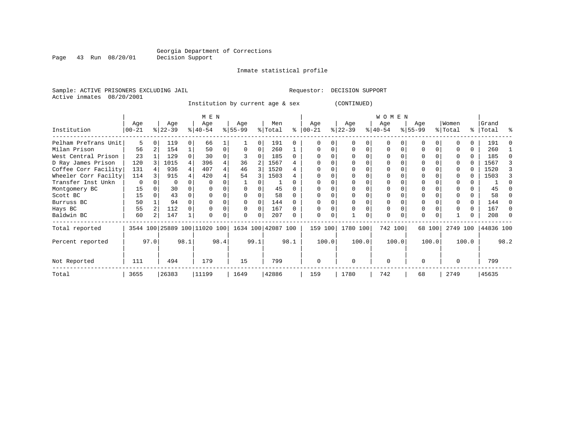Inmate statistical profile

Sample: ACTIVE PRISONERS EXCLUDING JAIL **Requestor: DECISION SUPPORT** Active inmates 08/20/2001

Page 43 Run 08/20/01

Institution by current age & sex (CONTINUED)

|                      |             |      |           |          | M E N                        |      |           |      |                    |      |          |       |           |       | <b>WOMEN</b> |       |             |        |          |       |           |      |
|----------------------|-------------|------|-----------|----------|------------------------------|------|-----------|------|--------------------|------|----------|-------|-----------|-------|--------------|-------|-------------|--------|----------|-------|-----------|------|
|                      | Age         |      | Age       |          | Age                          |      | Age       |      | Men                |      | Age      |       | Age       |       | Age          |       | Age         |        | Women    |       | Grand     |      |
| Institution          | $ 00 - 21 $ |      | $ 22-39 $ |          | $ 40-54 $                    |      | $8 55-99$ |      | % Total            | ፝    | $ 00-21$ |       | $ 22-39 $ |       | $ 40-54 $    |       | $8155 - 99$ |        | % Total  | %     | Total     | ႜ    |
| Pelham PreTrans Unit | 5           |      | 119       | $\Omega$ | 66                           |      |           |      | 191                |      |          |       |           |       |              |       |             |        |          |       | 191       |      |
| Milan Prison         | 56          |      | 154       |          | 50                           |      |           | 0    | 260                |      |          |       |           | 0     | $\Omega$     |       |             |        |          | 0     | 260       |      |
| West Central Prison  | 23          |      | 129       |          | 30                           |      |           |      | 185                |      |          |       |           |       |              |       |             |        |          |       | 185       |      |
| D Ray James Prison   | 120         |      | 1015      |          | 396                          |      | 36        |      | 1567               |      |          |       |           |       |              |       |             |        |          |       | 1567      |      |
| Coffee Corr Facility | 131         |      | 936       |          | 407                          |      | 46        |      | 1520               |      |          |       |           |       |              |       |             |        |          |       | 1520      |      |
| Wheeler Corr Facilty | 114         |      | 915       |          | 420                          |      | 54        |      | 1503               |      |          |       |           |       |              |       |             |        |          |       | 1503      |      |
| Transfer Inst Unkn   | 0           |      |           |          |                              |      |           |      |                    |      |          |       |           |       |              |       |             |        |          |       |           |      |
| Montgomery BC        | 15          |      | 30        |          |                              |      |           |      | 45                 |      |          |       |           |       |              |       |             |        |          |       | 45        |      |
| Scott BC             | 15          |      | 43        |          |                              |      |           |      | 58                 |      |          |       |           |       |              |       |             |        |          |       | 58        |      |
| Burruss BC           | 50          |      | 94        |          |                              |      | 0         | 0    | 144                |      |          |       |           |       |              |       |             |        |          | 0     | 144       |      |
| Hays BC              | 55          |      | 112       |          |                              |      | 0         | 0    | 167                |      |          |       |           |       |              |       | 0           |        |          | 0     | 167       |      |
| Baldwin BC           | 60          |      | 147       |          |                              |      | 0         | 0    | 207                |      | $\Omega$ |       |           |       |              |       | 0           |        |          | 0     | 208       |      |
| Total reported       |             |      |           |          | 3544 100 25889 100 11020 100 |      |           |      | 1634 100 42087 100 |      | 159      | 100   | 1780 100  |       | 742 100      |       |             | 68 100 | 2749 100 |       | 44836 100 |      |
| Percent reported     |             | 97.0 |           | 98.1     |                              | 98.4 |           | 99.1 |                    | 98.1 |          | 100.0 |           | 100.0 |              | 100.0 |             | 100.0  |          | 100.0 |           | 98.2 |
| Not Reported         | 111         |      | 494       |          | 179                          |      | 15        |      | 799                |      | $\Omega$ |       | $\Omega$  |       | $\Omega$     |       | O           |        | $\Omega$ |       | 799       |      |
| Total                | 3655        |      | 26383     |          | 11199                        |      | 1649      |      | 42886              |      | 159      |       | 1780      |       | 742          |       | 68          |        | 2749     |       | 45635     |      |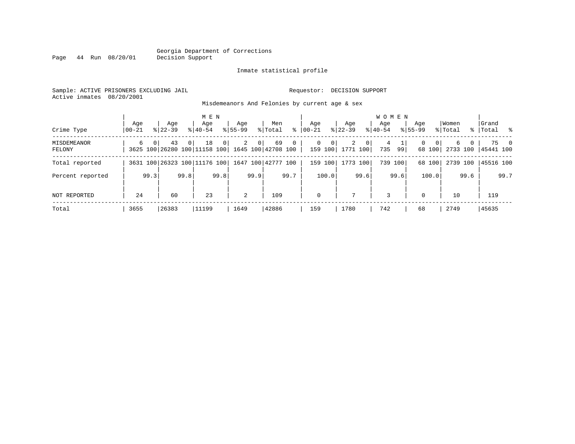#### Georgia Department of Corrections Page 44 Run 08/20/01

#### Inmate statistical profile

Sample: ACTIVE PRISONERS EXCLUDING JAIL Requestor: DECISION SUPPORT Active inmates 08/20/2001

Misdemeanors And Felonies by current age & sex

|                       |                |                |                                    |          | M E N              |              |                    |      |                          |      |                  |              |                    |                | WOMEN              |         |                    |             |                  |      |                    |                |
|-----------------------|----------------|----------------|------------------------------------|----------|--------------------|--------------|--------------------|------|--------------------------|------|------------------|--------------|--------------------|----------------|--------------------|---------|--------------------|-------------|------------------|------|--------------------|----------------|
| Crime Type            | Age<br>  00-21 |                | Age<br>$8122 - 39$                 |          | Age<br>$8140 - 54$ |              | Age<br>$8155 - 99$ |      | Men<br>% Total           | ి    | Age<br>$ 00-21 $ |              | Age<br>$ 22 - 39 $ |                | Aqe<br>$8140 - 54$ |         | Age<br>$8155 - 99$ |             | Women<br>% Total |      | Grand<br>%   Total | ိ              |
| MISDEMEANOR<br>FELONY | 6              | 0 <sub>1</sub> | 43<br>3625 100 26280 100 11158 100 | $\Omega$ | 18                 | $\mathbf{0}$ | $\overline{2}$     | 0    | 69<br>1645 100 42708 100 | 0    | $\Omega$         | 0<br>159 100 | 2<br>1771 100      | 0 <sup>1</sup> | 4<br>735           | 99      | 0                  | 0<br>68 100 | б.<br>2733 100   | 0    | 75<br>45441 100    | $\overline{0}$ |
| Total reported        |                |                | 3631 100 26323 100 11176 100       |          |                    |              |                    |      | 1647 100 42777 100       |      |                  | 159 100      | 1773 100           |                |                    | 739 100 |                    | 68 100      | 2739 100         |      | 45516 100          |                |
| Percent reported      |                | 99.3           |                                    | 99.8     |                    | 99.8         |                    | 99.9 |                          | 99.7 |                  | 100.0        |                    | 99.6           |                    | 99.6    |                    | 100.0       |                  | 99.6 |                    | 99.7           |
| NOT REPORTED          | 24             |                | 60                                 |          | 23                 |              | 2                  |      | 109                      |      | $\mathbf 0$      |              |                    |                | 3                  |         | $\mathbf 0$        |             | 10               |      | 119                |                |
| Total                 | 3655           |                | 26383                              |          | 11199              |              | 1649               |      | 42886                    |      | 159              |              | 1780               |                | 742                |         | 68                 |             | 2749             |      | 45635              |                |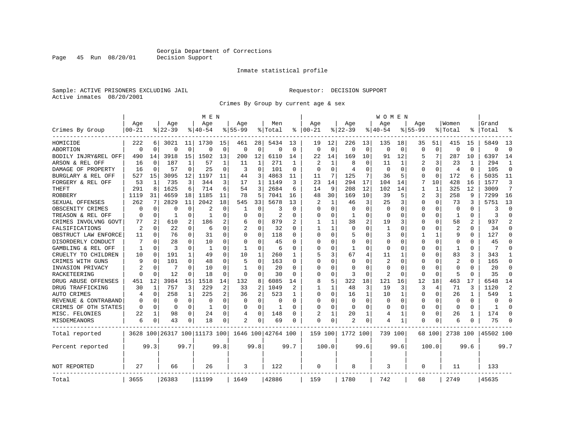Page 45 Run 08/20/01

#### Inmate statistical profile

Sample: ACTIVE PRISONERS EXCLUDING JAIL Requestor: DECISION SUPPORT Active inmates 08/20/2001

Crimes By Group by current age & sex

|                      |           |             |           |              | M E N                        |             |              |                |                    |          |              |              |              |              | W O M E N |             |             |              |                |          |           |               |
|----------------------|-----------|-------------|-----------|--------------|------------------------------|-------------|--------------|----------------|--------------------|----------|--------------|--------------|--------------|--------------|-----------|-------------|-------------|--------------|----------------|----------|-----------|---------------|
|                      | Age       |             | Age       |              | Age                          |             | Aqe          |                | Men                |          | Aqe          |              | Aqe          |              | Aqe       |             | Aqe         |              | Women          |          | Grand     |               |
| Crimes By Group      | $00 - 21$ |             | $8 22-39$ |              | % 40-54                      |             | $8155 - 99$  |                | % Total            | ႜ        | $ 00-21$     |              | $ 22-39$     |              | $ 40-54$  |             | $8155 - 99$ |              | % Total        | ႜ        | Total     |               |
| HOMICIDE             | 222       | 6           | 3021      | 11           | 1730                         | 15          | 461          | 28             | 5434               | 13       | 19           | 12           | 226          | 13           | 135       | 18          | 35          | 51           | 415            | 15       | 5849      | 13            |
| ABORTION             | $\Omega$  | $\mathbf 0$ | $\Omega$  | $\mathbf 0$  | $\Omega$                     | $\mathbf 0$ | $\Omega$     | $\mathbf 0$    | $\Omega$           | 0        | $\Omega$     | $\mathbf 0$  | $\Omega$     | $\mathbf 0$  | $\Omega$  | $\mathbf 0$ | $\Omega$    | $\Omega$     | $\mathbf 0$    | $\Omega$ | $\Omega$  | $\Omega$      |
| BODILY INJRY&REL OFF | 490       | 14          | 3918      | 15           | 1502                         | 13          | 200          | 12             | 6110               | 14       | 22           | 14           | 169          | 10           | 91        | 12          | 5           | 7            | 287            | 10       | 6397      | 14            |
| ARSON & REL OFF      | 16        | 0           | 187       | 1            | 57                           | 1           | 11           | 1              | 271                | 1        | 2            | 1            | 8            | 0            | 11        | 1           | 2           | 3            | 23             |          | 294       | 1             |
| DAMAGE OF PROPERTY   | 16        | $\mathbf 0$ | 57        | 0            | 25                           | 0           | 3            | 0              | 101                | 0        | $\Omega$     | $\Omega$     | 4            | $\Omega$     | $\Omega$  | 0           | $\Omega$    | $\Omega$     | 4              | $\Omega$ | 105       | $\Omega$      |
| BURGLARY & REL OFF   | 527       | 15          | 3095      | 12           | 1197                         | 11          | 44           | 3              | 4863               | 11       | 11           | 7            | 125          | 7            | 36        | 5           | $\Omega$    | $\mathbf 0$  | 172            | 6        | 5035      | 11            |
| FORGERY & REL OFF    | 53        | 1           | 735       | 3            | 344                          | 3           | 17           | $\mathbf{1}$   | 1149               | 3        | 23           | 14           | 294          | 17           | 104       | 14          | 7           | 10           | 428            | 16       | 1577      | 3             |
| THEFT                | 291       | 8           | 1625      | 6            | 714                          | 6           | 54           | 3              | 2684               | 6        | 14           | 9            | 208          | 12           | 102       | 14          | 1           | $\mathbf{1}$ | 325            | 12       | 3009      | 7             |
| ROBBERY              | 1119      | 31          | 4659      | 18           | 1185                         | 11          | 78           | 5              | 7041               | 16       | 48           | 30           | 169          | 10           | 39        | 5           | 2           | 3            | 258            | 9        | 7299      | 16            |
| SEXUAL OFFENSES      | 262       | 7           | 2829      | 11           | 2042                         | 18          | 545          | 33             | 5678               | 13       | 2            | 1            | 46           | 3            | 25        | 3           | $\Omega$    | 0            | 73             | 3        | 5751      | 13            |
| OBSCENITY CRIMES     | 0         | $\mathbf 0$ | $\Omega$  | 0            | 2                            | $\Omega$    | 1            | 0              | 3                  | $\Omega$ | <sup>0</sup> | $\Omega$     | $\Omega$     | O            | 0         | 0           | $\Omega$    | $\Omega$     | $\Omega$       | $\Omega$ | ζ         | $\Omega$      |
| TREASON & REL OFF    | $\Omega$  | 0           | 1         | $\Omega$     | -1                           | $\Omega$    | O            | $\Omega$       | 2                  | $\Omega$ | 0            | $\Omega$     | -1           | 0            | $\Omega$  | $\Omega$    | $\Omega$    | $\Omega$     | 1              | $\Omega$ | 3         | $\Omega$      |
| CRIMES INVOLVNG GOVT | 77        | 2           | 610       | 2            | 186                          | 2           | 6            | $\mathbf 0$    | 879                |          | 1            | $\mathbf{1}$ | 38           | 2            | 19        | 3           | $\Omega$    | $\Omega$     | 58             | 2        | 937       | $\mathcal{D}$ |
| FALSIFICATIONS       | 2         | 0           | 22        | $\Omega$     | 6                            | $\Omega$    | 2            | 0              | 32                 | 0        | -1           | 1            | $\Omega$     | O            | 1         | 0           | $\Omega$    | $\Omega$     | $\overline{2}$ | 0        | 34        | $\Omega$      |
| OBSTRUCT LAW ENFORCE | 11        | 0           | 76        | $\Omega$     | 31                           | 0           | U            | 0              | 118                | 0        | $\cap$       | $\Omega$     | 5            | U            | 3         | 0           | 1           | 1            | 9              | 0        | 127       | ∩             |
| DISORDERLY CONDUCT   |           | $\mathbf 0$ | 28        | O            | 10                           | 0           | O            | 0              | 45                 | O        | <sup>0</sup> | 0            | $\Omega$     | 0            | $\Omega$  | 0           | $\Omega$    | $\Omega$     | 0              |          | 45        |               |
| GAMBLING & REL OFF   | 1         | $\Omega$    | 3         | O            | $\mathbf{1}$                 | $\Omega$    | $\mathbf{1}$ | $\Omega$       | 6                  | $\Omega$ | $\Omega$     | $\Omega$     | $\mathbf{1}$ | O            | $\Omega$  | $\Omega$    | $\Omega$    | O            | $\mathbf{1}$   | 0        | 7         |               |
| CRUELTY TO CHILDREN  | 10        | 0           | 191       | $\mathbf{1}$ | 49                           | $\Omega$    | 10           | 1              | 260                | 1        | 5            | 3            | 67           | 4            | 11        | 1           | $\Omega$    | $\Omega$     | 83             | 3        | 343       |               |
| CRIMES WITH GUNS     | 9         | $\mathbf 0$ | 101       | 0            | 48                           | 0           | 5            | $\mathbf 0$    | 163                | O        | $\Omega$     | $\Omega$     | $\Omega$     | O            | 2         | $\mathbf 0$ | 0           | $\Omega$     | $\overline{c}$ | 0        | 165       | $\Omega$      |
| INVASION PRIVACY     | 2         | 0           | 7         | $\Omega$     | 10                           | 0           | 1            | 0              | 20                 | $\Omega$ | $\cap$       | 0            | $\Omega$     | U            | $\Omega$  | 0           | 0           | $\Omega$     | $\Omega$       | $\Omega$ | 20        | $\Omega$      |
| RACKETEERING         | $\Omega$  | 0           | 12        | 0            | 18                           | $\Omega$    | $\Omega$     | 0              | 30                 | $\Omega$ | ∩            | 0            | 3            | 0            | 2         | 0           | $\Omega$    | $\Omega$     | 5              | $\Omega$ | 35        | ∩             |
| DRUG ABUSE OFFENSES  | 451       | 12          | 3984      | 15           | 1518                         | 14          | 132          | 8              | 6085               | 14       | 8            | 5            | 322          | 18           | 121       | 16          | 12          | 18           | 463            | 17       | 6548      | 14            |
| DRUG TRAFFICKING     | 30        | 1           | 757       | 3            | 229                          | 2           | 33           | $\overline{2}$ | 1049               | 2        |              | $\mathbf{1}$ | 48           | 3            | 19        | 3           | 3           | 4            | 71             | ζ        | 1120      | 2             |
| AUTO CRIMES          | 4         | $\mathbf 0$ | 258       | 1            | 225                          | 2           | 36           | $\overline{2}$ | 523                | 1        | 0            | $\Omega$     | 16           | $\mathbf{1}$ | 10        | 1           | $\Omega$    | $\Omega$     | 26             | 1        | 549       | -1            |
| REVENUE & CONTRABAND | 0         | 0           | $\Omega$  | 0            | 0                            | 0           | 0            | $\mathbf 0$    | 0                  | $\Omega$ | 0            | $\Omega$     | $\Omega$     | $\mathbf 0$  | 0         | 0           | $\Omega$    | 0            | $\mathbf 0$    | $\Omega$ | $\Omega$  | $\Omega$      |
| CRIMES OF OTH STATES | 0         | 0           | 0         | $\Omega$     | 1                            | 0           | $\Omega$     | 0              | 1                  | $\Omega$ | $\Omega$     | 0            | $\Omega$     | $\Omega$     | $\Omega$  | 0           | 0           | $\Omega$     | $\Omega$       | $\Omega$ | 1         | ∩             |
| MISC. FELONIES       | 22        | 1           | 98        | 0            | 24                           | 0           | 4            | 0              | 148                | O        | 2            | 1            | 20           | 1            | 4         | 1           | 0           | 0            | 26             | 1        | 174       | ∩             |
| <b>MISDEMEANORS</b>  | 6         | 0           | 43        | 0            | 18                           | 0           | 2            | 0              | 69                 | 0        | $\Omega$     | 0            | 2            | 0            | 4         | 1           | $\Omega$    | 0            | 6              | 0        | 75        |               |
| Total reported       |           |             |           |              | 3628 100 26317 100 11173 100 |             |              |                | 1646 100 42764 100 |          | 159 100      |              | 1772 100     |              | 739 100   |             |             | 68 100       | 2738 100       |          | 45502 100 |               |
| Percent reported     |           | 99.3        |           | 99.7         |                              | 99.8        |              | 99.8           |                    | 99.7     |              | 100.0        |              | 99.6         |           | 99.6        |             | 100.0        |                | 99.6     |           | 99.7          |
| NOT REPORTED         | 27        |             | 66        |              | 26                           |             | 3            |                | 122                |          | $\Omega$     |              | 8            |              | 3         |             | $\Omega$    |              | 11             |          | 133       |               |
| Total                | 3655      |             | 26383     |              | 11199                        |             | 1649         |                | 42886              |          | 159          |              | 1780         |              | 742       |             | 68          |              | 2749           |          | 45635     |               |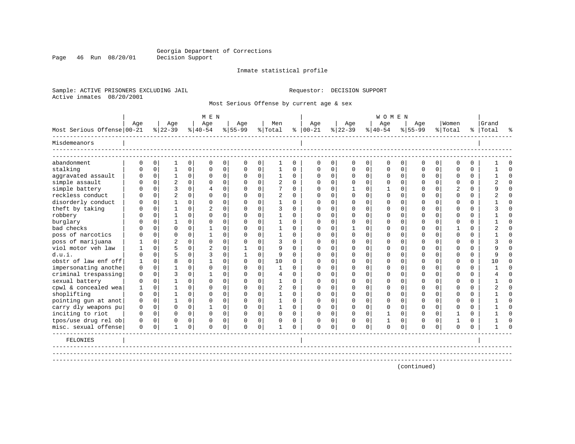Page 46 Run 08/20/01

#### Inmate statistical profile

Sample: ACTIVE PRISONERS EXCLUDING JAIL Requestor: DECISION SUPPORT Active inmates 08/20/2001

Most Serious Offense by current age & sex

|                            |          |             |                |             | M E N     |             |           |             |                |              |               |              |              |             | <b>WOMEN</b> |             |              |             |             |             |           |          |
|----------------------------|----------|-------------|----------------|-------------|-----------|-------------|-----------|-------------|----------------|--------------|---------------|--------------|--------------|-------------|--------------|-------------|--------------|-------------|-------------|-------------|-----------|----------|
|                            | Age      |             | Age            |             | Age       |             | Age       |             | Men            |              | Age           |              | Age          |             | Age          |             | Age          |             | Women       |             | Grand     |          |
| Most Serious Offense 00-21 |          |             | $8 22-39$      |             | $8 40-54$ |             | $8 55-99$ |             | % Total        |              | $8   00 - 21$ |              | $ 22-39$     |             | $8 40-54$    |             | $8155 - 99$  |             | % Total     |             | %   Total |          |
| Misdemeanors               |          |             |                |             |           |             |           |             |                |              |               |              |              |             |              |             |              |             |             |             |           |          |
|                            |          |             |                |             |           |             |           |             |                |              |               |              |              |             |              |             |              |             |             |             |           |          |
| abandonment                | 0        | $\mathbf 0$ | 1              | $\mathbf 0$ | $\Omega$  | $\mathbf 0$ | 0         | 0           | 1              | 0            | 0             | $\mathbf 0$  | $\mathbf 0$  | 0           | $\mathbf{0}$ | $\mathbf 0$ | $\mathbf 0$  | 0           | $\mathbf 0$ | $\mathbf 0$ |           | ∩        |
| stalking                   |          | $\Omega$    |                | $\Omega$    |           | 0           |           | 0           | 1              | $\Omega$     | $\Omega$      | $\Omega$     | 0            | $\Omega$    | $\Omega$     | $\mathbf 0$ | $\Omega$     | 0           | $\Omega$    | $\Omega$    |           | $\cap$   |
| aggravated assault         | O        | $\mathbf 0$ |                | $\Omega$    | $\Omega$  | 0           |           | $\mathbf 0$ | 1              | $\Omega$     | $\Omega$      | 0            | 0            | $\mathbf 0$ | 0            | $\mathbf 0$ | $\mathbf{0}$ | 0           | $\Omega$    | 0           |           | $\cap$   |
| simple assault             | U        | $\Omega$    | $\overline{2}$ | $\Omega$    | $\Omega$  | 0           |           | $\Omega$    | $\overline{c}$ | $\Omega$     | $\Omega$      | $\Omega$     | $\Omega$     | $\Omega$    | 0            | $\mathbf 0$ | $\Omega$     | $\Omega$    | $\Omega$    | 0           |           | ∩        |
| simple battery             |          | $\Omega$    |                | $\Omega$    | 4         | $\Omega$    |           | $\Omega$    | 7              | $\Omega$     | $\Omega$      | $\Omega$     |              | $\Omega$    | -1           | $\Omega$    | $\Omega$     | $\Omega$    |             | $\Omega$    |           | $\Omega$ |
| reckless conduct           |          | $\Omega$    |                | $\Omega$    |           | 0           |           | $\Omega$    | $\overline{a}$ | 0            | <sup>0</sup>  | 0            | $\Omega$     | $\Omega$    | $\Omega$     | $\Omega$    | $\Omega$     | $\Omega$    | ∩           | 0           |           |          |
| disorderly conduct         |          | $\Omega$    |                | $\Omega$    | O         | $\Omega$    |           | $\Omega$    |                | $\Omega$     | $\Omega$      | $\Omega$     | $\Omega$     | $\Omega$    | $\Omega$     | $\Omega$    | $\Omega$     | $\Omega$    | $\Omega$    | $\Omega$    |           |          |
| theft by taking            | n        | $\Omega$    |                | $\Omega$    |           | 0           |           | $\Omega$    | 3              | 0            | <sup>0</sup>  | 0            | $\Omega$     | $\Omega$    | 0            | $\Omega$    | $\cap$       | $\Omega$    | ∩           | $\Omega$    |           |          |
| robbery                    |          | $\Omega$    |                | $\Omega$    |           | $\Omega$    |           | $\Omega$    |                | $\Omega$     | <sup>0</sup>  | $\Omega$     | $\Omega$     | $\Omega$    | $\Omega$     | $\Omega$    | $\cap$       | $\Omega$    | $\cap$      | $\Omega$    |           |          |
| burglary                   |          | $\Omega$    |                | $\Omega$    | $\cap$    | $\Omega$    |           | $\Omega$    | 1              | $\Omega$     | <sup>0</sup>  | 0            | <sup>0</sup> | $\Omega$    | <sup>0</sup> | $\Omega$    | $\cap$       | $\Omega$    | $\cap$      | $\Omega$    |           |          |
| bad checks                 |          | $\cap$      | ∩              | $\Omega$    |           | 0           |           | $\cap$      |                | <sup>n</sup> | <sup>0</sup>  | 0            |              | $\Omega$    | $\Omega$     | $\Omega$    | U            | 0           |             | $\Omega$    |           |          |
| poss of narcotics          |          | $\cap$      | $\cap$         | $\Omega$    |           | 0           |           | $\Omega$    | $\mathbf{1}$   | $\Omega$     | <sup>0</sup>  | $\Omega$     | $\Omega$     | $\Omega$    | $\Omega$     | $\Omega$    | $\cap$       | $\Omega$    | $\cap$      | $\Omega$    |           | $\cap$   |
| poss of marijuana          |          | $\Omega$    | $\overline{c}$ | $\Omega$    | ∩         | $\Omega$    |           | $\Omega$    | 3              | $\cap$       | <sup>0</sup>  | 0            | $\Omega$     | $\Omega$    | $\Omega$     | $\Omega$    | U            | 0           | $\cap$      | $\Omega$    |           |          |
| viol motor yeh law         |          | $\Omega$    |                | $\Omega$    |           | 0           |           | $\Omega$    | 9              | $\Omega$     | $\Omega$      | $\cap$       | $\Omega$     | $\Omega$    | $\Omega$     | $\Omega$    | $\cap$       | $\Omega$    | $\cap$      | $\Omega$    |           |          |
| d.u.i.                     | O        | $\Omega$    |                | $\Omega$    | ζ         | $\Omega$    |           | $\Omega$    | 9              | $\Omega$     | <sup>0</sup>  | 0            | $\Omega$     | $\Omega$    | <sup>0</sup> | $\Omega$    | $\cap$       | $\Omega$    | $\cap$      | $\Omega$    |           |          |
| obstr of law enf off       | 1        | $\Omega$    |                | $\cap$      |           | 0           |           | $\Omega$    | 10             | $\Omega$     | ∩             | <sup>n</sup> | <sup>0</sup> | $\Omega$    | <sup>0</sup> | $\Omega$    | U            | $\Omega$    | $\cap$      | $\Omega$    | 1 O       |          |
| impersonating anothe       | $\Omega$ | $\Omega$    |                | $\Omega$    | $\cap$    | $\Omega$    |           | $\Omega$    | $\mathbf{1}$   | 0            | <sup>0</sup>  | $\cap$       | $\Omega$     | $\Omega$    | <sup>0</sup> | $\Omega$    | $\cap$       | $\Omega$    | $\cap$      | $\Omega$    |           |          |
| criminal trespassing       | $\Omega$ | $\Omega$    | २              | $\Omega$    |           | 0           |           | $\Omega$    | 4              | 0            | <sup>0</sup>  | <sup>n</sup> | <sup>0</sup> | $\Omega$    | <sup>0</sup> | $\Omega$    | U            | $\Omega$    | ∩           | $\Omega$    |           |          |
| sexual battery             | $\Omega$ | $\Omega$    |                | $\Omega$    | ∩         | $\Omega$    |           | $\Omega$    |                | <sup>n</sup> | <sup>0</sup>  | 0            | <sup>0</sup> | $\Omega$    | <sup>0</sup> | $\Omega$    | U            | $\Omega$    | $\cap$      | $\Omega$    |           |          |
| cpwl & concealed wea       |          | $\Omega$    |                | $\Omega$    | ∩         | $\Omega$    |           | $\Omega$    | $\overline{a}$ | <sup>n</sup> | ∩             | <sup>n</sup> | <sup>0</sup> | $\Omega$    | <sup>0</sup> | $\Omega$    | U            | $\Omega$    | ∩           | $\Omega$    |           |          |
| shoplifting                | $\Omega$ | $\Omega$    |                | $\Omega$    | ∩         | $\Omega$    |           | $\Omega$    |                | $\Omega$     | <sup>0</sup>  | $\Omega$     | $\Omega$     | $\Omega$    | $\Omega$     | $\Omega$    | $\cap$       | $\Omega$    | $\Omega$    | $\Omega$    |           |          |
| pointing gun at anot       | 0        | $\Omega$    |                | $\Omega$    | $\Omega$  | $\Omega$    |           | $\Omega$    | 1              | $\Omega$     | $\Omega$      | $\Omega$     | $\Omega$     | $\Omega$    | $\Omega$     | $\Omega$    | $\Omega$     | $\Omega$    | $\Omega$    | $\Omega$    |           |          |
| carry dly weapons pu       | 0        | 0           | $\Omega$       | $\Omega$    |           | $\mathbf 0$ |           | $\Omega$    | 1              | $\Omega$     | <sup>0</sup>  | $\Omega$     | $\Omega$     | $\Omega$    | 0            | $\Omega$    | $\Omega$     | $\Omega$    | $\Omega$    | $\Omega$    |           |          |
| inciting to riot           | $\Omega$ | $\Omega$    | $\Omega$       | $\Omega$    | $\Omega$  | $\Omega$    | $\Omega$  | $\Omega$    | $\Omega$       | $\Omega$     | $\Omega$      | $\Omega$     | $\Omega$     | $\Omega$    | 1            | $\Omega$    | $\Omega$     | $\Omega$    | -1          | $\Omega$    |           |          |
| tpos/use drug rel ob       | 0        | $\Omega$    | $\Omega$       | $\Omega$    | $\Omega$  | 0           |           | 0           | 0              | 0            | 0             | 0            | 0            | 0           |              | $\Omega$    | O            | $\Omega$    |             | 0           |           |          |
| misc. sexual offense       | 0        | 0           | 1              | 0           | $\Omega$  | 0           | $\Omega$  | $\mathbf 0$ | 1              | 0            | $\Omega$      | 0            | $\Omega$     | $\mathbf 0$ | $\mathbf 0$  | $\mathbf 0$ | $\Omega$     | $\mathbf 0$ | $\Omega$    | $\Omega$    |           |          |
| FELONIES                   |          |             |                |             |           |             |           |             |                |              |               |              |              |             |              |             |              |             |             |             |           |          |
|                            |          |             |                |             |           |             |           |             |                |              |               |              |              |             |              |             |              |             |             |             |           |          |
|                            |          |             |                |             |           |             |           |             |                |              |               |              |              |             |              |             |              |             |             |             |           |          |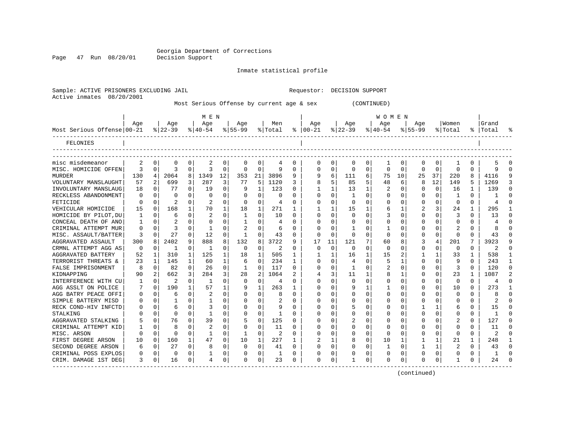Sample: ACTIVE PRISONERS EXCLUDING JAIL Requestor: DECISION SUPPORT

Page 47 Run 08/20/01

#### Inmate statistical profile

| 08/20/2001<br>Active inmates |          |          |                |             |              |              |              |             | Most Serious Offense by current age & sex |              |               |              |              |              | (CONTINUED)      |             |              |              |                |              |                |              |
|------------------------------|----------|----------|----------------|-------------|--------------|--------------|--------------|-------------|-------------------------------------------|--------------|---------------|--------------|--------------|--------------|------------------|-------------|--------------|--------------|----------------|--------------|----------------|--------------|
|                              | Age      |          | Age            |             | M E N<br>Age |              | Age          |             | Men                                       |              | Age           |              | Age          |              | W O M E N<br>Age |             | Aqe          |              | Women          |              | Grand          |              |
| Most Serious Offense 00-21   |          |          | $ 22-39 $      |             | $ 40-54 $    |              | $8 55-99$    |             | % Total                                   |              | $8   00 - 21$ |              | $ 22-39$     |              | $ 40-54$         |             | $8 55-99$    |              | % Total        |              | %  Total       |              |
| FELONIES                     |          |          |                |             |              |              |              |             |                                           |              |               |              |              |              |                  |             |              |              |                |              |                |              |
| misc misdemeanor             | 2        | 0        | 0              | 0           | 2            | 0            | 0            | 0           | 4                                         | 0            | 0             | 0            | 0            | 0            | 1                | 0           | 0            | 0            | 1              | 0            | 5              | 0            |
| MISC. HOMICIDE OFFEN         | 3        | $\Omega$ | 3              | $\Omega$    | 3            | $\Omega$     | 0            | $\Omega$    | 9                                         | 0            | O             | $\Omega$     | $\Omega$     | $\mathbf 0$  | 0                | $\Omega$    | $\mathbf 0$  | $\Omega$     | $\Omega$       | $\Omega$     | 9              | $\Omega$     |
| <b>MURDER</b>                | 130      | 4        | 2064           | 8           | 1349         | 12           | 353          | 21          | 3896                                      | 9            | 9             | 6            | 111          | 6            | 75               | 10          | 25           | 37           | 220            | 8            | 4116           | q            |
| VOLUNTARY MANSLAUGHT         | 57       | 2        | 699            | 3           | 287          | 3            | 77           | 5           | 1120                                      | 3            | 8             | 5            | 85           | 5            | 48               | 6           | 8            | 12           | 149            | 5            | 1269           |              |
| INVOLUNTARY MANSLAUG         | 18       | $\Omega$ | 77             | $\Omega$    | 19           | 0            | 9            | 1           | 123                                       | 0            | -1            | $\mathbf 1$  | 13           | $\mathbf 1$  | 2                | 0           | $\Omega$     | $\Omega$     | 16             | $\mathbf{1}$ | 139            | ∩            |
| RECKLESS ABANDONMENT         | $\Omega$ | $\Omega$ | 0              | $\Omega$    | $\Omega$     | $\Omega$     | $\Omega$     | $\Omega$    | $\Omega$                                  | 0            | $\Omega$      | $\Omega$     | 1            | $\Omega$     | $\Omega$         | 0           | 0            | $\mathbf 0$  | 1              | $\Omega$     |                | U            |
| FETICIDE                     | $\Omega$ | $\Omega$ |                | $\Omega$    |              | $\Omega$     | 0            | $\mathbf 0$ | 4                                         | $\Omega$     | 0             | $\Omega$     | $\Omega$     | 0            | 0                | 0           | 0            | 0            | $\Omega$       | $\Omega$     | 4              | $\cap$       |
| VEHICULAR HOMICIDE           | 15       | 0        | 168            | 1           | 70           | 1            | 18           | 1           | 271                                       | 1            | 1             | 1            | 15           | 1            | 6                | 1           | 2            | 3            | 24             | 1            | 295            |              |
| HOMICIDE BY PILOT, DU        | 1        | $\Omega$ | 6              | 0           | 2            | 0            | 1            | $\Omega$    | 10                                        | 0            | 0             | $\mathbf 0$  | $\mathbf 0$  | $\mathbf 0$  | 3                | 0           | $\mathbf 0$  | 0            | 3              | $\Omega$     | 13             | O            |
| CONCEAL DEATH OF ANO         | 1        | 0        | $\overline{2}$ | 0           | 0            | 0            | $\mathbf{1}$ | 0           | 4                                         | 0            | $\Omega$      | 0            | 0            | 0            | 0                | 0           | 0            | 0            | 0              | 0            | 4              | $\cap$       |
| CRIMINAL ATTEMPT MUR         | 0        | 0        | 3              | 0           | 1            | $\Omega$     | 2            | $\Omega$    | 6                                         | 0            | U             | 0            |              | $\Omega$     | 1                | 0           | 0            | 0            | 2              | O            | 8              | U            |
| MISC. ASSAULT/BATTER         | 3        | $\Omega$ | 27             | $\Omega$    | 12           | $\Omega$     | 1            | $\Omega$    | 43                                        | 0            | $\Omega$      | $\Omega$     | $\Omega$     | $\Omega$     | $\Omega$         | 0           | $\Omega$     | $\Omega$     | $\Omega$       | $\Omega$     | 43             |              |
| AGGRAVATED ASSAULT           | 300      | 8        | 2402           | 9           | 888          | 8            | 132          | 8           | 3722                                      | 9            | 17            | 11           | 121          | 7            | 60               | 8           | 3            | 4            | 201            | 7            | 3923           | q            |
| CRMNL ATTEMPT AGG AS         | 0        | 0        | 1              | 0           | 1            | $\mathbf 0$  | $\mathbf 0$  | $\mathbf 0$ | 2                                         | $\Omega$     | 0             | $\mathbf 0$  | 0            | $\mathbf 0$  | 0                | 0           | 0            | 0            | 0              | 0            | 2              |              |
| AGGRAVATED BATTERY           | 52       | 1        | 310            | 1           | 125          | $\mathbf{1}$ | 18           | 1           | 505                                       | 1            | -1            | 1            | 16           | $\mathbf 1$  | 15               | 2           | 1            | 1            | 33             | $\mathbf{1}$ | 538            | -1           |
| TERRORIST THREATS &          | 23       | 1        | 145            | 1           | 60           | 1            | 6            | $\mathbf 0$ | 234                                       | 1            | U             | 0            | 4            | $\mathbf 0$  | 5                | 1           | 0            | 0            | 9              | $\Omega$     | 243            | -1           |
| FALSE IMPRISONMENT           | 8        | $\Omega$ | 82             | 0           | 26           | 0            | 1            | $\Omega$    | 117                                       | $\Omega$     | $\Omega$      | $\Omega$     | $\mathbf{1}$ | $\Omega$     | 2                | $\Omega$    | 0            | $\Omega$     | 3              | $\Omega$     | 120            | $\cap$       |
| KIDNAPPING                   | 90       | 2        | 662            | 3           | 284          | 3            | 28           | 2           | 1064                                      | 2            | 4             | 3            | 11           | $\mathbf 1$  | 8                | 1           | 0            | 0            | 23             | 1            | 1087           |              |
| INTERFERENCE WITH CU         | 1        | $\Omega$ | $\overline{2}$ | $\mathbf 0$ | 1            | $\mathbf 0$  | $\Omega$     | $\mathbf 0$ | 4                                         | $\Omega$     | 0             | $\Omega$     | $\Omega$     | $\mathbf 0$  | 0                | $\Omega$    | 0            | $\mathbf 0$  | $\Omega$       | $\Omega$     | 4              |              |
| AGG ASSLT ON POLICE          | 7        | $\Omega$ | 190            | 1           | 57           | $\mathbf{1}$ | 9            | 1           | 263                                       | 1            | O             | $\mathbf 0$  | 9            | $\mathbf{1}$ | 1                | 0           | $\mathbf 0$  | $\Omega$     | 10             | $\Omega$     | 273            | $\mathbf{1}$ |
| AGG BATRY PEACE OFFI         | 0        | $\Omega$ | 6              | $\Omega$    | 2            | 0            | 0            | 0           | 8                                         | 0            | $\Omega$      | 0            | O            | $\mathbf 0$  | $\Omega$         | $\Omega$    | 0            | $\Omega$     | $\Omega$       | $\Omega$     | 8              | O            |
| SIMPLE BATTERY MISD          | 0        | $\Omega$ |                | $\Omega$    |              | $\Omega$     | $\Omega$     | $\Omega$    |                                           | 0            | $\Omega$      | $\Omega$     | $\Omega$     | $\Omega$     | $\Omega$         | $\Omega$    | 0            | $\Omega$     | $\Omega$       | $\Omega$     | $\overline{c}$ | $\cap$       |
| RECK COND-HIV INFCTD         | 0        | 0        | 6              | 0           | 3            | 0            | 0            | $\Omega$    | 9                                         | 0            | 0             | 0            | 5            | 0            | 0                | 0           | 1            | 1            | 6              | 0            | 15             | ∩            |
| STALKING                     | 0        | 0        | 0              | 0           | 1            | 0            | 0            | $\mathbf 0$ | 1                                         | 0            | 0             | $\mathbf 0$  | $\Omega$     | 0            | 0                | 0           | 0            | 0            | 0              | $\Omega$     | 1              | Ω            |
| AGGRAVATED STALKING          | 5        | $\Omega$ | 76             | $\Omega$    | 39           | $\Omega$     | 5            | $\Omega$    | 125                                       | <sup>0</sup> | O             | $\Omega$     | 2            | $\Omega$     | O                | $\Omega$    | $\Omega$     | $\Omega$     | 2              | $\Omega$     | 127            | Λ            |
| CRIMINAL ATTEMPT KID         | 1        | $\Omega$ | 8              | 0           | 2            | 0            | $\Omega$     | $\mathbf 0$ | 11                                        | 0            | U             | 0            | 0            | $\mathbf 0$  | 0                | 0           | 0            | 0            | 0              | 0            | 11             | U            |
| MISC. ARSON                  | 0        | $\Omega$ | 0              | $\Omega$    | 1            | $\Omega$     | 1            | $\Omega$    | 2                                         | 0            | 0             | $\Omega$     | $\Omega$     | $\Omega$     | $\Omega$         | $\Omega$    | 0            | $\Omega$     | $\Omega$       | $\Omega$     | 2              |              |
| FIRST DEGREE ARSON           | 10       | $\Omega$ | 160            | 1           | 47           | 0            | 10           | 1           | 227                                       | 1            | 2             | $\mathbf{1}$ | 8            | 0            | 10               | 1           | 1            | 1            | 21             | $\mathbf{1}$ | 248            |              |
| SECOND DEGREE ARSON          | 6        | 0        | 27             | $\mathbf 0$ | 8            | $\mathbf 0$  | $\mathbf 0$  | $\mathbf 0$ | 41                                        | 0            | 0             | $\mathbf 0$  | $\Omega$     | $\mathbf 0$  | 1                | $\mathbf 0$ | 1            | $\mathbf{1}$ | $\overline{2}$ | $\mathbf 0$  | 43             | $\Omega$     |
| CRIMINAL POSS EXPLOS         | $\Omega$ | $\Omega$ | $\mathbf 0$    | $\Omega$    | 1            | 0            | O            | 0           | 1                                         | $\Omega$     | O             | 0            |              | 0            | 0                | $\Omega$    | $\mathbf 0$  | 0            | $\Omega$       | $\Omega$     | 1              | $\cap$       |
| CRIM. DAMAGE 1ST DEG         | ٦        | 0        | 16             | 0           | 4            | 0            | O            | 0           | 23                                        | O            | U             | 0            |              | $\Omega$     | O                | 0           | <sup>0</sup> | 0            | 1              | 0            | 24             |              |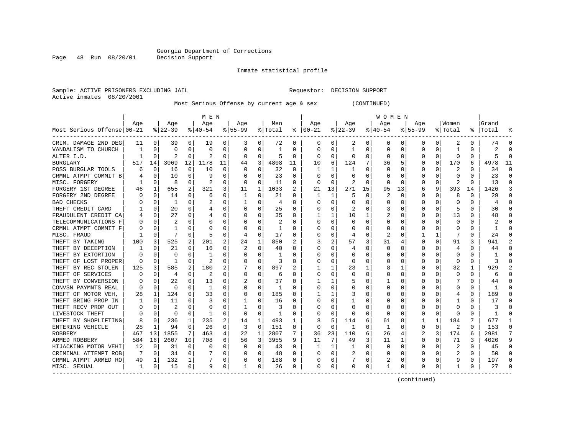Inmate statistical profile

Sample: ACTIVE PRISONERS EXCLUDING JAIL Requestor: DECISION SUPPORT Active inmates 08/20/2001

Most Serious Offense by current age & sex (CONTINUED)

|                            |     |          |          |              | M E N     |          |          |             |                |          |              |             |          |          | W O M E N    |              |             |              |          |          |       |          |
|----------------------------|-----|----------|----------|--------------|-----------|----------|----------|-------------|----------------|----------|--------------|-------------|----------|----------|--------------|--------------|-------------|--------------|----------|----------|-------|----------|
|                            | Age |          | Age      |              | Age       |          | Age      |             | Men            |          | Age          |             | Age      |          | Age          |              | Aqe         |              | Women    |          | Grand |          |
| Most Serious Offense 00-21 |     |          | $ 22-39$ |              | $8 40-54$ |          | $ 55-99$ |             | % Total        | ະ        | $ 00-21$     |             | $ 22-39$ |          | $ 40-54$     |              | $8155 - 99$ |              | % Total  | %        | Total |          |
| CRIM. DAMAGE 2ND DEG       | 11  | 0        | 39       | 0            | 19        | 0        | 3        | 0           | 72             | 0        | 0            | 0           | 2        | 0        | 0            | 0            | 0           | 0            | 2        | 0        | 74    |          |
| VANDALISM TO CHURCH        |     | $\Omega$ | U        | 0            | $\Omega$  | $\Omega$ | 0        | $\Omega$    | 1              | O        | <sup>0</sup> | $\Omega$    | 1        | 0        | $\Omega$     | $\Omega$     | U           | 0            | -1       | 0        |       |          |
| ALTER I.D.                 |     | $\Omega$ | 2        | 0            | 2         | $\Omega$ | 0        | 0           | 5              | $\Omega$ | $\Omega$     | 0           | $\Omega$ | O        | $\Omega$     | $\Omega$     | O           | 0            | $\Omega$ | 0        |       |          |
| <b>BURGLARY</b>            | 517 | 14       | 3069     | 12           | 1178      | 11       | 44       | 3           | 4808           | 11       | 10           | 6           | 124      | 7        | 36           | 5            | O           | $\Omega$     | 170      | 6        | 4978  | 11       |
| POSS BURGLAR TOOLS         |     | 0        | 16       | 0            | 10        | 0        | O        | $\mathbf 0$ | 32             | 0        |              | 1           | -1       | $\Omega$ | O            | $\Omega$     |             | 0            | 2        | U        | 34    | $\cap$   |
| CRMNL ATMPT COMMIT B       |     | $\Omega$ | 10       | U            | 9         | 0        |          | 0           | 23             | $\Omega$ |              | $\Omega$    |          | O        |              | $\Omega$     | O           | U            | 0        | U        | 23    | $\cap$   |
| MISC. FORGERY              |     | $\Omega$ | 8        | 0            | 2         | 0        | $\Omega$ | 0           | 11             | $\Omega$ | ∩            | $\mathbf 0$ | 2        | $\Omega$ | $\Omega$     | $\Omega$     | O           | 0            | 2        | $\Omega$ | 13    | $\cap$   |
| FORGERY 1ST DEGREE         | 46  | 1        | 655      | 2            | 321       | 3        | 11       | 1           | 1033           | 2        | 21           | 13          | 271      | 15       | 95           | 13           | 6           | 9            | 393      | 14       | 1426  |          |
| FORGERY 2ND DEGREE         |     | $\Omega$ | 14       | U            | 6         | $\Omega$ | 1        | $\Omega$    | 21             | O        |              | 1           | 5        | $\Omega$ | 2            | $\Omega$     | 0           | O            | 8        | 0        | 29    | $\Omega$ |
| BAD CHECKS                 |     | 0        | 1        | 0            | 2         | 0        |          | 0           | $\overline{4}$ | 0        |              | $\Omega$    | C        | 0        |              | 0            |             |              | C        | 0        |       |          |
| THEFT CREDIT CARD          |     | $\Omega$ | 20       | U            |           | $\Omega$ |          | O           | 25             | $\Omega$ |              | $\Omega$    |          | 0        | 3            | -C           | O           | O            | 5        | U        | 30    |          |
| FRAUDULENT CREDIT CA       |     | $\Omega$ | 27       | U            |           | $\Omega$ |          | O           | 35             | O        |              | 1           | 10       | 1        |              | n            | O           | 0            | 13       | 0        | 48    |          |
| TELECOMMUNICATIONS F       |     | $\Omega$ |          | U            | n         | $\Omega$ |          | $\Omega$    | 2              | O        |              | $\Omega$    | $\Omega$ | O        | O            | n            | O           | <sup>0</sup> | $\Omega$ | 0        |       |          |
| CRMNL ATMPT COMMIT F       |     | $\Omega$ |          | U            | n         | 0        |          | 0           | -1             | O        |              | $\Omega$    |          | O        | O            | 0            |             | 0            | O        | U        |       |          |
| MISC. FRAUD                |     | $\Omega$ | 7        | O            | 5         | 0        | 4        | 0           | 17             | O        |              | $\Omega$    | 4        | $\Omega$ |              | $\Omega$     |             | 1            |          | 0        | 24    |          |
| THEFT BY TAKING            | 100 | 3        | 525      | 2            | 201       | 2        | 24       | 1           | 850            |          |              | 2           | 57       | 3        | 31           | 4            | U           | 0            | 91       | 3        | 941   |          |
| THEFT BY DECEPTION         |     | $\Omega$ | 21       | 0            | 16        | 0        |          | 0           | 40             | O        | n            | 0           |          | 0        | 0            | 0            | O           | O            | 4        | 0        | 44    | $\cap$   |
| THEFT BY EXTORTION         |     | $\Omega$ | U        | U            |           | 0        | O        | 0           | 1              | O        |              | $\Omega$    | 0        | 0        | O            | 0            | O           | 0            | 0        | 0        |       | n        |
| THEFT OF LOST PROPER       |     | 0        |          | U            | 2         | 0        |          | 0           | 3              | 0        |              | 0           | 0        | 0        |              | 0            |             |              | n        | 0        |       |          |
| THEFT BY REC STOLEN        | 125 | 3        | 585      |              | 180       | 2        |          | $\Omega$    | 897            |          |              |             | 23       | 1        | 8            |              | n           |              | 32       | 1        | 929   |          |
| THEFT OF SERVICES          |     | $\Omega$ | 4        | U            |           | $\Omega$ | O        | 0           | -6             | O        |              | $\Omega$    | $\Omega$ | 0        | O            | $\Omega$     |             |              | $\Omega$ | 0        | 6     |          |
| THEFT BY CONVERSION        |     | $\Omega$ | 22       | 0            | 13        | $\Omega$ |          | $\Omega$    | 37             | O        |              | 1           |          | O        |              | $\Omega$     |             |              |          | U        | 44    |          |
| CONVSN PAYMNTS REAL        |     | $\Omega$ | U        | U            | -1        | $\Omega$ | O        | $\Omega$    | 1              | O        |              | $\Omega$    | O        | O        | O            | $\Omega$     |             | <sup>0</sup> | O        | U        |       |          |
| THEFT OF MOTOR VEH,        | 28  | 1        | 124      | 0            | 33        | 0        |          | 0           | 185            | O        |              | 1           |          | 0        |              | 0            |             |              |          | 0        | 189   |          |
| THEFT BRING PROP IN        |     | $\Omega$ | 11       | U            | 3         | $\Omega$ |          | $\Omega$    | 16             | U        |              | $\Omega$    |          | O        |              | $\mathsf{C}$ | U           |              |          | U        | 17    | n        |
| THEFT RECV PROP OUT        |     | $\Omega$ | 2        | U            | 0         | 0        |          | 0           | 3              | O        |              | 0           | O        | 0        | 0            | 0            | O           | U            | O        | 0        |       | $\cap$   |
| LIVESTOCK THEFT            |     | $\Omega$ | U        | 0            | -1        | 0        | $\Omega$ | 0           | 1              | 0        | n            | 0           | O        | 0        | 0            | 0            | U           | 0            | n        | 0        |       | -C       |
| THEFT BY SHOPLIFTING       |     | $\Omega$ | 236      | $\mathbf{1}$ | 235       | 2        | 14       | 1           | 493            | 1        |              | 5           | 114      | 6        | 61           | 8            |             |              | 184      | 7        | 677   |          |
| ENTERING VEHICLE           | 28  | 1        | 94       | 0            | 26        | 0        | 3        | $\Omega$    | 151            | O        | $\Omega$     | $\Omega$    | -1       | 0        | 1            | C            | 0           | 0            |          | U        | 153   | n        |
| <b>ROBBERY</b>             | 467 | 13       | 1855     | 7            | 463       | 4        | 22       | 1           | 2807           |          | 36           | 23          | 110      | 6        | 26           |              |             | 3            | 174      | 6        | 2981  |          |
| ARMED ROBBERY              | 584 | 16       | 2607     | 10           | 708       | 6        | 56       | 3           | 3955           | 9        | 11           | 7           | 49       | 3        | 11           | 1            | 0           | 0            | 71       | 3        | 4026  | q        |
| HIJACKING MOTOR VEHI       | 12  | 0        | 31       | $\Omega$     | $\Omega$  | $\Omega$ | 0        | $\Omega$    | 43             | 0        |              | 1           | -1       | $\Omega$ | <sup>0</sup> | $\Omega$     | U           | 0            | 2        | 0        | 45    | n        |
| CRIMINAL ATTEMPT ROB       |     | 0        | 34       | $\Omega$     |           | 0        |          | 0           | 48             | 0        |              | 0           | 2        | 0        | O            | 0            |             | 0            | 2        | 0        | 50    |          |
| CRMNL ATMPT ARMED RO       | 49  | 1        | 132      | 1            |           | 0        |          | 0           | 188            | 0        |              | 0           |          | 0        | 2            | 0            | n           | 0            |          | 0        | 197   |          |
| MISC. SEXUAL<br>---------- | 1   | 0        | 15       | 0            | 9         | 0        | 1        | 0           | 26             | 0        | $\Omega$     | 0           | 0        | 0        | 1            | 0            | ∩           | 0            | -1       | 0        | 27    |          |

(continued)

Page 48 Run 08/20/01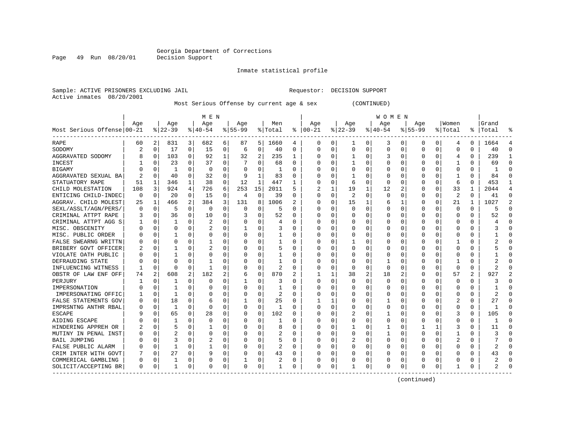Inmate statistical profile

Sample: ACTIVE PRISONERS EXCLUDING JAIL Requestor: DECISION SUPPORT

Active inmates 08/20/2001

Page 49 Run 08/20/01

Most Serious Offense by current age & sex (CONTINUED)

|                                           |          |             |              |          | M E N     |          |           |          |         |          |          |          |              |          | W O M E N |              |              |              |          |   |       |           |
|-------------------------------------------|----------|-------------|--------------|----------|-----------|----------|-----------|----------|---------|----------|----------|----------|--------------|----------|-----------|--------------|--------------|--------------|----------|---|-------|-----------|
|                                           | Age      |             | Age          |          | Age       |          | Age       |          | Men     |          | Age      |          | Age          |          | Age       |              | Aqe          |              | Women    |   | Grand |           |
| Most Serious Offense 00-21<br>----------- |          |             | $ 22-39$     |          | $8 40-54$ |          | $8 55-99$ |          | % Total | ႜ        | $ 00-21$ |          | $ 22-39$     |          | $ 40-54$  |              | $8155 - 99$  |              | % Total  | % | Total | 욲         |
| RAPE                                      | 60       | 2           | 831          | 3        | 682       | 6        | 87        | 5        | 1660    | 4        | 0        | 0        | 1            | 0        | 3         | 0            | 0            | 0            | 4        | 0 | 1664  | 4         |
| SODOMY                                    | 2        | 0           | 17           | 0        | 15        | 0        | 6         | 0        | 40      | 0        | $\Omega$ | 0        | 0            | $\Omega$ | 0         | $\Omega$     | $\Omega$     | 0            | 0        | 0 | 40    | $\cap$    |
| AGGRAVATED SODOMY                         | 8        | 0           | 103          | $\Omega$ | 92        | 1        | 32        | 2        | 235     | 1        | O        | $\Omega$ | 1            | 0        | 3         | $\Omega$     | $\Omega$     | 0            | 4        | 0 | 239   | -1        |
| <b>INCEST</b>                             |          | $\Omega$    | 23           | 0        | 37        | 0        |           | $\Omega$ | 68      | $\Omega$ | 0        | 0        |              | 0        | 0         | $\Omega$     | $\Omega$     | 0            |          | 0 | 69    | $\cap$    |
| <b>BIGAMY</b>                             |          | $\mathbf 0$ | $\mathbf{1}$ | $\Omega$ | 0         | $\Omega$ |           | $\Omega$ |         | U        |          | 0        |              | $\Omega$ |           | $\Omega$     |              | 0            | 0        | 0 |       | C         |
| AGGRAVATED SEXUAL BA                      |          | $\Omega$    | 40           | $\Omega$ | 32        | $\Omega$ | 9         | 1        | 83      | U        |          | $\Omega$ |              | O        | Ω         | $\Omega$     | <sup>0</sup> | <sup>0</sup> |          | 0 | 84    | $\bigcap$ |
| STATUATORY RAPE                           | 51       | 1           | 346          | 1        | 38        | 0        | 12        | 1        | 447     | 1        | C        | $\Omega$ | 6            | $\Omega$ | $\Omega$  | $\Omega$     | $\Omega$     | 0            | 6        | 0 | 453   | -1        |
| CHILD MOLESTATION                         | 108      | 3           | 924          | 4        | 726       | 6        | 253       | 15       | 2011    | 5        |          | 1        | 19           | 1        | 12        | 2            | O            | 0            | 33       | 1 | 2044  | 4         |
| ENTICING CHILD-INDEC                      | $\Omega$ | 0           | 20           | 0        | 15        | 0        | 4         | 0        | 39      | 0        | $\Omega$ | 0        | 2            | $\Omega$ | $\Omega$  | $\Omega$     | $\Omega$     | 0            | 2        | 0 | 41    | $\Omega$  |
| AGGRAV. CHILD MOLEST                      | 25       | 1           | 466          |          | 384       | 3        | 131       | 8        | 1006    | 2        |          | 0        | 15           | 1        | 6         |              | O            | O            | 21       |   | 1027  |           |
| SEXL/ASSLT/AGN/PERS/                      | O        | 0           | 5            | O        | 0         | $\Omega$ | 0         | 0        | 5       | U        | O        | $\Omega$ | <sup>0</sup> | O        | O         | $\Omega$     | $\Omega$     | <sup>0</sup> | $\Omega$ | 0 |       | $\cap$    |
| CRIMINAL ATTPT RAPE                       |          | 0           | 36           | 0        | 10        | 0        |           | 0        | 52      | U        | O        | 0        | O            | 0        | 0         | <sup>0</sup> | O            | 0            | 0        | 0 | 52    | $\cap$    |
| CRIMINAL ATTPT AGG S                      |          | 0           | 1            | 0        | 2         | 0        |           | 0        | 4       | 0        | 0        | $\Omega$ | 0            | $\Omega$ | 0         | $\Omega$     | O            | 0            | 0        | 0 |       | n         |
| MISC. OBSCENITY                           |          | 0           | 0            | 0        | 2         | 0        |           | 0        | 3       | 0        |          | 0        | 0            | 0        |           | 0            |              | 0            | 0        | 0 |       |           |
| MISC. PUBLIC ORDER                        |          | 0           |              | O        | 0         | 0        |           | 0        |         | 0        |          | 0        | 0            | 0        | Ω         | $\Omega$     | $\Omega$     | 0            | 0        | 0 |       | $\cap$    |
| FALSE SWEARNG WRITTN                      |          | $\Omega$    | O            | O        |           | 0        |           | 0        | 1       | 0        | O        | $\Omega$ | 1            | 0        | Ω         | $\Omega$     | $\Omega$     | 0            | 1        | 0 |       | $\cap$    |
| BRIBERY GOVT OFFICER                      |          | 0           |              | O        | 2         | 0        | U         | 0        | 5       | 0        | O        | $\Omega$ | $\Omega$     | 0        | 0         | $\Omega$     | $\Omega$     | 0            | 0        | 0 |       | $\cap$    |
| VIOLATE OATH PUBLIC                       |          | 0           |              | O        | 0         | 0        | O         | 0        |         | 0        | O        | 0        | 0            | 0        | 0         | $\Omega$     | $\Omega$     | 0            | 0        | 0 |       | $\cap$    |
| DEFRAUDING STATE                          |          | $\Omega$    | 0            |          |           | 0        |           | 0        |         | 0        |          | 0        | 0            | 0        |           | $\Omega$     | $\Omega$     | O            |          | 0 |       |           |
| INFLUENCING WITNESS                       |          | $\Omega$    | $\Omega$     | O        | -1        | 0        | O         | 0        | 2       | 0        | O        | $\Omega$ | $\Omega$     | 0        | $\Omega$  | $\Omega$     | $\Omega$     | 0            | $\Omega$ | 0 |       |           |
| OBSTR OF LAW ENF OFF                      | 74       | 2           | 608          | 2        | 182       | 2        | 6         | 0        | 870     | 2        |          | 1        | 38           | 2        | 18        | 2            | O            | $\Omega$     | 57       | 2 | 927   |           |
| PERJURY                                   |          | $\Omega$    | 1            | 0        | $\Omega$  | 0        |           | 0        | 3       | U        | 0        | $\Omega$ | <sup>0</sup> | $\Omega$ | O         | $\Omega$     | O            | <sup>0</sup> | $\Omega$ | 0 | 3     |           |
| IMPERSONATION                             |          | $\mathbf 0$ | 1            | $\Omega$ | 0         | 0        |           | 0        | 1       | U        | 0        | 0        | 0            | $\Omega$ | C         | $\Omega$     | <sup>0</sup> | $\Omega$     | 0        | 0 |       | n         |
| IMPERSONATING OFFIC                       |          | $\mathbf 0$ | 1            | $\Omega$ | C         | U        |           | 0        | 2       | O        |          | $\Omega$ | 0            | $\Omega$ | Ω         | $\Omega$     | $\Omega$     | 0            | 0        | O |       | $\cap$    |
| FALSE STATEMENTS GOV                      |          | $\mathbf 0$ | 18           | $\Omega$ | 6         | 0        |           | 0        | 25      | $\Omega$ |          | 1        | 0            | 0        |           | $\Omega$     | $\Omega$     | 0            | 2        | 0 | 27    | $\Omega$  |
| IMPRSNTNG ANTHR RBAL                      |          | 0           | 1            | 0        | 0         | 0        | O         | 0        | -1      | U        | O        | 0        | 0            | 0        | 0         | $\Omega$     | $\Omega$     | 0            | 0        | 0 |       | $\Omega$  |
| ESCAPE                                    |          | 0           | 65           | 0        | 28        | 0        | O         | 0        | 102     | 0        | 0        | 0        | 2            | 0        | ı         | 0            | $\Omega$     | 0            | 3        | 0 | 105   | $\Omega$  |
| AIDING ESCAPE                             |          | 0           |              |          | 0         | 0        | 0         | 0        |         | 0        | 0        | 0        | 0            | 0        | 0         | 0            | 0            | 0            | 0        | 0 |       | $\cap$    |
| HINDERING APPREH OR                       |          | $\Omega$    | 5            | U        |           | U        |           | O        | 8       | U        | C        | O        |              | 0        |           | $\Omega$     |              |              | 3        | 0 | 11    | $\cap$    |
| MUTINY IN PENAL INST                      |          | $\Omega$    | 2            | U        | 0         | 0        |           | O        | 2       | U        | C        | 0        | $\Omega$     | 0        |           | $\Omega$     | $\Omega$     | 0            |          | 0 |       |           |
| <b>BAIL JUMPING</b>                       |          | $\Omega$    | 3            | 0        | 2         | 0        |           | $\Omega$ | 5       | 0        |          | $\Omega$ |              | 0        | 0         | $\Omega$     | $\Omega$     | 0            | 2        | 0 |       | n         |
| FALSE PUBLIC ALARM                        |          | $\mathbf 0$ | $\mathbf{1}$ | 0        |           | 0        |           | 0        | 2       | 0        |          | 0        |              | 0        | 0         | $\Omega$     | 0            | 0            | 0        | 0 | 2     |           |
| CRIM INTER WITH GOVT                      |          | $\mathbf 0$ | 27           | $\Omega$ | 9         | 0        |           | 0        | 43      | 0        |          | 0        |              | 0        |           | $\Omega$     | O            | O            | Ω        | O | 43    | $\bigcap$ |
| COMMERICAL GAMBLING                       | O        | $\mathbf 0$ |              | $\Omega$ | 0         | 0        |           | 0        | 2       | 0        | O        | 0        |              | $\Omega$ | Ω         | 0            | $\Omega$     | 0            | Ω        | 0 | 2     | $\cap$    |
| SOLICIT/ACCEPTING BR                      | 0        | 0           | 1            | 0        | n         | 0        | O         | 0        | -1      | 0        | $\Omega$ | 0        | 1            | 0        | 0         | 0            | $\Omega$     | 0            | -1       | 0 | 2     | $\cap$    |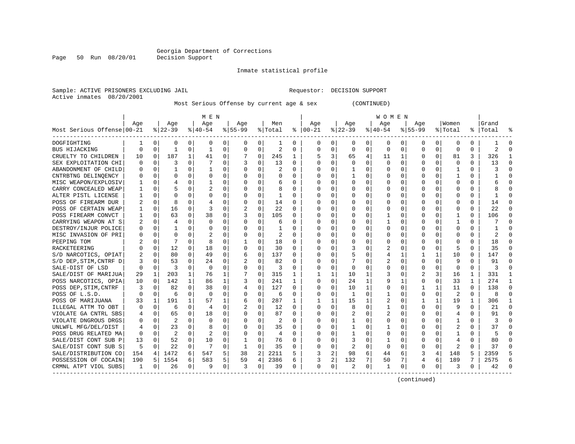Inmate statistical profile

Sample: ACTIVE PRISONERS EXCLUDING JAIL Requestor: DECISION SUPPORT Active inmates 08/20/2001

Most Serious Offense by current age & sex (CONTINUED)

|                            |     |             |              |          | M E N        |   |              |             |                |          |          |   |          |                | W O M E N |          |              |          |          |          |                |          |
|----------------------------|-----|-------------|--------------|----------|--------------|---|--------------|-------------|----------------|----------|----------|---|----------|----------------|-----------|----------|--------------|----------|----------|----------|----------------|----------|
|                            | Age |             | Age          |          | Age          |   | Aqe          |             | Men            |          | Age      |   | Age      |                | Aqe       |          | Aqe          |          | Women    |          | Grand          |          |
| Most Serious Offense 00-21 |     |             | $ 22-39$     |          | $ 40-54 $    |   | $8 55-99$    |             | % Total        | ႜ        | $ 00-21$ |   | $ 22-39$ |                | $ 40-54$  |          | $8155 - 99$  |          | % Total  |          | %   Total      |          |
| DOGFIGHTING                | 1   | 0           | 0            | 0        | 0            | 0 | 0            | 0           | 1              | 0        | 0        | 0 | 0        | 0              | 0         | 0        | 0            | 0        | 0        | 0        |                | O        |
| BUS HIJACKING              | 0   | $\Omega$    | $\mathbf{1}$ | 0        | -1           | 0 | $\Omega$     | $\Omega$    | $\overline{a}$ | 0        | $\Omega$ | 0 | $\Omega$ | 0              | 0         | $\Omega$ | <sup>0</sup> | $\Omega$ | $\Omega$ | $\Omega$ | $\overline{a}$ | ∩        |
| CRUELTY TO CHILDREN        | 10  | 0           | 187          | 1        | 41           | 0 |              | $\mathbf 0$ | 245            | 1        |          | 3 | 65       | $\overline{4}$ | 11        | -1       | O            | $\Omega$ | 81       | 3        | 326            |          |
| SEX EXPLOITATION CHI       | O   | 0           | 3            | $\Omega$ |              | 0 | 3            | $\Omega$    | 13             | 0        | 0        | 0 | $\Omega$ | $\Omega$       | $\Omega$  | $\Omega$ | O            | $\Omega$ | $\Omega$ | $\Omega$ | 13             | ∩        |
| ABANDONMENT OF CHILD       |     | 0           | 1            | $\Omega$ | $\mathbf{1}$ | 0 |              | 0           | 2              | $\Omega$ | 0        | 0 |          | 0              | O         | $\Omega$ |              | $\Omega$ | -1       | 0        | 3              | $\Omega$ |
| CNTRBTNG DELINOENCY        | O   | $\mathbf 0$ | $\Omega$     | 0        | 0            | 0 |              | $\Omega$    | 0              | 0        | $\Omega$ | 0 |          | $\Omega$       | ი         | 0        | <sup>0</sup> | 0        | -1       | 0        |                | ∩        |
| MISC WEAPON/EXPLOSIV       |     | 0           | 4            | 0        | -1           | 0 | ∩            | 0           | 6              | 0        | n        | 0 | O        | O              | 0         | 0        | O            | 0        | O        | 0        | 6              | ∩        |
| CARRY CONCEALED WEAP       | 1   | 0           |              | 0        | 2            | 0 | ∩            | 0           | 8              | 0        | n        | 0 | O        | 0              | 0         | 0        | O            | 0        | O        | 0        | 8              | n        |
| ALTER PISTL LICENSE        |     | 0           | O            |          | 0            | 0 |              | 0           | 1              | 0        | O        | 0 | 0        | $\Omega$       | 0         | 0        |              |          | O        | U        |                | n        |
| POSS OF FIREARM DUR        |     | $\Omega$    | 8            | U        | 4            | 0 |              | $\Omega$    | 14             | O        | C        | U | $\Omega$ | $\Omega$       | O         | C        |              |          | O        | O        | 14             | C        |
| POSS OF CERTAIN WEAP       |     | 0           | 16           | 0        | 3            | 0 |              | $\Omega$    | 22             | 0        | O        | 0 | $\Omega$ | $\Omega$       | O         | C        | n            | 0        | O        | U        | 22             | ∩        |
| POSS FIREARM CONVCT        | 1   | $\Omega$    | 63           | $\Omega$ | 38           | 0 | 3            | $\Omega$    | 105            | 0        | O        | 0 | O        | $\Omega$       |           | $\Omega$ |              | 0        |          | 0        | 106            | n        |
| CARRYING WEAPON AT S       | 2   | 0           | 4            | $\Omega$ | $\Omega$     | 0 | $\Omega$     | $\mathbf 0$ | 6              | 0        | 0        | 0 | 0        | $\Omega$       |           | $\Omega$ |              | $\Omega$ | -1       | 0        |                | ſ        |
| DESTROY/INJUR POLICE       | 0   | $\mathbf 0$ |              | $\Omega$ | $\Omega$     | 0 |              | 0           |                | $\Omega$ | 0        | 0 | $\Omega$ | $\Omega$       | 0         | $\Omega$ |              | 0        | $\Omega$ | 0        |                | ſ        |
| MISC INVASION OF PRI       | 0   | 0           | $\Omega$     | 0        | 2            | 0 |              | $\Omega$    | 2              | 0        | $\Omega$ | 0 | O        | $\Omega$       | 0         | $\Omega$ | <sup>0</sup> | 0        | O        | 0        | 2              | ∩        |
| PEEPING TOM                |     | 0           | 7            | 0        | 8            | 0 |              | 0           | 18             | 0        | n        | 0 | 0        | 0              | 0         | 0        | O            | 0        | O        | 0        | 18             | ∩        |
| RACKETEERING               | N   | 0           | 12           | 0        | 18           | 0 | O            | 0           | 30             | 0        | 0        | 0 |          | $\Omega$       | 2         | 0        | O            | $\Omega$ | 5        | 0        | 35             | 0        |
| S/D NARCOTICS, OPIAT       |     | 0           | 80           | 0        | 49           | 0 | 6            | $\Omega$    | 137            | 0        | O        | 0 |          | $\Omega$       | 4         | 1        |              | 1        | 10       | 0        | 147            | n        |
| S/D DEP, STIM, CNTRF D     |     | $\Omega$    | 53           | U        | 24           | 0 |              | $\Omega$    | 82             | U        | $\Omega$ | 0 |          | $\Omega$       | 2         | $\Omega$ | ∩            | 0        | 9        | O        | 91             |          |
| SALE-DIST OF LSD           | O   | 0           | 3            | O        | $\Omega$     | 0 | $\Omega$     | $\Omega$    | 3              | 0        | n        | 0 | $\Omega$ | O              | 0         | O        | O            | $\Omega$ | $\Omega$ | 0        | ζ              |          |
| SALE/DIST OF MARIJUA       | 29  | 1           | 203          | 1        | 76           | 1 |              | $\mathbf 0$ | 315            | 1        | -1       | 1 | 10       | 1              | 3         | 0        | 2            | 3        | 16       | 1        | 331            |          |
| POSS NARCOTICS, OPIA       | 10  | 0           | 142          | 1        | 86           | 1 | 3            | 0           | 241            | 1        | 0        | 0 | 24       | 1              | 9         |          | 0            | 0        | 33       | 1        | 274            |          |
| POSS DEP, STIM, CNTRF      |     | 0           | 82           | 0        | 38           | 0 |              | 0           | 127            | 0        | 0        | 0 | 10       | 1              | $\Omega$  | $\Omega$ |              |          | 11       | 0        | 138            | ſ        |
| POSS OF L.S.D.             | O   | 0           | 6            | 0        | 0            | 0 | $\Omega$     | 0           | 6              | 0        | $\Omega$ | 0 | 1        | 0              |           | 0        | <sup>0</sup> | 0        | 2        | 0        | 8              | $\Omega$ |
| POSS OF MARIJUANA          | 33  | 1           | 191          |          | 57           | 1 | 6            | 0           | 287            | 1        |          | 1 | 15       | 1              | 2         | 0        |              |          | 19       | 1        | 306            | -1       |
| ILLEGAL ATTM TO OBT        | O   | 0           | 6            | 0        | 4            | 0 | 2            | 0           | 12             | 0        | 0        | 0 | 8        | $\Omega$       |           | 0        |              | 0        | 9        | 0        | 21             | n        |
| VIOLATE GA CNTRL SBS       |     | 0           | 65           | O        | 18           | 0 |              | $\Omega$    | 87             | U        | 0        | 0 |          | $\Omega$       | 2         | C        |              |          | 4        | 0        | 91             | ∩        |
| VIOLATE DNGROUS DRGS       |     | $\Omega$    | 2            |          | $\Omega$     | U |              | $\Omega$    | 2              | U        | $\Omega$ | 0 |          | $\Omega$       | 0         | C        |              |          |          | U        | 3              |          |
| UNLWFL MFG/DEL/DIST        |     | 0           | 23           | 0        | 8            | 0 | O            | $\Omega$    | 35             | 0        | O        | 0 |          | O              |           | O        |              | 0        |          | 0        | 37             |          |
| POSS DRUG RELATED MA       | 0   | 0           | 2            | 0        | 2            | 0 | 0            | $\Omega$    | 4              | 0        | 0        | 0 |          | $\Omega$       | 0         | O        |              | 0        |          | U        | 5              |          |
| SALE/DIST CONT SUB P       | 13  | 0           | 52           | 0        | 10           | 0 |              | 0           | 76             | 0        | 0        | 0 | 3        | $\Omega$       |           | $\Omega$ |              | $\Omega$ | 4        | U        | 80             | U        |
| SALE/DIST CONT SUB S       | 5   | 0           | 22           | 0        | 7            | 0 | $\mathbf{1}$ | 0           | 35             | $\Omega$ | $\Omega$ | 0 | 2        | 0              | 0         | 0        | ∩            | $\Omega$ | 2        | $\Omega$ | 37             | ∩        |
| SALE/DISTRIBUTION CO       | 154 | 4           | 1472         | 6        | 547          | 5 | 38           | 2           | 2211           | 5        |          | 2 | 98       | 6              | 44        | 6        | 3            | 4        | 148      | 5        | 2359           |          |
| POSSESSION OF COCAIN       | 190 | 5           | 1554         | 6        | 583          | 5 | 59           | 4           | 2386           | 6        | 3        | 2 | 132      | 7              | 50        | 7        | 4            | 6        | 189      | 7        | 2575           | h        |
| CRMNL ATPT VIOL SUBS       | 1   | 0           | 26           | 0        | -9           | 0 | 3            | 0           | 39             | 0        | $\Omega$ | 0 | 2        | 0              | 1         | 0        | $\Omega$     | 0        | 3        | 0        | 42             |          |

(continued)

Page 50 Run 08/20/01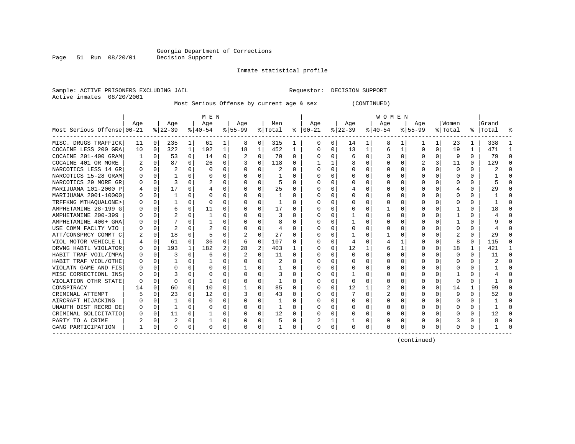Inmate statistical profile

Page 51 Run 08/20/01

Sample: ACTIVE PRISONERS EXCLUDING JAIL Requestor: DECISION SUPPORT

Active inmates 08/20/2001

#### Most Serious Offense by current age & sex (CONTINUED)

|                            |              |                |          |              | M E N        |   |          |                |         |              |               |             |           |          | W O M E N |          |             |          |              |              |           |          |
|----------------------------|--------------|----------------|----------|--------------|--------------|---|----------|----------------|---------|--------------|---------------|-------------|-----------|----------|-----------|----------|-------------|----------|--------------|--------------|-----------|----------|
|                            | Age          |                | Age      |              | Age          |   | Age      |                | Men     |              | Age           |             | Age       |          | Age       |          | Age         |          | Women        |              | Grand     |          |
| Most Serious Offense 00-21 |              |                | $ 22-39$ |              | $ 40-54 $    |   | $ 55-99$ |                | % Total |              | $8   00 - 21$ |             | $ 22-39 $ |          | $8 40-54$ |          | $8155 - 99$ |          | % Total      |              | %   Total |          |
| MISC. DRUGS TRAFFICK       | 11           | 0 <sup>1</sup> | 235      | 1            | 61           | 1 | 8        | 0              | 315     | 1            | $\cup$        | 0           | 14        | 1        | 8         |          |             | 1        | 23           | 1            | 338       |          |
| COCAINE LESS 200 GRA       | 10           | $\Omega$       | 322      | $\mathbf 1$  | 102          | 1 | 18       | 1              | 452     | 1            | O             | 0           | 13        | 1        | 6         | 1        | O           | 0        | 19           | 1            | 471       |          |
| COCAINE 201-400 GRAM       |              | $\Omega$       | 53       | 0            | 14           | 0 |          | $\Omega$       | 70      | 0            |               | 0           | 6         | $\Omega$ |           | $\Omega$ | O           | $\Omega$ | 9            | $\Omega$     | 79        |          |
| COCAINE 401 OR MORE        |              | $\Omega$       | 87       | 0            | 26           | 0 |          | $\Omega$       | 118     | 0            |               | 1           |           | $\Omega$ |           | $\Omega$ | 2           | 3        | 11           | $\Omega$     | 129       | n        |
| NARCOTICS LESS 14 GR       |              | $\Omega$       | 2        | 0            | $\Omega$     | 0 |          | 0              | 2       | U            |               | 0           |           | 0        |           | 0        | O           | O        | $\Omega$     | 0            |           |          |
| NARCOTICS 15-28 GRAM       | O            | $\Omega$       |          | <sup>n</sup> | O            | 0 |          | $\Omega$       |         | U            |               | 0           | O         | $\Omega$ |           | O        | O           | U        | O            | 0            |           |          |
| NARCOTICS 29 MORE GR       | O            | 0              | ζ        |              |              | 0 |          | 0              | 5       | U            | O             | $\Omega$    |           | 0        | 0         | $\Omega$ | O           |          | O            | 0            |           |          |
| MARIJUANA 101-2000 P       | 4            | $\Omega$       | 17       | 0            |              | 0 | $\left($ | 0              | 25      | 0            | n             | $\Omega$    |           | 0        | O         | $\Omega$ | O           | 0        | 4            | 0            | 29        |          |
| MARIJUANA 2001-10000       | 0            | 0              | 1        | 0            | 0            | 0 |          | $\Omega$       |         | U            | O             | $\Omega$    | 0         | $\Omega$ | O         | $\Omega$ | 0           | $\Omega$ | 0            | 0            |           |          |
| TRFFKNG MTHAOUALONE>       |              | $\Omega$       |          | O            | 0            | 0 |          | $\Omega$       |         | U            |               | $\Omega$    |           | $\Omega$ |           | $\Omega$ |             | 0        | 0            |              |           |          |
| AMPHETAMINE 28-199 G       |              | $\Omega$       |          | U            | 11           | U |          | $\Omega$       | 17      | U            |               | 0           |           | O        |           | $\Omega$ |             | ∩        |              | 0            | 18        |          |
| AMPHETAMINE 200-399        |              | $\Omega$       |          |              |              | U |          | O              |         | U            |               | 0           |           | O        |           | 0        | O           | O        |              | 0            |           |          |
| AMPHETAMINE 400+ GRA       | $\cup$       | $\Omega$       |          | 0            |              | 0 |          | 0              | 8       | U            | n             | $\Omega$    |           | 0        |           | 0        | O           | 0        |              | 0            |           |          |
| USE COMM FACLTY VIO        |              | 0              | 2        | 0            |              | 0 |          | 0              | 4       | 0            |               | 0           |           | 0        |           | $\Omega$ | 0           | 0        | O            | 0            |           |          |
| ATT/CONSPRCY COMMT C       | 2            | $\Omega$       | 18       | 0            | 5            | O |          | $\Omega$       | 27      | U            |               | 0           |           |          |           | O        |             |          | 2            | O            | 29        |          |
| VIOL MOTOR VEHICLE L       |              | n              | 61       | $\cap$       | 36           | O | 6        | $\Omega$       | 107     | U            | O             | $\Omega$    | 4         | U        | 4         |          | O           | U        | R            | 0            | 115       | n        |
| DRVNG HABTL VIOLATOR       | 0            | 0              | 193      | 1            | 182          | 2 | 28       | $\overline{c}$ | 403     |              |               | $\Omega$    | 12        | 1        | 6         |          | 0           | $\Omega$ | 18           |              | 421       |          |
| HABIT TRAF VOIL/IMPA       | O            | n              |          | 0            | 6            | 0 |          | $\Omega$       | 11      | <sup>0</sup> | O             | $\Omega$    | O         | $\Omega$ | O         | $\Omega$ | O           | 0        | 0            | 0            | 11        | ∩        |
| HABIT TRAF VIOL/OTHE       |              | n              |          | O            |              | U |          | 0              | 2       | U            |               | 0           |           | 0        |           | 0        | O           | O        | C            | 0            |           | $\Omega$ |
| VIOLATN GAME AND FIS       | 0            | $\cap$         | U        |              | O            | 0 |          | 0              |         | U            | O             | 0           |           | O        |           | $\Omega$ | O           | U        | O            | 0            |           |          |
| MISC CORRECTIONL INS       | O            | n              |          |              | n            | U |          | 0              | 3       | U            | O             | $\Omega$    |           | 0        |           | $\Omega$ | O           | U        |              | 0            |           |          |
| VIOLATION OTHR STATE       | <sup>0</sup> | n              | O        | 0            |              | U |          | 0              |         | U            | O             | 0           | 0         | O        | O         | 0        | O           | 0        | 0            | 0            |           |          |
| CONSPIRACY                 | 14           | 0              | 60       | $\Omega$     | 10           | 0 |          | $\Omega$       | 85      | 0            |               | $\Omega$    | 12        | 1        |           | $\Omega$ | O           | $\Omega$ | 14           | $\mathbf{1}$ | 99        |          |
| CRIMINAL ATTEMPT           |              | n              | 23       | $\Omega$     | 12           | 0 |          | $\Omega$       | 43      | U            |               | 0           |           | $\Omega$ | 2         | $\Omega$ |             | U        | 9            | U            | 52        |          |
| AIRCRAFT HIJACKING         |              | n              |          | ∩            | <sup>0</sup> | U |          | $\Omega$       |         | U            |               | 0           | O         | O        |           | O        | n           | n        | n            | 0            |           |          |
| UNAUTH DIST RECRD DE       |              | n              |          |              | <sup>0</sup> | 0 |          | O              |         | U            |               | 0           |           | 0        |           | 0        | O           | O        |              | 0            |           |          |
| CRIMINAL SOLICITATIO       | O            | 0              | 11       | 0            |              | 0 | O        | 0              | 12      | 0            | $\Omega$      | 0           | 0         | 0        | O         | 0        | O           | 0        | O            | 0            | 12        |          |
| PARTY TO A CRIME           |              | n              | 2        | 0            |              | 0 |          | 0              | 5       | 0            | 2             | 1           |           | 0        |           | 0        | 0           | 0        |              | 0            |           |          |
| GANG PARTICIPATION         |              | 0              | O        | 0            | $\Omega$     | 0 | $\Omega$ | 0              |         | U            | $\Omega$      | $\mathbf 0$ | U         | $\Omega$ | $\Omega$  | 0        | O           | 0        | <sup>0</sup> | 0            |           |          |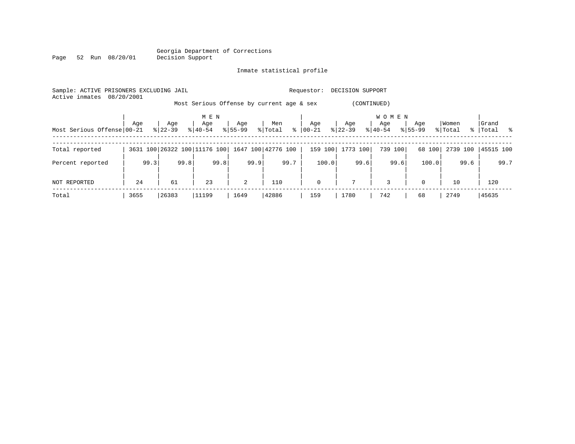#### Georgia Department of Corrections<br>Decision Support Page 52 Run 08/20/01

### Inmate statistical profile

| Sample: ACTIVE PRISONERS EXCLUDING JAIL<br>Active inmates | 08/20/2001 |           |                              |                |                                           | Requestor:  | DECISION SUPPORT |                       |             |          |             |
|-----------------------------------------------------------|------------|-----------|------------------------------|----------------|-------------------------------------------|-------------|------------------|-----------------------|-------------|----------|-------------|
|                                                           |            |           |                              |                | Most Serious Offense by current age & sex |             | (CONTINUED)      |                       |             |          |             |
|                                                           | Age        | Age       | M E N<br>Age                 | Age            | Men                                       | Age         | Age              | <b>WOMEN</b><br>Age   | Age         | Women    | Grand       |
| Most Serious Offense 00-21                                |            | $8 22-39$ | $8 40-54$                    | $8155 - 99$    | $\frac{8}{6}$<br>% Total                  | 00-21       | $ 22-39 $        | $\frac{1}{6}$   40-54 | $8155 - 99$ | % Total  | %   Total % |
| Total reported                                            |            |           | 3631 100 26322 100 11176 100 |                | 1647 100 42776 100                        | 159 100     | 1773 100         | 739 100               | 68 100      | 2739 100 | 45515 100   |
| Percent reported                                          | 99.3       | 99.8      | 99.8                         | 99.9           | 99.7                                      | 100.0       | 99.6             | 99.6                  | 100.0       | 99.6     | 99.7        |
| NOT REPORTED                                              | 24         | 61        | 23                           | $\overline{2}$ | 110                                       | $\mathbf 0$ | $7^{\circ}$      | 3                     | $\mathbf 0$ | 10       | 120         |
| Total                                                     | 3655       | 26383     | 11199                        | 1649           | 42886                                     | 159         | 1780             | 742                   | 68          | 2749     | 45635       |